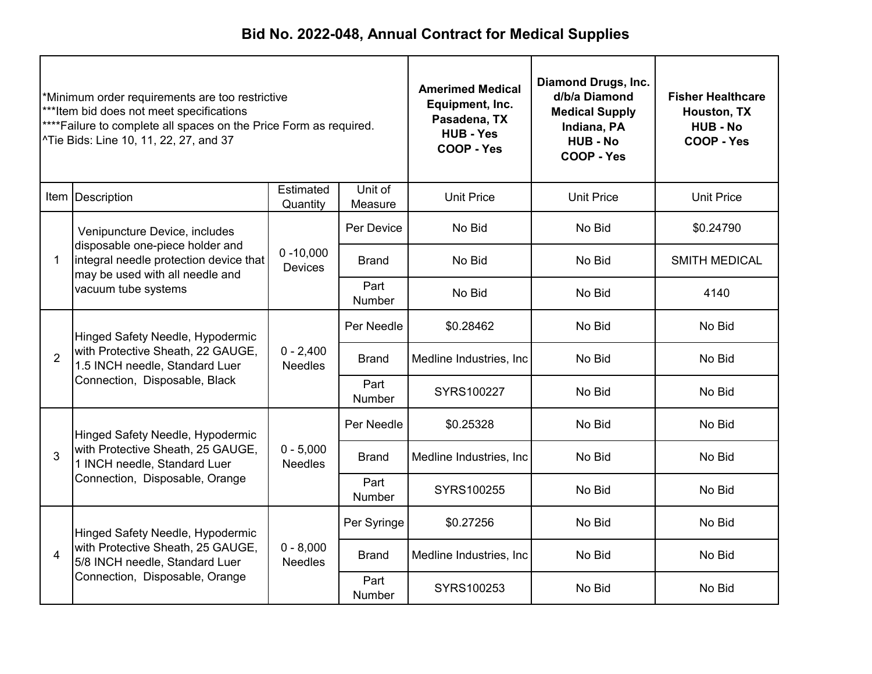| Minimum order requirements are too restrictive<br>***Item bid does not meet specifications<br>****Failure to complete all spaces on the Price Form as required.<br>^Tie Bids: Line 10, 11, 22, 27, and 37 |                                                                                                                           |                                | <b>Amerimed Medical</b><br>Equipment, Inc.<br>Pasadena, TX<br><b>HUB - Yes</b><br>COOP - Yes | <b>Diamond Drugs, Inc.</b><br>d/b/a Diamond<br><b>Medical Supply</b><br>Indiana, PA<br><b>HUB - No</b><br>COOP - Yes | <b>Fisher Healthcare</b><br>Houston, TX<br><b>HUB - No</b><br>COOP - Yes |                      |
|-----------------------------------------------------------------------------------------------------------------------------------------------------------------------------------------------------------|---------------------------------------------------------------------------------------------------------------------------|--------------------------------|----------------------------------------------------------------------------------------------|----------------------------------------------------------------------------------------------------------------------|--------------------------------------------------------------------------|----------------------|
|                                                                                                                                                                                                           | Item Description                                                                                                          | Estimated<br>Quantity          | Unit of<br>Measure                                                                           | <b>Unit Price</b>                                                                                                    | <b>Unit Price</b>                                                        | <b>Unit Price</b>    |
|                                                                                                                                                                                                           | Venipuncture Device, includes                                                                                             |                                | Per Device                                                                                   | No Bid                                                                                                               | No Bid                                                                   | \$0.24790            |
| $\mathbf 1$                                                                                                                                                                                               | disposable one-piece holder and<br>integral needle protection device that<br>may be used with all needle and              | $0 - 10,000$<br><b>Devices</b> | Brand                                                                                        | No Bid                                                                                                               | No Bid                                                                   | <b>SMITH MEDICAL</b> |
|                                                                                                                                                                                                           | vacuum tube systems                                                                                                       |                                | Part<br><b>Number</b>                                                                        | No Bid                                                                                                               | No Bid                                                                   | 4140                 |
|                                                                                                                                                                                                           | Hinged Safety Needle, Hypodermic<br>with Protective Sheath, 22 GAUGE,<br>$\overline{2}$<br>1.5 INCH needle, Standard Luer | $0 - 2,400$<br>Needles         | Per Needle                                                                                   | \$0.28462                                                                                                            | No Bid                                                                   | No Bid               |
|                                                                                                                                                                                                           |                                                                                                                           |                                | Brand                                                                                        | Medline Industries, Inc.                                                                                             | No Bid                                                                   | No Bid               |
|                                                                                                                                                                                                           | Connection, Disposable, Black                                                                                             |                                | Part<br>Number                                                                               | SYRS100227                                                                                                           | No Bid                                                                   | No Bid               |
|                                                                                                                                                                                                           | Hinged Safety Needle, Hypodermic                                                                                          |                                | Per Needle                                                                                   | \$0.25328                                                                                                            | No Bid                                                                   | No Bid               |
| 3                                                                                                                                                                                                         | with Protective Sheath, 25 GAUGE,<br>1 INCH needle, Standard Luer                                                         | $0 - 5,000$<br><b>Needles</b>  | <b>Brand</b>                                                                                 | Medline Industries, Inc.                                                                                             | No Bid                                                                   | No Bid               |
|                                                                                                                                                                                                           | Connection, Disposable, Orange                                                                                            |                                | Part<br>Number                                                                               | SYRS100255                                                                                                           | No Bid                                                                   | No Bid               |
|                                                                                                                                                                                                           | Hinged Safety Needle, Hypodermic                                                                                          |                                | Per Syringe                                                                                  | \$0.27256                                                                                                            | No Bid                                                                   | No Bid               |
| 4                                                                                                                                                                                                         | with Protective Sheath, 25 GAUGE,<br>5/8 INCH needle, Standard Luer                                                       | $0 - 8,000$<br><b>Needles</b>  | <b>Brand</b><br>Medline Industries, Inc.                                                     | No Bid                                                                                                               | No Bid                                                                   |                      |
|                                                                                                                                                                                                           | Connection, Disposable, Orange                                                                                            |                                | Part<br>Number                                                                               | SYRS100253                                                                                                           | No Bid                                                                   | No Bid               |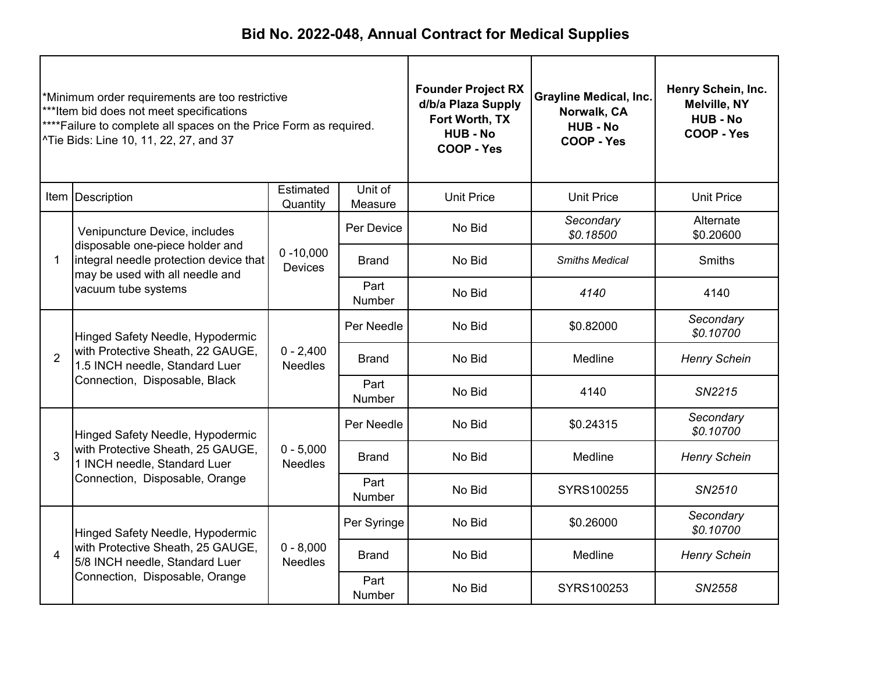| *Minimum order requirements are too restrictive<br>***Item bid does not meet specifications<br>**** Failure to complete all spaces on the Price Form as required.<br>^Tie Bids: Line 10, 11, 22, 27, and 37 |                                                                                                                           |                                | <b>Founder Project RX</b><br>d/b/a Plaza Supply<br>Fort Worth, TX<br><b>HUB-No</b><br>COOP - Yes | <b>Grayline Medical, Inc.</b><br>Norwalk, CA<br><b>HUB - No</b><br>COOP - Yes | Henry Schein, Inc.<br><b>Melville, NY</b><br><b>HUB - No</b><br>COOP - Yes |                        |
|-------------------------------------------------------------------------------------------------------------------------------------------------------------------------------------------------------------|---------------------------------------------------------------------------------------------------------------------------|--------------------------------|--------------------------------------------------------------------------------------------------|-------------------------------------------------------------------------------|----------------------------------------------------------------------------|------------------------|
|                                                                                                                                                                                                             | Item   Description                                                                                                        | Estimated<br>Quantity          | Unit of<br>Measure                                                                               | <b>Unit Price</b>                                                             | <b>Unit Price</b>                                                          | <b>Unit Price</b>      |
|                                                                                                                                                                                                             | Venipuncture Device, includes                                                                                             |                                | Per Device                                                                                       | No Bid                                                                        | Secondary<br>\$0.18500                                                     | Alternate<br>\$0.20600 |
| 1                                                                                                                                                                                                           | disposable one-piece holder and<br>integral needle protection device that<br>may be used with all needle and              | $0 - 10,000$<br><b>Devices</b> | <b>Brand</b>                                                                                     | No Bid                                                                        | <b>Smiths Medical</b>                                                      | <b>Smiths</b>          |
|                                                                                                                                                                                                             | vacuum tube systems                                                                                                       |                                | Part<br><b>Number</b>                                                                            | No Bid                                                                        | 4140                                                                       | 4140                   |
|                                                                                                                                                                                                             | Hinged Safety Needle, Hypodermic<br>with Protective Sheath, 22 GAUGE,<br>$\overline{2}$<br>1.5 INCH needle, Standard Luer |                                | Per Needle                                                                                       | No Bid                                                                        | \$0.82000                                                                  | Secondary<br>\$0.10700 |
|                                                                                                                                                                                                             |                                                                                                                           | $0 - 2,400$<br><b>Needles</b>  | <b>Brand</b>                                                                                     | No Bid                                                                        | Medline                                                                    | <b>Henry Schein</b>    |
|                                                                                                                                                                                                             | Connection, Disposable, Black                                                                                             |                                | Part<br>Number                                                                                   | No Bid                                                                        | 4140                                                                       | SN2215                 |
|                                                                                                                                                                                                             | Hinged Safety Needle, Hypodermic                                                                                          |                                | Per Needle                                                                                       | No Bid                                                                        | \$0.24315                                                                  | Secondary<br>\$0.10700 |
| 3                                                                                                                                                                                                           | with Protective Sheath, 25 GAUGE,<br>1 INCH needle, Standard Luer                                                         | $0 - 5,000$<br><b>Needles</b>  | <b>Brand</b>                                                                                     | No Bid                                                                        | Medline                                                                    | <b>Henry Schein</b>    |
|                                                                                                                                                                                                             | Connection, Disposable, Orange                                                                                            |                                | Part<br>Number                                                                                   | No Bid                                                                        | SYRS100255                                                                 | SN2510                 |
|                                                                                                                                                                                                             | Hinged Safety Needle, Hypodermic                                                                                          |                                | Per Syringe                                                                                      | No Bid                                                                        | \$0.26000                                                                  | Secondary<br>\$0.10700 |
| 4                                                                                                                                                                                                           | with Protective Sheath, 25 GAUGE,<br>5/8 INCH needle, Standard Luer                                                       | $0 - 8,000$<br><b>Needles</b>  | <b>Brand</b>                                                                                     | No Bid<br>Medline                                                             |                                                                            | <b>Henry Schein</b>    |
|                                                                                                                                                                                                             | Connection, Disposable, Orange                                                                                            |                                | Part<br>Number                                                                                   | No Bid                                                                        | SYRS100253                                                                 | SN2558                 |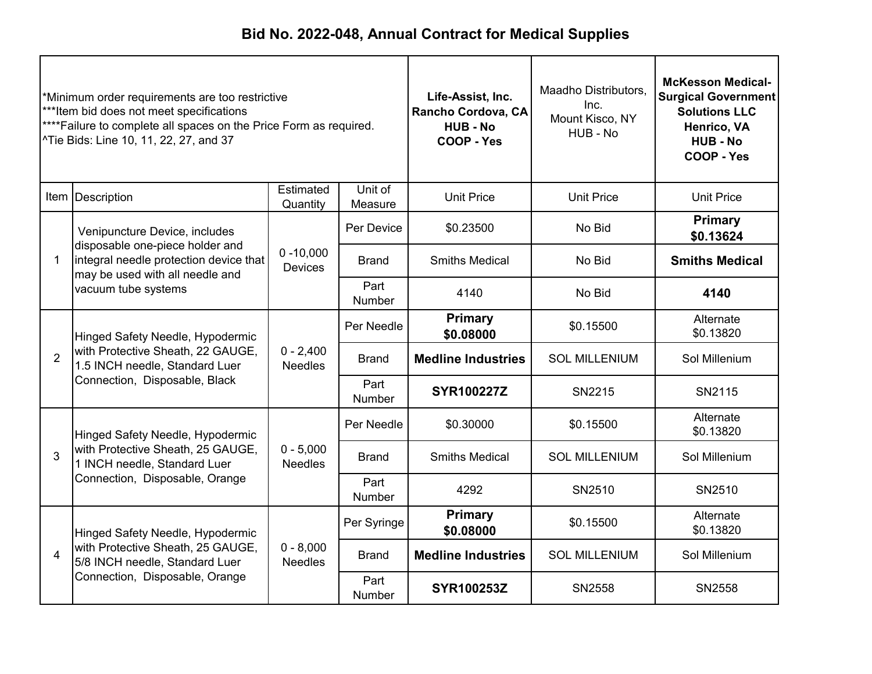| *Minimum order requirements are too restrictive<br>***Item bid does not meet specifications<br>****Failure to complete all spaces on the Price Form as required.<br>^Tie Bids: Line 10, 11, 22, 27, and 37 |                                                                                                                                     |                                | Life-Assist, Inc.<br>Rancho Cordova, CA<br><b>HUB - No</b><br>COOP - Yes | Maadho Distributors,<br>Inc.<br>Mount Kisco, NY<br>HUB - No | <b>McKesson Medical-</b><br><b>Surgical Government</b><br><b>Solutions LLC</b><br>Henrico, VA<br><b>HUB - No</b><br>COOP - Yes |                             |
|------------------------------------------------------------------------------------------------------------------------------------------------------------------------------------------------------------|-------------------------------------------------------------------------------------------------------------------------------------|--------------------------------|--------------------------------------------------------------------------|-------------------------------------------------------------|--------------------------------------------------------------------------------------------------------------------------------|-----------------------------|
|                                                                                                                                                                                                            | Item   Description                                                                                                                  | Estimated<br>Quantity          | Unit of<br>Measure                                                       | <b>Unit Price</b>                                           | <b>Unit Price</b>                                                                                                              | <b>Unit Price</b>           |
|                                                                                                                                                                                                            | Venipuncture Device, includes                                                                                                       |                                | Per Device                                                               | \$0.23500                                                   | No Bid                                                                                                                         | <b>Primary</b><br>\$0.13624 |
| $\mathbf{1}$                                                                                                                                                                                               | disposable one-piece holder and<br>integral needle protection device that<br>may be used with all needle and<br>vacuum tube systems | $0 - 10,000$<br><b>Devices</b> | <b>Brand</b>                                                             | <b>Smiths Medical</b>                                       | No Bid                                                                                                                         | <b>Smiths Medical</b>       |
|                                                                                                                                                                                                            |                                                                                                                                     |                                | Part<br>Number                                                           | 4140                                                        | No Bid                                                                                                                         | 4140                        |
|                                                                                                                                                                                                            | Hinged Safety Needle, Hypodermic<br>with Protective Sheath, 22 GAUGE,<br>1.5 INCH needle, Standard Luer                             |                                | Per Needle                                                               | <b>Primary</b><br>\$0.08000                                 | \$0.15500                                                                                                                      | Alternate<br>\$0.13820      |
| $\overline{2}$                                                                                                                                                                                             |                                                                                                                                     | $0 - 2,400$<br><b>Needles</b>  | <b>Brand</b>                                                             | <b>Medline Industries</b>                                   | <b>SOL MILLENIUM</b>                                                                                                           | Sol Millenium               |
|                                                                                                                                                                                                            | Connection, Disposable, Black                                                                                                       |                                | Part<br>Number                                                           | <b>SYR100227Z</b>                                           | SN2215                                                                                                                         | SN2115                      |
|                                                                                                                                                                                                            | Hinged Safety Needle, Hypodermic                                                                                                    |                                | Per Needle                                                               | \$0.30000                                                   | \$0.15500                                                                                                                      | Alternate<br>\$0.13820      |
| 3                                                                                                                                                                                                          | with Protective Sheath, 25 GAUGE,<br>1 INCH needle, Standard Luer                                                                   | $0 - 5,000$<br><b>Needles</b>  | <b>Brand</b>                                                             | <b>Smiths Medical</b>                                       | <b>SOL MILLENIUM</b>                                                                                                           | Sol Millenium               |
|                                                                                                                                                                                                            | Connection, Disposable, Orange                                                                                                      |                                | Part<br><b>Number</b>                                                    | 4292                                                        | SN2510                                                                                                                         | SN2510                      |
|                                                                                                                                                                                                            | Hinged Safety Needle, Hypodermic                                                                                                    |                                | Per Syringe                                                              | <b>Primary</b><br>\$0.08000                                 | \$0.15500                                                                                                                      | Alternate<br>\$0.13820      |
| $\overline{4}$                                                                                                                                                                                             | with Protective Sheath, 25 GAUGE,<br>5/8 INCH needle, Standard Luer                                                                 | $0 - 8,000$<br><b>Needles</b>  | <b>Brand</b>                                                             | <b>Medline Industries</b>                                   | <b>SOL MILLENIUM</b>                                                                                                           | Sol Millenium               |
|                                                                                                                                                                                                            | Connection, Disposable, Orange                                                                                                      |                                | Part<br><b>Number</b>                                                    | <b>SYR100253Z</b>                                           | SN2558                                                                                                                         | SN2558                      |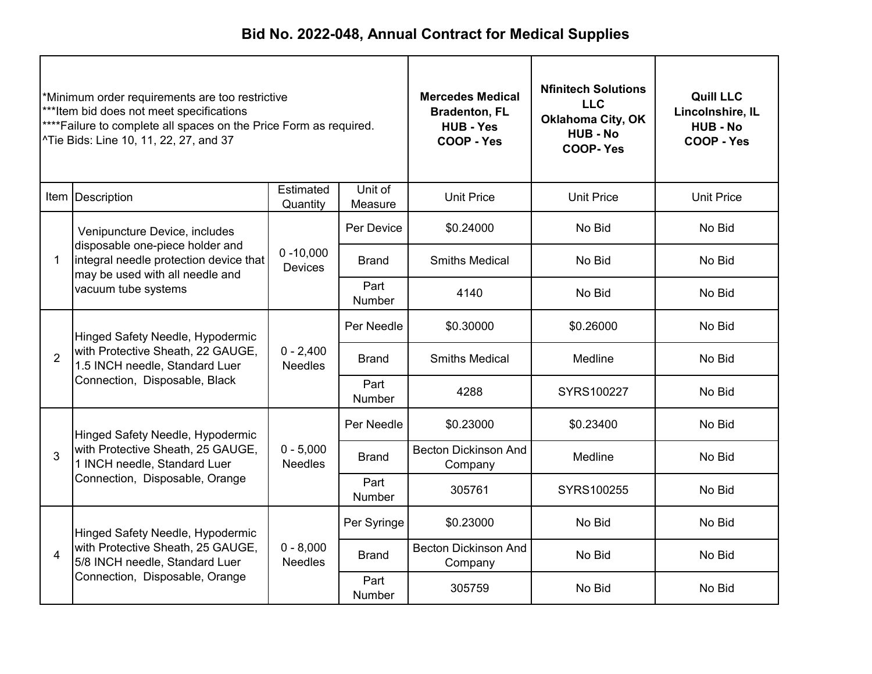| *Minimum order requirements are too restrictive<br>***Item bid does not meet specifications<br>****Failure to complete all spaces on the Price Form as required.<br>^Tie Bids: Line 10, 11, 22, 27, and 37 |                                                                                                                           | <b>Mercedes Medical</b><br><b>Bradenton, FL</b><br><b>HUB - Yes</b><br>COOP - Yes | <b>Nfinitech Solutions</b><br><b>LLC</b><br><b>Oklahoma City, OK</b><br><b>HUB - No</b><br><b>COOP-Yes</b> | <b>Quill LLC</b><br>Lincolnshire, IL<br><b>HUB - No</b><br>COOP - Yes |                   |                   |
|------------------------------------------------------------------------------------------------------------------------------------------------------------------------------------------------------------|---------------------------------------------------------------------------------------------------------------------------|-----------------------------------------------------------------------------------|------------------------------------------------------------------------------------------------------------|-----------------------------------------------------------------------|-------------------|-------------------|
|                                                                                                                                                                                                            | Item Description                                                                                                          | Estimated<br>Quantity                                                             | Unit of<br>Measure                                                                                         | <b>Unit Price</b>                                                     | <b>Unit Price</b> | <b>Unit Price</b> |
|                                                                                                                                                                                                            | Venipuncture Device, includes                                                                                             |                                                                                   | Per Device                                                                                                 | \$0.24000                                                             | No Bid            | No Bid            |
| 1                                                                                                                                                                                                          | disposable one-piece holder and<br>integral needle protection device that<br>may be used with all needle and              | $0 - 10,000$<br><b>Devices</b>                                                    | <b>Brand</b>                                                                                               | <b>Smiths Medical</b>                                                 | No Bid            | No Bid            |
|                                                                                                                                                                                                            | vacuum tube systems                                                                                                       |                                                                                   | Part<br><b>Number</b>                                                                                      | 4140                                                                  | No Bid            | No Bid            |
|                                                                                                                                                                                                            | Hinged Safety Needle, Hypodermic<br>with Protective Sheath, 22 GAUGE,<br>$\overline{2}$<br>1.5 INCH needle, Standard Luer | $0 - 2,400$<br>Needles                                                            | Per Needle                                                                                                 | \$0.30000                                                             | \$0.26000         | No Bid            |
|                                                                                                                                                                                                            |                                                                                                                           |                                                                                   | <b>Brand</b>                                                                                               | <b>Smiths Medical</b>                                                 | Medline           | No Bid            |
|                                                                                                                                                                                                            | Connection, Disposable, Black                                                                                             |                                                                                   | Part<br>Number                                                                                             | 4288                                                                  | SYRS100227        | No Bid            |
|                                                                                                                                                                                                            | Hinged Safety Needle, Hypodermic                                                                                          |                                                                                   | Per Needle                                                                                                 | \$0.23000                                                             | \$0.23400         | No Bid            |
| 3                                                                                                                                                                                                          | with Protective Sheath, 25 GAUGE,<br>1 INCH needle, Standard Luer                                                         | $0 - 5,000$<br><b>Needles</b>                                                     | Brand                                                                                                      | <b>Becton Dickinson And</b><br>Company                                | Medline           | No Bid            |
|                                                                                                                                                                                                            | Connection, Disposable, Orange                                                                                            |                                                                                   | Part<br>Number                                                                                             | 305761                                                                | SYRS100255        | No Bid            |
|                                                                                                                                                                                                            | Hinged Safety Needle, Hypodermic                                                                                          |                                                                                   | Per Syringe                                                                                                | \$0.23000                                                             | No Bid            | No Bid            |
| 4                                                                                                                                                                                                          | with Protective Sheath, 25 GAUGE,<br>5/8 INCH needle, Standard Luer                                                       | $0 - 8,000$<br><b>Needles</b>                                                     | <b>Becton Dickinson And</b><br><b>Brand</b><br>Company                                                     |                                                                       | No Bid            | No Bid            |
|                                                                                                                                                                                                            | Connection, Disposable, Orange                                                                                            |                                                                                   | Part<br><b>Number</b>                                                                                      | 305759                                                                | No Bid            | No Bid            |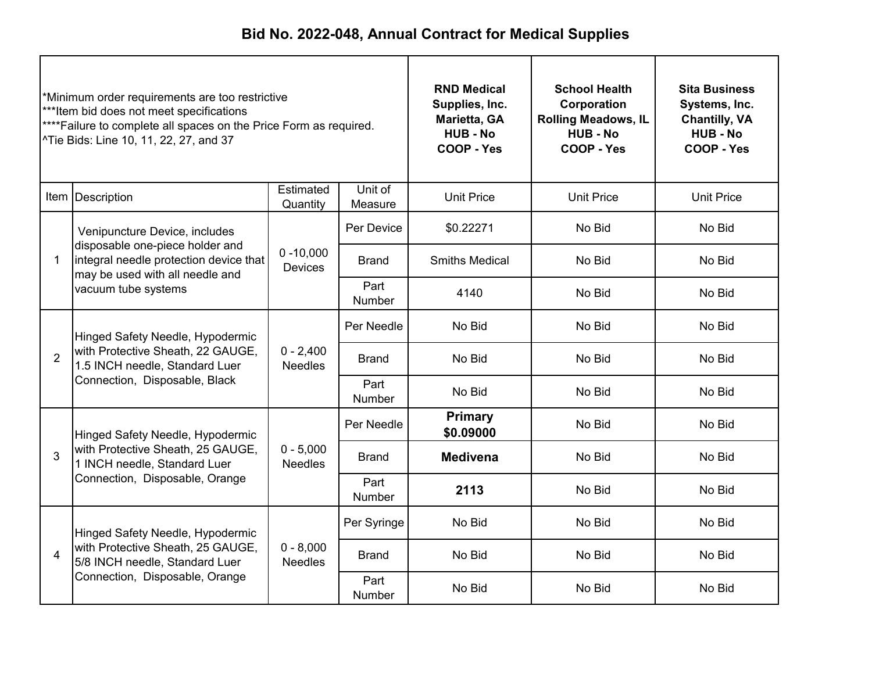| *Minimum order requirements are too restrictive<br>***Item bid does not meet specifications<br>****Failure to complete all spaces on the Price Form as required.<br>^Tie Bids: Line 10, 11, 22, 27, and 37 |                                                                                                                           | <b>RND Medical</b><br>Supplies, Inc.<br>Marietta, GA<br><b>HUB - No</b><br>COOP - Yes | <b>School Health</b><br>Corporation<br><b>Rolling Meadows, IL</b><br><b>HUB - No</b><br>COOP - Yes | <b>Sita Business</b><br>Systems, Inc.<br><b>Chantilly, VA</b><br><b>HUB-No</b><br>COOP - Yes |                   |                   |
|------------------------------------------------------------------------------------------------------------------------------------------------------------------------------------------------------------|---------------------------------------------------------------------------------------------------------------------------|---------------------------------------------------------------------------------------|----------------------------------------------------------------------------------------------------|----------------------------------------------------------------------------------------------|-------------------|-------------------|
|                                                                                                                                                                                                            | Item Description                                                                                                          | Estimated<br>Quantity                                                                 | Unit of<br>Measure                                                                                 | <b>Unit Price</b>                                                                            | <b>Unit Price</b> | <b>Unit Price</b> |
|                                                                                                                                                                                                            | Venipuncture Device, includes                                                                                             |                                                                                       | Per Device                                                                                         | \$0.22271                                                                                    | No Bid            | No Bid            |
| 1                                                                                                                                                                                                          | disposable one-piece holder and<br>integral needle protection device that<br>may be used with all needle and              | $0 - 10,000$<br><b>Devices</b>                                                        | <b>Brand</b>                                                                                       | <b>Smiths Medical</b>                                                                        | No Bid            | No Bid            |
|                                                                                                                                                                                                            | vacuum tube systems                                                                                                       |                                                                                       | Part<br><b>Number</b>                                                                              | 4140                                                                                         | No Bid            | No Bid            |
|                                                                                                                                                                                                            | Hinged Safety Needle, Hypodermic<br>with Protective Sheath, 22 GAUGE,<br>$\overline{2}$<br>1.5 INCH needle, Standard Luer |                                                                                       | Per Needle                                                                                         | No Bid                                                                                       | No Bid            | No Bid            |
|                                                                                                                                                                                                            |                                                                                                                           | $0 - 2,400$<br><b>Needles</b>                                                         | <b>Brand</b>                                                                                       | No Bid<br>No Bid                                                                             | No Bid            |                   |
|                                                                                                                                                                                                            | Connection, Disposable, Black                                                                                             |                                                                                       | Part<br>Number                                                                                     | No Bid                                                                                       | No Bid            | No Bid            |
|                                                                                                                                                                                                            | Hinged Safety Needle, Hypodermic                                                                                          |                                                                                       | Per Needle                                                                                         | Primary<br>\$0.09000                                                                         | No Bid            | No Bid            |
| 3                                                                                                                                                                                                          | with Protective Sheath, 25 GAUGE,<br>1 INCH needle, Standard Luer                                                         | $0 - 5,000$<br><b>Needles</b>                                                         | <b>Brand</b>                                                                                       | <b>Medivena</b><br>No Bid                                                                    |                   | No Bid            |
|                                                                                                                                                                                                            | Connection, Disposable, Orange                                                                                            |                                                                                       | Part<br>Number                                                                                     | 2113                                                                                         | No Bid            | No Bid            |
|                                                                                                                                                                                                            | Hinged Safety Needle, Hypodermic                                                                                          |                                                                                       | Per Syringe                                                                                        | No Bid                                                                                       | No Bid            | No Bid            |
| 4                                                                                                                                                                                                          | with Protective Sheath, 25 GAUGE,<br>5/8 INCH needle, Standard Luer                                                       | $0 - 8,000$<br><b>Needles</b>                                                         | <b>Brand</b>                                                                                       | No Bid                                                                                       | No Bid            | No Bid            |
|                                                                                                                                                                                                            | Connection, Disposable, Orange                                                                                            |                                                                                       | Part<br>Number                                                                                     | No Bid                                                                                       | No Bid            | No Bid            |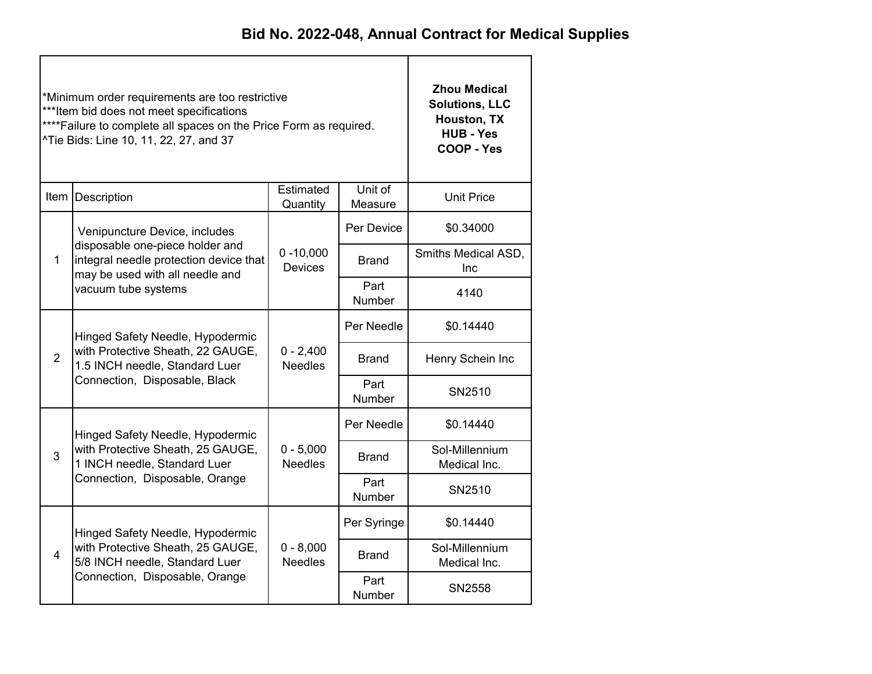|                | *Minimum order requirements are too restrictive<br>***Item bid does not meet specifications<br>**** Failure to complete all spaces on the Price Form as required.<br>^Tie Bids: Line 10, 11, 22, 27, and 37 | <b>Zhou Medical</b><br><b>Solutions, LLC</b><br>Houston, TX<br><b>HUB - Yes</b><br>COOP - Yes |                       |                                |
|----------------|-------------------------------------------------------------------------------------------------------------------------------------------------------------------------------------------------------------|-----------------------------------------------------------------------------------------------|-----------------------|--------------------------------|
|                | Item Description                                                                                                                                                                                            | Estimated<br>Quantity                                                                         | Unit of<br>Measure    | <b>Unit Price</b>              |
|                | Venipuncture Device, includes                                                                                                                                                                               |                                                                                               | Per Device            | \$0.34000                      |
| $\mathbf{1}$   | disposable one-piece holder and<br>integral needle protection device that<br>may be used with all needle and                                                                                                |                                                                                               | <b>Brand</b>          | Smiths Medical ASD,<br>Inc     |
|                | vacuum tube systems                                                                                                                                                                                         |                                                                                               | Part<br><b>Number</b> | 4140                           |
|                | Hinged Safety Needle, Hypodermic                                                                                                                                                                            |                                                                                               | Per Needle            | \$0.14440                      |
| $\overline{2}$ | with Protective Sheath, 22 GAUGE,<br>1.5 INCH needle, Standard Luer                                                                                                                                         | $0 - 2,400$<br><b>Needles</b>                                                                 | <b>Brand</b>          | Henry Schein Inc               |
|                | Connection, Disposable, Black                                                                                                                                                                               |                                                                                               | Part<br><b>Number</b> | SN2510                         |
|                | Hinged Safety Needle, Hypodermic                                                                                                                                                                            |                                                                                               | Per Needle            | \$0.14440                      |
| 3              | with Protective Sheath, 25 GAUGE,<br>1 INCH needle, Standard Luer                                                                                                                                           | $0 - 5,000$<br><b>Needles</b>                                                                 | <b>Brand</b>          | Sol-Millennium<br>Medical Inc. |
|                | Connection, Disposable, Orange                                                                                                                                                                              |                                                                                               | Part<br>Number        | SN2510                         |
|                | Hinged Safety Needle, Hypodermic                                                                                                                                                                            |                                                                                               | Per Syringe           | \$0.14440                      |
| $\overline{4}$ | with Protective Sheath, 25 GAUGE,<br>5/8 INCH needle, Standard Luer                                                                                                                                         | $0 - 8,000$<br><b>Needles</b>                                                                 | <b>Brand</b>          | Sol-Millennium<br>Medical Inc. |
|                | Connection, Disposable, Orange                                                                                                                                                                              |                                                                                               | Part<br>Number        | SN2558                         |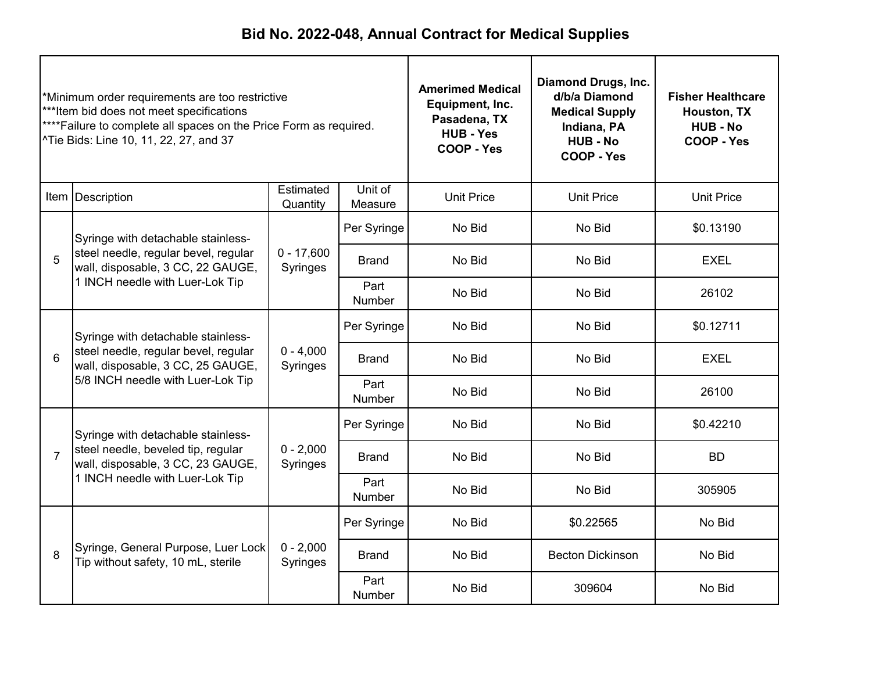| *Minimum order requirements are too restrictive<br>***Item bid does not meet specifications<br>****Failure to complete all spaces on the Price Form as required.<br>^Tie Bids: Line 10, 11, 22, 27, and 37 |                                                                                                                      |                          | <b>Amerimed Medical</b><br>Equipment, Inc.<br>Pasadena, TX<br><b>HUB - Yes</b><br><b>COOP - Yes</b> | <b>Diamond Drugs, Inc.</b><br>d/b/a Diamond<br><b>Medical Supply</b><br>Indiana, PA<br><b>HUB - No</b><br>COOP - Yes | <b>Fisher Healthcare</b><br>Houston, TX<br><b>HUB - No</b><br>COOP - Yes |                   |
|------------------------------------------------------------------------------------------------------------------------------------------------------------------------------------------------------------|----------------------------------------------------------------------------------------------------------------------|--------------------------|-----------------------------------------------------------------------------------------------------|----------------------------------------------------------------------------------------------------------------------|--------------------------------------------------------------------------|-------------------|
|                                                                                                                                                                                                            | Item   Description                                                                                                   | Estimated<br>Quantity    | Unit of<br>Measure                                                                                  | <b>Unit Price</b>                                                                                                    | <b>Unit Price</b>                                                        | <b>Unit Price</b> |
|                                                                                                                                                                                                            | Syringe with detachable stainless-                                                                                   |                          | Per Syringe                                                                                         | No Bid                                                                                                               | No Bid                                                                   | \$0.13190         |
| 5                                                                                                                                                                                                          | steel needle, regular bevel, regular<br>wall, disposable, 3 CC, 22 GAUGE,                                            | $0 - 17,600$<br>Syringes | <b>Brand</b>                                                                                        | No Bid                                                                                                               | No Bid                                                                   | <b>EXEL</b>       |
|                                                                                                                                                                                                            | 1 INCH needle with Luer-Lok Tip                                                                                      |                          | Part<br>Number                                                                                      | No Bid                                                                                                               | No Bid                                                                   | 26102             |
|                                                                                                                                                                                                            | Syringe with detachable stainless-<br>steel needle, regular bevel, regular<br>6<br>wall, disposable, 3 CC, 25 GAUGE, |                          | Per Syringe                                                                                         | No Bid                                                                                                               | No Bid                                                                   | \$0.12711         |
|                                                                                                                                                                                                            |                                                                                                                      | $0 - 4,000$<br>Syringes  | <b>Brand</b>                                                                                        | No Bid                                                                                                               | No Bid                                                                   | <b>EXEL</b>       |
|                                                                                                                                                                                                            | 5/8 INCH needle with Luer-Lok Tip                                                                                    |                          | Part<br>Number                                                                                      | No Bid                                                                                                               | No Bid                                                                   | 26100             |
|                                                                                                                                                                                                            | Syringe with detachable stainless-                                                                                   |                          | Per Syringe                                                                                         | No Bid                                                                                                               | No Bid                                                                   | \$0.42210         |
| $\overline{7}$                                                                                                                                                                                             | steel needle, beveled tip, regular<br>wall, disposable, 3 CC, 23 GAUGE,                                              | $0 - 2,000$<br>Syringes  | <b>Brand</b>                                                                                        | No Bid                                                                                                               | No Bid                                                                   | <b>BD</b>         |
|                                                                                                                                                                                                            | 1 INCH needle with Luer-Lok Tip                                                                                      |                          | Part<br>Number                                                                                      | No Bid                                                                                                               | No Bid                                                                   | 305905            |
|                                                                                                                                                                                                            |                                                                                                                      |                          | Per Syringe                                                                                         | No Bid                                                                                                               | \$0.22565                                                                | No Bid            |
| 8                                                                                                                                                                                                          | Syringe, General Purpose, Luer Lock<br>Tip without safety, 10 mL, sterile                                            | $0 - 2,000$<br>Syringes  | <b>Brand</b>                                                                                        | No Bid                                                                                                               | <b>Becton Dickinson</b>                                                  | No Bid            |
|                                                                                                                                                                                                            |                                                                                                                      |                          | Part<br><b>Number</b>                                                                               | No Bid                                                                                                               | 309604                                                                   | No Bid            |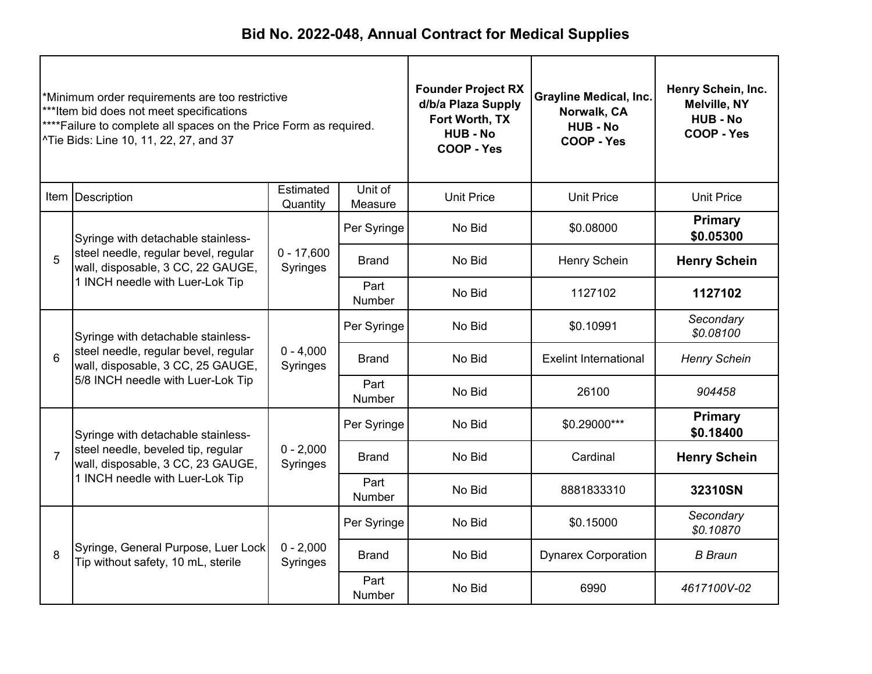| Minimum order requirements are too restrictive<br>***Item bid does not meet specifications<br>**** Failure to complete all spaces on the Price Form as required.<br>^Tie Bids: Line 10, 11, 22, 27, and 37 |                                                                                                                 |                          | <b>Founder Project RX</b><br>d/b/a Plaza Supply<br>Fort Worth, TX<br><b>HUB - No</b><br>COOP - Yes | <b>Grayline Medical, Inc.</b><br>Norwalk, CA<br><b>HUB - No</b><br>COOP - Yes | Henry Schein, Inc.<br><b>Melville, NY</b><br><b>HUB-No</b><br>COOP - Yes |                             |
|------------------------------------------------------------------------------------------------------------------------------------------------------------------------------------------------------------|-----------------------------------------------------------------------------------------------------------------|--------------------------|----------------------------------------------------------------------------------------------------|-------------------------------------------------------------------------------|--------------------------------------------------------------------------|-----------------------------|
|                                                                                                                                                                                                            | Item Description                                                                                                | Estimated<br>Quantity    | Unit of<br>Measure                                                                                 | <b>Unit Price</b>                                                             | <b>Unit Price</b>                                                        | <b>Unit Price</b>           |
|                                                                                                                                                                                                            | Syringe with detachable stainless-                                                                              |                          | Per Syringe                                                                                        | No Bid                                                                        | \$0.08000                                                                | <b>Primary</b><br>\$0.05300 |
| 5                                                                                                                                                                                                          | steel needle, regular bevel, regular<br>wall, disposable, 3 CC, 22 GAUGE,                                       | $0 - 17,600$<br>Syringes | <b>Brand</b>                                                                                       | No Bid                                                                        | Henry Schein                                                             | <b>Henry Schein</b>         |
|                                                                                                                                                                                                            | 1 INCH needle with Luer-Lok Tip                                                                                 |                          | Part<br><b>Number</b>                                                                              | No Bid                                                                        | 1127102                                                                  | 1127102                     |
|                                                                                                                                                                                                            | Syringe with detachable stainless-<br>steel needle, regular bevel, regular<br>wall, disposable, 3 CC, 25 GAUGE, | $0 - 4,000$<br>Syringes  | Per Syringe                                                                                        | No Bid                                                                        | \$0.10991                                                                | Secondary<br>\$0.08100      |
| 6                                                                                                                                                                                                          |                                                                                                                 |                          | Brand                                                                                              | No Bid                                                                        | <b>Exelint International</b>                                             | <b>Henry Schein</b>         |
|                                                                                                                                                                                                            | 5/8 INCH needle with Luer-Lok Tip                                                                               |                          | Part<br>Number                                                                                     | No Bid                                                                        | 26100                                                                    | 904458                      |
|                                                                                                                                                                                                            | Syringe with detachable stainless-                                                                              |                          | Per Syringe                                                                                        | No Bid                                                                        | \$0.29000***                                                             | Primary<br>\$0.18400        |
| $\overline{7}$                                                                                                                                                                                             | steel needle, beveled tip, regular<br>wall, disposable, 3 CC, 23 GAUGE,                                         | $0 - 2,000$<br>Syringes  | <b>Brand</b>                                                                                       | No Bid                                                                        | Cardinal                                                                 | <b>Henry Schein</b>         |
|                                                                                                                                                                                                            | 1 INCH needle with Luer-Lok Tip                                                                                 |                          | Part<br>Number                                                                                     | No Bid                                                                        | 8881833310                                                               | 32310SN                     |
|                                                                                                                                                                                                            |                                                                                                                 |                          | Per Syringe                                                                                        | No Bid                                                                        | \$0.15000                                                                | Secondary<br>\$0.10870      |
| 8                                                                                                                                                                                                          | Syringe, General Purpose, Luer Lock<br>Tip without safety, 10 mL, sterile                                       | $0 - 2,000$<br>Syringes  | Brand                                                                                              | No Bid                                                                        | <b>Dynarex Corporation</b>                                               | <b>B</b> Braun              |
|                                                                                                                                                                                                            |                                                                                                                 |                          | Part<br><b>Number</b>                                                                              | No Bid                                                                        | 6990                                                                     | 4617100V-02                 |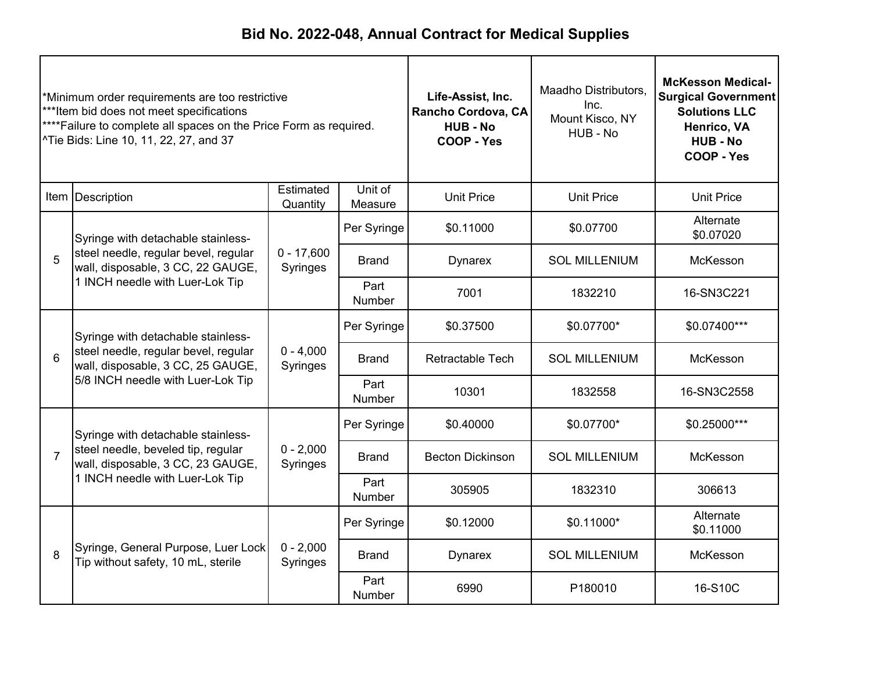| *Minimum order requirements are too restrictive<br>***Item bid does not meet specifications<br>****Failure to complete all spaces on the Price Form as required.<br>^Tie Bids: Line 10, 11, 22, 27, and 37 |                                                                                                                      |                          | Life-Assist, Inc.<br>Rancho Cordova, CA<br><b>HUB - No</b><br>COOP - Yes | Maadho Distributors,<br>Inc.<br>Mount Kisco, NY<br>HUB - No | <b>McKesson Medical-</b><br><b>Surgical Government</b><br><b>Solutions LLC</b><br>Henrico, VA<br><b>HUB - No</b><br>COOP - Yes |                        |
|------------------------------------------------------------------------------------------------------------------------------------------------------------------------------------------------------------|----------------------------------------------------------------------------------------------------------------------|--------------------------|--------------------------------------------------------------------------|-------------------------------------------------------------|--------------------------------------------------------------------------------------------------------------------------------|------------------------|
|                                                                                                                                                                                                            | Item   Description                                                                                                   | Estimated<br>Quantity    | Unit of<br>Measure                                                       | <b>Unit Price</b>                                           | <b>Unit Price</b>                                                                                                              | <b>Unit Price</b>      |
|                                                                                                                                                                                                            | Syringe with detachable stainless-                                                                                   |                          | Per Syringe                                                              | \$0.11000                                                   | \$0.07700                                                                                                                      | Alternate<br>\$0.07020 |
| 5                                                                                                                                                                                                          | steel needle, regular bevel, regular<br>wall, disposable, 3 CC, 22 GAUGE,<br>1 INCH needle with Luer-Lok Tip         | $0 - 17,600$<br>Syringes | <b>Brand</b>                                                             | <b>Dynarex</b>                                              | <b>SOL MILLENIUM</b>                                                                                                           | McKesson               |
|                                                                                                                                                                                                            |                                                                                                                      |                          | Part<br>Number                                                           | 7001                                                        | 1832210                                                                                                                        | 16-SN3C221             |
|                                                                                                                                                                                                            | Syringe with detachable stainless-<br>steel needle, regular bevel, regular<br>6<br>wall, disposable, 3 CC, 25 GAUGE, |                          | Per Syringe                                                              | \$0.37500                                                   | \$0.07700*                                                                                                                     | \$0.07400***           |
|                                                                                                                                                                                                            |                                                                                                                      | $0 - 4,000$<br>Syringes  | Brand                                                                    | <b>Retractable Tech</b>                                     | <b>SOL MILLENIUM</b>                                                                                                           | McKesson               |
|                                                                                                                                                                                                            | 5/8 INCH needle with Luer-Lok Tip                                                                                    |                          | Part<br>Number                                                           | 10301                                                       | 1832558                                                                                                                        | 16-SN3C2558            |
|                                                                                                                                                                                                            | Syringe with detachable stainless-                                                                                   |                          | Per Syringe                                                              | \$0.40000                                                   | \$0.07700*                                                                                                                     | \$0.25000***           |
| $\overline{7}$                                                                                                                                                                                             | steel needle, beveled tip, regular<br>wall, disposable, 3 CC, 23 GAUGE,                                              | $0 - 2,000$<br>Syringes  | <b>Brand</b>                                                             | <b>Becton Dickinson</b>                                     | <b>SOL MILLENIUM</b>                                                                                                           | McKesson               |
|                                                                                                                                                                                                            | 1 INCH needle with Luer-Lok Tip                                                                                      |                          | Part<br>Number                                                           | 305905                                                      | 1832310                                                                                                                        | 306613                 |
|                                                                                                                                                                                                            |                                                                                                                      |                          | Per Syringe                                                              | \$0.12000                                                   | \$0.11000*                                                                                                                     | Alternate<br>\$0.11000 |
| 8                                                                                                                                                                                                          | Syringe, General Purpose, Luer Lock<br>Tip without safety, 10 mL, sterile                                            | $0 - 2,000$<br>Syringes  | <b>Brand</b>                                                             | <b>Dynarex</b>                                              | <b>SOL MILLENIUM</b>                                                                                                           | McKesson               |
|                                                                                                                                                                                                            |                                                                                                                      |                          | Part<br>Number                                                           | 6990                                                        | P180010                                                                                                                        | 16-S10C                |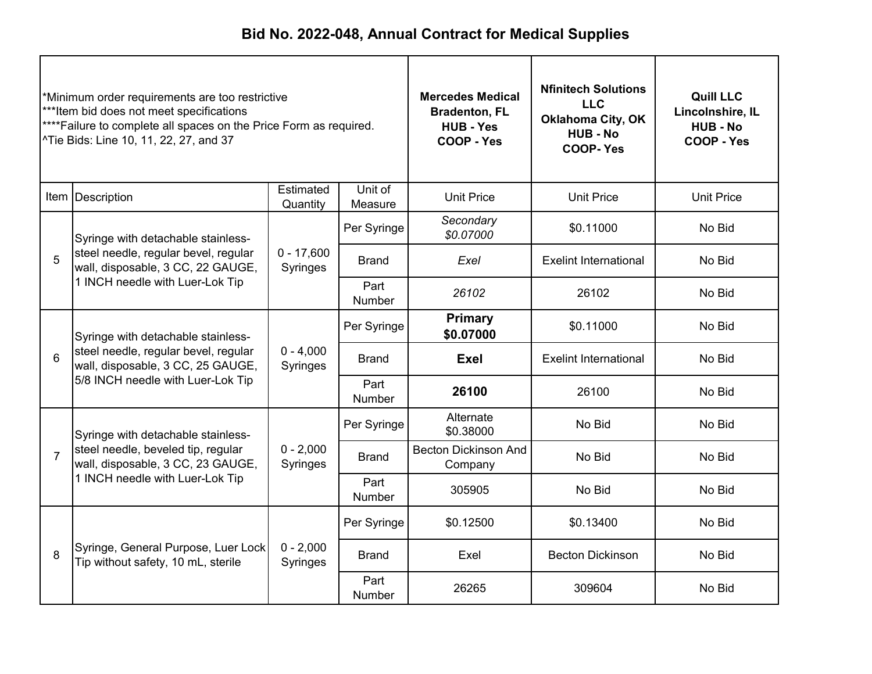| *Minimum order requirements are too restrictive<br>***Item bid does not meet specifications<br>**** Failure to complete all spaces on the Price Form as required.<br>^Tie Bids: Line 10, 11, 22, 27, and 37 |                                                                                                                 | <b>Mercedes Medical</b><br><b>Bradenton, FL</b><br><b>HUB - Yes</b><br>COOP - Yes | <b>Nfinitech Solutions</b><br><b>LLC</b><br><b>Oklahoma City, OK</b><br><b>HUB - No</b><br><b>COOP-Yes</b> | <b>Quill LLC</b><br>Lincolnshire, IL<br><b>HUB - No</b><br>COOP - Yes |                              |                   |
|-------------------------------------------------------------------------------------------------------------------------------------------------------------------------------------------------------------|-----------------------------------------------------------------------------------------------------------------|-----------------------------------------------------------------------------------|------------------------------------------------------------------------------------------------------------|-----------------------------------------------------------------------|------------------------------|-------------------|
|                                                                                                                                                                                                             | Item Description                                                                                                | Estimated<br>Quantity                                                             | Unit of<br>Measure                                                                                         | <b>Unit Price</b>                                                     | <b>Unit Price</b>            | <b>Unit Price</b> |
|                                                                                                                                                                                                             | Syringe with detachable stainless-                                                                              |                                                                                   | Per Syringe                                                                                                | Secondary<br>\$0.07000                                                | \$0.11000                    | No Bid            |
| 5                                                                                                                                                                                                           | steel needle, regular bevel, regular<br>wall, disposable, 3 CC, 22 GAUGE,                                       | $0 - 17,600$<br>Syringes                                                          | <b>Brand</b>                                                                                               | Exel                                                                  | <b>Exelint International</b> | No Bid            |
|                                                                                                                                                                                                             | 1 INCH needle with Luer-Lok Tip                                                                                 |                                                                                   | Part<br><b>Number</b>                                                                                      | 26102                                                                 | 26102                        | No Bid            |
|                                                                                                                                                                                                             | Syringe with detachable stainless-<br>steel needle, regular bevel, regular<br>wall, disposable, 3 CC, 25 GAUGE, |                                                                                   | Per Syringe                                                                                                | <b>Primary</b><br>\$0.07000                                           | \$0.11000                    | No Bid            |
| 6                                                                                                                                                                                                           |                                                                                                                 | $0 - 4,000$<br>Syringes                                                           | <b>Brand</b>                                                                                               | Exel                                                                  | <b>Exelint International</b> | No Bid            |
|                                                                                                                                                                                                             | 5/8 INCH needle with Luer-Lok Tip                                                                               |                                                                                   | Part<br><b>Number</b>                                                                                      | 26100                                                                 | 26100                        | No Bid            |
|                                                                                                                                                                                                             | Syringe with detachable stainless-                                                                              |                                                                                   | Per Syringe                                                                                                | Alternate<br>\$0.38000                                                | No Bid                       | No Bid            |
| $\overline{7}$                                                                                                                                                                                              | steel needle, beveled tip, regular<br>wall, disposable, 3 CC, 23 GAUGE,                                         | $0 - 2,000$<br>Syringes                                                           | <b>Becton Dickinson And</b><br><b>Brand</b>                                                                | Company                                                               | No Bid                       | No Bid            |
|                                                                                                                                                                                                             | 1 INCH needle with Luer-Lok Tip                                                                                 |                                                                                   | Part<br>Number                                                                                             | 305905                                                                | No Bid                       | No Bid            |
|                                                                                                                                                                                                             |                                                                                                                 |                                                                                   | Per Syringe                                                                                                | \$0.12500                                                             | \$0.13400                    | No Bid            |
| 8                                                                                                                                                                                                           | Syringe, General Purpose, Luer Lock<br>Tip without safety, 10 mL, sterile                                       | $0 - 2,000$<br>Syringes                                                           | <b>Brand</b>                                                                                               | Exel                                                                  | <b>Becton Dickinson</b>      | No Bid            |
|                                                                                                                                                                                                             |                                                                                                                 |                                                                                   | Part<br><b>Number</b>                                                                                      | 26265                                                                 | 309604                       | No Bid            |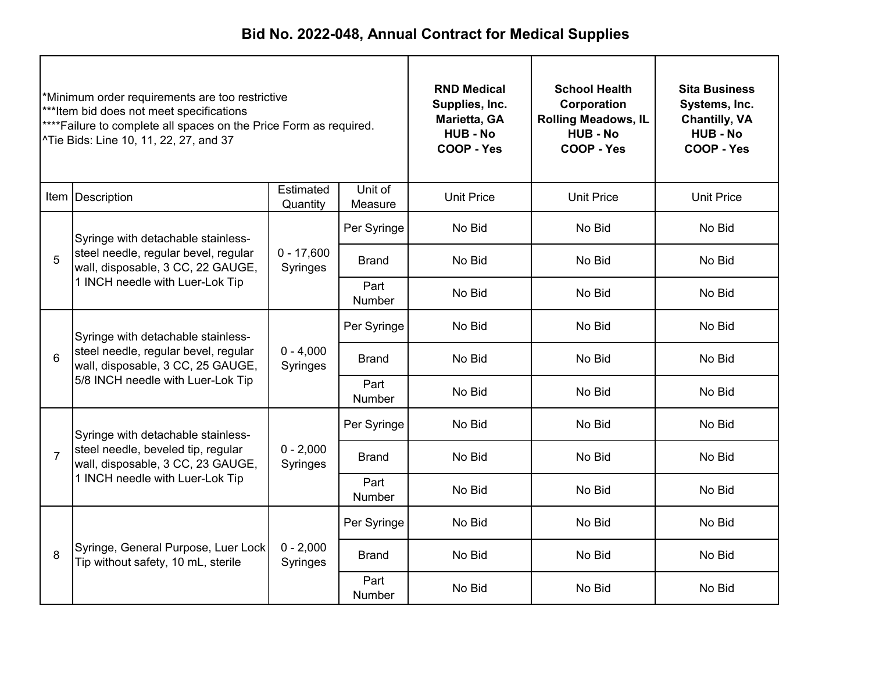| *Minimum order requirements are too restrictive<br>***Item bid does not meet specifications<br>**** Failure to complete all spaces on the Price Form as required.<br>^Tie Bids: Line 10, 11, 22, 27, and 37 |                                                                                                                 | <b>RND Medical</b><br>Supplies, Inc.<br>Marietta, GA<br><b>HUB - No</b><br>COOP - Yes | <b>School Health</b><br>Corporation<br><b>Rolling Meadows, IL</b><br><b>HUB - No</b><br>COOP - Yes | <b>Sita Business</b><br>Systems, Inc.<br><b>Chantilly, VA</b><br><b>HUB - No</b><br>COOP - Yes |                   |                   |
|-------------------------------------------------------------------------------------------------------------------------------------------------------------------------------------------------------------|-----------------------------------------------------------------------------------------------------------------|---------------------------------------------------------------------------------------|----------------------------------------------------------------------------------------------------|------------------------------------------------------------------------------------------------|-------------------|-------------------|
|                                                                                                                                                                                                             | Item   Description                                                                                              | Estimated<br>Quantity                                                                 | Unit of<br>Measure                                                                                 | <b>Unit Price</b>                                                                              | <b>Unit Price</b> | <b>Unit Price</b> |
|                                                                                                                                                                                                             | Syringe with detachable stainless-                                                                              |                                                                                       | Per Syringe                                                                                        | No Bid                                                                                         | No Bid            | No Bid            |
| 5                                                                                                                                                                                                           | steel needle, regular bevel, regular<br>wall, disposable, 3 CC, 22 GAUGE,                                       | $0 - 17,600$<br>Syringes                                                              | <b>Brand</b>                                                                                       | No Bid                                                                                         | No Bid            | No Bid            |
|                                                                                                                                                                                                             | 1 INCH needle with Luer-Lok Tip                                                                                 |                                                                                       | Part<br><b>Number</b>                                                                              | No Bid                                                                                         | No Bid            | No Bid            |
|                                                                                                                                                                                                             | Syringe with detachable stainless-<br>steel needle, regular bevel, regular<br>wall, disposable, 3 CC, 25 GAUGE, |                                                                                       | Per Syringe                                                                                        | No Bid                                                                                         | No Bid            | No Bid            |
| 6                                                                                                                                                                                                           |                                                                                                                 | $0 - 4,000$<br>Syringes                                                               | Brand                                                                                              | No Bid                                                                                         | No Bid            | No Bid            |
|                                                                                                                                                                                                             | 5/8 INCH needle with Luer-Lok Tip                                                                               |                                                                                       | Part<br>Number                                                                                     | No Bid                                                                                         | No Bid            | No Bid            |
|                                                                                                                                                                                                             | Syringe with detachable stainless-                                                                              |                                                                                       | Per Syringe                                                                                        | No Bid                                                                                         | No Bid            | No Bid            |
| $\overline{7}$                                                                                                                                                                                              | steel needle, beveled tip, regular<br>wall, disposable, 3 CC, 23 GAUGE,                                         | $0 - 2,000$<br>Syringes                                                               | <b>Brand</b>                                                                                       | No Bid                                                                                         | No Bid            | No Bid            |
|                                                                                                                                                                                                             | 1 INCH needle with Luer-Lok Tip                                                                                 |                                                                                       | Part<br>Number                                                                                     | No Bid                                                                                         | No Bid            | No Bid            |
|                                                                                                                                                                                                             |                                                                                                                 |                                                                                       | Per Syringe                                                                                        | No Bid                                                                                         | No Bid            | No Bid            |
| 8                                                                                                                                                                                                           | Syringe, General Purpose, Luer Lock<br>Tip without safety, 10 mL, sterile                                       | $0 - 2,000$<br>Syringes                                                               | <b>Brand</b>                                                                                       | No Bid                                                                                         | No Bid            | No Bid            |
|                                                                                                                                                                                                             |                                                                                                                 |                                                                                       | Part<br>Number                                                                                     | No Bid                                                                                         | No Bid            | No Bid            |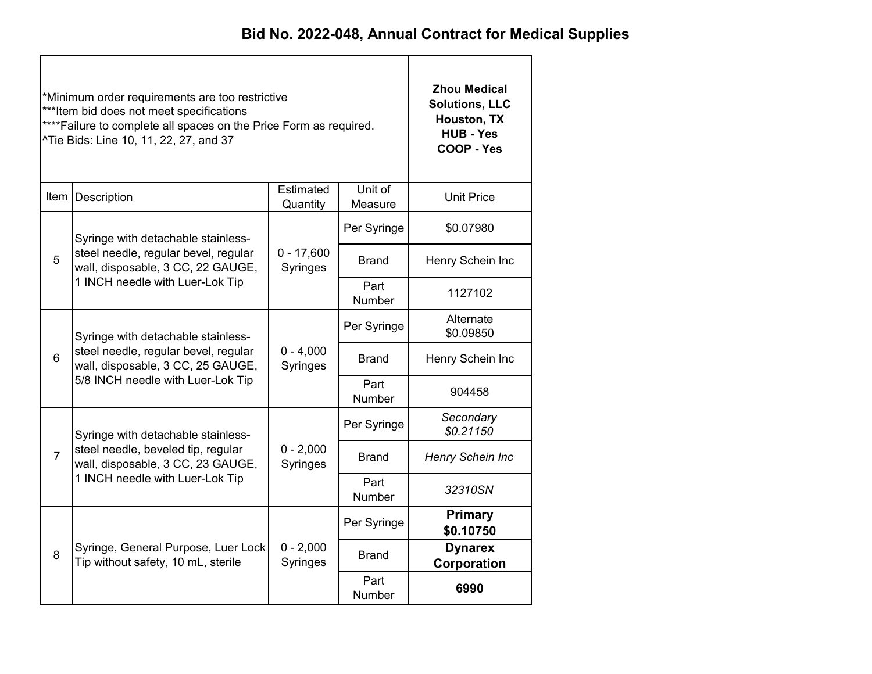|                | *Minimum order requirements are too restrictive<br>***Item bid does not meet specifications<br>**** Failure to complete all spaces on the Price Form as required.<br>^Tie Bids: Line 10, 11, 22, 27, and 37 | <b>Zhou Medical</b><br><b>Solutions, LLC</b><br>Houston, TX<br><b>HUB - Yes</b><br>COOP - Yes |                       |                               |
|----------------|-------------------------------------------------------------------------------------------------------------------------------------------------------------------------------------------------------------|-----------------------------------------------------------------------------------------------|-----------------------|-------------------------------|
|                | Item Description                                                                                                                                                                                            | <b>Unit Price</b>                                                                             |                       |                               |
|                | Syringe with detachable stainless-                                                                                                                                                                          |                                                                                               | Per Syringe           | \$0.07980                     |
| 5              | steel needle, regular bevel, regular<br>wall, disposable, 3 CC, 22 GAUGE,<br>1 INCH needle with Luer-Lok Tip                                                                                                | $0 - 17,600$<br>Syringes                                                                      | <b>Brand</b>          | Henry Schein Inc              |
|                |                                                                                                                                                                                                             |                                                                                               | Part<br><b>Number</b> | 1127102                       |
|                | Syringe with detachable stainless-<br>steel needle, regular bevel, regular<br>wall, disposable, 3 CC, 25 GAUGE,                                                                                             |                                                                                               | Per Syringe           | Alternate<br>\$0.09850        |
| 6              |                                                                                                                                                                                                             | $0 - 4,000$<br>Syringes                                                                       | <b>Brand</b>          | Henry Schein Inc              |
|                | 5/8 INCH needle with Luer-Lok Tip                                                                                                                                                                           |                                                                                               | Part<br>Number        | 904458                        |
|                | Syringe with detachable stainless-                                                                                                                                                                          |                                                                                               | Per Syringe           | Secondary<br>\$0.21150        |
| $\overline{7}$ | steel needle, beveled tip, regular<br>wall, disposable, 3 CC, 23 GAUGE,                                                                                                                                     | $0 - 2,000$<br>Syringes                                                                       | Brand                 | Henry Schein Inc              |
|                | 1 INCH needle with Luer-Lok Tip                                                                                                                                                                             |                                                                                               | Part<br>Number        | 32310SN                       |
|                |                                                                                                                                                                                                             |                                                                                               | Per Syringe           | <b>Primary</b><br>\$0.10750   |
| 8              | Syringe, General Purpose, Luer Lock<br>Tip without safety, 10 mL, sterile                                                                                                                                   | $0 - 2,000$<br>Syringes                                                                       | <b>Brand</b>          | <b>Dynarex</b><br>Corporation |
|                |                                                                                                                                                                                                             |                                                                                               | Part<br>Number        | 6990                          |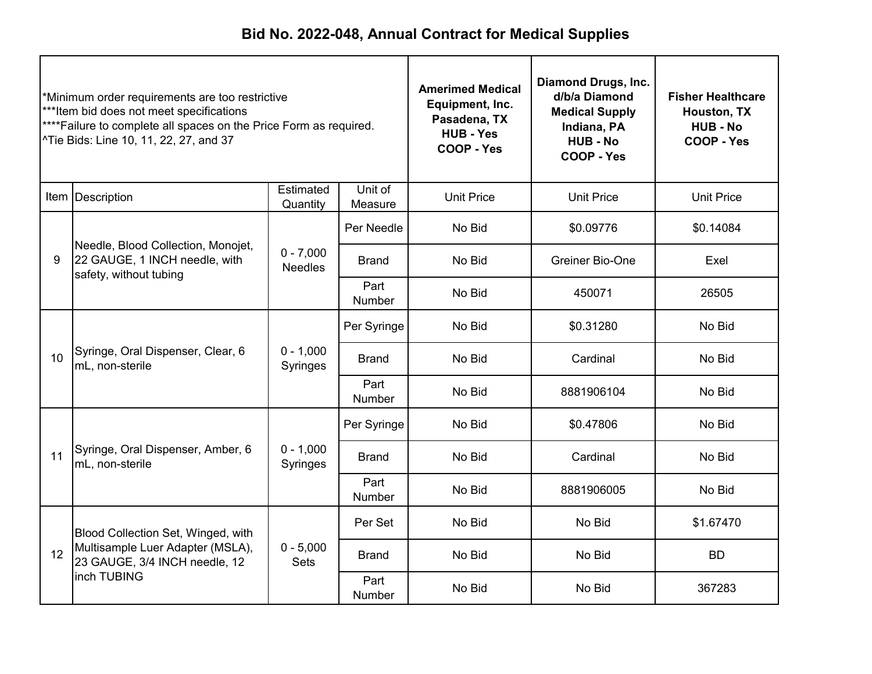| *Minimum order requirements are too restrictive<br>***Item bid does not meet specifications<br>****Failure to complete all spaces on the Price Form as required.<br>^Tie Bids: Line 10, 11, 22, 27, and 37 |                                                                                                         | <b>Amerimed Medical</b><br>Equipment, Inc.<br>Pasadena, TX<br><b>HUB - Yes</b><br>COOP - Yes | Diamond Drugs, Inc.<br>d/b/a Diamond<br><b>Medical Supply</b><br>Indiana, PA<br><b>HUB - No</b><br>COOP - Yes | <b>Fisher Healthcare</b><br>Houston, TX<br><b>HUB - No</b><br>COOP - Yes |                   |                   |
|------------------------------------------------------------------------------------------------------------------------------------------------------------------------------------------------------------|---------------------------------------------------------------------------------------------------------|----------------------------------------------------------------------------------------------|---------------------------------------------------------------------------------------------------------------|--------------------------------------------------------------------------|-------------------|-------------------|
|                                                                                                                                                                                                            | Item Description                                                                                        | Estimated<br>Quantity                                                                        | Unit of<br>Measure                                                                                            | <b>Unit Price</b>                                                        | <b>Unit Price</b> | <b>Unit Price</b> |
|                                                                                                                                                                                                            |                                                                                                         |                                                                                              | Per Needle                                                                                                    | No Bid                                                                   | \$0.09776         | \$0.14084         |
| 9                                                                                                                                                                                                          | Needle, Blood Collection, Monojet,<br>22 GAUGE, 1 INCH needle, with<br>safety, without tubing           | $0 - 7,000$<br><b>Needles</b>                                                                | <b>Brand</b>                                                                                                  | No Bid                                                                   | Greiner Bio-One   | Exel              |
|                                                                                                                                                                                                            |                                                                                                         |                                                                                              | Part<br>Number                                                                                                | No Bid                                                                   | 450071            | 26505             |
|                                                                                                                                                                                                            |                                                                                                         |                                                                                              | Per Syringe                                                                                                   | No Bid                                                                   | \$0.31280         | No Bid            |
| 10 <sup>1</sup>                                                                                                                                                                                            | Syringe, Oral Dispenser, Clear, 6<br>mL, non-sterile                                                    | $0 - 1,000$<br>Syringes                                                                      | <b>Brand</b>                                                                                                  | No Bid                                                                   | Cardinal          | No Bid            |
|                                                                                                                                                                                                            |                                                                                                         |                                                                                              | Part<br>Number                                                                                                | No Bid                                                                   | 8881906104        | No Bid            |
|                                                                                                                                                                                                            |                                                                                                         |                                                                                              | Per Syringe                                                                                                   | No Bid                                                                   | \$0.47806         | No Bid            |
| 11                                                                                                                                                                                                         | Syringe, Oral Dispenser, Amber, 6<br>mL. non-sterile                                                    | $0 - 1,000$<br>Syringes                                                                      | <b>Brand</b>                                                                                                  | No Bid                                                                   | Cardinal          | No Bid            |
|                                                                                                                                                                                                            |                                                                                                         |                                                                                              | Part<br>Number                                                                                                | No Bid                                                                   | 8881906005        | No Bid            |
|                                                                                                                                                                                                            | Blood Collection Set, Winged, with<br>Multisample Luer Adapter (MSLA),<br>23 GAUGE, 3/4 INCH needle, 12 |                                                                                              | Per Set                                                                                                       | No Bid                                                                   | No Bid            | \$1.67470         |
| 12                                                                                                                                                                                                         |                                                                                                         | $0 - 5,000$<br><b>Sets</b>                                                                   | <b>Brand</b>                                                                                                  | No Bid<br>No Bid                                                         |                   | <b>BD</b>         |
|                                                                                                                                                                                                            | inch TUBING                                                                                             |                                                                                              | Part<br><b>Number</b>                                                                                         | No Bid                                                                   | No Bid            | 367283            |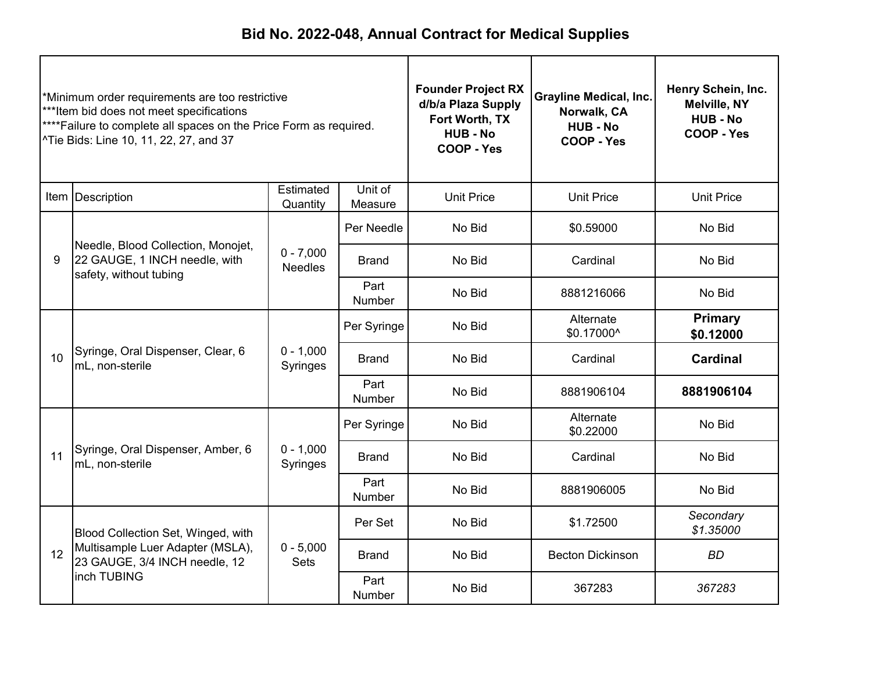| *Minimum order requirements are too restrictive<br>***Item bid does not meet specifications<br>**** Failure to complete all spaces on the Price Form as required.<br>^Tie Bids: Line 10, 11, 22, 27, and 37 |                                                                                               |                               | <b>Founder Project RX</b><br>d/b/a Plaza Supply<br>Fort Worth, TX<br><b>HUB-No</b><br>COOP - Yes | <b>Grayline Medical, Inc.</b><br>Norwalk, CA<br><b>HUB - No</b><br><b>COOP - Yes</b> | Henry Schein, Inc.<br>Melville, NY<br><b>HUB - No</b><br>COOP - Yes |                             |
|-------------------------------------------------------------------------------------------------------------------------------------------------------------------------------------------------------------|-----------------------------------------------------------------------------------------------|-------------------------------|--------------------------------------------------------------------------------------------------|--------------------------------------------------------------------------------------|---------------------------------------------------------------------|-----------------------------|
|                                                                                                                                                                                                             | Item Description                                                                              | Estimated<br>Quantity         | Unit of<br>Measure                                                                               | <b>Unit Price</b>                                                                    | <b>Unit Price</b>                                                   | <b>Unit Price</b>           |
|                                                                                                                                                                                                             |                                                                                               |                               | Per Needle                                                                                       | No Bid                                                                               | \$0.59000                                                           | No Bid                      |
| 9                                                                                                                                                                                                           | Needle, Blood Collection, Monojet,<br>22 GAUGE, 1 INCH needle, with<br>safety, without tubing | $0 - 7,000$<br><b>Needles</b> | <b>Brand</b>                                                                                     | No Bid                                                                               | Cardinal                                                            | No Bid                      |
|                                                                                                                                                                                                             |                                                                                               |                               | Part<br><b>Number</b>                                                                            | No Bid                                                                               | 8881216066                                                          | No Bid                      |
|                                                                                                                                                                                                             | Syringe, Oral Dispenser, Clear, 6<br>mL, non-sterile                                          |                               | Per Syringe                                                                                      | No Bid                                                                               | Alternate<br>\$0.17000^                                             | <b>Primary</b><br>\$0.12000 |
| 10 <sup>1</sup>                                                                                                                                                                                             |                                                                                               | $0 - 1,000$<br>Syringes       | <b>Brand</b>                                                                                     | No Bid                                                                               | Cardinal                                                            | <b>Cardinal</b>             |
|                                                                                                                                                                                                             |                                                                                               |                               | Part<br>Number                                                                                   | No Bid                                                                               | 8881906104                                                          | 8881906104                  |
|                                                                                                                                                                                                             |                                                                                               |                               | Per Syringe                                                                                      | No Bid                                                                               | Alternate<br>\$0.22000                                              | No Bid                      |
| 11                                                                                                                                                                                                          | Syringe, Oral Dispenser, Amber, 6<br>mL, non-sterile                                          | $0 - 1,000$<br>Syringes       | <b>Brand</b>                                                                                     | No Bid                                                                               | Cardinal                                                            | No Bid                      |
|                                                                                                                                                                                                             |                                                                                               |                               | Part<br>Number                                                                                   | No Bid                                                                               | 8881906005                                                          | No Bid                      |
|                                                                                                                                                                                                             | Blood Collection Set, Winged, with                                                            |                               | Per Set                                                                                          | No Bid                                                                               | \$1.72500                                                           | Secondary<br>\$1.35000      |
| 12                                                                                                                                                                                                          | Multisample Luer Adapter (MSLA),<br>23 GAUGE, 3/4 INCH needle, 12                             | $0 - 5,000$<br><b>Sets</b>    | No Bid<br><b>Becton Dickinson</b><br><b>Brand</b>                                                |                                                                                      | <b>BD</b>                                                           |                             |
|                                                                                                                                                                                                             | inch TUBING                                                                                   |                               | Part<br><b>Number</b>                                                                            | No Bid                                                                               | 367283                                                              | 367283                      |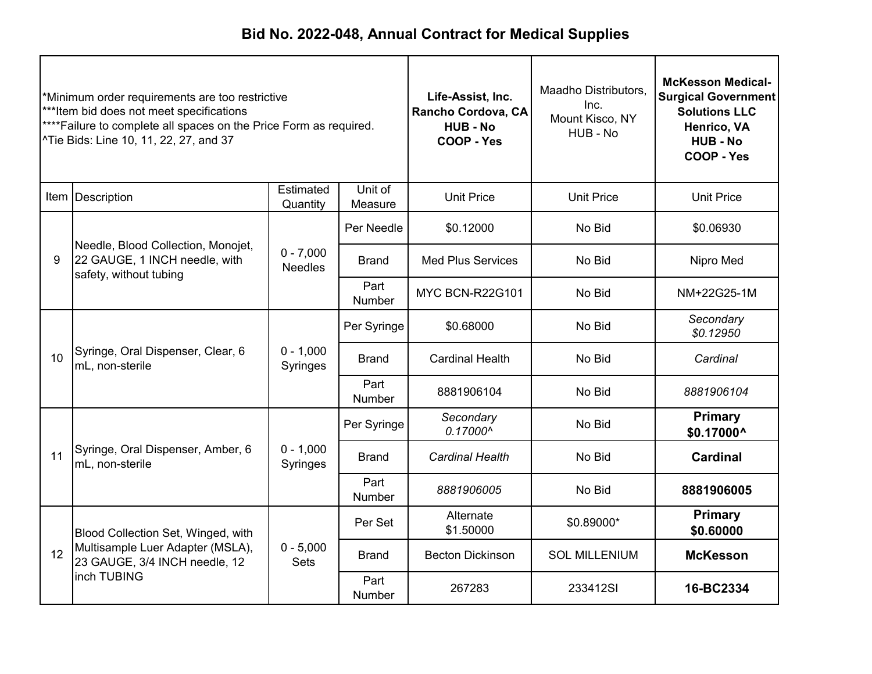| *Minimum order requirements are too restrictive<br>***Item bid does not meet specifications<br>****Failure to complete all spaces on the Price Form as required.<br>^Tie Bids: Line 10, 11, 22, 27, and 37 |                                                                                               |                               | Life-Assist, Inc.<br>Rancho Cordova, CA<br><b>HUB - No</b><br>COOP - Yes | Maadho Distributors,<br>Inc.<br>Mount Kisco, NY<br>HUB - No | <b>McKesson Medical-</b><br><b>Surgical Government</b><br><b>Solutions LLC</b><br>Henrico, VA<br><b>HUB - No</b><br>COOP - Yes |                              |
|------------------------------------------------------------------------------------------------------------------------------------------------------------------------------------------------------------|-----------------------------------------------------------------------------------------------|-------------------------------|--------------------------------------------------------------------------|-------------------------------------------------------------|--------------------------------------------------------------------------------------------------------------------------------|------------------------------|
|                                                                                                                                                                                                            | Item Description                                                                              | Estimated<br>Quantity         | Unit of<br>Measure                                                       | <b>Unit Price</b>                                           | <b>Unit Price</b>                                                                                                              | <b>Unit Price</b>            |
|                                                                                                                                                                                                            |                                                                                               |                               | Per Needle                                                               | \$0.12000                                                   | No Bid                                                                                                                         | \$0.06930                    |
| 9                                                                                                                                                                                                          | Needle, Blood Collection, Monojet,<br>22 GAUGE, 1 INCH needle, with<br>safety, without tubing | $0 - 7,000$<br><b>Needles</b> | <b>Brand</b>                                                             | <b>Med Plus Services</b>                                    | No Bid                                                                                                                         | Nipro Med                    |
|                                                                                                                                                                                                            |                                                                                               |                               | Part<br>Number                                                           | <b>MYC BCN-R22G101</b>                                      | No Bid                                                                                                                         | NM+22G25-1M                  |
|                                                                                                                                                                                                            | Syringe, Oral Dispenser, Clear, 6<br>mL, non-sterile                                          |                               | Per Syringe                                                              | \$0.68000                                                   | No Bid                                                                                                                         | Secondary<br>\$0.12950       |
| 10 <sup>1</sup>                                                                                                                                                                                            |                                                                                               | $0 - 1,000$<br>Syringes       | <b>Brand</b>                                                             | <b>Cardinal Health</b>                                      | No Bid                                                                                                                         | Cardinal                     |
|                                                                                                                                                                                                            |                                                                                               |                               | Part<br>Number                                                           | 8881906104                                                  | No Bid                                                                                                                         | 8881906104                   |
|                                                                                                                                                                                                            |                                                                                               |                               | Per Syringe                                                              | Secondary<br>0.17000^                                       | No Bid                                                                                                                         | <b>Primary</b><br>\$0.17000^ |
| 11                                                                                                                                                                                                         | Syringe, Oral Dispenser, Amber, 6<br>mL, non-sterile                                          | $0 - 1,000$<br>Syringes       | <b>Brand</b>                                                             | <b>Cardinal Health</b>                                      | No Bid                                                                                                                         | <b>Cardinal</b>              |
|                                                                                                                                                                                                            |                                                                                               |                               | Part<br>Number                                                           | 8881906005                                                  | No Bid                                                                                                                         | 8881906005                   |
|                                                                                                                                                                                                            | Blood Collection Set, Winged, with                                                            |                               | Per Set                                                                  | Alternate<br>\$1.50000                                      | \$0.89000*                                                                                                                     | <b>Primary</b><br>\$0.60000  |
| 12                                                                                                                                                                                                         | Multisample Luer Adapter (MSLA),<br>23 GAUGE, 3/4 INCH needle, 12                             | $0 - 5,000$<br><b>Sets</b>    | <b>Becton Dickinson</b><br><b>Brand</b>                                  | <b>SOL MILLENIUM</b>                                        | <b>McKesson</b>                                                                                                                |                              |
|                                                                                                                                                                                                            | inch TUBING                                                                                   |                               | Part<br><b>Number</b>                                                    | 267283                                                      | 233412SI                                                                                                                       | 16-BC2334                    |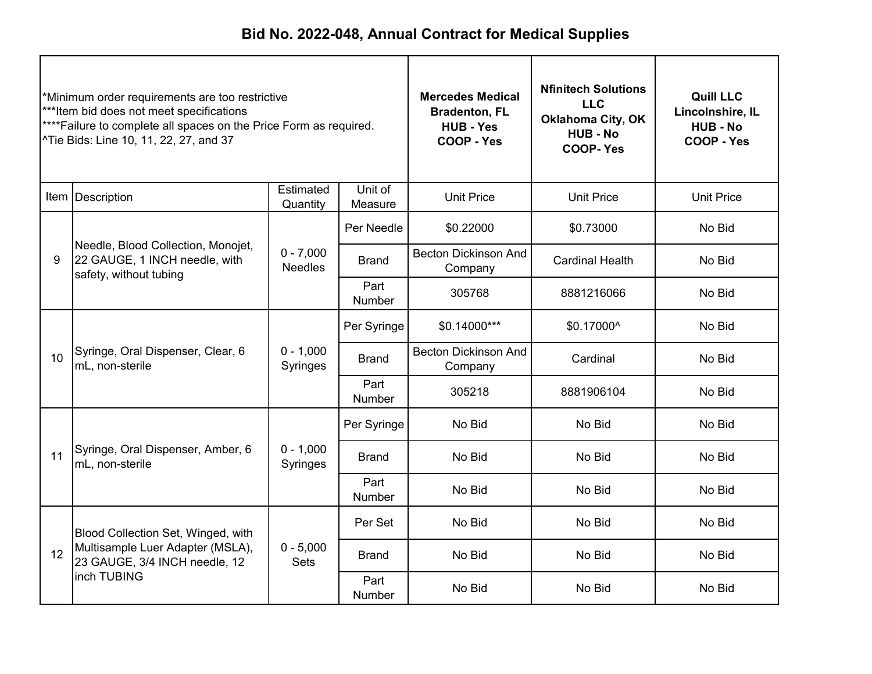| *Minimum order requirements are too restrictive<br>***Item bid does not meet specifications<br>**** Failure to complete all spaces on the Price Form as required.<br>^Tie Bids: Line 10, 11, 22, 27, and 37 |                                                                                               | <b>Mercedes Medical</b><br><b>Bradenton, FL</b><br><b>HUB - Yes</b><br>COOP - Yes | <b>Nfinitech Solutions</b><br><b>LLC</b><br><b>Oklahoma City, OK</b><br><b>HUB - No</b><br><b>COOP-Yes</b> | <b>Quill LLC</b><br>Lincolnshire, IL<br><b>HUB - No</b><br>COOP - Yes |                        |                   |
|-------------------------------------------------------------------------------------------------------------------------------------------------------------------------------------------------------------|-----------------------------------------------------------------------------------------------|-----------------------------------------------------------------------------------|------------------------------------------------------------------------------------------------------------|-----------------------------------------------------------------------|------------------------|-------------------|
|                                                                                                                                                                                                             | Item Description                                                                              | Estimated<br>Quantity                                                             | Unit of<br>Measure                                                                                         | <b>Unit Price</b>                                                     | <b>Unit Price</b>      | <b>Unit Price</b> |
|                                                                                                                                                                                                             |                                                                                               |                                                                                   | Per Needle                                                                                                 | \$0.22000                                                             | \$0.73000              | No Bid            |
| 9                                                                                                                                                                                                           | Needle, Blood Collection, Monojet,<br>22 GAUGE, 1 INCH needle, with<br>safety, without tubing | $0 - 7,000$<br><b>Needles</b>                                                     | <b>Brand</b>                                                                                               | <b>Becton Dickinson And</b><br>Company                                | <b>Cardinal Health</b> | No Bid            |
|                                                                                                                                                                                                             |                                                                                               |                                                                                   | Part<br><b>Number</b>                                                                                      | 305768                                                                | 8881216066             | No Bid            |
|                                                                                                                                                                                                             | Syringe, Oral Dispenser, Clear, 6<br>mL, non-sterile                                          |                                                                                   | Per Syringe                                                                                                | \$0.14000***                                                          | \$0.17000^             | No Bid            |
| 10 <sup>1</sup>                                                                                                                                                                                             |                                                                                               | $0 - 1,000$<br>Syringes                                                           | <b>Brand</b>                                                                                               | <b>Becton Dickinson And</b><br>Company                                | Cardinal               | No Bid            |
|                                                                                                                                                                                                             |                                                                                               |                                                                                   | Part<br>Number                                                                                             | 305218                                                                | 8881906104             | No Bid            |
|                                                                                                                                                                                                             |                                                                                               |                                                                                   | Per Syringe                                                                                                | No Bid                                                                | No Bid                 | No Bid            |
| 11                                                                                                                                                                                                          | Syringe, Oral Dispenser, Amber, 6<br>mL, non-sterile                                          | $0 - 1,000$<br>Syringes                                                           | <b>Brand</b>                                                                                               | No Bid                                                                | No Bid                 | No Bid            |
|                                                                                                                                                                                                             |                                                                                               |                                                                                   | Part<br><b>Number</b>                                                                                      | No Bid                                                                | No Bid                 | No Bid            |
|                                                                                                                                                                                                             | Blood Collection Set, Winged, with                                                            |                                                                                   | Per Set                                                                                                    | No Bid                                                                | No Bid                 | No Bid            |
| 12                                                                                                                                                                                                          | Multisample Luer Adapter (MSLA),<br>23 GAUGE, 3/4 INCH needle, 12                             | $0 - 5,000$<br><b>Sets</b>                                                        | <b>Brand</b>                                                                                               | No Bid<br>No Bid                                                      |                        | No Bid            |
|                                                                                                                                                                                                             | inch TUBING                                                                                   |                                                                                   | Part<br><b>Number</b>                                                                                      | No Bid                                                                | No Bid                 | No Bid            |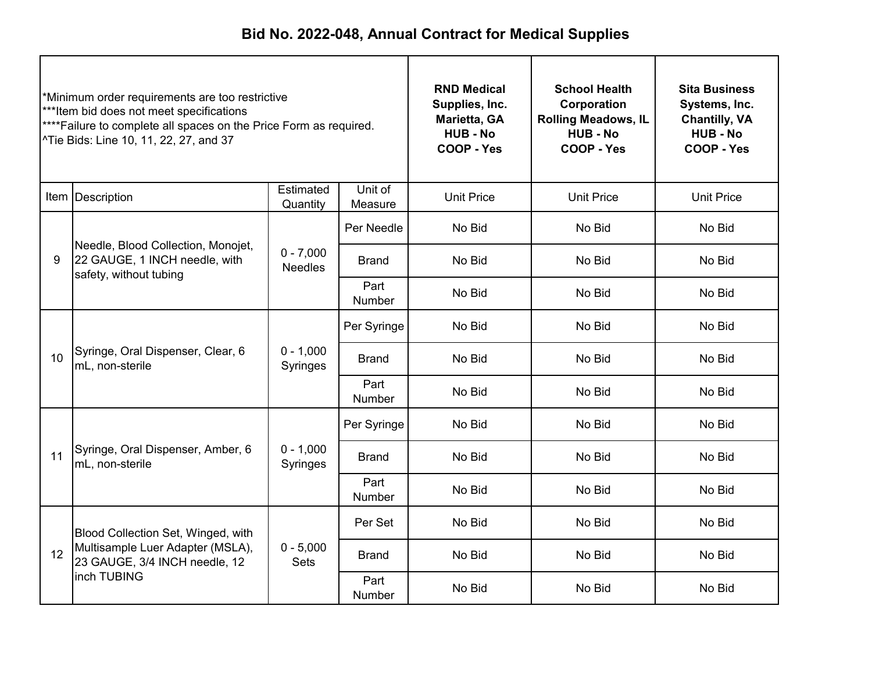| *Minimum order requirements are too restrictive<br>***Item bid does not meet specifications<br>**** Failure to complete all spaces on the Price Form as required.<br>^Tie Bids: Line 10, 11, 22, 27, and 37 |                                                                                               |                                | <b>RND Medical</b><br>Supplies, Inc.<br>Marietta, GA<br><b>HUB - No</b><br><b>COOP - Yes</b> | <b>School Health</b><br>Corporation<br><b>Rolling Meadows, IL</b><br><b>HUB - No</b><br>COOP - Yes | <b>Sita Business</b><br>Systems, Inc.<br><b>Chantilly, VA</b><br><b>HUB - No</b><br>COOP - Yes |                   |
|-------------------------------------------------------------------------------------------------------------------------------------------------------------------------------------------------------------|-----------------------------------------------------------------------------------------------|--------------------------------|----------------------------------------------------------------------------------------------|----------------------------------------------------------------------------------------------------|------------------------------------------------------------------------------------------------|-------------------|
|                                                                                                                                                                                                             | Item   Description                                                                            | Estimated<br>Quantity          | Unit of<br>Measure                                                                           | <b>Unit Price</b>                                                                                  | <b>Unit Price</b>                                                                              | <b>Unit Price</b> |
|                                                                                                                                                                                                             |                                                                                               |                                | Per Needle                                                                                   | No Bid                                                                                             | No Bid                                                                                         | No Bid            |
| 9                                                                                                                                                                                                           | Needle, Blood Collection, Monojet,<br>22 GAUGE, 1 INCH needle, with<br>safety, without tubing | $0 - 7,000$<br><b>Needles</b>  | <b>Brand</b>                                                                                 | No Bid                                                                                             | No Bid                                                                                         | No Bid            |
|                                                                                                                                                                                                             |                                                                                               |                                | Part<br><b>Number</b>                                                                        | No Bid                                                                                             | No Bid                                                                                         | No Bid            |
|                                                                                                                                                                                                             | Syringe, Oral Dispenser, Clear, 6<br>10<br>mL, non-sterile                                    |                                | Per Syringe                                                                                  | No Bid                                                                                             | No Bid                                                                                         | No Bid            |
|                                                                                                                                                                                                             |                                                                                               | $0 - 1,000$<br><b>Syringes</b> | <b>Brand</b>                                                                                 | No Bid                                                                                             | No Bid                                                                                         | No Bid            |
|                                                                                                                                                                                                             |                                                                                               |                                | Part<br>Number                                                                               | No Bid                                                                                             | No Bid                                                                                         | No Bid            |
|                                                                                                                                                                                                             |                                                                                               |                                | Per Syringe                                                                                  | No Bid                                                                                             | No Bid                                                                                         | No Bid            |
| 11                                                                                                                                                                                                          | Syringe, Oral Dispenser, Amber, 6<br>mL, non-sterile                                          | $0 - 1,000$<br>Syringes        | <b>Brand</b>                                                                                 | No Bid                                                                                             | No Bid                                                                                         | No Bid            |
|                                                                                                                                                                                                             |                                                                                               |                                | Part<br>Number                                                                               | No Bid                                                                                             | No Bid                                                                                         | No Bid            |
|                                                                                                                                                                                                             | Blood Collection Set, Winged, with                                                            |                                | Per Set                                                                                      | No Bid                                                                                             | No Bid                                                                                         | No Bid            |
| 12                                                                                                                                                                                                          | Multisample Luer Adapter (MSLA),<br>23 GAUGE, 3/4 INCH needle, 12                             | $0 - 5,000$<br><b>Sets</b>     | <b>Brand</b>                                                                                 | No Bid                                                                                             | No Bid                                                                                         | No Bid            |
|                                                                                                                                                                                                             | inch TUBING                                                                                   |                                | Part<br>Number                                                                               | No Bid                                                                                             | No Bid                                                                                         | No Bid            |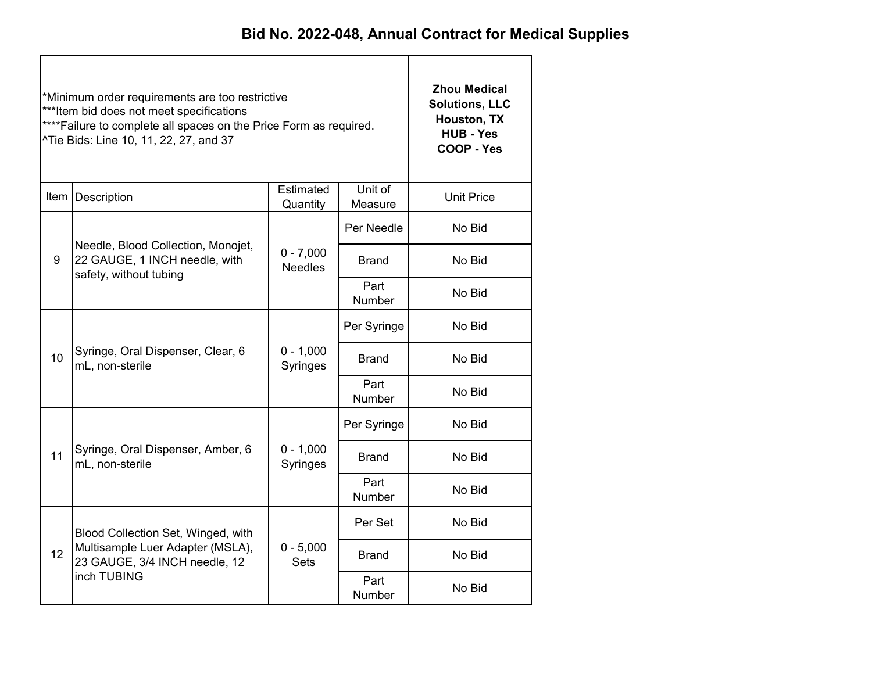|    | *Minimum order requirements are too restrictive<br>*** Item bid does not meet specifications<br>**** Failure to complete all spaces on the Price Form as required.<br>^Tie Bids: Line 10, 11, 22, 27, and 37 | <b>Zhou Medical</b><br><b>Solutions, LLC</b><br>Houston, TX<br><b>HUB - Yes</b><br>COOP - Yes |                       |                                      |  |  |
|----|--------------------------------------------------------------------------------------------------------------------------------------------------------------------------------------------------------------|-----------------------------------------------------------------------------------------------|-----------------------|--------------------------------------|--|--|
|    | Item Description                                                                                                                                                                                             | <b>Unit Price</b>                                                                             |                       |                                      |  |  |
|    |                                                                                                                                                                                                              |                                                                                               | Per Needle            | No Bid                               |  |  |
| 9  | Needle, Blood Collection, Monojet,<br>22 GAUGE, 1 INCH needle, with<br>safety, without tubing                                                                                                                | $0 - 7,000$<br><b>Needles</b>                                                                 | <b>Brand</b>          | No Bid                               |  |  |
|    |                                                                                                                                                                                                              |                                                                                               | Part<br>Number        | No Bid                               |  |  |
|    | Syringe, Oral Dispenser, Clear, 6<br>mL, non-sterile                                                                                                                                                         |                                                                                               | Per Syringe           | No Bid                               |  |  |
| 10 |                                                                                                                                                                                                              | $0 - 1,000$<br>Syringes                                                                       | Brand                 | No Bid                               |  |  |
|    |                                                                                                                                                                                                              |                                                                                               | Part<br><b>Number</b> | No Bid                               |  |  |
|    |                                                                                                                                                                                                              |                                                                                               | Per Syringe           | No Bid                               |  |  |
| 11 | Syringe, Oral Dispenser, Amber, 6<br>mL, non-sterile                                                                                                                                                         | $0 - 1,000$<br>Syringes                                                                       | <b>Brand</b>          | No Bid                               |  |  |
|    |                                                                                                                                                                                                              |                                                                                               | Part<br><b>Number</b> | No Bid<br>No Bid<br>No Bid<br>No Bid |  |  |
|    | Blood Collection Set, Winged, with                                                                                                                                                                           |                                                                                               | Per Set               |                                      |  |  |
| 12 | Multisample Luer Adapter (MSLA),<br>23 GAUGE, 3/4 INCH needle, 12                                                                                                                                            | $0 - 5,000$<br><b>Sets</b>                                                                    | <b>Brand</b>          |                                      |  |  |
|    | inch TUBING                                                                                                                                                                                                  |                                                                                               | Part<br><b>Number</b> |                                      |  |  |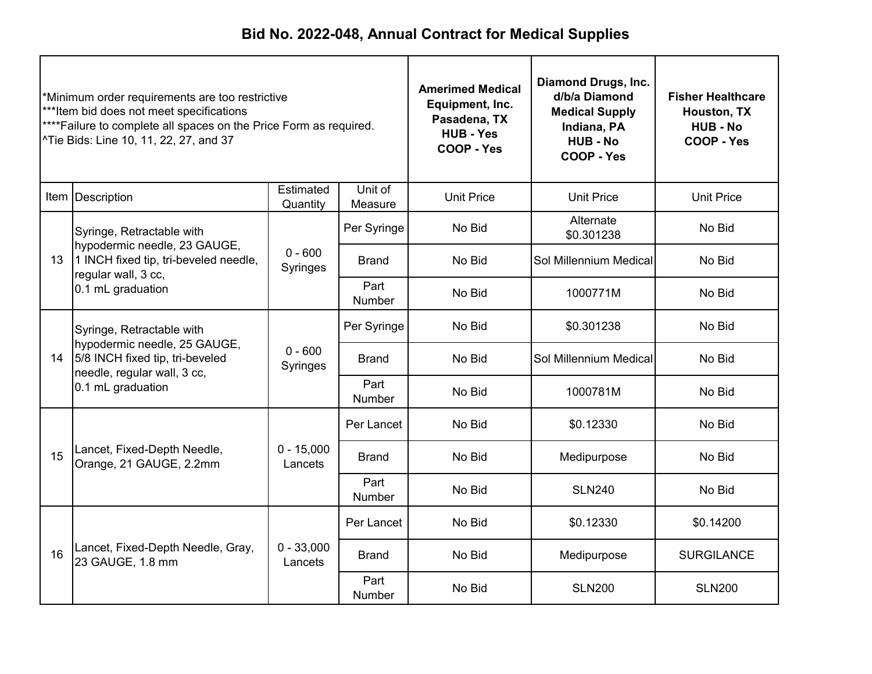| *Minimum order requirements are too restrictive<br>***Item bid does not meet specifications<br>****Failure to complete all spaces on the Price Form as required.<br>^Tie Bids: Line 10, 11, 22, 27, and 37 |                                                                                                                             | <b>Amerimed Medical</b><br>Equipment, Inc.<br>Pasadena, TX<br><b>HUB - Yes</b><br>COOP - Yes | <b>Diamond Drugs, Inc.</b><br>d/b/a Diamond<br><b>Medical Supply</b><br>Indiana, PA<br><b>HUB - No</b><br>COOP - Yes | <b>Fisher Healthcare</b><br>Houston, TX<br><b>HUB - No</b><br>COOP - Yes |                         |                   |
|------------------------------------------------------------------------------------------------------------------------------------------------------------------------------------------------------------|-----------------------------------------------------------------------------------------------------------------------------|----------------------------------------------------------------------------------------------|----------------------------------------------------------------------------------------------------------------------|--------------------------------------------------------------------------|-------------------------|-------------------|
|                                                                                                                                                                                                            | Item Description                                                                                                            | Estimated<br>Quantity                                                                        | Unit of<br>Measure                                                                                                   | <b>Unit Price</b>                                                        | <b>Unit Price</b>       | <b>Unit Price</b> |
|                                                                                                                                                                                                            | Syringe, Retractable with                                                                                                   |                                                                                              | Per Syringe                                                                                                          | No Bid                                                                   | Alternate<br>\$0.301238 | No Bid            |
| 13 <sup>°</sup>                                                                                                                                                                                            | hypodermic needle, 23 GAUGE,<br>1 INCH fixed tip, tri-beveled needle,<br>regular wall, 3 cc,                                | $0 - 600$<br>Syringes                                                                        | <b>Brand</b>                                                                                                         | No Bid                                                                   | Sol Millennium Medical  | No Bid            |
|                                                                                                                                                                                                            | 0.1 mL graduation                                                                                                           |                                                                                              | Part<br>Number                                                                                                       | No Bid                                                                   | 1000771M                | No Bid            |
|                                                                                                                                                                                                            | Syringe, Retractable with<br>hypodermic needle, 25 GAUGE,<br>5/8 INCH fixed tip, tri-beveled<br>needle, regular wall, 3 cc, |                                                                                              | Per Syringe                                                                                                          | No Bid                                                                   | \$0.301238              | No Bid            |
| 14                                                                                                                                                                                                         |                                                                                                                             | $0 - 600$<br>Syringes                                                                        | <b>Brand</b>                                                                                                         | No Bid                                                                   | Sol Millennium Medical  | No Bid            |
|                                                                                                                                                                                                            | 0.1 mL graduation                                                                                                           |                                                                                              | Part<br>Number                                                                                                       | No Bid                                                                   | 1000781M                | No Bid            |
|                                                                                                                                                                                                            |                                                                                                                             |                                                                                              | Per Lancet                                                                                                           | No Bid                                                                   | \$0.12330               | No Bid            |
| 15                                                                                                                                                                                                         | Lancet, Fixed-Depth Needle,<br>Orange, 21 GAUGE, 2.2mm                                                                      | $0 - 15,000$<br>Lancets                                                                      | <b>Brand</b>                                                                                                         | No Bid                                                                   | Medipurpose             | No Bid            |
|                                                                                                                                                                                                            |                                                                                                                             |                                                                                              | Part<br>Number                                                                                                       | No Bid                                                                   | <b>SLN240</b>           | No Bid            |
|                                                                                                                                                                                                            |                                                                                                                             |                                                                                              | Per Lancet                                                                                                           | No Bid                                                                   | \$0.12330               | \$0.14200         |
| 16                                                                                                                                                                                                         | Lancet, Fixed-Depth Needle, Gray,<br>23 GAUGE, 1.8 mm                                                                       | $0 - 33,000$<br>Lancets                                                                      | <b>Brand</b>                                                                                                         | No Bid                                                                   | Medipurpose             | <b>SURGILANCE</b> |
|                                                                                                                                                                                                            |                                                                                                                             |                                                                                              | Part<br>Number                                                                                                       | No Bid                                                                   | <b>SLN200</b>           | <b>SLN200</b>     |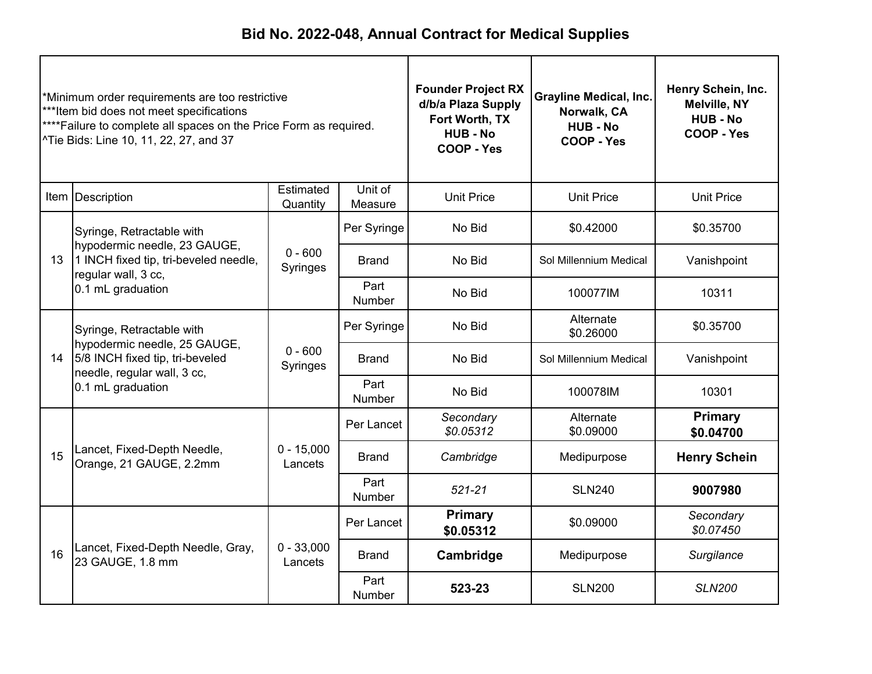| *Minimum order requirements are too restrictive<br>***Item bid does not meet specifications<br>**** Failure to complete all spaces on the Price Form as required.<br>^Tie Bids: Line 10, 11, 22, 27, and 37 |                                                                                                                                   |                         | <b>Founder Project RX</b><br>d/b/a Plaza Supply<br>Fort Worth, TX<br><b>HUB - No</b><br>COOP - Yes | Grayline Medical, Inc.<br>Norwalk, CA<br><b>HUB - No</b><br>COOP - Yes | Henry Schein, Inc.<br><b>Melville, NY</b><br><b>HUB - No</b><br>COOP - Yes |                        |
|-------------------------------------------------------------------------------------------------------------------------------------------------------------------------------------------------------------|-----------------------------------------------------------------------------------------------------------------------------------|-------------------------|----------------------------------------------------------------------------------------------------|------------------------------------------------------------------------|----------------------------------------------------------------------------|------------------------|
|                                                                                                                                                                                                             | Item   Description                                                                                                                | Estimated<br>Quantity   | Unit of<br>Measure                                                                                 | <b>Unit Price</b>                                                      | <b>Unit Price</b>                                                          | <b>Unit Price</b>      |
|                                                                                                                                                                                                             | Syringe, Retractable with                                                                                                         |                         | Per Syringe                                                                                        | No Bid                                                                 | \$0.42000                                                                  | \$0.35700              |
| 13                                                                                                                                                                                                          | hypodermic needle, 23 GAUGE,<br>1 INCH fixed tip, tri-beveled needle,<br>regular wall, 3 cc,<br>0.1 mL graduation                 | $0 - 600$<br>Syringes   | <b>Brand</b>                                                                                       | No Bid                                                                 | Sol Millennium Medical                                                     | Vanishpoint            |
|                                                                                                                                                                                                             |                                                                                                                                   |                         | Part<br><b>Number</b>                                                                              | No Bid                                                                 | 100077IM                                                                   | 10311                  |
|                                                                                                                                                                                                             | Syringe, Retractable with<br>hypodermic needle, 25 GAUGE,<br>5/8 INCH fixed tip, tri-beveled<br>14<br>needle, regular wall, 3 cc, |                         | Per Syringe                                                                                        | No Bid                                                                 | Alternate<br>\$0.26000                                                     | \$0.35700              |
|                                                                                                                                                                                                             |                                                                                                                                   | $0 - 600$<br>Syringes   | <b>Brand</b>                                                                                       | No Bid                                                                 | Sol Millennium Medical                                                     | Vanishpoint            |
|                                                                                                                                                                                                             | 0.1 mL graduation                                                                                                                 |                         | Part<br>Number                                                                                     | No Bid                                                                 | 100078IM                                                                   | 10301                  |
|                                                                                                                                                                                                             |                                                                                                                                   |                         | Per Lancet                                                                                         | Secondary<br>\$0.05312                                                 | Alternate<br>\$0.09000                                                     | Primary<br>\$0.04700   |
| 15                                                                                                                                                                                                          | Lancet, Fixed-Depth Needle,<br>Orange, 21 GAUGE, 2.2mm                                                                            | $0 - 15,000$<br>Lancets | <b>Brand</b>                                                                                       | Cambridge                                                              | Medipurpose                                                                | <b>Henry Schein</b>    |
|                                                                                                                                                                                                             |                                                                                                                                   |                         | Part<br>Number                                                                                     | $521 - 21$                                                             | <b>SLN240</b>                                                              | 9007980                |
|                                                                                                                                                                                                             |                                                                                                                                   |                         | Per Lancet                                                                                         | <b>Primary</b><br>\$0.05312                                            | \$0.09000                                                                  | Secondary<br>\$0.07450 |
| 16                                                                                                                                                                                                          | Lancet, Fixed-Depth Needle, Gray,<br>23 GAUGE, 1.8 mm                                                                             | $0 - 33,000$<br>Lancets | <b>Brand</b>                                                                                       | Cambridge                                                              | Medipurpose                                                                | Surgilance             |
|                                                                                                                                                                                                             |                                                                                                                                   |                         | Part<br>Number                                                                                     | 523-23                                                                 | <b>SLN200</b>                                                              | <b>SLN200</b>          |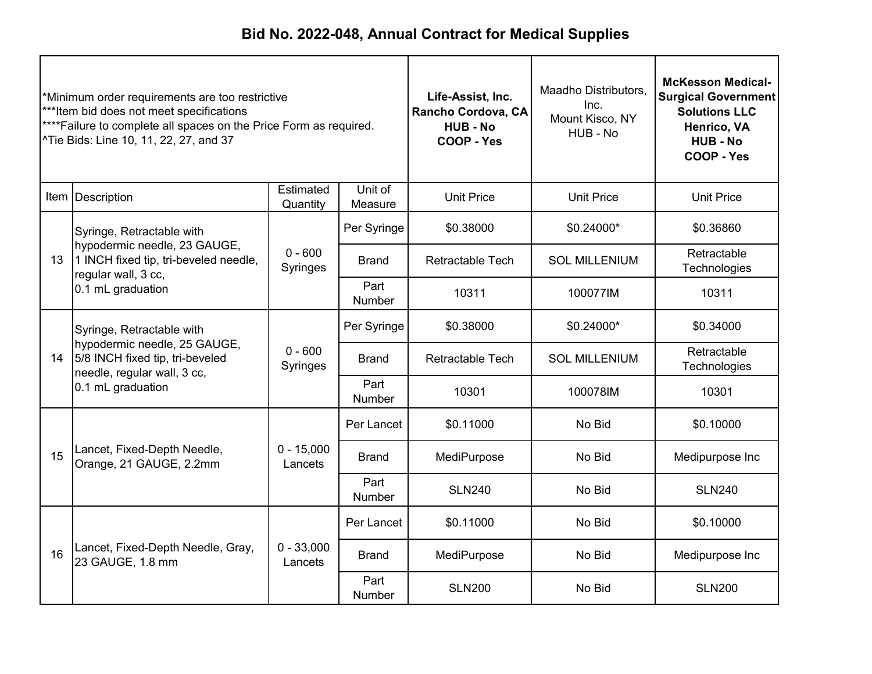| *Minimum order requirements are too restrictive<br>***Item bid does not meet specifications<br>****Failure to complete all spaces on the Price Form as required.<br>^Tie Bids: Line 10, 11, 22, 27, and 37 |                                                                                                                                   | Life-Assist, Inc.<br>Rancho Cordova, CA<br><b>HUB-No</b><br><b>COOP - Yes</b> | Maadho Distributors,<br>Inc.<br>Mount Kisco, NY<br>HUB - No | <b>McKesson Medical-</b><br><b>Surgical Government</b><br><b>Solutions LLC</b><br>Henrico, VA<br><b>HUB - No</b><br>COOP - Yes |                      |                             |
|------------------------------------------------------------------------------------------------------------------------------------------------------------------------------------------------------------|-----------------------------------------------------------------------------------------------------------------------------------|-------------------------------------------------------------------------------|-------------------------------------------------------------|--------------------------------------------------------------------------------------------------------------------------------|----------------------|-----------------------------|
|                                                                                                                                                                                                            | Item Description                                                                                                                  | Estimated<br>Quantity                                                         | Unit of<br>Measure                                          | <b>Unit Price</b>                                                                                                              | <b>Unit Price</b>    | <b>Unit Price</b>           |
|                                                                                                                                                                                                            | Syringe, Retractable with                                                                                                         |                                                                               | Per Syringe                                                 | \$0.38000                                                                                                                      | \$0.24000*           | \$0.36860                   |
| 13 <sup>°</sup>                                                                                                                                                                                            | hypodermic needle, 23 GAUGE,<br>1 INCH fixed tip, tri-beveled needle,<br>regular wall, 3 cc,<br>0.1 mL graduation                 | $0 - 600$<br>Syringes                                                         | <b>Brand</b>                                                | <b>Retractable Tech</b>                                                                                                        | <b>SOL MILLENIUM</b> | Retractable<br>Technologies |
|                                                                                                                                                                                                            |                                                                                                                                   |                                                                               | Part<br>Number                                              | 10311                                                                                                                          | 100077IM             | 10311                       |
|                                                                                                                                                                                                            | Syringe, Retractable with<br>hypodermic needle, 25 GAUGE,<br>5/8 INCH fixed tip, tri-beveled<br>14<br>needle, regular wall, 3 cc, |                                                                               | Per Syringe                                                 | \$0.38000                                                                                                                      | \$0.24000*           | \$0.34000                   |
|                                                                                                                                                                                                            |                                                                                                                                   | $0 - 600$<br>Syringes                                                         | Brand                                                       | <b>Retractable Tech</b>                                                                                                        | <b>SOL MILLENIUM</b> | Retractable<br>Technologies |
|                                                                                                                                                                                                            | 0.1 mL graduation                                                                                                                 |                                                                               | Part<br><b>Number</b>                                       | 10301                                                                                                                          | 100078IM             | 10301                       |
|                                                                                                                                                                                                            |                                                                                                                                   |                                                                               | Per Lancet                                                  | \$0.11000                                                                                                                      | No Bid               | \$0.10000                   |
| 15                                                                                                                                                                                                         | Lancet, Fixed-Depth Needle,<br>Orange, 21 GAUGE, 2.2mm                                                                            | $0 - 15,000$<br>Lancets                                                       | <b>Brand</b>                                                | MediPurpose                                                                                                                    | No Bid               | Medipurpose Inc             |
|                                                                                                                                                                                                            |                                                                                                                                   |                                                                               | Part<br><b>Number</b>                                       | <b>SLN240</b>                                                                                                                  | No Bid               | <b>SLN240</b>               |
|                                                                                                                                                                                                            |                                                                                                                                   |                                                                               | Per Lancet                                                  | \$0.11000                                                                                                                      | No Bid               | \$0.10000                   |
| 16                                                                                                                                                                                                         | Lancet, Fixed-Depth Needle, Gray,<br>23 GAUGE, 1.8 mm                                                                             | $0 - 33,000$<br>Lancets                                                       | <b>Brand</b>                                                | MediPurpose                                                                                                                    | No Bid               | Medipurpose Inc             |
|                                                                                                                                                                                                            |                                                                                                                                   |                                                                               | Part<br>Number                                              | <b>SLN200</b>                                                                                                                  | No Bid               | <b>SLN200</b>               |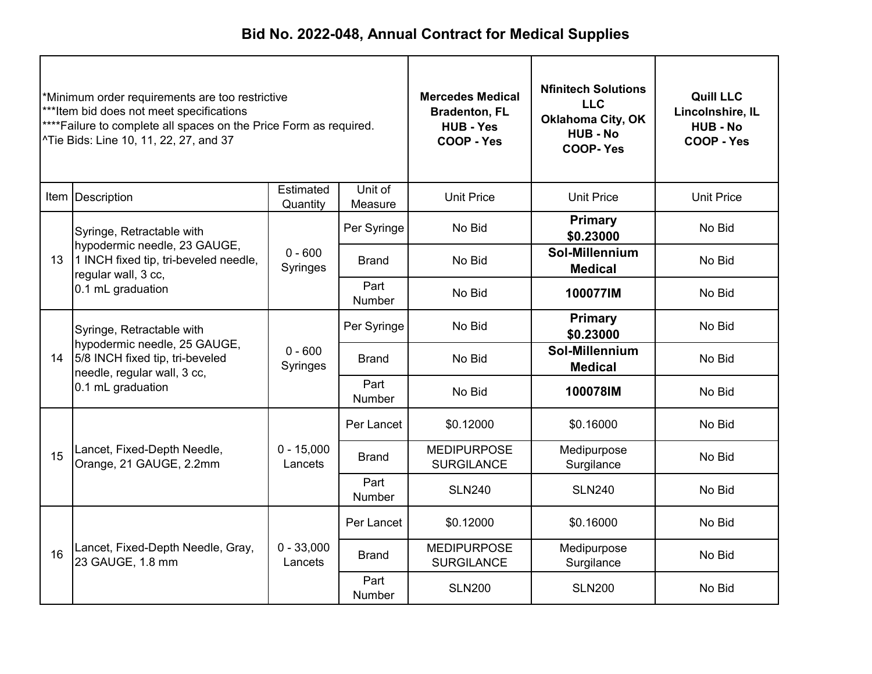| *Minimum order requirements are too restrictive<br>***Item bid does not meet specifications<br>**** Failure to complete all spaces on the Price Form as required.<br>^Tie Bids: Line 10, 11, 22, 27, and 37 |                                                                                                                             |                         | <b>Mercedes Medical</b><br><b>Bradenton, FL</b><br><b>HUB - Yes</b><br>COOP - Yes | <b>Nfinitech Solutions</b><br><b>LLC</b><br><b>Oklahoma City, OK</b><br><b>HUB - No</b><br><b>COOP-Yes</b> | <b>Quill LLC</b><br>Lincolnshire, IL<br><b>HUB-No</b><br>COOP - Yes |                   |
|-------------------------------------------------------------------------------------------------------------------------------------------------------------------------------------------------------------|-----------------------------------------------------------------------------------------------------------------------------|-------------------------|-----------------------------------------------------------------------------------|------------------------------------------------------------------------------------------------------------|---------------------------------------------------------------------|-------------------|
|                                                                                                                                                                                                             | Item   Description                                                                                                          | Estimated<br>Quantity   | Unit of<br>Measure                                                                | <b>Unit Price</b>                                                                                          | <b>Unit Price</b>                                                   | <b>Unit Price</b> |
|                                                                                                                                                                                                             | Syringe, Retractable with                                                                                                   |                         | Per Syringe                                                                       | No Bid                                                                                                     | <b>Primary</b><br>\$0.23000                                         | No Bid            |
| 13 <sup>°</sup>                                                                                                                                                                                             | hypodermic needle, 23 GAUGE,<br>1 INCH fixed tip, tri-beveled needle,<br>regular wall, 3 cc,                                | $0 - 600$<br>Syringes   | <b>Brand</b>                                                                      | No Bid                                                                                                     | Sol-Millennium<br><b>Medical</b>                                    | No Bid            |
|                                                                                                                                                                                                             | 0.1 mL graduation                                                                                                           |                         | Part<br><b>Number</b>                                                             | No Bid                                                                                                     | 100077IM                                                            | No Bid            |
|                                                                                                                                                                                                             | Syringe, Retractable with<br>hypodermic needle, 25 GAUGE,<br>5/8 INCH fixed tip, tri-beveled<br>needle, regular wall, 3 cc, | $0 - 600$<br>Syringes   | Per Syringe                                                                       | No Bid                                                                                                     | <b>Primary</b><br>\$0.23000                                         | No Bid            |
| 14                                                                                                                                                                                                          |                                                                                                                             |                         | <b>Brand</b>                                                                      | No Bid                                                                                                     | Sol-Millennium<br><b>Medical</b>                                    | No Bid            |
|                                                                                                                                                                                                             | 0.1 mL graduation                                                                                                           |                         | Part<br>Number                                                                    | No Bid                                                                                                     | 100078IM                                                            | No Bid            |
|                                                                                                                                                                                                             |                                                                                                                             |                         | Per Lancet                                                                        | \$0.12000                                                                                                  | \$0.16000                                                           | No Bid            |
| 15                                                                                                                                                                                                          | Lancet, Fixed-Depth Needle,<br>Orange, 21 GAUGE, 2.2mm                                                                      | $0 - 15,000$<br>Lancets | <b>Brand</b>                                                                      | <b>MEDIPURPOSE</b><br><b>SURGILANCE</b>                                                                    | Medipurpose<br>Surgilance                                           | No Bid            |
|                                                                                                                                                                                                             |                                                                                                                             |                         | Part<br>Number                                                                    | <b>SLN240</b>                                                                                              | <b>SLN240</b>                                                       | No Bid            |
|                                                                                                                                                                                                             |                                                                                                                             |                         | Per Lancet                                                                        | \$0.12000                                                                                                  | \$0.16000                                                           | No Bid            |
| 16                                                                                                                                                                                                          | Lancet, Fixed-Depth Needle, Gray,<br>23 GAUGE, 1.8 mm                                                                       | $0 - 33,000$<br>Lancets | <b>Brand</b>                                                                      | <b>MEDIPURPOSE</b><br><b>SURGILANCE</b>                                                                    | Medipurpose<br>Surgilance                                           | No Bid            |
|                                                                                                                                                                                                             |                                                                                                                             |                         | Part<br><b>Number</b>                                                             | <b>SLN200</b>                                                                                              | <b>SLN200</b>                                                       | No Bid            |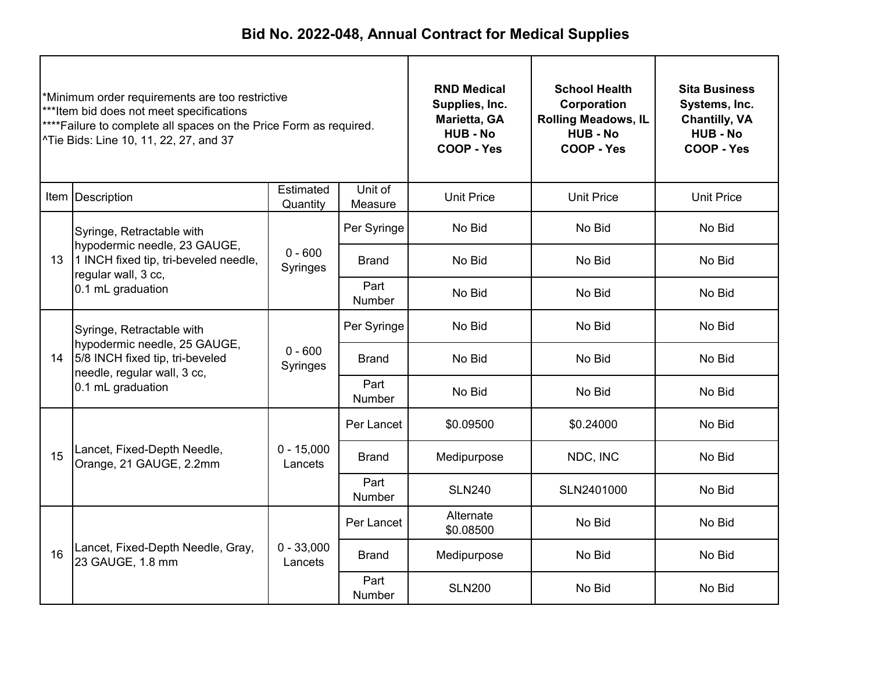| *Minimum order requirements are too restrictive<br>***Item bid does not meet specifications<br>****Failure to complete all spaces on the Price Form as required.<br><sup>^</sup> Tie Bids: Line 10, 11, 22, 27, and 37 |                                                                                                                             | <b>RND Medical</b><br>Supplies, Inc.<br>Marietta, GA<br><b>HUB - No</b><br>COOP - Yes | <b>School Health</b><br>Corporation<br><b>Rolling Meadows, IL</b><br><b>HUB - No</b><br>COOP - Yes | <b>Sita Business</b><br>Systems, Inc.<br><b>Chantilly, VA</b><br><b>HUB-No</b><br>COOP - Yes |                   |                   |
|------------------------------------------------------------------------------------------------------------------------------------------------------------------------------------------------------------------------|-----------------------------------------------------------------------------------------------------------------------------|---------------------------------------------------------------------------------------|----------------------------------------------------------------------------------------------------|----------------------------------------------------------------------------------------------|-------------------|-------------------|
|                                                                                                                                                                                                                        | Item Description                                                                                                            | Estimated<br>Quantity                                                                 | Unit of<br>Measure                                                                                 | <b>Unit Price</b>                                                                            | <b>Unit Price</b> | <b>Unit Price</b> |
|                                                                                                                                                                                                                        | Syringe, Retractable with                                                                                                   |                                                                                       | Per Syringe                                                                                        | No Bid                                                                                       | No Bid            | No Bid            |
| 13                                                                                                                                                                                                                     | hypodermic needle, 23 GAUGE,<br>1 INCH fixed tip, tri-beveled needle,<br>regular wall, 3 cc,<br>0.1 mL graduation           | $0 - 600$<br>Syringes                                                                 | <b>Brand</b>                                                                                       | No Bid                                                                                       | No Bid            | No Bid            |
|                                                                                                                                                                                                                        |                                                                                                                             |                                                                                       | Part<br><b>Number</b>                                                                              | No Bid                                                                                       | No Bid            | No Bid            |
|                                                                                                                                                                                                                        | Syringe, Retractable with<br>hypodermic needle, 25 GAUGE,<br>5/8 INCH fixed tip, tri-beveled<br>needle, regular wall, 3 cc, | $0 - 600$<br>Syringes                                                                 | Per Syringe                                                                                        | No Bid                                                                                       | No Bid            | No Bid            |
| 14                                                                                                                                                                                                                     |                                                                                                                             |                                                                                       | <b>Brand</b>                                                                                       | No Bid                                                                                       | No Bid            | No Bid            |
|                                                                                                                                                                                                                        | 0.1 mL graduation                                                                                                           |                                                                                       | Part<br>Number                                                                                     | No Bid                                                                                       | No Bid            | No Bid            |
|                                                                                                                                                                                                                        |                                                                                                                             |                                                                                       | Per Lancet                                                                                         | \$0.09500                                                                                    | \$0.24000         | No Bid            |
| 15                                                                                                                                                                                                                     | Lancet, Fixed-Depth Needle,<br>Orange, 21 GAUGE, 2.2mm                                                                      | $0 - 15,000$<br>Lancets                                                               | <b>Brand</b>                                                                                       | Medipurpose                                                                                  | NDC, INC          | No Bid            |
|                                                                                                                                                                                                                        |                                                                                                                             |                                                                                       | Part<br>Number                                                                                     | <b>SLN240</b>                                                                                | SLN2401000        | No Bid            |
|                                                                                                                                                                                                                        |                                                                                                                             |                                                                                       | Per Lancet                                                                                         | Alternate<br>\$0.08500                                                                       | No Bid            | No Bid            |
| 16                                                                                                                                                                                                                     | Lancet, Fixed-Depth Needle, Gray,<br>23 GAUGE, 1.8 mm                                                                       | $0 - 33,000$<br>Lancets                                                               | <b>Brand</b>                                                                                       | Medipurpose                                                                                  | No Bid            | No Bid            |
|                                                                                                                                                                                                                        |                                                                                                                             |                                                                                       | Part<br><b>Number</b>                                                                              | <b>SLN200</b>                                                                                | No Bid            | No Bid            |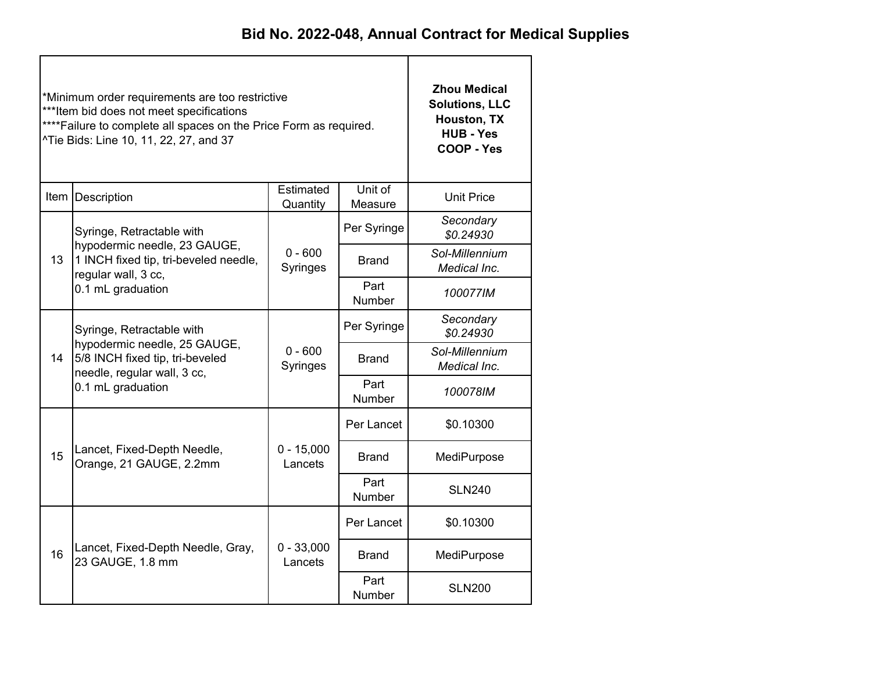|    | *Minimum order requirements are too restrictive<br>*** Item bid does not meet specifications<br>**** Failure to complete all spaces on the Price Form as required.<br>^Tie Bids: Line 10, 11, 22, 27, and 37 | <b>Zhou Medical</b><br><b>Solutions, LLC</b><br>Houston, TX<br><b>HUB - Yes</b><br>COOP - Yes |                       |                                                            |  |
|----|--------------------------------------------------------------------------------------------------------------------------------------------------------------------------------------------------------------|-----------------------------------------------------------------------------------------------|-----------------------|------------------------------------------------------------|--|
|    | Item   Description                                                                                                                                                                                           | Estimated<br>Quantity                                                                         | Unit of<br>Measure    | <b>Unit Price</b>                                          |  |
|    | Syringe, Retractable with                                                                                                                                                                                    |                                                                                               | Per Syringe           | Secondary<br>\$0.24930                                     |  |
| 13 | hypodermic needle, 23 GAUGE,<br>1 INCH fixed tip, tri-beveled needle,<br>regular wall, 3 cc,                                                                                                                 | $0 - 600$<br>Syringes                                                                         | Brand                 | Sol-Millennium<br>Medical Inc.                             |  |
|    | 0.1 mL graduation                                                                                                                                                                                            |                                                                                               | Part<br><b>Number</b> | 100077IM                                                   |  |
|    | Syringe, Retractable with                                                                                                                                                                                    |                                                                                               | Per Syringe           | Secondary<br>\$0.24930                                     |  |
| 14 | hypodermic needle, 25 GAUGE,<br>5/8 INCH fixed tip, tri-beveled<br>needle, regular wall, 3 cc,                                                                                                               | $0 - 600$<br>Syringes                                                                         | Brand                 | Sol-Millennium<br>Medical Inc.                             |  |
|    | 0.1 mL graduation                                                                                                                                                                                            |                                                                                               | Part<br>Number        | 100078IM                                                   |  |
|    |                                                                                                                                                                                                              |                                                                                               | Per Lancet            | \$0.10300                                                  |  |
| 15 | Lancet, Fixed-Depth Needle,<br>Orange, 21 GAUGE, 2.2mm                                                                                                                                                       | $0 - 15,000$<br>Lancets                                                                       | <b>Brand</b>          | MediPurpose                                                |  |
|    |                                                                                                                                                                                                              |                                                                                               | Part<br>Number        | <b>SLN240</b><br>\$0.10300<br>MediPurpose<br><b>SLN200</b> |  |
|    |                                                                                                                                                                                                              |                                                                                               | Per Lancet            |                                                            |  |
| 16 | Lancet, Fixed-Depth Needle, Gray,<br>23 GAUGE, 1.8 mm                                                                                                                                                        | $0 - 33,000$<br>Lancets                                                                       | <b>Brand</b>          |                                                            |  |
|    |                                                                                                                                                                                                              |                                                                                               | Part<br>Number        |                                                            |  |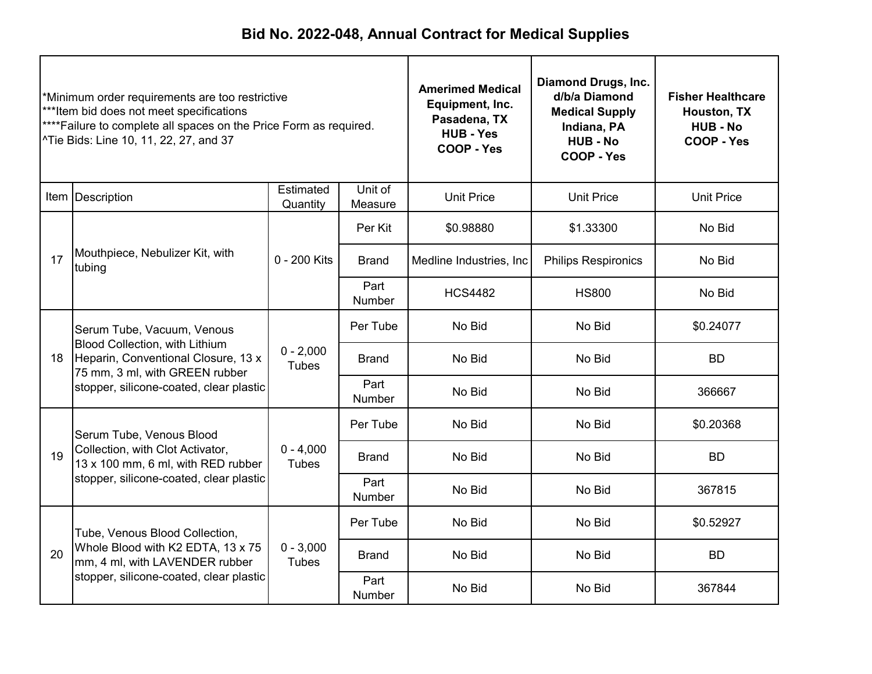| *Minimum order requirements are too restrictive<br>***Item bid does not meet specifications<br>****Failure to complete all spaces on the Price Form as required.<br>^Tie Bids: Line 10, 11, 22, 27, and 37 |                                                                                                                                                                                         | <b>Amerimed Medical</b><br>Equipment, Inc.<br>Pasadena, TX<br><b>HUB - Yes</b><br>COOP - Yes | <b>Diamond Drugs, Inc.</b><br>d/b/a Diamond<br><b>Medical Supply</b><br>Indiana, PA<br><b>HUB - No</b><br>COOP - Yes | <b>Fisher Healthcare</b><br>Houston, TX<br><b>HUB - No</b><br>COOP - Yes |                            |                   |
|------------------------------------------------------------------------------------------------------------------------------------------------------------------------------------------------------------|-----------------------------------------------------------------------------------------------------------------------------------------------------------------------------------------|----------------------------------------------------------------------------------------------|----------------------------------------------------------------------------------------------------------------------|--------------------------------------------------------------------------|----------------------------|-------------------|
|                                                                                                                                                                                                            | Item Description                                                                                                                                                                        | Estimated<br>Quantity                                                                        | Unit of<br>Measure                                                                                                   | <b>Unit Price</b>                                                        | <b>Unit Price</b>          | <b>Unit Price</b> |
|                                                                                                                                                                                                            |                                                                                                                                                                                         |                                                                                              | Per Kit                                                                                                              | \$0.98880                                                                | \$1.33300                  | No Bid            |
| 17                                                                                                                                                                                                         | Mouthpiece, Nebulizer Kit, with<br>tubing                                                                                                                                               | 0 - 200 Kits                                                                                 | <b>Brand</b>                                                                                                         | Medline Industries, Inc.                                                 | <b>Philips Respironics</b> | No Bid            |
|                                                                                                                                                                                                            |                                                                                                                                                                                         |                                                                                              | Part<br><b>Number</b>                                                                                                | <b>HCS4482</b>                                                           | <b>HS800</b>               | No Bid            |
|                                                                                                                                                                                                            | Serum Tube, Vacuum, Venous<br><b>Blood Collection, with Lithium</b><br>Heparin, Conventional Closure, 13 x<br>75 mm, 3 ml, with GREEN rubber<br>stopper, silicone-coated, clear plastic |                                                                                              | Per Tube                                                                                                             | No Bid                                                                   | No Bid                     | \$0.24077         |
| 18                                                                                                                                                                                                         |                                                                                                                                                                                         | $0 - 2,000$<br><b>Tubes</b>                                                                  | <b>Brand</b>                                                                                                         | No Bid                                                                   | No Bid                     | <b>BD</b>         |
|                                                                                                                                                                                                            |                                                                                                                                                                                         |                                                                                              | Part<br>Number                                                                                                       | No Bid                                                                   | No Bid                     | 366667            |
|                                                                                                                                                                                                            | Serum Tube, Venous Blood                                                                                                                                                                |                                                                                              | Per Tube                                                                                                             | No Bid                                                                   | No Bid                     | \$0.20368         |
| 19                                                                                                                                                                                                         | Collection, with Clot Activator,<br>13 x 100 mm, 6 ml, with RED rubber                                                                                                                  | $0 - 4,000$<br><b>Tubes</b>                                                                  | <b>Brand</b>                                                                                                         | No Bid                                                                   | No Bid                     | <b>BD</b>         |
|                                                                                                                                                                                                            | stopper, silicone-coated, clear plastic                                                                                                                                                 |                                                                                              | Part<br>Number                                                                                                       | No Bid                                                                   | No Bid                     | 367815            |
|                                                                                                                                                                                                            | Tube, Venous Blood Collection,                                                                                                                                                          |                                                                                              | Per Tube                                                                                                             | No Bid                                                                   | No Bid                     | \$0.52927         |
| 20                                                                                                                                                                                                         | Whole Blood with K2 EDTA, 13 x 75<br>mm, 4 ml, with LAVENDER rubber                                                                                                                     | $0 - 3,000$<br><b>Tubes</b>                                                                  | <b>Brand</b>                                                                                                         | No Bid                                                                   | No Bid                     | <b>BD</b>         |
|                                                                                                                                                                                                            | stopper, silicone-coated, clear plastic                                                                                                                                                 |                                                                                              | Part<br>Number                                                                                                       | No Bid                                                                   | No Bid                     | 367844            |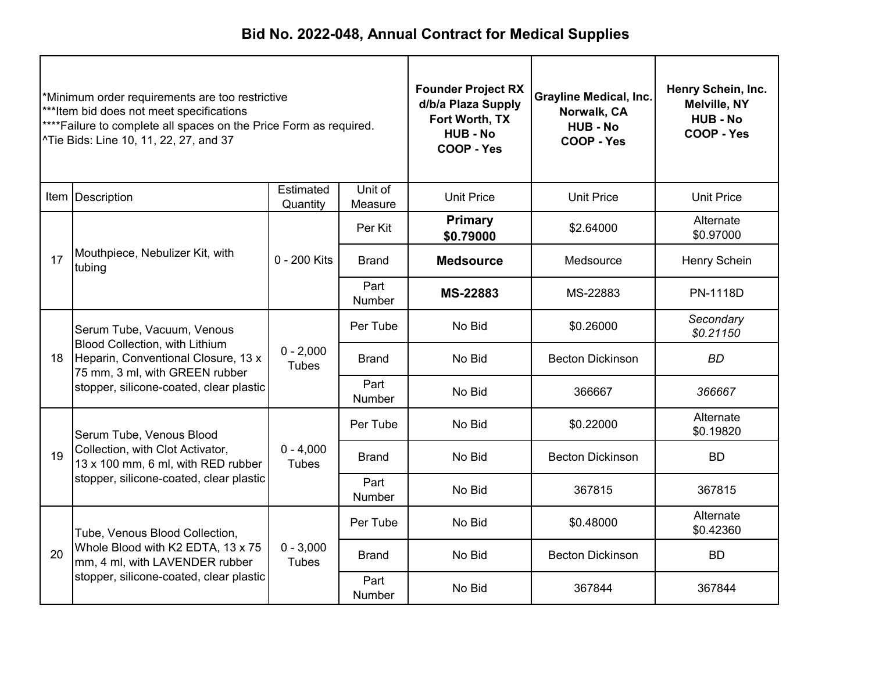| *Minimum order requirements are too restrictive<br>***Item bid does not meet specifications<br>**** Failure to complete all spaces on the Price Form as required.<br>^Tie Bids: Line 10, 11, 22, 27, and 37 |                                                                                                                                                                                               |                             | <b>Founder Project RX</b><br>d/b/a Plaza Supply<br>Fort Worth, TX<br><b>HUB - No</b><br>COOP - Yes | <b>Grayline Medical, Inc.</b><br>Norwalk, CA<br><b>HUB - No</b><br><b>COOP - Yes</b> | Henry Schein, Inc.<br>Melville, NY<br><b>HUB - No</b><br>COOP - Yes |                                 |  |
|-------------------------------------------------------------------------------------------------------------------------------------------------------------------------------------------------------------|-----------------------------------------------------------------------------------------------------------------------------------------------------------------------------------------------|-----------------------------|----------------------------------------------------------------------------------------------------|--------------------------------------------------------------------------------------|---------------------------------------------------------------------|---------------------------------|--|
|                                                                                                                                                                                                             | Item Description                                                                                                                                                                              | Estimated<br>Quantity       | Unit of<br>Measure                                                                                 | <b>Unit Price</b>                                                                    | <b>Unit Price</b>                                                   | <b>Unit Price</b>               |  |
|                                                                                                                                                                                                             |                                                                                                                                                                                               |                             | Per Kit                                                                                            | <b>Primary</b><br>\$0.79000                                                          | \$2.64000                                                           | Alternate<br>\$0.97000          |  |
| 17                                                                                                                                                                                                          | Mouthpiece, Nebulizer Kit, with<br>tubing                                                                                                                                                     | 0 - 200 Kits                | <b>Brand</b>                                                                                       | <b>Medsource</b>                                                                     | Medsource                                                           | Henry Schein<br><b>PN-1118D</b> |  |
|                                                                                                                                                                                                             |                                                                                                                                                                                               |                             | Part<br><b>Number</b>                                                                              | <b>MS-22883</b>                                                                      | MS-22883                                                            |                                 |  |
|                                                                                                                                                                                                             | Serum Tube, Vacuum, Venous<br><b>Blood Collection, with Lithium</b><br>Heparin, Conventional Closure, 13 x<br>18<br>75 mm, 3 ml, with GREEN rubber<br>stopper, silicone-coated, clear plastic |                             | Per Tube                                                                                           | No Bid                                                                               | \$0.26000                                                           | Secondary<br>\$0.21150          |  |
|                                                                                                                                                                                                             |                                                                                                                                                                                               | $0 - 2,000$<br><b>Tubes</b> | <b>Brand</b>                                                                                       | No Bid                                                                               | <b>Becton Dickinson</b>                                             | <b>BD</b>                       |  |
|                                                                                                                                                                                                             |                                                                                                                                                                                               |                             | Part<br>Number                                                                                     | No Bid                                                                               | 366667                                                              | 366667                          |  |
|                                                                                                                                                                                                             | Serum Tube, Venous Blood                                                                                                                                                                      |                             | Per Tube                                                                                           | No Bid                                                                               | \$0.22000                                                           | Alternate<br>\$0.19820          |  |
| 19                                                                                                                                                                                                          | Collection, with Clot Activator,<br>13 x 100 mm, 6 ml, with RED rubber                                                                                                                        | $0 - 4,000$<br><b>Tubes</b> | <b>Brand</b>                                                                                       | No Bid                                                                               | <b>Becton Dickinson</b>                                             | <b>BD</b>                       |  |
|                                                                                                                                                                                                             | stopper, silicone-coated, clear plastic                                                                                                                                                       |                             | Part<br>Number                                                                                     | No Bid                                                                               | 367815                                                              | 367815                          |  |
|                                                                                                                                                                                                             | Tube, Venous Blood Collection,                                                                                                                                                                |                             | Per Tube                                                                                           | No Bid                                                                               | \$0.48000                                                           | Alternate<br>\$0.42360          |  |
| 20                                                                                                                                                                                                          | Whole Blood with K2 EDTA, 13 x 75<br>mm, 4 ml, with LAVENDER rubber                                                                                                                           | $0 - 3,000$<br><b>Tubes</b> | <b>Brand</b>                                                                                       | No Bid                                                                               | <b>Becton Dickinson</b>                                             | <b>BD</b>                       |  |
|                                                                                                                                                                                                             | stopper, silicone-coated, clear plastic                                                                                                                                                       |                             | Part<br><b>Number</b>                                                                              | No Bid                                                                               | 367844                                                              | 367844                          |  |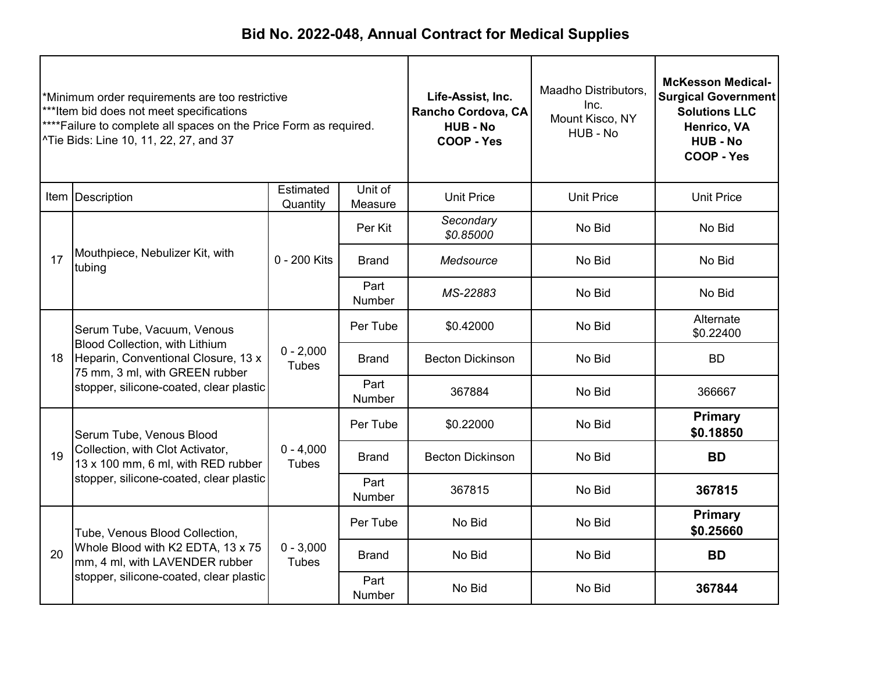| *Minimum order requirements are too restrictive<br>***Item bid does not meet specifications<br>****Failure to complete all spaces on the Price Form as required.<br>^Tie Bids: Line 10, 11, 22, 27, and 37 |                                                                                                                                                                                  |                             | Life-Assist, Inc.<br>Rancho Cordova, CA<br><b>HUB - No</b><br>COOP - Yes | Maadho Distributors,<br>Inc.<br>Mount Kisco, NY<br>HUB - No | <b>McKesson Medical-</b><br><b>Surgical Government</b><br><b>Solutions LLC</b><br>Henrico, VA<br><b>HUB - No</b><br>COOP - Yes |                             |
|------------------------------------------------------------------------------------------------------------------------------------------------------------------------------------------------------------|----------------------------------------------------------------------------------------------------------------------------------------------------------------------------------|-----------------------------|--------------------------------------------------------------------------|-------------------------------------------------------------|--------------------------------------------------------------------------------------------------------------------------------|-----------------------------|
|                                                                                                                                                                                                            | Item   Description                                                                                                                                                               | Estimated<br>Quantity       | Unit of<br>Measure                                                       | <b>Unit Price</b>                                           | <b>Unit Price</b>                                                                                                              | <b>Unit Price</b>           |
|                                                                                                                                                                                                            |                                                                                                                                                                                  |                             | Per Kit                                                                  | Secondary<br>\$0.85000                                      | No Bid                                                                                                                         | No Bid                      |
| 17                                                                                                                                                                                                         | Mouthpiece, Nebulizer Kit, with<br>tubing                                                                                                                                        | 0 - 200 Kits                | <b>Brand</b>                                                             | Medsource                                                   | No Bid                                                                                                                         | No Bid                      |
|                                                                                                                                                                                                            |                                                                                                                                                                                  |                             | Part<br>Number                                                           | MS-22883                                                    | No Bid                                                                                                                         | No Bid                      |
|                                                                                                                                                                                                            | Serum Tube, Vacuum, Venous<br>Blood Collection, with Lithium<br>Heparin, Conventional Closure, 13 x<br>75 mm, 3 ml, with GREEN rubber<br>stopper, silicone-coated, clear plastic |                             | Per Tube                                                                 | \$0.42000                                                   | No Bid                                                                                                                         | Alternate<br>\$0.22400      |
| 18                                                                                                                                                                                                         |                                                                                                                                                                                  | $0 - 2,000$<br><b>Tubes</b> | <b>Brand</b>                                                             | <b>Becton Dickinson</b>                                     | No Bid                                                                                                                         | <b>BD</b>                   |
|                                                                                                                                                                                                            |                                                                                                                                                                                  |                             | Part<br>Number                                                           | 367884                                                      | No Bid                                                                                                                         | 366667                      |
|                                                                                                                                                                                                            | Serum Tube, Venous Blood                                                                                                                                                         |                             | Per Tube                                                                 | \$0.22000                                                   | No Bid                                                                                                                         | <b>Primary</b><br>\$0.18850 |
| 19                                                                                                                                                                                                         | Collection, with Clot Activator,<br>13 x 100 mm, 6 ml, with RED rubber                                                                                                           | $0 - 4,000$<br><b>Tubes</b> | <b>Brand</b>                                                             | <b>Becton Dickinson</b>                                     | No Bid                                                                                                                         | <b>BD</b>                   |
|                                                                                                                                                                                                            | stopper, silicone-coated, clear plastic                                                                                                                                          |                             | Part<br><b>Number</b>                                                    | 367815                                                      | No Bid                                                                                                                         | 367815                      |
|                                                                                                                                                                                                            | Tube, Venous Blood Collection,                                                                                                                                                   |                             | Per Tube                                                                 | No Bid                                                      | No Bid                                                                                                                         | <b>Primary</b><br>\$0.25660 |
| 20                                                                                                                                                                                                         | Whole Blood with K2 EDTA, 13 x 75<br>mm, 4 ml, with LAVENDER rubber                                                                                                              | $0 - 3,000$<br><b>Tubes</b> | <b>Brand</b>                                                             | No Bid                                                      | No Bid                                                                                                                         | <b>BD</b>                   |
|                                                                                                                                                                                                            | stopper, silicone-coated, clear plastic                                                                                                                                          |                             | Part<br><b>Number</b>                                                    | No Bid                                                      | No Bid                                                                                                                         | 367844                      |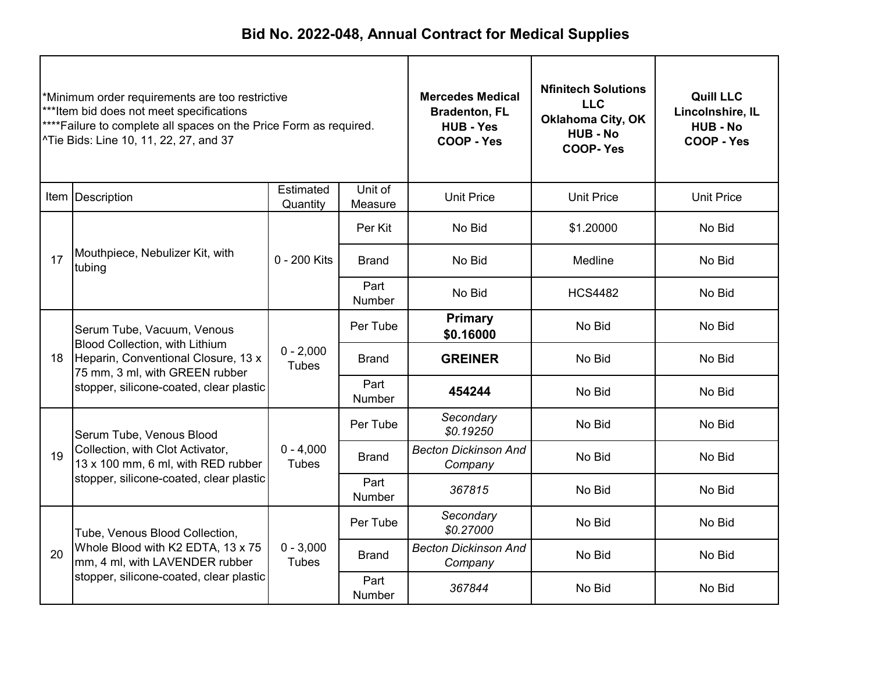| *Minimum order requirements are too restrictive<br>***Item bid does not meet specifications<br>****Failure to complete all spaces on the Price Form as required.<br>^Tie Bids: Line 10, 11, 22, 27, and 37 |                                                                                                                                                                                  | <b>Mercedes Medical</b><br><b>Bradenton, FL</b><br><b>HUB - Yes</b><br>COOP - Yes | <b>Nfinitech Solutions</b><br><b>LLC</b><br><b>Oklahoma City, OK</b><br><b>HUB - No</b><br><b>COOP-Yes</b> | <b>Quill LLC</b><br>Lincolnshire, IL<br><b>HUB - No</b><br>COOP - Yes |                   |                   |
|------------------------------------------------------------------------------------------------------------------------------------------------------------------------------------------------------------|----------------------------------------------------------------------------------------------------------------------------------------------------------------------------------|-----------------------------------------------------------------------------------|------------------------------------------------------------------------------------------------------------|-----------------------------------------------------------------------|-------------------|-------------------|
|                                                                                                                                                                                                            | Item Description                                                                                                                                                                 | Estimated<br>Quantity                                                             | Unit of<br>Measure                                                                                         | <b>Unit Price</b>                                                     | <b>Unit Price</b> | <b>Unit Price</b> |
|                                                                                                                                                                                                            |                                                                                                                                                                                  |                                                                                   | Per Kit                                                                                                    | No Bid                                                                | \$1.20000         | No Bid            |
| 17                                                                                                                                                                                                         | Mouthpiece, Nebulizer Kit, with<br>tubing                                                                                                                                        | 0 - 200 Kits                                                                      | <b>Brand</b>                                                                                               | No Bid                                                                | Medline           | No Bid            |
|                                                                                                                                                                                                            |                                                                                                                                                                                  |                                                                                   | Part<br><b>Number</b>                                                                                      | No Bid                                                                | <b>HCS4482</b>    | No Bid            |
|                                                                                                                                                                                                            | Serum Tube, Vacuum, Venous<br>Blood Collection, with Lithium<br>Heparin, Conventional Closure, 13 x<br>75 mm, 3 ml, with GREEN rubber<br>stopper, silicone-coated, clear plastic |                                                                                   | Per Tube                                                                                                   | <b>Primary</b><br>\$0.16000                                           | No Bid            | No Bid            |
| 18                                                                                                                                                                                                         |                                                                                                                                                                                  | $0 - 2,000$<br><b>Tubes</b>                                                       | <b>Brand</b>                                                                                               | <b>GREINER</b>                                                        | No Bid            | No Bid            |
|                                                                                                                                                                                                            |                                                                                                                                                                                  |                                                                                   | Part<br>Number                                                                                             | 454244                                                                | No Bid            | No Bid            |
|                                                                                                                                                                                                            | Serum Tube, Venous Blood                                                                                                                                                         |                                                                                   | Per Tube                                                                                                   | Secondary<br>\$0.19250                                                | No Bid            | No Bid            |
| 19                                                                                                                                                                                                         | Collection, with Clot Activator,<br>13 x 100 mm, 6 ml, with RED rubber                                                                                                           | $0 - 4,000$<br><b>Tubes</b>                                                       | <b>Brand</b>                                                                                               | <b>Becton Dickinson And</b><br>Company                                | No Bid            | No Bid            |
|                                                                                                                                                                                                            | stopper, silicone-coated, clear plastic                                                                                                                                          |                                                                                   | Part<br>Number                                                                                             | 367815                                                                | No Bid            | No Bid            |
|                                                                                                                                                                                                            | Tube, Venous Blood Collection,                                                                                                                                                   |                                                                                   | Per Tube                                                                                                   | Secondary<br>\$0.27000                                                | No Bid            | No Bid            |
| 20                                                                                                                                                                                                         | Whole Blood with K2 EDTA, 13 x 75<br>mm, 4 ml, with LAVENDER rubber                                                                                                              | $0 - 3,000$<br><b>Tubes</b>                                                       | <b>Brand</b>                                                                                               | <b>Becton Dickinson And</b><br>Company                                | No Bid            | No Bid            |
|                                                                                                                                                                                                            | stopper, silicone-coated, clear plastic                                                                                                                                          |                                                                                   | Part<br><b>Number</b>                                                                                      | 367844                                                                | No Bid            | No Bid            |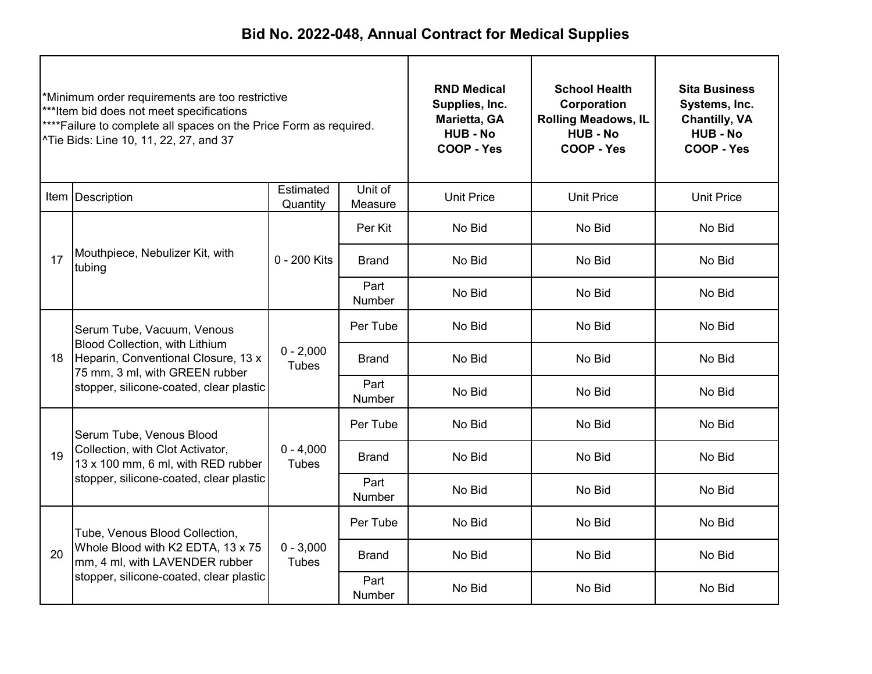| *Minimum order requirements are too restrictive<br>***Item bid does not meet specifications<br>**** Failure to complete all spaces on the Price Form as required.<br>^Tie Bids: Line 10, 11, 22, 27, and 37 |                                                                                                                                                                                         | <b>RND Medical</b><br>Supplies, Inc.<br>Marietta, GA<br><b>HUB - No</b><br>COOP - Yes | <b>School Health</b><br>Corporation<br><b>Rolling Meadows, IL</b><br><b>HUB - No</b><br>COOP - Yes | <b>Sita Business</b><br>Systems, Inc.<br><b>Chantilly, VA</b><br><b>HUB - No</b><br>COOP - Yes |                   |                   |
|-------------------------------------------------------------------------------------------------------------------------------------------------------------------------------------------------------------|-----------------------------------------------------------------------------------------------------------------------------------------------------------------------------------------|---------------------------------------------------------------------------------------|----------------------------------------------------------------------------------------------------|------------------------------------------------------------------------------------------------|-------------------|-------------------|
|                                                                                                                                                                                                             | Item Description                                                                                                                                                                        | Estimated<br>Quantity                                                                 | Unit of<br>Measure                                                                                 | <b>Unit Price</b>                                                                              | <b>Unit Price</b> | <b>Unit Price</b> |
|                                                                                                                                                                                                             | Mouthpiece, Nebulizer Kit, with<br>tubing                                                                                                                                               |                                                                                       | Per Kit                                                                                            | No Bid                                                                                         | No Bid            | No Bid            |
| 17                                                                                                                                                                                                          |                                                                                                                                                                                         | 0 - 200 Kits                                                                          | <b>Brand</b>                                                                                       | No Bid                                                                                         | No Bid            | No Bid            |
|                                                                                                                                                                                                             |                                                                                                                                                                                         |                                                                                       | Part<br><b>Number</b>                                                                              | No Bid                                                                                         | No Bid            | No Bid            |
|                                                                                                                                                                                                             | Serum Tube, Vacuum, Venous<br><b>Blood Collection, with Lithium</b><br>Heparin, Conventional Closure, 13 x<br>75 mm, 3 ml, with GREEN rubber<br>stopper, silicone-coated, clear plastic |                                                                                       | Per Tube                                                                                           | No Bid                                                                                         | No Bid            | No Bid            |
| 18                                                                                                                                                                                                          |                                                                                                                                                                                         | $0 - 2,000$<br><b>Tubes</b>                                                           | Brand                                                                                              | No Bid                                                                                         | No Bid            | No Bid            |
|                                                                                                                                                                                                             |                                                                                                                                                                                         |                                                                                       | Part<br>Number                                                                                     | No Bid                                                                                         | No Bid            | No Bid            |
|                                                                                                                                                                                                             | Serum Tube, Venous Blood                                                                                                                                                                |                                                                                       | Per Tube                                                                                           | No Bid                                                                                         | No Bid            | No Bid            |
| 19                                                                                                                                                                                                          | Collection, with Clot Activator,<br>13 x 100 mm, 6 ml, with RED rubber                                                                                                                  | $0 - 4,000$<br><b>Tubes</b>                                                           | <b>Brand</b>                                                                                       | No Bid                                                                                         | No Bid            | No Bid            |
|                                                                                                                                                                                                             | stopper, silicone-coated, clear plastic                                                                                                                                                 |                                                                                       | Part<br>Number                                                                                     | No Bid                                                                                         | No Bid            | No Bid            |
|                                                                                                                                                                                                             | Tube, Venous Blood Collection,                                                                                                                                                          |                                                                                       | Per Tube                                                                                           | No Bid                                                                                         | No Bid            | No Bid            |
| 20                                                                                                                                                                                                          | Whole Blood with K2 EDTA, 13 x 75<br>mm, 4 ml, with LAVENDER rubber                                                                                                                     | $0 - 3,000$<br>Tubes                                                                  | <b>Brand</b>                                                                                       | No Bid                                                                                         | No Bid            | No Bid            |
|                                                                                                                                                                                                             | stopper, silicone-coated, clear plastic                                                                                                                                                 |                                                                                       | Part<br>Number                                                                                     | No Bid                                                                                         | No Bid            | No Bid            |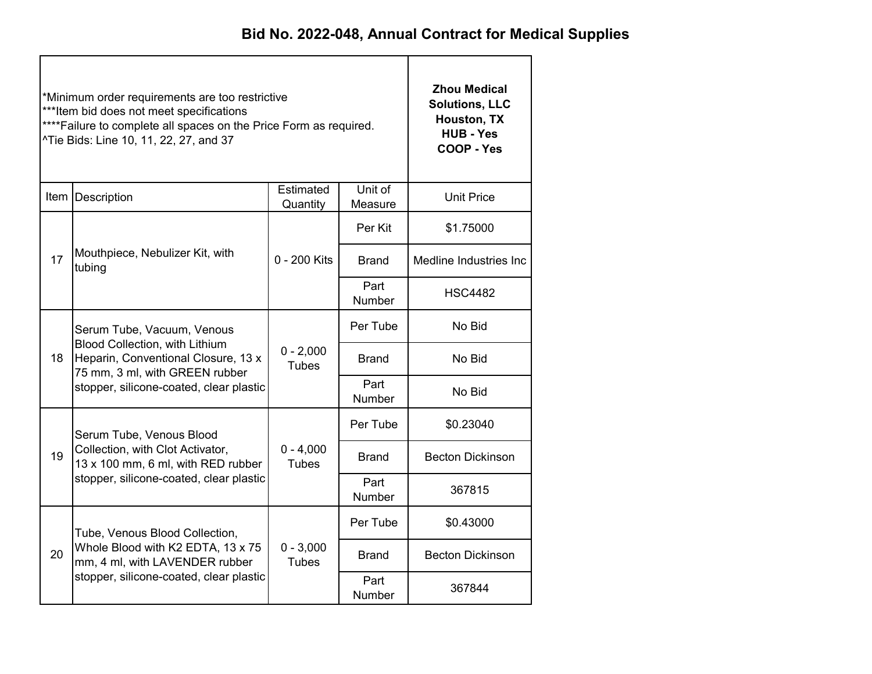|    | *Minimum order requirements are too restrictive<br>***Item bid does not meet specifications<br>**** Failure to complete all spaces on the Price Form as required.<br>^Tie Bids: Line 10, 11, 22, 27, and 37 | <b>Zhou Medical</b><br><b>Solutions, LLC</b><br>Houston, TX<br><b>HUB - Yes</b><br>COOP - Yes |                       |                         |
|----|-------------------------------------------------------------------------------------------------------------------------------------------------------------------------------------------------------------|-----------------------------------------------------------------------------------------------|-----------------------|-------------------------|
|    | Item Description                                                                                                                                                                                            | <b>Unit Price</b>                                                                             |                       |                         |
|    |                                                                                                                                                                                                             |                                                                                               | Per Kit               | \$1.75000               |
| 17 | Mouthpiece, Nebulizer Kit, with<br>tubing                                                                                                                                                                   | 0 - 200 Kits                                                                                  | Brand                 | Medline Industries Inc  |
|    |                                                                                                                                                                                                             |                                                                                               | Part<br><b>Number</b> | <b>HSC4482</b>          |
|    | Serum Tube, Vacuum, Venous<br>Blood Collection, with Lithium<br>Heparin, Conventional Closure, 13 x<br>18<br>75 mm, 3 ml, with GREEN rubber                                                                 |                                                                                               | Per Tube              | No Bid                  |
|    |                                                                                                                                                                                                             | $0 - 2,000$<br><b>Tubes</b>                                                                   | Brand                 | No Bid                  |
|    | stopper, silicone-coated, clear plastic                                                                                                                                                                     |                                                                                               | Part<br>Number        | No Bid                  |
|    | Serum Tube, Venous Blood                                                                                                                                                                                    |                                                                                               | Per Tube              | \$0.23040               |
| 19 | Collection, with Clot Activator,<br>13 x 100 mm, 6 ml, with RED rubber                                                                                                                                      | $0 - 4,000$<br><b>Tubes</b>                                                                   | <b>Brand</b>          | <b>Becton Dickinson</b> |
|    | stopper, silicone-coated, clear plastic                                                                                                                                                                     |                                                                                               | Part<br>Number        | 367815                  |
|    | Tube, Venous Blood Collection,                                                                                                                                                                              |                                                                                               | Per Tube              | \$0.43000               |
| 20 | Whole Blood with K2 EDTA, 13 x 75<br>mm, 4 ml, with LAVENDER rubber                                                                                                                                         | $0 - 3,000$<br><b>Tubes</b>                                                                   | <b>Brand</b>          | <b>Becton Dickinson</b> |
|    | stopper, silicone-coated, clear plastic                                                                                                                                                                     |                                                                                               | Part<br>Number        | 367844                  |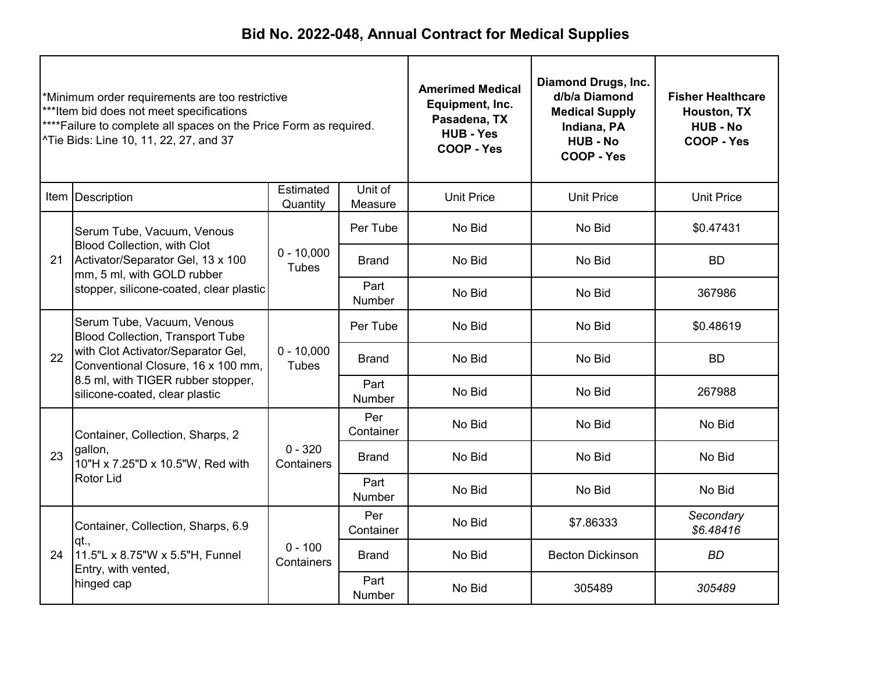| *Minimum order requirements are too restrictive<br>***Item bid does not meet specifications<br>****Failure to complete all spaces on the Price Form as required.<br>^Tie Bids: Line 10, 11, 22, 27, and 37 |                                                                                                                                                                                                                                 |                              | <b>Amerimed Medical</b><br>Equipment, Inc.<br>Pasadena, TX<br><b>HUB - Yes</b><br><b>COOP - Yes</b> | <b>Diamond Drugs, Inc.</b><br>d/b/a Diamond<br><b>Medical Supply</b><br>Indiana, PA<br><b>HUB - No</b><br>COOP - Yes | <b>Fisher Healthcare</b><br>Houston, TX<br><b>HUB - No</b><br>COOP - Yes |                        |
|------------------------------------------------------------------------------------------------------------------------------------------------------------------------------------------------------------|---------------------------------------------------------------------------------------------------------------------------------------------------------------------------------------------------------------------------------|------------------------------|-----------------------------------------------------------------------------------------------------|----------------------------------------------------------------------------------------------------------------------|--------------------------------------------------------------------------|------------------------|
|                                                                                                                                                                                                            | Item Description                                                                                                                                                                                                                | Estimated<br>Quantity        | Unit of<br>Measure                                                                                  | <b>Unit Price</b>                                                                                                    | <b>Unit Price</b>                                                        | <b>Unit Price</b>      |
|                                                                                                                                                                                                            | Serum Tube, Vacuum, Venous                                                                                                                                                                                                      |                              | Per Tube                                                                                            | No Bid                                                                                                               | No Bid                                                                   | \$0.47431              |
| 21                                                                                                                                                                                                         | <b>Blood Collection, with Clot</b><br>Activator/Separator Gel, 13 x 100<br>mm, 5 ml, with GOLD rubber                                                                                                                           | $0 - 10,000$<br><b>Tubes</b> | <b>Brand</b>                                                                                        | No Bid                                                                                                               | No Bid                                                                   | <b>BD</b>              |
|                                                                                                                                                                                                            | stopper, silicone-coated, clear plastic                                                                                                                                                                                         |                              | Part<br><b>Number</b>                                                                               | No Bid                                                                                                               | No Bid                                                                   | 367986                 |
|                                                                                                                                                                                                            | Serum Tube, Vacuum, Venous<br><b>Blood Collection, Transport Tube</b><br>with Clot Activator/Separator Gel,<br>22<br>Conventional Closure, 16 x 100 mm,<br>8.5 ml, with TIGER rubber stopper,<br>silicone-coated, clear plastic |                              | Per Tube                                                                                            | No Bid                                                                                                               | No Bid                                                                   | \$0.48619              |
|                                                                                                                                                                                                            |                                                                                                                                                                                                                                 | $0 - 10,000$<br><b>Tubes</b> | <b>Brand</b>                                                                                        | No Bid                                                                                                               | No Bid<br><b>BD</b>                                                      |                        |
|                                                                                                                                                                                                            |                                                                                                                                                                                                                                 |                              | Part<br>No Bid<br>No Bid<br>Number                                                                  | 267988                                                                                                               |                                                                          |                        |
|                                                                                                                                                                                                            | Container, Collection, Sharps, 2                                                                                                                                                                                                |                              | Per<br>Container                                                                                    | No Bid                                                                                                               | No Bid                                                                   | No Bid                 |
| 23                                                                                                                                                                                                         | gallon,<br>10"H x 7.25"D x 10.5"W, Red with                                                                                                                                                                                     | $0 - 320$<br>Containers      | <b>Brand</b>                                                                                        | No Bid                                                                                                               | No Bid                                                                   | No Bid                 |
|                                                                                                                                                                                                            | Rotor Lid                                                                                                                                                                                                                       |                              | Part<br><b>Number</b>                                                                               | No Bid                                                                                                               | No Bid                                                                   | No Bid                 |
|                                                                                                                                                                                                            | Container, Collection, Sharps, 6.9<br>qt.,<br>11.5"L x 8.75"W x 5.5"H, Funnel<br>Entry, with vented,<br>hinged cap                                                                                                              |                              | Per<br>Container                                                                                    | No Bid                                                                                                               | \$7.86333                                                                | Secondary<br>\$6.48416 |
| 24                                                                                                                                                                                                         |                                                                                                                                                                                                                                 | $0 - 100$<br>Containers      | Brand                                                                                               | No Bid                                                                                                               | <b>Becton Dickinson</b>                                                  | <b>BD</b>              |
|                                                                                                                                                                                                            |                                                                                                                                                                                                                                 |                              | Part<br>Number                                                                                      | No Bid                                                                                                               | 305489                                                                   | 305489                 |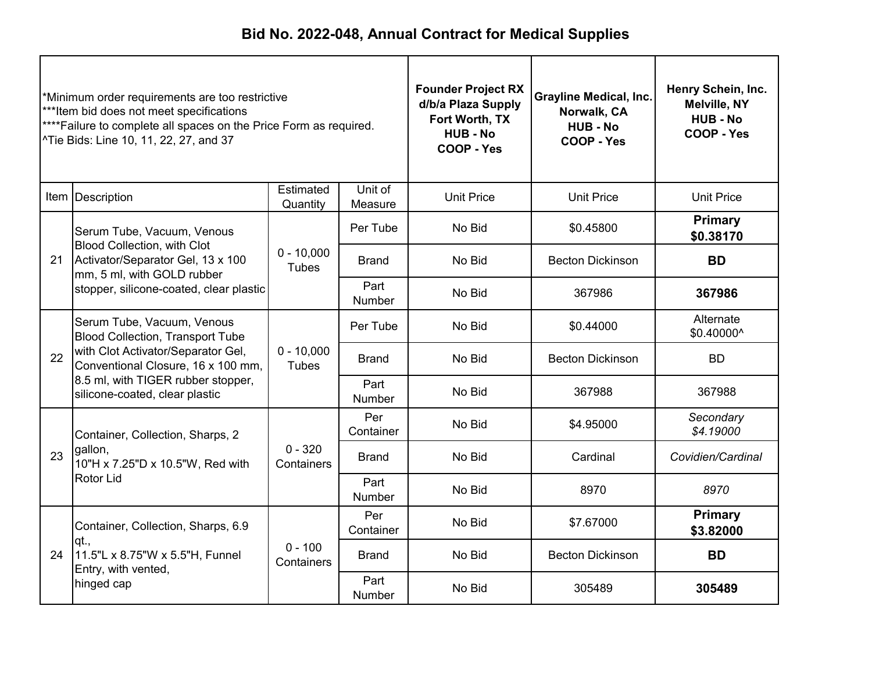| *Minimum order requirements are too restrictive<br>***Item bid does not meet specifications<br>**** Failure to complete all spaces on the Price Form as required.<br><sup>^</sup> Tie Bids: Line 10, 11, 22, 27, and 37 |                                                                                                                                                   | <b>Founder Project RX</b><br>d/b/a Plaza Supply<br>Fort Worth, TX<br><b>HUB-No</b><br>COOP - Yes | <b>Grayline Medical, Inc.</b><br>Norwalk, CA<br><b>HUB - No</b><br>COOP - Yes | Henry Schein, Inc.<br><b>Melville, NY</b><br><b>HUB-No</b><br>COOP - Yes |                         |                             |
|-------------------------------------------------------------------------------------------------------------------------------------------------------------------------------------------------------------------------|---------------------------------------------------------------------------------------------------------------------------------------------------|--------------------------------------------------------------------------------------------------|-------------------------------------------------------------------------------|--------------------------------------------------------------------------|-------------------------|-----------------------------|
|                                                                                                                                                                                                                         | Item   Description                                                                                                                                | Estimated<br>Quantity                                                                            | Unit of<br>Measure                                                            | <b>Unit Price</b>                                                        | <b>Unit Price</b>       | <b>Unit Price</b>           |
|                                                                                                                                                                                                                         | Serum Tube, Vacuum, Venous                                                                                                                        |                                                                                                  | Per Tube                                                                      | No Bid                                                                   | \$0.45800               | <b>Primary</b><br>\$0.38170 |
| 21                                                                                                                                                                                                                      | <b>Blood Collection, with Clot</b><br>Activator/Separator Gel, 13 x 100<br>mm, 5 ml, with GOLD rubber                                             | $0 - 10,000$<br><b>Tubes</b>                                                                     | Brand                                                                         | No Bid                                                                   | <b>Becton Dickinson</b> | <b>BD</b>                   |
|                                                                                                                                                                                                                         | stopper, silicone-coated, clear plastic                                                                                                           |                                                                                                  | Part<br><b>Number</b>                                                         | No Bid                                                                   | 367986                  | 367986                      |
|                                                                                                                                                                                                                         | Serum Tube, Vacuum, Venous<br><b>Blood Collection, Transport Tube</b><br>with Clot Activator/Separator Gel,<br>Conventional Closure, 16 x 100 mm, |                                                                                                  | Per Tube                                                                      | No Bid                                                                   | \$0.44000               | Alternate<br>\$0.40000^     |
| 22                                                                                                                                                                                                                      |                                                                                                                                                   | $0 - 10,000$<br><b>Tubes</b>                                                                     | <b>Brand</b>                                                                  | No Bid                                                                   | <b>Becton Dickinson</b> | <b>BD</b>                   |
|                                                                                                                                                                                                                         | 8.5 ml, with TIGER rubber stopper,<br>silicone-coated, clear plastic                                                                              |                                                                                                  | Part<br>Number                                                                | No Bid                                                                   | 367988                  | 367988                      |
|                                                                                                                                                                                                                         | Container, Collection, Sharps, 2                                                                                                                  |                                                                                                  | Per<br>Container                                                              | No Bid                                                                   | \$4.95000               | Secondary<br>\$4.19000      |
| 23                                                                                                                                                                                                                      | gallon,<br>10"H x 7.25"D x 10.5"W, Red with                                                                                                       | $0 - 320$<br>Containers                                                                          | <b>Brand</b>                                                                  | No Bid                                                                   | Cardinal                | Covidien/Cardinal           |
|                                                                                                                                                                                                                         | Rotor Lid                                                                                                                                         |                                                                                                  | Part<br>Number                                                                | No Bid                                                                   | 8970                    | 8970                        |
|                                                                                                                                                                                                                         | Container, Collection, Sharps, 6.9                                                                                                                |                                                                                                  | Per<br>Container                                                              | No Bid                                                                   | \$7.67000               | <b>Primary</b><br>\$3.82000 |
| 24                                                                                                                                                                                                                      | qt.,<br>11.5"L x 8.75"W x 5.5"H, Funnel<br>Entry, with vented,                                                                                    | $0 - 100$<br>Containers                                                                          | <b>Brand</b>                                                                  | No Bid                                                                   | <b>Becton Dickinson</b> | <b>BD</b>                   |
|                                                                                                                                                                                                                         | hinged cap                                                                                                                                        |                                                                                                  | Part<br>Number                                                                | No Bid                                                                   | 305489                  | 305489                      |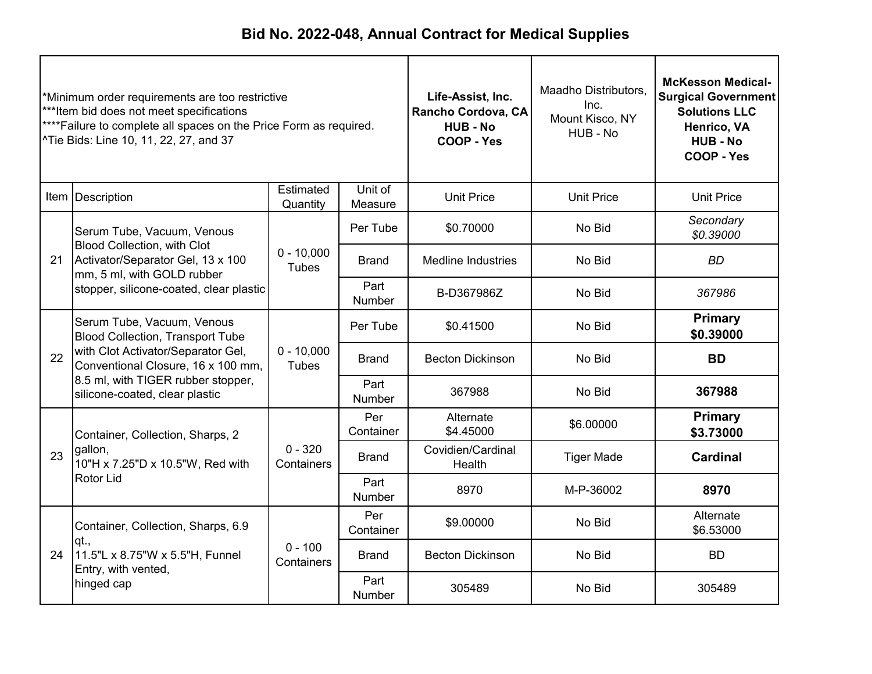| *Minimum order requirements are too restrictive<br>***Item bid does not meet specifications<br>****Failure to complete all spaces on the Price Form as required.<br>^Tie Bids: Line 10, 11, 22, 27, and 37 |                                                                                                                                                                                                                           |                              | Life-Assist, Inc.<br>Rancho Cordova, CA<br><b>HUB - No</b><br>COOP - Yes | Maadho Distributors,<br>Inc.<br>Mount Kisco, NY<br>HUB - No | <b>McKesson Medical-</b><br><b>Surgical Government</b><br><b>Solutions LLC</b><br>Henrico, VA<br><b>HUB - No</b><br>COOP - Yes |                             |
|------------------------------------------------------------------------------------------------------------------------------------------------------------------------------------------------------------|---------------------------------------------------------------------------------------------------------------------------------------------------------------------------------------------------------------------------|------------------------------|--------------------------------------------------------------------------|-------------------------------------------------------------|--------------------------------------------------------------------------------------------------------------------------------|-----------------------------|
|                                                                                                                                                                                                            | Item Description                                                                                                                                                                                                          | Estimated<br>Quantity        | Unit of<br>Measure                                                       | <b>Unit Price</b>                                           | <b>Unit Price</b>                                                                                                              | <b>Unit Price</b>           |
|                                                                                                                                                                                                            | Serum Tube, Vacuum, Venous                                                                                                                                                                                                |                              | Per Tube                                                                 | \$0.70000                                                   | No Bid                                                                                                                         | Secondary<br>\$0.39000      |
| 21                                                                                                                                                                                                         | <b>Blood Collection, with Clot</b><br>Activator/Separator Gel, 13 x 100<br>mm, 5 ml, with GOLD rubber                                                                                                                     | $0 - 10,000$<br><b>Tubes</b> | <b>Brand</b>                                                             | <b>Medline Industries</b>                                   | No Bid                                                                                                                         | <b>BD</b>                   |
|                                                                                                                                                                                                            | stopper, silicone-coated, clear plastic                                                                                                                                                                                   |                              | Part<br>Number                                                           | B-D367986Z                                                  | No Bid                                                                                                                         | 367986                      |
|                                                                                                                                                                                                            | Serum Tube, Vacuum, Venous<br><b>Blood Collection, Transport Tube</b><br>with Clot Activator/Separator Gel,<br>Conventional Closure, 16 x 100 mm,<br>8.5 ml, with TIGER rubber stopper,<br>silicone-coated, clear plastic |                              | Per Tube                                                                 | \$0.41500                                                   | No Bid                                                                                                                         | Primary<br>\$0.39000        |
| 22                                                                                                                                                                                                         |                                                                                                                                                                                                                           | $0 - 10,000$<br><b>Tubes</b> | <b>Brand</b>                                                             | <b>Becton Dickinson</b>                                     | No Bid                                                                                                                         | <b>BD</b>                   |
|                                                                                                                                                                                                            |                                                                                                                                                                                                                           |                              | Part<br><b>Number</b>                                                    | 367988                                                      | No Bid                                                                                                                         | 367988                      |
|                                                                                                                                                                                                            | Container, Collection, Sharps, 2                                                                                                                                                                                          |                              | Per<br>Container                                                         | Alternate<br>\$4.45000                                      | \$6.00000                                                                                                                      | <b>Primary</b><br>\$3.73000 |
| 23                                                                                                                                                                                                         | gallon,<br>10"H x 7.25"D x 10.5"W, Red with                                                                                                                                                                               | $0 - 320$<br>Containers      | <b>Brand</b>                                                             | Covidien/Cardinal<br>Health                                 | <b>Tiger Made</b>                                                                                                              | <b>Cardinal</b>             |
|                                                                                                                                                                                                            | Rotor Lid                                                                                                                                                                                                                 |                              | Part<br>Number                                                           | 8970                                                        | M-P-36002                                                                                                                      | 8970                        |
|                                                                                                                                                                                                            | Container, Collection, Sharps, 6.9<br>lqt.,<br>11.5"L x 8.75"W x 5.5"H, Funnel<br>Entry, with vented,                                                                                                                     |                              | Per<br>Container                                                         | \$9.00000                                                   | No Bid                                                                                                                         | Alternate<br>\$6.53000      |
| 24                                                                                                                                                                                                         |                                                                                                                                                                                                                           | $0 - 100$<br>Containers      | <b>Brand</b>                                                             | <b>Becton Dickinson</b>                                     | No Bid                                                                                                                         | <b>BD</b>                   |
|                                                                                                                                                                                                            | hinged cap                                                                                                                                                                                                                |                              | Part<br>Number                                                           | 305489                                                      | No Bid                                                                                                                         | 305489                      |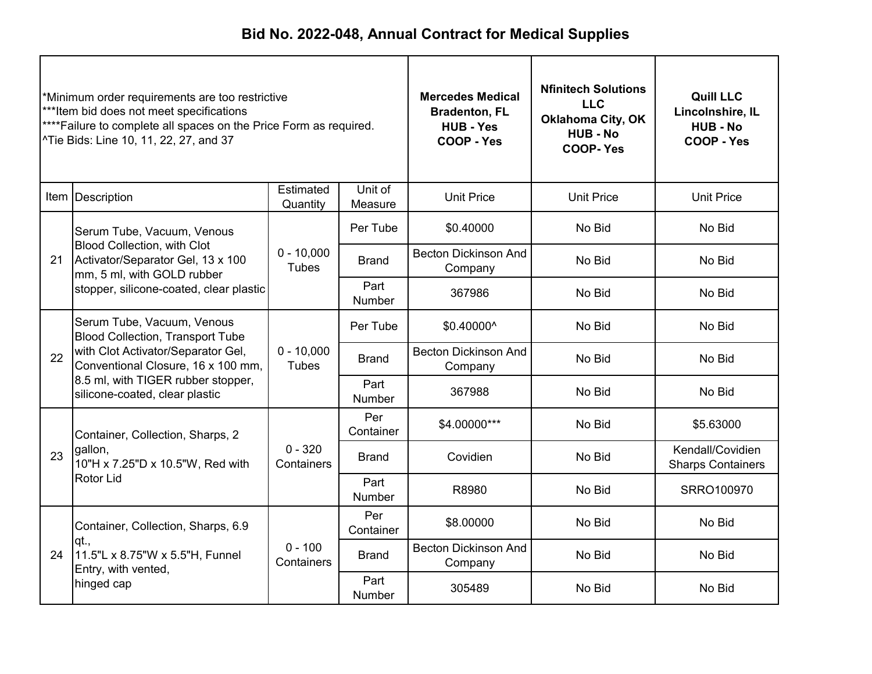| *Minimum order requirements are too restrictive<br>***Item bid does not meet specifications<br>**** Failure to complete all spaces on the Price Form as required.<br><sup>^</sup> Tie Bids: Line 10, 11, 22, 27, and 37 |                                                                                                                                                                                                                           | <b>Mercedes Medical</b><br><b>Bradenton, FL</b><br><b>HUB - Yes</b><br>COOP - Yes | <b>Nfinitech Solutions</b><br><b>LLC</b><br><b>Oklahoma City, OK</b><br><b>HUB - No</b><br><b>COOP-Yes</b> | <b>Quill LLC</b><br>Lincolnshire, IL<br><b>HUB - No</b><br>COOP - Yes |                   |                                              |
|-------------------------------------------------------------------------------------------------------------------------------------------------------------------------------------------------------------------------|---------------------------------------------------------------------------------------------------------------------------------------------------------------------------------------------------------------------------|-----------------------------------------------------------------------------------|------------------------------------------------------------------------------------------------------------|-----------------------------------------------------------------------|-------------------|----------------------------------------------|
|                                                                                                                                                                                                                         | Item Description                                                                                                                                                                                                          | Estimated<br>Quantity                                                             | Unit of<br>Measure                                                                                         | <b>Unit Price</b>                                                     | <b>Unit Price</b> | <b>Unit Price</b>                            |
|                                                                                                                                                                                                                         | Serum Tube, Vacuum, Venous                                                                                                                                                                                                |                                                                                   | Per Tube                                                                                                   | \$0.40000                                                             | No Bid            | No Bid                                       |
| 21                                                                                                                                                                                                                      | <b>Blood Collection, with Clot</b><br>$0 - 10,000$<br>Activator/Separator Gel, 13 x 100<br><b>Brand</b><br><b>Tubes</b><br>mm, 5 ml, with GOLD rubber<br>Part<br>stopper, silicone-coated, clear plastic<br><b>Number</b> |                                                                                   |                                                                                                            | <b>Becton Dickinson And</b><br>Company                                | No Bid            | No Bid                                       |
|                                                                                                                                                                                                                         |                                                                                                                                                                                                                           |                                                                                   | 367986                                                                                                     | No Bid                                                                | No Bid            |                                              |
|                                                                                                                                                                                                                         | Serum Tube, Vacuum, Venous<br><b>Blood Collection, Transport Tube</b><br>with Clot Activator/Separator Gel,<br>Conventional Closure, 16 x 100 mm,                                                                         |                                                                                   | Per Tube                                                                                                   | \$0.40000^                                                            | No Bid            | No Bid                                       |
| 22                                                                                                                                                                                                                      |                                                                                                                                                                                                                           | $0 - 10,000$<br><b>Tubes</b>                                                      | <b>Brand</b>                                                                                               | <b>Becton Dickinson And</b><br>Company                                | No Bid            | No Bid                                       |
|                                                                                                                                                                                                                         | 8.5 ml, with TIGER rubber stopper,<br>silicone-coated, clear plastic                                                                                                                                                      |                                                                                   | Part<br>Number                                                                                             | 367988                                                                | No Bid            | No Bid                                       |
|                                                                                                                                                                                                                         | Container, Collection, Sharps, 2                                                                                                                                                                                          |                                                                                   | Per<br>Container                                                                                           | \$4.00000***                                                          | No Bid            | \$5.63000                                    |
| 23                                                                                                                                                                                                                      | gallon,<br>10"H x 7.25"D x 10.5"W, Red with                                                                                                                                                                               | $0 - 320$<br>Containers                                                           | <b>Brand</b>                                                                                               | Covidien                                                              | No Bid            | Kendall/Covidien<br><b>Sharps Containers</b> |
|                                                                                                                                                                                                                         | Rotor Lid                                                                                                                                                                                                                 |                                                                                   | Part<br><b>Number</b>                                                                                      | R8980                                                                 | No Bid            | SRRO100970                                   |
|                                                                                                                                                                                                                         | Container, Collection, Sharps, 6.9                                                                                                                                                                                        |                                                                                   | Per<br>Container                                                                                           | \$8.00000                                                             | No Bid            | No Bid                                       |
| 24                                                                                                                                                                                                                      | qt.,<br>11.5"L x 8.75"W x 5.5"H, Funnel<br>Entry, with vented,                                                                                                                                                            | $0 - 100$<br>Containers                                                           | <b>Brand</b>                                                                                               | <b>Becton Dickinson And</b><br>Company                                | No Bid            | No Bid                                       |
|                                                                                                                                                                                                                         | hinged cap                                                                                                                                                                                                                |                                                                                   | Part<br>Number                                                                                             | 305489                                                                | No Bid            | No Bid                                       |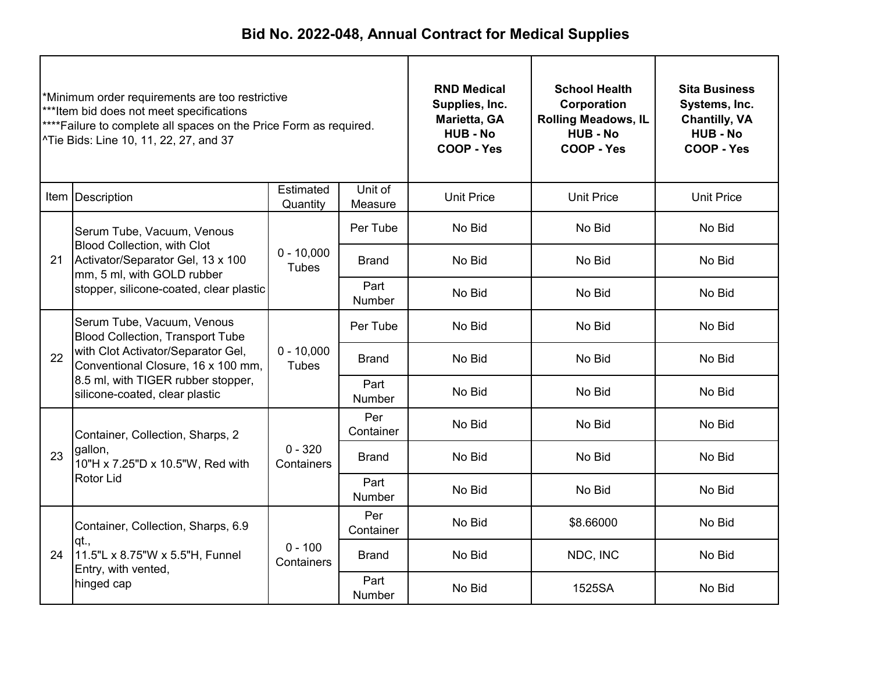| *Minimum order requirements are too restrictive<br>***Item bid does not meet specifications<br>**** Failure to complete all spaces on the Price Form as required.<br><sup>^</sup> Tie Bids: Line 10, 11, 22, 27, and 37 |                                                                                                                                                                                      | <b>RND Medical</b><br>Supplies, Inc.<br>Marietta, GA<br><b>HUB - No</b><br>COOP - Yes | <b>School Health</b><br>Corporation<br><b>Rolling Meadows, IL</b><br><b>HUB - No</b><br>COOP - Yes | <b>Sita Business</b><br>Systems, Inc.<br><b>Chantilly, VA</b><br><b>HUB-No</b><br>COOP - Yes |                   |                   |
|-------------------------------------------------------------------------------------------------------------------------------------------------------------------------------------------------------------------------|--------------------------------------------------------------------------------------------------------------------------------------------------------------------------------------|---------------------------------------------------------------------------------------|----------------------------------------------------------------------------------------------------|----------------------------------------------------------------------------------------------|-------------------|-------------------|
|                                                                                                                                                                                                                         | Item Description                                                                                                                                                                     | Estimated<br>Quantity                                                                 | Unit of<br>Measure                                                                                 | <b>Unit Price</b>                                                                            | <b>Unit Price</b> | <b>Unit Price</b> |
|                                                                                                                                                                                                                         | Serum Tube, Vacuum, Venous<br><b>Blood Collection, with Clot</b><br>Activator/Separator Gel, 13 x 100<br>21<br>mm, 5 ml, with GOLD rubber<br>stopper, silicone-coated, clear plastic |                                                                                       | Per Tube                                                                                           | No Bid                                                                                       | No Bid            | No Bid            |
|                                                                                                                                                                                                                         |                                                                                                                                                                                      | $0 - 10,000$<br><b>Tubes</b>                                                          | <b>Brand</b>                                                                                       | No Bid                                                                                       | No Bid            | No Bid            |
|                                                                                                                                                                                                                         |                                                                                                                                                                                      |                                                                                       | Part<br><b>Number</b>                                                                              | No Bid                                                                                       | No Bid            | No Bid            |
|                                                                                                                                                                                                                         | Serum Tube, Vacuum, Venous<br><b>Blood Collection, Transport Tube</b><br>with Clot Activator/Separator Gel,<br>Conventional Closure, 16 x 100 mm,                                    |                                                                                       | Per Tube                                                                                           | No Bid                                                                                       | No Bid            | No Bid            |
| 22                                                                                                                                                                                                                      |                                                                                                                                                                                      | $0 - 10,000$<br><b>Tubes</b>                                                          | <b>Brand</b>                                                                                       | No Bid                                                                                       | No Bid            | No Bid            |
|                                                                                                                                                                                                                         | 8.5 ml, with TIGER rubber stopper,<br>silicone-coated, clear plastic                                                                                                                 |                                                                                       | Part<br>Number                                                                                     | No Bid                                                                                       | No Bid            | No Bid            |
|                                                                                                                                                                                                                         | Container, Collection, Sharps, 2                                                                                                                                                     |                                                                                       | Per<br>Container                                                                                   | No Bid                                                                                       | No Bid            | No Bid            |
| 23                                                                                                                                                                                                                      | gallon,<br>10"H x 7.25"D x 10.5"W, Red with                                                                                                                                          | $0 - 320$<br>Containers                                                               | <b>Brand</b>                                                                                       | No Bid                                                                                       | No Bid            | No Bid            |
|                                                                                                                                                                                                                         | Rotor Lid                                                                                                                                                                            |                                                                                       | Part<br><b>Number</b>                                                                              | No Bid                                                                                       | No Bid            | No Bid            |
|                                                                                                                                                                                                                         | Container, Collection, Sharps, 6.9                                                                                                                                                   |                                                                                       | Per<br>Container                                                                                   | No Bid                                                                                       | \$8.66000         | No Bid            |
| 24                                                                                                                                                                                                                      | qt.,<br>11.5"L x 8.75"W x 5.5"H, Funnel<br>Entry, with vented,                                                                                                                       | $0 - 100$<br>Containers                                                               | <b>Brand</b>                                                                                       | No Bid                                                                                       | NDC, INC          | No Bid            |
|                                                                                                                                                                                                                         | hinged cap                                                                                                                                                                           |                                                                                       | Part<br>Number                                                                                     | No Bid                                                                                       | 1525SA            | No Bid            |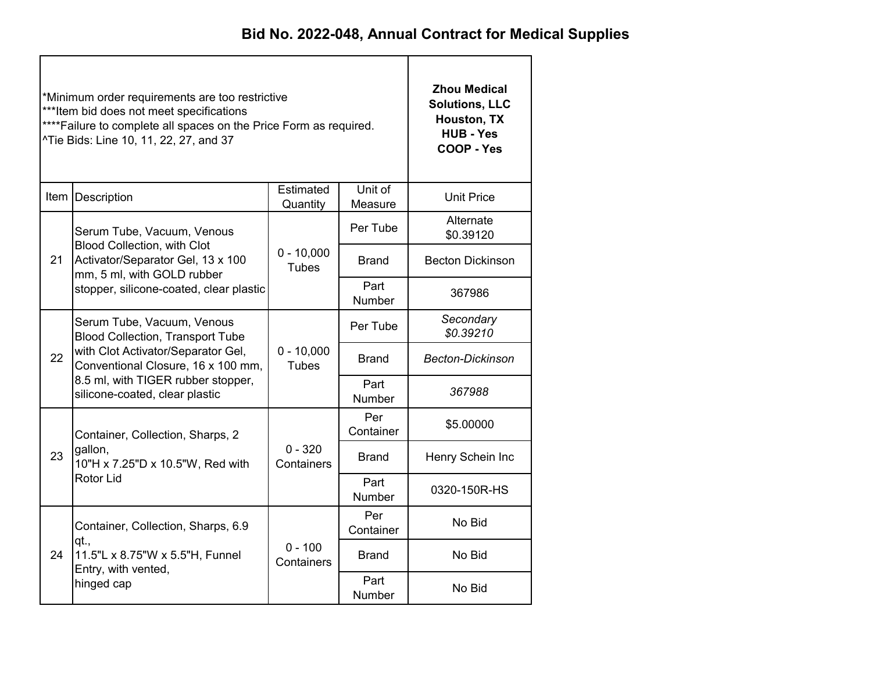|    | *Minimum order requirements are too restrictive<br>*** Item bid does not meet specifications<br>**** Failure to complete all spaces on the Price Form as required.<br>^Tie Bids: Line 10, 11, 22, 27, and 37 | <b>Zhou Medical</b><br><b>Solutions, LLC</b><br>Houston, TX<br><b>HUB - Yes</b><br>COOP - Yes |                       |                                            |  |
|----|--------------------------------------------------------------------------------------------------------------------------------------------------------------------------------------------------------------|-----------------------------------------------------------------------------------------------|-----------------------|--------------------------------------------|--|
|    | Item Description                                                                                                                                                                                             | <b>Unit Price</b>                                                                             |                       |                                            |  |
|    | Serum Tube, Vacuum, Venous                                                                                                                                                                                   |                                                                                               | Per Tube              | Alternate<br>\$0.39120                     |  |
| 21 | <b>Blood Collection, with Clot</b><br>Activator/Separator Gel, 13 x 100<br>mm, 5 ml, with GOLD rubber                                                                                                        | $0 - 10,000$<br><b>Tubes</b>                                                                  | <b>Brand</b>          | <b>Becton Dickinson</b>                    |  |
|    | stopper, silicone-coated, clear plastic                                                                                                                                                                      |                                                                                               | Part<br>Number        | 367986                                     |  |
|    | Serum Tube, Vacuum, Venous<br><b>Blood Collection, Transport Tube</b>                                                                                                                                        |                                                                                               | Per Tube              | Secondary<br>\$0.39210                     |  |
| 22 | with Clot Activator/Separator Gel,<br>Conventional Closure, 16 x 100 mm,                                                                                                                                     | $0 - 10,000$<br><b>Tubes</b>                                                                  | <b>Brand</b>          | <b>Becton-Dickinson</b>                    |  |
|    | 8.5 ml, with TIGER rubber stopper,<br>silicone-coated, clear plastic                                                                                                                                         |                                                                                               | Part<br><b>Number</b> | 367988                                     |  |
|    | Container, Collection, Sharps, 2                                                                                                                                                                             |                                                                                               | Per<br>Container      | \$5,00000                                  |  |
| 23 | gallon,<br>10"H x 7.25"D x 10.5"W, Red with                                                                                                                                                                  | $0 - 320$<br>Containers                                                                       | Brand                 | Henry Schein Inc                           |  |
|    | Rotor Lid                                                                                                                                                                                                    |                                                                                               | Part<br>Number        | 0320-150R-HS<br>No Bid<br>No Bid<br>No Bid |  |
|    | Container, Collection, Sharps, 6.9                                                                                                                                                                           |                                                                                               | Per<br>Container      |                                            |  |
| 24 | qt.,<br>11.5"L x 8.75"W x 5.5"H, Funnel<br>Entry, with vented,                                                                                                                                               | $0 - 100$<br>Containers                                                                       | <b>Brand</b>          |                                            |  |
|    | hinged cap                                                                                                                                                                                                   |                                                                                               | Part<br>Number        |                                            |  |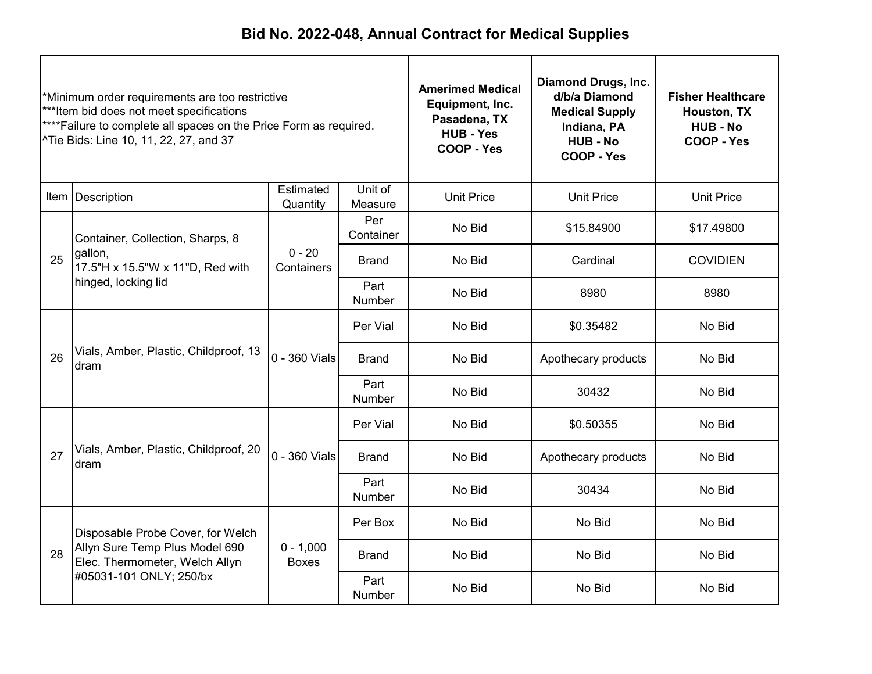| *Minimum order requirements are too restrictive<br>***Item bid does not meet specifications<br>**** Failure to complete all spaces on the Price Form as required.<br>Tie Bids: Line 10, 11, 22, 27, and 37 |                                                                                                        | <b>Amerimed Medical</b><br>Equipment, Inc.<br>Pasadena, TX<br><b>HUB - Yes</b><br>COOP - Yes | <b>Diamond Drugs, Inc.</b><br>d/b/a Diamond<br><b>Medical Supply</b><br>Indiana, PA<br><b>HUB - No</b><br>COOP - Yes | <b>Fisher Healthcare</b><br>Houston, TX<br><b>HUB - No</b><br>COOP - Yes |                     |                   |
|------------------------------------------------------------------------------------------------------------------------------------------------------------------------------------------------------------|--------------------------------------------------------------------------------------------------------|----------------------------------------------------------------------------------------------|----------------------------------------------------------------------------------------------------------------------|--------------------------------------------------------------------------|---------------------|-------------------|
|                                                                                                                                                                                                            | Item Description                                                                                       | Estimated<br>Quantity                                                                        | Unit of<br>Measure                                                                                                   | <b>Unit Price</b>                                                        | <b>Unit Price</b>   | <b>Unit Price</b> |
|                                                                                                                                                                                                            | Container, Collection, Sharps, 8<br>gallon,<br>17.5"H x 15.5"W x 11"D, Red with<br>hinged, locking lid |                                                                                              | Per<br>Container                                                                                                     | No Bid                                                                   | \$15.84900          | \$17.49800        |
| 25                                                                                                                                                                                                         |                                                                                                        | $0 - 20$<br>Containers                                                                       | <b>Brand</b>                                                                                                         | No Bid                                                                   | Cardinal            | <b>COVIDIEN</b>   |
|                                                                                                                                                                                                            |                                                                                                        |                                                                                              | Part<br><b>Number</b>                                                                                                | No Bid                                                                   | 8980                | 8980              |
|                                                                                                                                                                                                            | Vials, Amber, Plastic, Childproof, 13<br>dram                                                          |                                                                                              | Per Vial                                                                                                             | No Bid                                                                   | \$0.35482           | No Bid            |
| 26                                                                                                                                                                                                         |                                                                                                        | 0 - 360 Vials                                                                                | <b>Brand</b>                                                                                                         | No Bid                                                                   | Apothecary products | No Bid            |
|                                                                                                                                                                                                            |                                                                                                        |                                                                                              | Part<br>Number                                                                                                       | No Bid                                                                   | 30432               | No Bid            |
|                                                                                                                                                                                                            |                                                                                                        |                                                                                              | Per Vial                                                                                                             | No Bid                                                                   | \$0.50355           | No Bid            |
| 27                                                                                                                                                                                                         | Vials, Amber, Plastic, Childproof, 20<br>dram                                                          | 0 - 360 Vials                                                                                | <b>Brand</b>                                                                                                         | No Bid                                                                   | Apothecary products | No Bid            |
|                                                                                                                                                                                                            |                                                                                                        |                                                                                              | Part<br>Number                                                                                                       | No Bid                                                                   | 30434               | No Bid            |
|                                                                                                                                                                                                            | Disposable Probe Cover, for Welch                                                                      |                                                                                              | Per Box                                                                                                              | No Bid                                                                   | No Bid              | No Bid            |
| 28                                                                                                                                                                                                         | Allyn Sure Temp Plus Model 690<br>Elec. Thermometer, Welch Allyn                                       | $0 - 1,000$<br><b>Boxes</b>                                                                  | Brand                                                                                                                | No Bid                                                                   | No Bid              | No Bid            |
|                                                                                                                                                                                                            | #05031-101 ONLY; 250/bx                                                                                |                                                                                              | Part<br>Number                                                                                                       | No Bid                                                                   | No Bid              | No Bid            |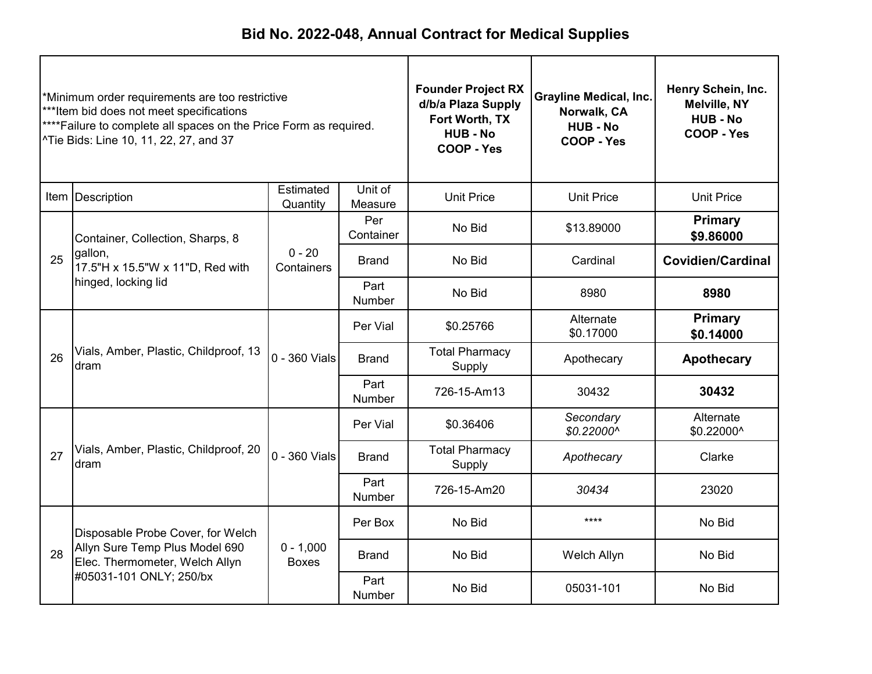| *Minimum order requirements are too restrictive<br>***Item bid does not meet specifications<br>**** Failure to complete all spaces on the Price Form as required.<br>^Tie Bids: Line 10, 11, 22, 27, and 37 |                                                                                                       |                             | <b>Founder Project RX</b><br>d/b/a Plaza Supply<br>Fort Worth, TX<br><b>HUB - No</b><br>COOP - Yes | <b>Grayline Medical, Inc.</b><br>Norwalk, CA<br><b>HUB - No</b><br>COOP - Yes | Henry Schein, Inc.<br>Melville, NY<br><b>HUB - No</b><br>COOP - Yes |                             |
|-------------------------------------------------------------------------------------------------------------------------------------------------------------------------------------------------------------|-------------------------------------------------------------------------------------------------------|-----------------------------|----------------------------------------------------------------------------------------------------|-------------------------------------------------------------------------------|---------------------------------------------------------------------|-----------------------------|
|                                                                                                                                                                                                             | Item Description                                                                                      | Estimated<br>Quantity       | Unit of<br>Measure                                                                                 | <b>Unit Price</b>                                                             | <b>Unit Price</b>                                                   | <b>Unit Price</b>           |
|                                                                                                                                                                                                             | Container, Collection, Sharps, 8                                                                      |                             | Per<br>Container                                                                                   | No Bid                                                                        | \$13.89000                                                          | <b>Primary</b><br>\$9.86000 |
| 25                                                                                                                                                                                                          | gallon,<br>17.5"H x 15.5"W x 11"D, Red with<br>hinged, locking lid                                    | $0 - 20$<br>Containers      | <b>Brand</b>                                                                                       | No Bid                                                                        | Cardinal                                                            | <b>Covidien/Cardinal</b>    |
|                                                                                                                                                                                                             |                                                                                                       |                             | Part<br>Number                                                                                     | No Bid                                                                        | 8980                                                                | 8980                        |
|                                                                                                                                                                                                             | Vials, Amber, Plastic, Childproof, 13<br>dram                                                         |                             | Per Vial                                                                                           | \$0.25766                                                                     | Alternate<br>\$0.17000                                              | <b>Primary</b><br>\$0.14000 |
| 26                                                                                                                                                                                                          |                                                                                                       | 0 - 360 Vials               | <b>Brand</b>                                                                                       | <b>Total Pharmacy</b><br>Supply                                               | Apothecary                                                          | <b>Apothecary</b>           |
|                                                                                                                                                                                                             |                                                                                                       |                             | Part<br>Number                                                                                     | 726-15-Am13                                                                   | 30432                                                               | 30432                       |
|                                                                                                                                                                                                             |                                                                                                       |                             | Per Vial                                                                                           | \$0.36406                                                                     | Secondary<br>\$0.22000^                                             | Alternate<br>\$0.22000^     |
| 27                                                                                                                                                                                                          | Vials, Amber, Plastic, Childproof, 20<br>dram                                                         | 0 - 360 Vials               | <b>Brand</b>                                                                                       | <b>Total Pharmacy</b><br>Supply                                               | Apothecary                                                          | Clarke                      |
|                                                                                                                                                                                                             |                                                                                                       |                             | Part<br>Number                                                                                     | 726-15-Am20                                                                   | 30434                                                               | 23020                       |
|                                                                                                                                                                                                             | Disposable Probe Cover, for Welch<br>Allyn Sure Temp Plus Model 690<br>Elec. Thermometer, Welch Allyn |                             | Per Box                                                                                            | No Bid                                                                        | $***$                                                               | No Bid                      |
| 28                                                                                                                                                                                                          |                                                                                                       | $0 - 1,000$<br><b>Boxes</b> | <b>Brand</b>                                                                                       | No Bid                                                                        | Welch Allyn                                                         | No Bid                      |
|                                                                                                                                                                                                             | #05031-101 ONLY; 250/bx                                                                               |                             | Part<br><b>Number</b>                                                                              | No Bid                                                                        | 05031-101                                                           | No Bid                      |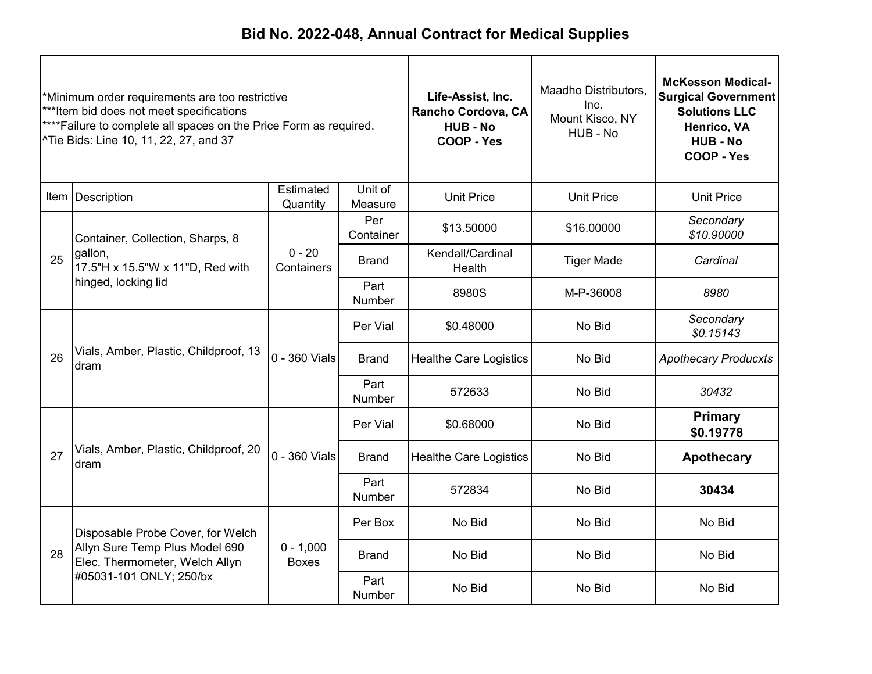| *Minimum order requirements are too restrictive<br>***Item bid does not meet specifications<br>****Failure to complete all spaces on the Price Form as required.<br>^Tie Bids: Line 10, 11, 22, 27, and 37 |                                                                                                       |                             | Life-Assist, Inc.<br>Rancho Cordova, CA<br><b>HUB-No</b><br>COOP - Yes | Maadho Distributors,<br>Inc.<br>Mount Kisco, NY<br>HUB - No | <b>McKesson Medical-</b><br><b>Surgical Government</b><br><b>Solutions LLC</b><br>Henrico, VA<br><b>HUB - No</b><br>COOP - Yes |                             |
|------------------------------------------------------------------------------------------------------------------------------------------------------------------------------------------------------------|-------------------------------------------------------------------------------------------------------|-----------------------------|------------------------------------------------------------------------|-------------------------------------------------------------|--------------------------------------------------------------------------------------------------------------------------------|-----------------------------|
|                                                                                                                                                                                                            | Item Description                                                                                      | Estimated<br>Quantity       | Unit of<br>Measure                                                     | <b>Unit Price</b>                                           | <b>Unit Price</b>                                                                                                              | <b>Unit Price</b>           |
|                                                                                                                                                                                                            | Container, Collection, Sharps, 8                                                                      |                             | Per<br>Container                                                       | \$13.50000                                                  | \$16.00000                                                                                                                     | Secondary<br>\$10.90000     |
| 25                                                                                                                                                                                                         | gallon,<br>17.5"H x 15.5"W x 11"D, Red with<br>hinged, locking lid                                    | $0 - 20$<br>Containers      | <b>Brand</b>                                                           | Kendall/Cardinal<br>Health                                  | <b>Tiger Made</b>                                                                                                              | Cardinal                    |
|                                                                                                                                                                                                            |                                                                                                       |                             | Part<br>Number                                                         | 8980S                                                       | M-P-36008                                                                                                                      | 8980                        |
|                                                                                                                                                                                                            | Vials, Amber, Plastic, Childproof, 13<br>dram                                                         |                             | Per Vial                                                               | \$0.48000                                                   | No Bid                                                                                                                         | Secondary<br>\$0.15143      |
| 26                                                                                                                                                                                                         |                                                                                                       | $0 - 360$ Vials             | <b>Brand</b>                                                           | <b>Healthe Care Logistics</b>                               | No Bid                                                                                                                         | <b>Apothecary Producxts</b> |
|                                                                                                                                                                                                            |                                                                                                       |                             | Part<br>Number                                                         | 572633                                                      | No Bid                                                                                                                         | 30432                       |
|                                                                                                                                                                                                            |                                                                                                       |                             | Per Vial                                                               | \$0.68000                                                   | No Bid                                                                                                                         | <b>Primary</b><br>\$0.19778 |
| 27                                                                                                                                                                                                         | Vials, Amber, Plastic, Childproof, 20<br>dram                                                         | 0 - 360 Vials               | <b>Brand</b>                                                           | <b>Healthe Care Logistics</b>                               | No Bid                                                                                                                         | <b>Apothecary</b>           |
|                                                                                                                                                                                                            |                                                                                                       |                             | Part<br>Number                                                         | 572834                                                      | No Bid                                                                                                                         | 30434                       |
|                                                                                                                                                                                                            | Disposable Probe Cover, for Welch<br>Allyn Sure Temp Plus Model 690<br>Elec. Thermometer, Welch Allyn |                             | Per Box                                                                | No Bid                                                      | No Bid                                                                                                                         | No Bid                      |
| 28                                                                                                                                                                                                         |                                                                                                       | $0 - 1,000$<br><b>Boxes</b> | <b>Brand</b>                                                           | No Bid                                                      | No Bid                                                                                                                         | No Bid                      |
|                                                                                                                                                                                                            | #05031-101 ONLY; 250/bx                                                                               |                             | Part<br><b>Number</b>                                                  | No Bid                                                      | No Bid                                                                                                                         | No Bid                      |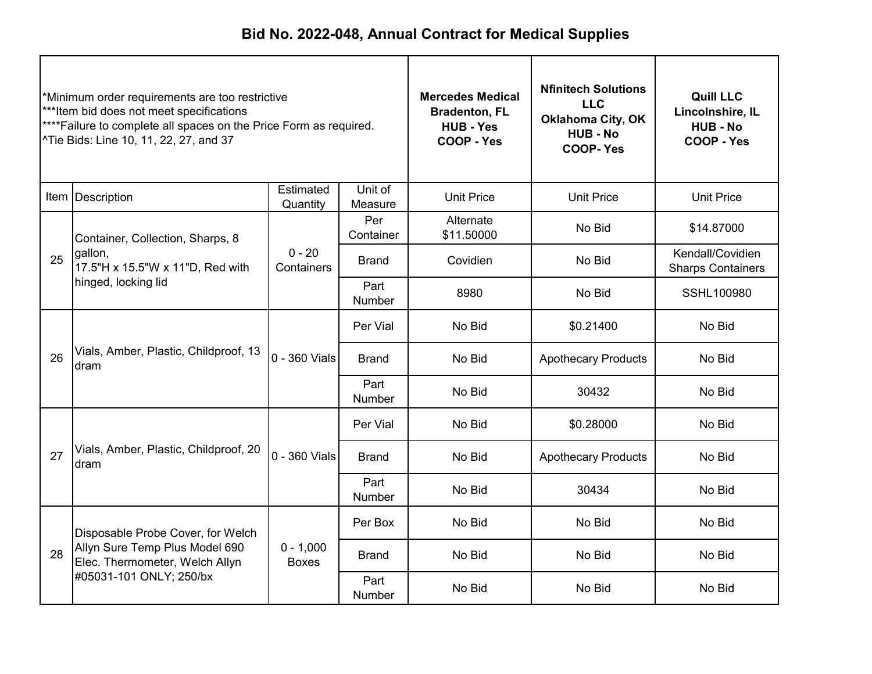| *Minimum order requirements are too restrictive<br>***Item bid does not meet specifications<br>**** Failure to complete all spaces on the Price Form as required.<br>^Tie Bids: Line 10, 11, 22, 27, and 37 |                                                                    | <b>Mercedes Medical</b><br><b>Bradenton, FL</b><br><b>HUB - Yes</b><br>COOP - Yes | <b>Nfinitech Solutions</b><br><b>LLC</b><br><b>Oklahoma City, OK</b><br><b>HUB - No</b><br><b>COOP-Yes</b> | <b>Quill LLC</b><br>Lincolnshire, IL<br><b>HUB - No</b><br>COOP - Yes |                            |                                              |
|-------------------------------------------------------------------------------------------------------------------------------------------------------------------------------------------------------------|--------------------------------------------------------------------|-----------------------------------------------------------------------------------|------------------------------------------------------------------------------------------------------------|-----------------------------------------------------------------------|----------------------------|----------------------------------------------|
|                                                                                                                                                                                                             | Item   Description                                                 | Estimated<br>Quantity                                                             | Unit of<br>Measure                                                                                         | <b>Unit Price</b>                                                     | <b>Unit Price</b>          | <b>Unit Price</b>                            |
|                                                                                                                                                                                                             | Container, Collection, Sharps, 8                                   |                                                                                   | Per<br>Container                                                                                           | Alternate<br>\$11.50000                                               | No Bid                     | \$14.87000                                   |
| 25                                                                                                                                                                                                          | gallon,<br>17.5"H x 15.5"W x 11"D, Red with<br>hinged, locking lid | $0 - 20$<br>Containers                                                            | <b>Brand</b>                                                                                               | Covidien                                                              | No Bid                     | Kendall/Covidien<br><b>Sharps Containers</b> |
|                                                                                                                                                                                                             |                                                                    |                                                                                   | Part<br>Number                                                                                             | 8980                                                                  | No Bid                     | SSHL100980                                   |
|                                                                                                                                                                                                             | Vials, Amber, Plastic, Childproof, 13<br>dram                      |                                                                                   | Per Vial                                                                                                   | No Bid                                                                | \$0.21400                  | No Bid                                       |
| 26                                                                                                                                                                                                          |                                                                    | 0 - 360 Vials                                                                     | <b>Brand</b>                                                                                               | No Bid                                                                | <b>Apothecary Products</b> | No Bid                                       |
|                                                                                                                                                                                                             |                                                                    |                                                                                   | Part<br>Number                                                                                             | No Bid<br>30432                                                       | No Bid                     |                                              |
|                                                                                                                                                                                                             |                                                                    |                                                                                   | Per Vial                                                                                                   | No Bid                                                                | \$0.28000                  | No Bid                                       |
| 27                                                                                                                                                                                                          | Vials, Amber, Plastic, Childproof, 20<br>dram                      | 0 - 360 Vials                                                                     | <b>Brand</b>                                                                                               | No Bid                                                                | <b>Apothecary Products</b> | No Bid                                       |
|                                                                                                                                                                                                             |                                                                    |                                                                                   | Part<br>Number                                                                                             | No Bid                                                                | 30434                      | No Bid                                       |
|                                                                                                                                                                                                             | Disposable Probe Cover, for Welch                                  |                                                                                   | Per Box                                                                                                    | No Bid                                                                | No Bid                     | No Bid                                       |
| 28                                                                                                                                                                                                          | Allyn Sure Temp Plus Model 690<br>Elec. Thermometer, Welch Allyn   | $0 - 1,000$<br><b>Boxes</b>                                                       | <b>Brand</b>                                                                                               | No Bid                                                                | No Bid                     | No Bid                                       |
|                                                                                                                                                                                                             | #05031-101 ONLY; 250/bx                                            |                                                                                   | Part<br><b>Number</b>                                                                                      | No Bid                                                                | No Bid                     | No Bid                                       |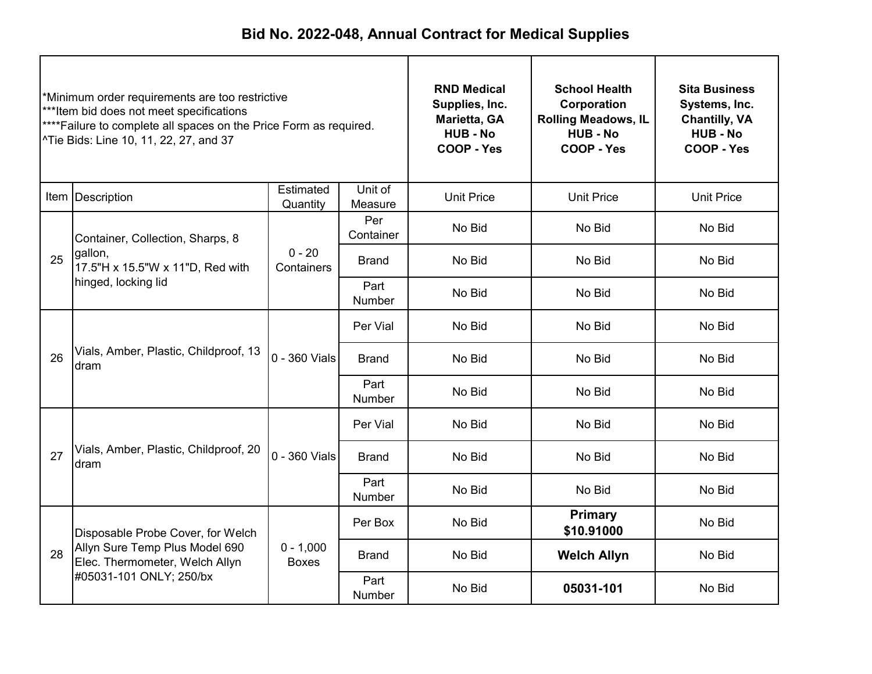| *Minimum order requirements are too restrictive<br>***Item bid does not meet specifications<br>**** Failure to complete all spaces on the Price Form as required.<br>^Tie Bids: Line 10, 11, 22, 27, and 37 |                                                                                                       | <b>RND Medical</b><br>Supplies, Inc.<br>Marietta, GA<br><b>HUB - No</b><br>COOP - Yes | <b>School Health</b><br>Corporation<br><b>Rolling Meadows, IL</b><br><b>HUB - No</b><br>COOP - Yes | <b>Sita Business</b><br>Systems, Inc.<br><b>Chantilly, VA</b><br><b>HUB - No</b><br>COOP - Yes |                              |                   |
|-------------------------------------------------------------------------------------------------------------------------------------------------------------------------------------------------------------|-------------------------------------------------------------------------------------------------------|---------------------------------------------------------------------------------------|----------------------------------------------------------------------------------------------------|------------------------------------------------------------------------------------------------|------------------------------|-------------------|
|                                                                                                                                                                                                             | Item   Description                                                                                    | Estimated<br>Quantity                                                                 | Unit of<br>Measure                                                                                 | <b>Unit Price</b>                                                                              | <b>Unit Price</b>            | <b>Unit Price</b> |
|                                                                                                                                                                                                             | Container, Collection, Sharps, 8                                                                      |                                                                                       | Per<br>Container                                                                                   | No Bid                                                                                         | No Bid                       | No Bid            |
| 25                                                                                                                                                                                                          | gallon,<br>17.5"H x 15.5"W x 11"D, Red with<br>hinged, locking lid                                    | $0 - 20$<br>Containers                                                                | <b>Brand</b>                                                                                       | No Bid                                                                                         | No Bid                       | No Bid            |
|                                                                                                                                                                                                             |                                                                                                       |                                                                                       | Part<br>Number                                                                                     | No Bid                                                                                         | No Bid                       | No Bid            |
|                                                                                                                                                                                                             | Vials, Amber, Plastic, Childproof, 13<br>dram                                                         |                                                                                       | Per Vial                                                                                           | No Bid                                                                                         | No Bid                       | No Bid            |
| 26                                                                                                                                                                                                          |                                                                                                       | 0 - 360 Vials                                                                         | <b>Brand</b>                                                                                       | No Bid                                                                                         | No Bid                       | No Bid            |
|                                                                                                                                                                                                             |                                                                                                       |                                                                                       | Part<br>Number                                                                                     | No Bid                                                                                         | No Bid                       | No Bid            |
|                                                                                                                                                                                                             |                                                                                                       |                                                                                       | Per Vial                                                                                           | No Bid                                                                                         | No Bid                       | No Bid            |
| 27                                                                                                                                                                                                          | Vials, Amber, Plastic, Childproof, 20<br>dram                                                         | 0 - 360 Vials                                                                         | <b>Brand</b>                                                                                       | No Bid                                                                                         | No Bid                       | No Bid            |
|                                                                                                                                                                                                             |                                                                                                       |                                                                                       | Part<br>Number                                                                                     | No Bid                                                                                         | No Bid                       | No Bid            |
|                                                                                                                                                                                                             | Disposable Probe Cover, for Welch<br>Allyn Sure Temp Plus Model 690<br>Elec. Thermometer, Welch Allyn |                                                                                       | Per Box                                                                                            | No Bid                                                                                         | <b>Primary</b><br>\$10.91000 | No Bid            |
| 28                                                                                                                                                                                                          |                                                                                                       | $0 - 1,000$<br><b>Boxes</b>                                                           | <b>Brand</b>                                                                                       | No Bid                                                                                         | <b>Welch Allyn</b>           | No Bid            |
|                                                                                                                                                                                                             | #05031-101 ONLY; 250/bx                                                                               |                                                                                       | Part<br>Number                                                                                     | No Bid                                                                                         | 05031-101                    | No Bid            |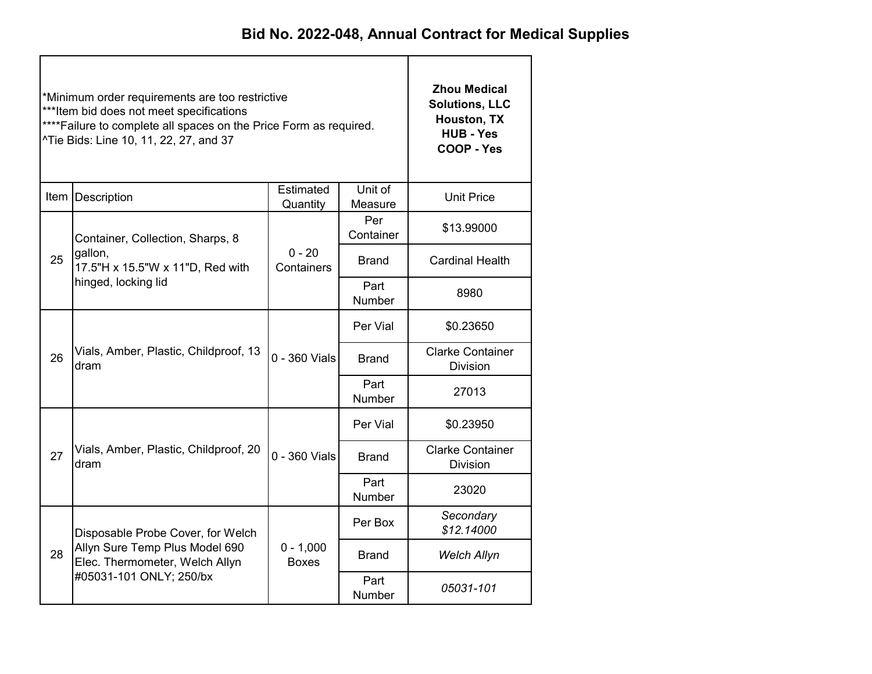|    | *Minimum order requirements are too restrictive<br>*** Item bid does not meet specifications<br>**** Failure to complete all spaces on the Price Form as required.<br>^Tie Bids: Line 10, 11, 22, 27, and 37 | <b>Zhou Medical</b><br><b>Solutions, LLC</b><br>Houston, TX<br><b>HUB - Yes</b><br>COOP - Yes |                       |                                            |
|----|--------------------------------------------------------------------------------------------------------------------------------------------------------------------------------------------------------------|-----------------------------------------------------------------------------------------------|-----------------------|--------------------------------------------|
|    | Item   Description                                                                                                                                                                                           | Estimated<br>Quantity                                                                         | Unit of<br>Measure    | <b>Unit Price</b>                          |
|    | Container, Collection, Sharps, 8                                                                                                                                                                             |                                                                                               | Per<br>Container      | \$13.99000                                 |
| 25 | gallon,<br>17.5"H x 15.5"W x 11"D, Red with<br>hinged, locking lid                                                                                                                                           | $0 - 20$<br>Containers                                                                        | <b>Brand</b>          | <b>Cardinal Health</b>                     |
|    |                                                                                                                                                                                                              |                                                                                               | Part<br><b>Number</b> | 8980                                       |
|    |                                                                                                                                                                                                              |                                                                                               | Per Vial              | \$0.23650                                  |
| 26 | Vials, Amber, Plastic, Childproof, 13<br>dram                                                                                                                                                                | 0 - 360 Vials                                                                                 | <b>Brand</b>          | <b>Clarke Container</b><br><b>Division</b> |
|    |                                                                                                                                                                                                              |                                                                                               | Part<br>Number        | 27013                                      |
|    |                                                                                                                                                                                                              |                                                                                               | Per Vial              | \$0.23950                                  |
| 27 | Vials, Amber, Plastic, Childproof, 20<br>dram                                                                                                                                                                | 0 - 360 Vials                                                                                 | <b>Brand</b>          | <b>Clarke Container</b><br><b>Division</b> |
|    |                                                                                                                                                                                                              |                                                                                               | Part<br>Number        | 23020                                      |
|    | Disposable Probe Cover, for Welch                                                                                                                                                                            |                                                                                               | Per Box               | Secondary<br>\$12.14000                    |
| 28 | Allyn Sure Temp Plus Model 690<br>Elec. Thermometer, Welch Allyn                                                                                                                                             | $0 - 1,000$<br><b>Boxes</b>                                                                   | Brand                 | <b>Welch Allyn</b>                         |
|    | #05031-101 ONLY; 250/bx                                                                                                                                                                                      |                                                                                               | Part<br>Number        | 05031-101                                  |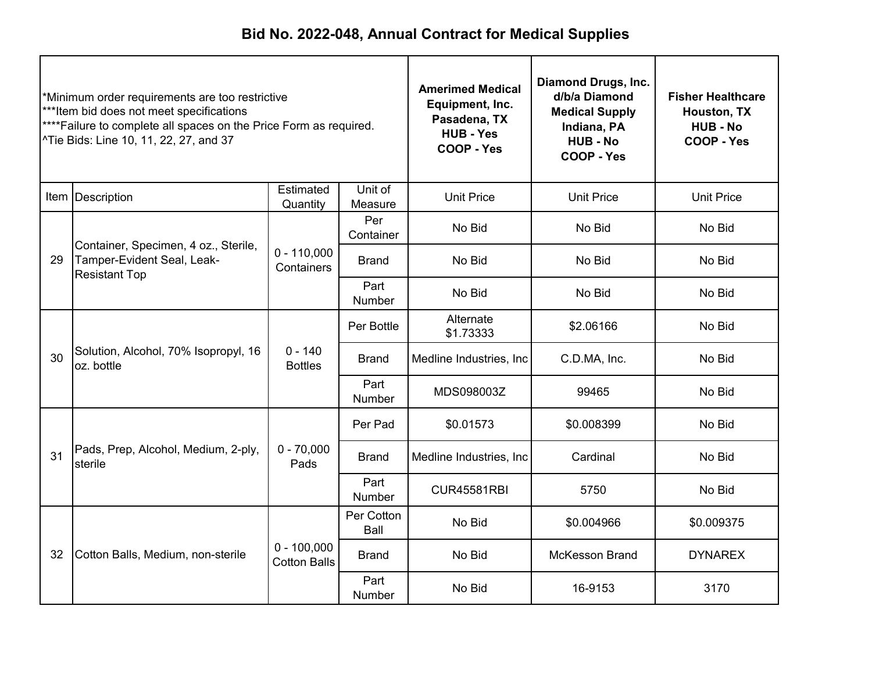| *Minimum order requirements are too restrictive<br>***Item bid does not meet specifications<br>****Failure to complete all spaces on the Price Form as required.<br>^Tie Bids: Line 10, 11, 22, 27, and 37 |                                                                                            | <b>Amerimed Medical</b><br>Equipment, Inc.<br>Pasadena, TX<br><b>HUB - Yes</b><br>COOP - Yes | <b>Diamond Drugs, Inc.</b><br>d/b/a Diamond<br><b>Medical Supply</b><br>Indiana, PA<br><b>HUB - No</b><br>COOP - Yes | <b>Fisher Healthcare</b><br>Houston, TX<br><b>HUB - No</b><br>COOP - Yes |                   |                   |
|------------------------------------------------------------------------------------------------------------------------------------------------------------------------------------------------------------|--------------------------------------------------------------------------------------------|----------------------------------------------------------------------------------------------|----------------------------------------------------------------------------------------------------------------------|--------------------------------------------------------------------------|-------------------|-------------------|
|                                                                                                                                                                                                            | Item   Description                                                                         | Estimated<br>Quantity                                                                        | Unit of<br>Measure                                                                                                   | <b>Unit Price</b>                                                        | <b>Unit Price</b> | <b>Unit Price</b> |
|                                                                                                                                                                                                            |                                                                                            |                                                                                              | Per<br>Container                                                                                                     | No Bid                                                                   | No Bid            | No Bid            |
| 29                                                                                                                                                                                                         | Container, Specimen, 4 oz., Sterile,<br>Tamper-Evident Seal, Leak-<br><b>Resistant Top</b> | $0 - 110,000$<br>Containers                                                                  | <b>Brand</b>                                                                                                         | No Bid                                                                   | No Bid            | No Bid            |
|                                                                                                                                                                                                            |                                                                                            |                                                                                              | Part<br>Number                                                                                                       | No Bid                                                                   | No Bid            | No Bid            |
|                                                                                                                                                                                                            | Solution, Alcohol, 70% Isopropyl, 16<br>oz. bottle                                         |                                                                                              | Per Bottle                                                                                                           | Alternate<br>\$1.73333                                                   | \$2.06166         | No Bid            |
| 30                                                                                                                                                                                                         |                                                                                            | $0 - 140$<br><b>Bottles</b>                                                                  | Brand                                                                                                                | C.D.MA, Inc.<br>Medline Industries, Inc.                                 | No Bid            |                   |
|                                                                                                                                                                                                            |                                                                                            |                                                                                              | Part<br>Number                                                                                                       | MDS098003Z                                                               | 99465             | No Bid            |
|                                                                                                                                                                                                            |                                                                                            |                                                                                              | Per Pad                                                                                                              | \$0.01573                                                                | \$0.008399        | No Bid            |
| 31                                                                                                                                                                                                         | Pads, Prep, Alcohol, Medium, 2-ply,<br>sterile                                             | $0 - 70,000$<br>Pads                                                                         | <b>Brand</b>                                                                                                         | Medline Industries, Inc.                                                 | Cardinal          | No Bid            |
|                                                                                                                                                                                                            |                                                                                            |                                                                                              | Part<br>Number                                                                                                       | <b>CUR45581RBI</b>                                                       | 5750              | No Bid            |
|                                                                                                                                                                                                            | Cotton Balls, Medium, non-sterile                                                          |                                                                                              | Per Cotton<br>Ball                                                                                                   | No Bid                                                                   | \$0.004966        | \$0.009375        |
| 32                                                                                                                                                                                                         |                                                                                            | $0 - 100,000$<br><b>Cotton Balls</b>                                                         | <b>Brand</b>                                                                                                         | No Bid<br><b>McKesson Brand</b>                                          |                   | <b>DYNAREX</b>    |
|                                                                                                                                                                                                            |                                                                                            |                                                                                              | Part<br><b>Number</b>                                                                                                | No Bid                                                                   | 16-9153           | 3170              |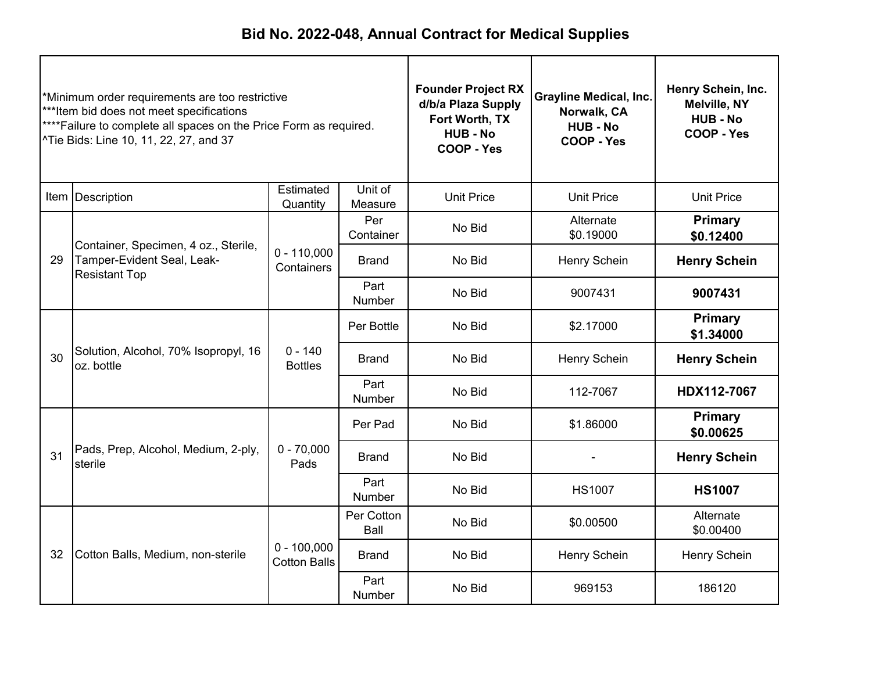| *Minimum order requirements are too restrictive<br>***Item bid does not meet specifications<br>****Failure to complete all spaces on the Price Form as required.<br>^Tie Bids: Line 10, 11, 22, 27, and 37 |                                                                                            | <b>Founder Project RX</b><br>d/b/a Plaza Supply<br>Fort Worth, TX<br><b>HUB - No</b><br><b>COOP - Yes</b> | <b>Grayline Medical, Inc.</b><br>Norwalk, CA<br><b>HUB - No</b><br>COOP - Yes | Henry Schein, Inc.<br><b>Melville, NY</b><br><b>HUB - No</b><br>COOP - Yes |                        |                             |
|------------------------------------------------------------------------------------------------------------------------------------------------------------------------------------------------------------|--------------------------------------------------------------------------------------------|-----------------------------------------------------------------------------------------------------------|-------------------------------------------------------------------------------|----------------------------------------------------------------------------|------------------------|-----------------------------|
|                                                                                                                                                                                                            | Item   Description                                                                         | Estimated<br>Quantity                                                                                     | Unit of<br>Measure                                                            | <b>Unit Price</b>                                                          | <b>Unit Price</b>      | <b>Unit Price</b>           |
|                                                                                                                                                                                                            |                                                                                            |                                                                                                           | Per<br>Container                                                              | No Bid                                                                     | Alternate<br>\$0.19000 | <b>Primary</b><br>\$0.12400 |
| 29                                                                                                                                                                                                         | Container, Specimen, 4 oz., Sterile,<br>Tamper-Evident Seal, Leak-<br><b>Resistant Top</b> | $0 - 110,000$<br>Containers                                                                               | <b>Brand</b>                                                                  | No Bid                                                                     | Henry Schein           | <b>Henry Schein</b>         |
|                                                                                                                                                                                                            |                                                                                            |                                                                                                           | Part<br>Number                                                                | No Bid                                                                     | 9007431                | 9007431                     |
|                                                                                                                                                                                                            | Solution, Alcohol, 70% Isopropyl, 16<br>oz. bottle                                         | $0 - 140$<br><b>Bottles</b>                                                                               | Per Bottle                                                                    | No Bid                                                                     | \$2.17000              | Primary<br>\$1.34000        |
| 30                                                                                                                                                                                                         |                                                                                            |                                                                                                           | Brand                                                                         | No Bid                                                                     | Henry Schein           | <b>Henry Schein</b>         |
|                                                                                                                                                                                                            |                                                                                            |                                                                                                           | Part<br>Number                                                                | No Bid                                                                     | 112-7067               | HDX112-7067                 |
|                                                                                                                                                                                                            |                                                                                            |                                                                                                           | Per Pad                                                                       | No Bid                                                                     | \$1.86000              | <b>Primary</b><br>\$0.00625 |
| 31                                                                                                                                                                                                         | Pads, Prep, Alcohol, Medium, 2-ply,<br>sterile                                             | $0 - 70,000$<br>Pads                                                                                      | <b>Brand</b>                                                                  | No Bid                                                                     |                        | <b>Henry Schein</b>         |
|                                                                                                                                                                                                            |                                                                                            |                                                                                                           | Part<br>Number                                                                | No Bid                                                                     | <b>HS1007</b>          | <b>HS1007</b>               |
|                                                                                                                                                                                                            |                                                                                            |                                                                                                           | Per Cotton<br>Ball                                                            | No Bid                                                                     | \$0.00500              | Alternate<br>\$0.00400      |
| 32                                                                                                                                                                                                         | Cotton Balls, Medium, non-sterile                                                          | $0 - 100,000$<br><b>Cotton Balls</b>                                                                      | <b>Brand</b>                                                                  | No Bid                                                                     | <b>Henry Schein</b>    | Henry Schein                |
|                                                                                                                                                                                                            |                                                                                            |                                                                                                           | Part<br>Number                                                                | No Bid                                                                     | 969153                 | 186120                      |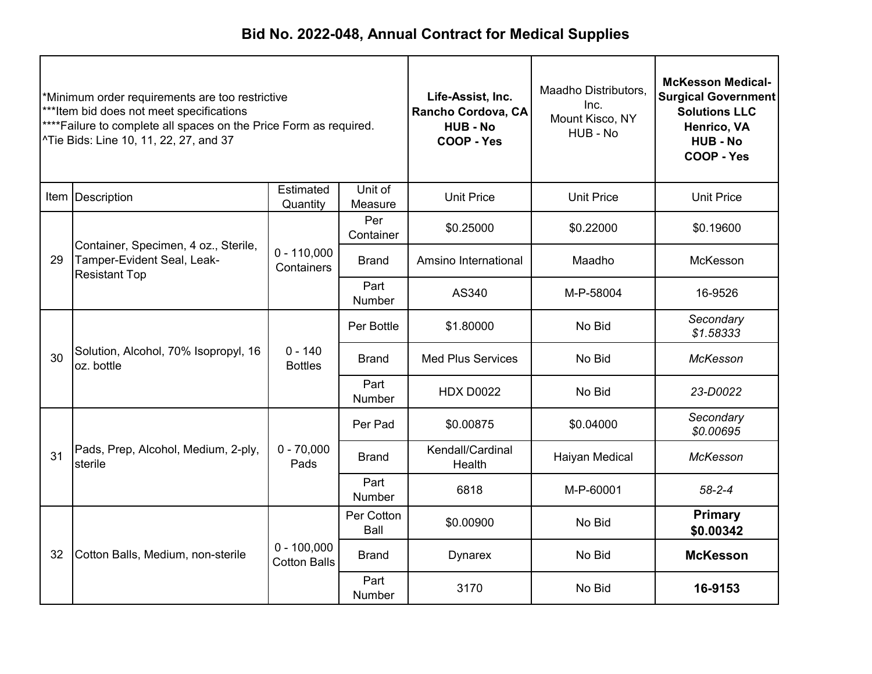| *Minimum order requirements are too restrictive<br>***Item bid does not meet specifications<br>****Failure to complete all spaces on the Price Form as required.<br>^Tie Bids: Line 10, 11, 22, 27, and 37 |                                                                                            |                                      | Life-Assist, Inc.<br>Rancho Cordova, CA<br><b>HUB-No</b><br>COOP - Yes | Maadho Distributors,<br>Inc.<br>Mount Kisco, NY<br>HUB - No | <b>McKesson Medical-</b><br><b>Surgical Government</b><br><b>Solutions LLC</b><br>Henrico, VA<br><b>HUB - No</b><br>COOP - Yes |                             |
|------------------------------------------------------------------------------------------------------------------------------------------------------------------------------------------------------------|--------------------------------------------------------------------------------------------|--------------------------------------|------------------------------------------------------------------------|-------------------------------------------------------------|--------------------------------------------------------------------------------------------------------------------------------|-----------------------------|
|                                                                                                                                                                                                            | Item Description                                                                           | Estimated<br>Quantity                | Unit of<br>Measure                                                     | <b>Unit Price</b>                                           | <b>Unit Price</b>                                                                                                              | <b>Unit Price</b>           |
|                                                                                                                                                                                                            |                                                                                            |                                      | Per<br>Container                                                       | \$0.25000                                                   | \$0.22000                                                                                                                      | \$0.19600                   |
| 29                                                                                                                                                                                                         | Container, Specimen, 4 oz., Sterile,<br>Tamper-Evident Seal, Leak-<br><b>Resistant Top</b> | $0 - 110,000$<br>Containers          | <b>Brand</b>                                                           | Amsino International                                        | Maadho                                                                                                                         | McKesson                    |
|                                                                                                                                                                                                            |                                                                                            |                                      | Part<br>Number                                                         | AS340                                                       | M-P-58004                                                                                                                      | 16-9526                     |
|                                                                                                                                                                                                            | Solution, Alcohol, 70% Isopropyl, 16<br>oz. bottle                                         |                                      | Per Bottle                                                             | \$1.80000                                                   | No Bid                                                                                                                         | Secondary<br>\$1.58333      |
| 30                                                                                                                                                                                                         |                                                                                            | $0 - 140$<br><b>Bottles</b>          | Brand                                                                  | <b>Med Plus Services</b>                                    | No Bid                                                                                                                         | McKesson                    |
|                                                                                                                                                                                                            |                                                                                            |                                      | Part<br>Number                                                         | <b>HDX D0022</b>                                            | No Bid                                                                                                                         | 23-D0022                    |
|                                                                                                                                                                                                            |                                                                                            |                                      | Per Pad                                                                | \$0.00875                                                   | \$0.04000                                                                                                                      | Secondary<br>\$0.00695      |
| 31                                                                                                                                                                                                         | Pads, Prep, Alcohol, Medium, 2-ply,<br>sterile                                             | $0 - 70,000$<br>Pads                 | <b>Brand</b>                                                           | Kendall/Cardinal<br>Health                                  | Haiyan Medical                                                                                                                 | <b>McKesson</b>             |
|                                                                                                                                                                                                            |                                                                                            |                                      | Part<br><b>Number</b>                                                  | 6818                                                        | M-P-60001                                                                                                                      | $58 - 2 - 4$                |
|                                                                                                                                                                                                            |                                                                                            |                                      | Per Cotton<br>Ball                                                     | \$0.00900                                                   | No Bid                                                                                                                         | <b>Primary</b><br>\$0.00342 |
| 32                                                                                                                                                                                                         | Cotton Balls, Medium, non-sterile                                                          | $0 - 100,000$<br><b>Cotton Balls</b> | <b>Brand</b>                                                           | <b>Dynarex</b>                                              | No Bid                                                                                                                         | <b>McKesson</b>             |
|                                                                                                                                                                                                            |                                                                                            |                                      | Part<br>Number                                                         | 3170                                                        | No Bid                                                                                                                         | 16-9153                     |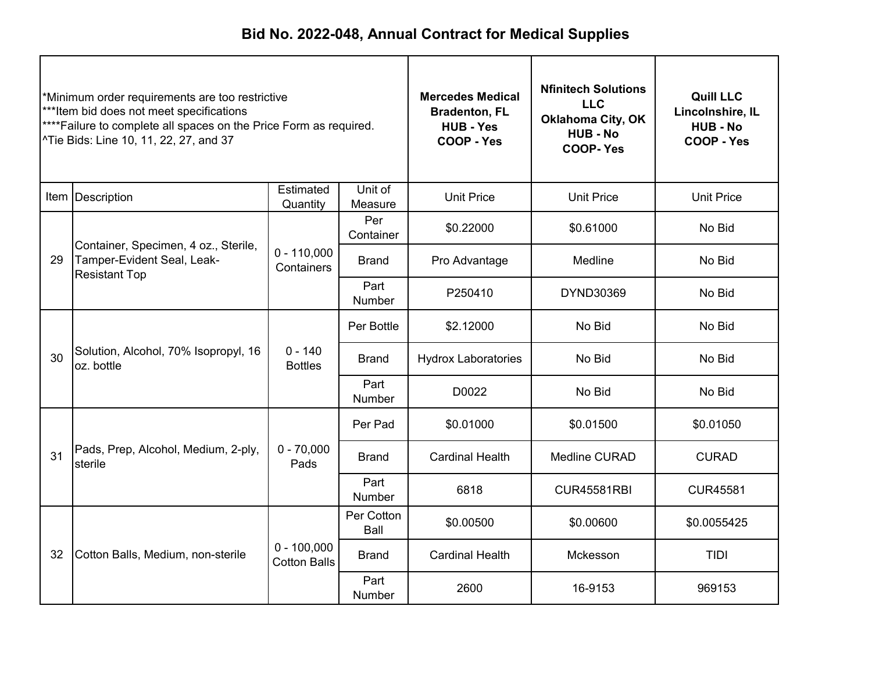| *Minimum order requirements are too restrictive<br>***Item bid does not meet specifications<br>****Failure to complete all spaces on the Price Form as required.<br>^Tie Bids: Line 10, 11, 22, 27, and 37 |                                                                                            | <b>Mercedes Medical</b><br><b>Bradenton, FL</b><br><b>HUB - Yes</b><br>COOP - Yes | <b>Nfinitech Solutions</b><br><b>LLC</b><br><b>Oklahoma City, OK</b><br><b>HUB - No</b><br><b>COOP-Yes</b> | <b>Quill LLC</b><br>Lincolnshire, IL<br><b>HUB-No</b><br>COOP - Yes |                      |                   |
|------------------------------------------------------------------------------------------------------------------------------------------------------------------------------------------------------------|--------------------------------------------------------------------------------------------|-----------------------------------------------------------------------------------|------------------------------------------------------------------------------------------------------------|---------------------------------------------------------------------|----------------------|-------------------|
|                                                                                                                                                                                                            | Item Description                                                                           | Estimated<br>Quantity                                                             | Unit of<br>Measure                                                                                         | <b>Unit Price</b>                                                   | <b>Unit Price</b>    | <b>Unit Price</b> |
|                                                                                                                                                                                                            |                                                                                            |                                                                                   | Per<br>Container                                                                                           | \$0.22000                                                           | \$0.61000            | No Bid            |
| 29                                                                                                                                                                                                         | Container, Specimen, 4 oz., Sterile,<br>Tamper-Evident Seal, Leak-<br><b>Resistant Top</b> | $0 - 110,000$<br>Containers                                                       | <b>Brand</b>                                                                                               | Pro Advantage                                                       | Medline              | No Bid            |
|                                                                                                                                                                                                            |                                                                                            |                                                                                   | Part<br>Number                                                                                             | P250410                                                             | DYND30369            | No Bid            |
|                                                                                                                                                                                                            | Solution, Alcohol, 70% Isopropyl, 16<br>oz. bottle                                         |                                                                                   | Per Bottle                                                                                                 | \$2.12000                                                           | No Bid               | No Bid            |
| 30                                                                                                                                                                                                         |                                                                                            | $0 - 140$<br><b>Bottles</b>                                                       | Brand                                                                                                      | No Bid<br><b>Hydrox Laboratories</b>                                |                      | No Bid            |
|                                                                                                                                                                                                            |                                                                                            |                                                                                   | Part<br>Number                                                                                             | D0022                                                               | No Bid               | No Bid            |
|                                                                                                                                                                                                            |                                                                                            |                                                                                   | Per Pad                                                                                                    | \$0.01000                                                           | \$0.01500            | \$0.01050         |
| 31                                                                                                                                                                                                         | Pads, Prep, Alcohol, Medium, 2-ply,<br>sterile                                             | $0 - 70,000$<br>Pads                                                              | <b>Brand</b>                                                                                               | <b>Cardinal Health</b>                                              | <b>Medline CURAD</b> | <b>CURAD</b>      |
|                                                                                                                                                                                                            |                                                                                            |                                                                                   | Part<br><b>Number</b>                                                                                      | 6818                                                                | <b>CUR45581RBI</b>   | <b>CUR45581</b>   |
|                                                                                                                                                                                                            | Cotton Balls, Medium, non-sterile                                                          |                                                                                   | Per Cotton<br>Ball                                                                                         | \$0.00500                                                           | \$0.00600            | \$0.0055425       |
| 32                                                                                                                                                                                                         |                                                                                            | $0 - 100,000$<br><b>Cotton Balls</b>                                              | <b>Brand</b>                                                                                               | <b>Cardinal Health</b><br>Mckesson                                  |                      | TIDI              |
|                                                                                                                                                                                                            |                                                                                            |                                                                                   | Part<br>Number                                                                                             | 2600                                                                | 16-9153              | 969153            |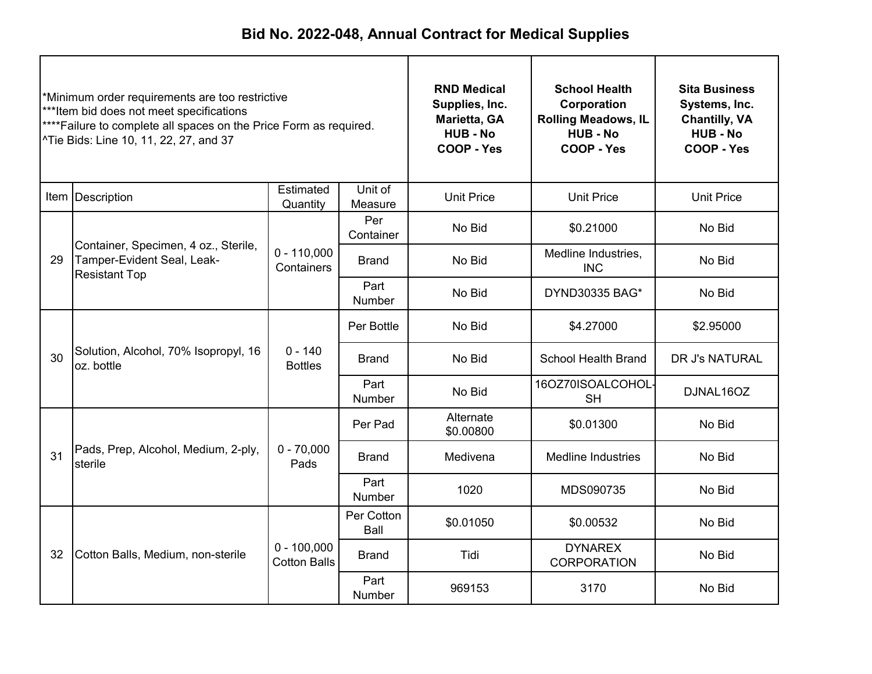| *Minimum order requirements are too restrictive<br>***Item bid does not meet specifications<br>****Failure to complete all spaces on the Price Form as required.<br>^Tie Bids: Line 10, 11, 22, 27, and 37 |                                                                                            |                                      | <b>RND Medical</b><br>Supplies, Inc.<br>Marietta, GA<br><b>HUB - No</b><br><b>COOP - Yes</b> | <b>School Health</b><br>Corporation<br><b>Rolling Meadows, IL</b><br><b>HUB - No</b><br>COOP - Yes | <b>Sita Business</b><br>Systems, Inc.<br><b>Chantilly, VA</b><br><b>HUB - No</b><br>COOP - Yes |                   |
|------------------------------------------------------------------------------------------------------------------------------------------------------------------------------------------------------------|--------------------------------------------------------------------------------------------|--------------------------------------|----------------------------------------------------------------------------------------------|----------------------------------------------------------------------------------------------------|------------------------------------------------------------------------------------------------|-------------------|
|                                                                                                                                                                                                            | Item   Description                                                                         | Estimated<br>Quantity                | Unit of<br>Measure                                                                           | <b>Unit Price</b>                                                                                  | <b>Unit Price</b>                                                                              | <b>Unit Price</b> |
|                                                                                                                                                                                                            |                                                                                            |                                      | Per<br>Container                                                                             | No Bid                                                                                             | \$0.21000                                                                                      | No Bid            |
| 29                                                                                                                                                                                                         | Container, Specimen, 4 oz., Sterile,<br>Tamper-Evident Seal, Leak-<br><b>Resistant Top</b> | $0 - 110,000$<br>Containers          | <b>Brand</b>                                                                                 | No Bid                                                                                             | Medline Industries,<br><b>INC</b>                                                              | No Bid            |
|                                                                                                                                                                                                            |                                                                                            |                                      | Part<br>Number                                                                               | No Bid                                                                                             | DYND30335 BAG*                                                                                 | No Bid            |
|                                                                                                                                                                                                            | Solution, Alcohol, 70% Isopropyl, 16<br>oz. bottle                                         |                                      | Per Bottle                                                                                   | No Bid                                                                                             | \$4.27000                                                                                      | \$2.95000         |
| 30                                                                                                                                                                                                         |                                                                                            | $0 - 140$<br><b>Bottles</b>          | Brand                                                                                        | No Bid<br><b>School Health Brand</b>                                                               | DR J's NATURAL                                                                                 |                   |
|                                                                                                                                                                                                            |                                                                                            |                                      | Part<br>Number                                                                               | No Bid                                                                                             | 16OZ70ISOALCOHOL<br><b>SH</b>                                                                  | DJNAL16OZ         |
|                                                                                                                                                                                                            |                                                                                            |                                      | Per Pad                                                                                      | Alternate<br>\$0.00800                                                                             | \$0.01300                                                                                      | No Bid            |
| 31                                                                                                                                                                                                         | Pads, Prep, Alcohol, Medium, 2-ply,<br>sterile                                             | $0 - 70,000$<br>Pads                 | <b>Brand</b>                                                                                 | Medivena                                                                                           | <b>Medline Industries</b>                                                                      | No Bid            |
|                                                                                                                                                                                                            |                                                                                            |                                      | Part<br>Number                                                                               | 1020                                                                                               | MDS090735                                                                                      | No Bid            |
|                                                                                                                                                                                                            |                                                                                            |                                      | Per Cotton<br>Ball                                                                           | \$0.01050                                                                                          | \$0.00532                                                                                      | No Bid            |
| 32                                                                                                                                                                                                         | Cotton Balls, Medium, non-sterile                                                          | $0 - 100,000$<br><b>Cotton Balls</b> | <b>Brand</b>                                                                                 | Tidi                                                                                               | <b>DYNAREX</b><br><b>CORPORATION</b>                                                           | No Bid            |
|                                                                                                                                                                                                            |                                                                                            |                                      | Part<br><b>Number</b>                                                                        | 969153                                                                                             | 3170                                                                                           | No Bid            |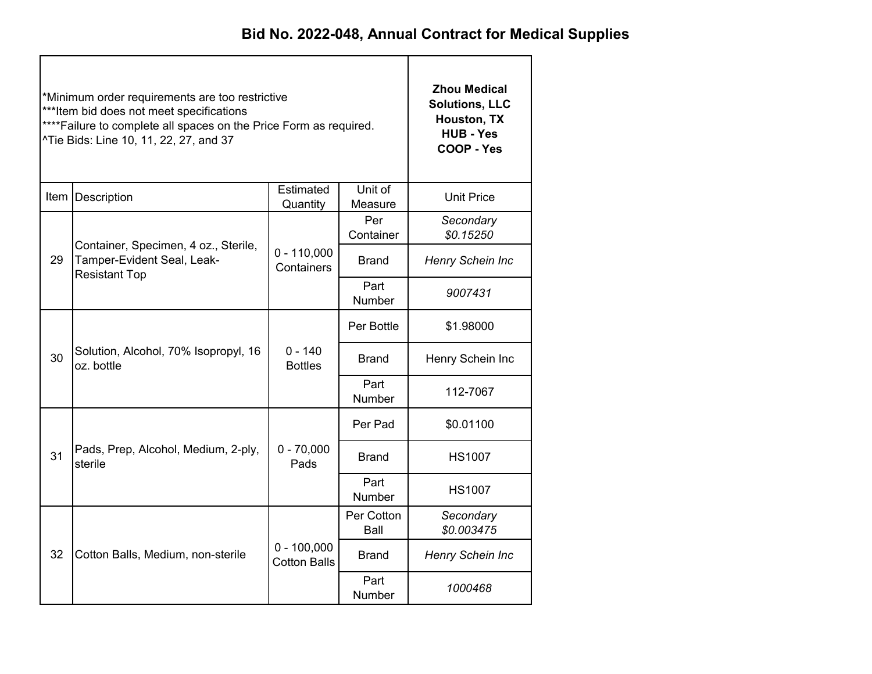|    | *Minimum order requirements are too restrictive<br>***Item bid does not meet specifications<br>**** Failure to complete all spaces on the Price Form as required.<br>^Tie Bids: Line 10, 11, 22, 27, and 37 | <b>Zhou Medical</b><br><b>Solutions, LLC</b><br>Houston, TX<br><b>HUB - Yes</b><br>COOP - Yes |                    |                                                                         |  |  |
|----|-------------------------------------------------------------------------------------------------------------------------------------------------------------------------------------------------------------|-----------------------------------------------------------------------------------------------|--------------------|-------------------------------------------------------------------------|--|--|
|    | Item   Description                                                                                                                                                                                          | <b>Unit Price</b>                                                                             |                    |                                                                         |  |  |
|    |                                                                                                                                                                                                             |                                                                                               | Per<br>Container   | Secondary<br>\$0.15250                                                  |  |  |
| 29 | Container, Specimen, 4 oz., Sterile,<br>Tamper-Evident Seal, Leak-<br><b>Resistant Top</b>                                                                                                                  | $0 - 110,000$<br>Containers                                                                   | Brand              | Henry Schein Inc                                                        |  |  |
|    |                                                                                                                                                                                                             |                                                                                               | Part<br>Number     | 9007431                                                                 |  |  |
|    |                                                                                                                                                                                                             |                                                                                               | Per Bottle         | \$1.98000                                                               |  |  |
| 30 | Solution, Alcohol, 70% Isopropyl, 16<br>oz. bottle                                                                                                                                                          | $0 - 140$<br><b>Bottles</b>                                                                   | Brand              | Henry Schein Inc                                                        |  |  |
|    |                                                                                                                                                                                                             |                                                                                               | Part<br>Number     | 112-7067                                                                |  |  |
|    |                                                                                                                                                                                                             |                                                                                               | Per Pad            | \$0.01100                                                               |  |  |
| 31 | Pads, Prep, Alcohol, Medium, 2-ply,<br>sterile                                                                                                                                                              | $0 - 70,000$<br>Pads                                                                          | <b>Brand</b>       | <b>HS1007</b>                                                           |  |  |
|    |                                                                                                                                                                                                             |                                                                                               | Part<br>Number     | <b>HS1007</b><br>Secondary<br>\$0.003475<br>Henry Schein Inc<br>1000468 |  |  |
|    |                                                                                                                                                                                                             |                                                                                               | Per Cotton<br>Ball |                                                                         |  |  |
| 32 | Cotton Balls, Medium, non-sterile                                                                                                                                                                           | $0 - 100,000$<br><b>Cotton Balls</b>                                                          | <b>Brand</b>       |                                                                         |  |  |
|    |                                                                                                                                                                                                             |                                                                                               | Part<br>Number     |                                                                         |  |  |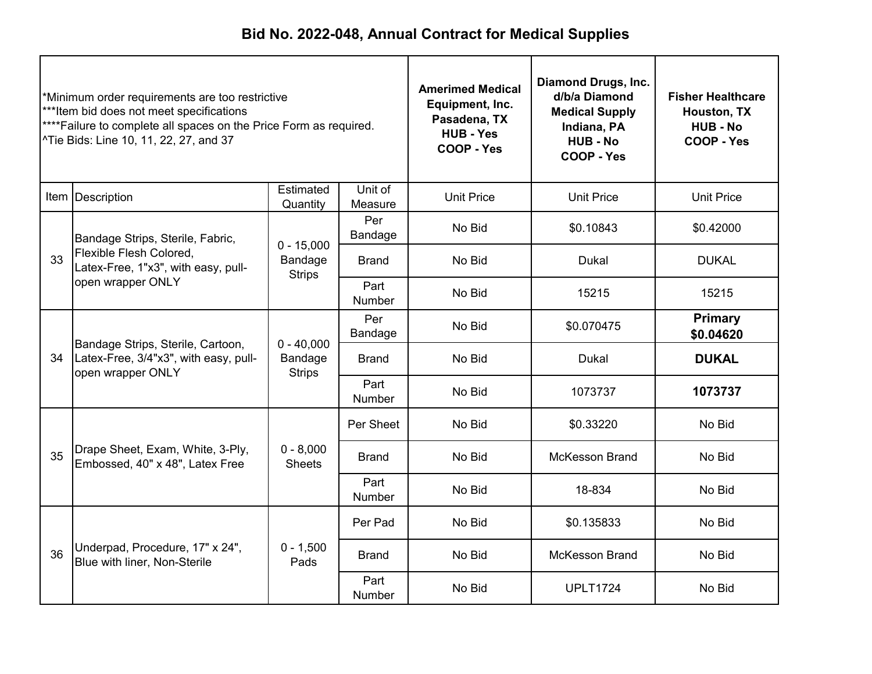| *Minimum order requirements are too restrictive<br>***Item bid does not meet specifications<br>**** Failure to complete all spaces on the Price Form as required.<br>^Tie Bids: Line 10, 11, 22, 27, and 37 |                                                                                                 |                                          | <b>Amerimed Medical</b><br>Equipment, Inc.<br>Pasadena, TX<br><b>HUB - Yes</b><br><b>COOP - Yes</b> | Diamond Drugs, Inc.<br>d/b/a Diamond<br><b>Medical Supply</b><br>Indiana, PA<br><b>HUB - No</b><br>COOP - Yes | <b>Fisher Healthcare</b><br>Houston, TX<br><b>HUB - No</b><br>COOP - Yes |                             |
|-------------------------------------------------------------------------------------------------------------------------------------------------------------------------------------------------------------|-------------------------------------------------------------------------------------------------|------------------------------------------|-----------------------------------------------------------------------------------------------------|---------------------------------------------------------------------------------------------------------------|--------------------------------------------------------------------------|-----------------------------|
|                                                                                                                                                                                                             | Item Description                                                                                | Estimated<br>Quantity                    | Unit of<br>Measure                                                                                  | <b>Unit Price</b>                                                                                             | <b>Unit Price</b>                                                        | <b>Unit Price</b>           |
|                                                                                                                                                                                                             | Bandage Strips, Sterile, Fabric,                                                                | $0 - 15,000$                             | Per<br>Bandage                                                                                      | No Bid                                                                                                        | \$0.10843                                                                | \$0.42000                   |
| 33                                                                                                                                                                                                          | Flexible Flesh Colored,<br>Latex-Free, 1"x3", with easy, pull-<br>open wrapper ONLY             | Bandage<br><b>Strips</b>                 | <b>Brand</b>                                                                                        | No Bid                                                                                                        | <b>Dukal</b>                                                             | <b>DUKAL</b>                |
|                                                                                                                                                                                                             |                                                                                                 |                                          | Part<br>Number                                                                                      | No Bid                                                                                                        | 15215                                                                    | 15215                       |
|                                                                                                                                                                                                             | Bandage Strips, Sterile, Cartoon,<br>Latex-Free, 3/4"x3", with easy, pull-<br>open wrapper ONLY |                                          | Per<br>Bandage                                                                                      | No Bid                                                                                                        | \$0.070475                                                               | <b>Primary</b><br>\$0.04620 |
| 34                                                                                                                                                                                                          |                                                                                                 | $0 - 40,000$<br>Bandage<br><b>Strips</b> | <b>Brand</b>                                                                                        | No Bid                                                                                                        | <b>Dukal</b>                                                             | <b>DUKAL</b>                |
|                                                                                                                                                                                                             |                                                                                                 |                                          | Part<br>Number                                                                                      | No Bid                                                                                                        | 1073737                                                                  | 1073737                     |
|                                                                                                                                                                                                             |                                                                                                 |                                          | Per Sheet                                                                                           | No Bid                                                                                                        | \$0.33220                                                                | No Bid                      |
| 35                                                                                                                                                                                                          | Drape Sheet, Exam, White, 3-Ply,<br>Embossed, 40" x 48", Latex Free                             | $0 - 8,000$<br><b>Sheets</b>             | <b>Brand</b>                                                                                        | No Bid                                                                                                        | <b>McKesson Brand</b>                                                    | No Bid                      |
|                                                                                                                                                                                                             |                                                                                                 |                                          | Part<br>Number                                                                                      | No Bid                                                                                                        | 18-834                                                                   | No Bid                      |
|                                                                                                                                                                                                             | Underpad, Procedure, 17" x 24",<br>Blue with liner, Non-Sterile                                 |                                          | Per Pad                                                                                             | No Bid                                                                                                        | \$0.135833                                                               | No Bid                      |
| 36                                                                                                                                                                                                          |                                                                                                 | $0 - 1,500$<br>Pads                      | <b>Brand</b>                                                                                        | No Bid                                                                                                        | <b>McKesson Brand</b>                                                    | No Bid                      |
|                                                                                                                                                                                                             |                                                                                                 |                                          | Part<br>Number                                                                                      | No Bid                                                                                                        | <b>UPLT1724</b>                                                          | No Bid                      |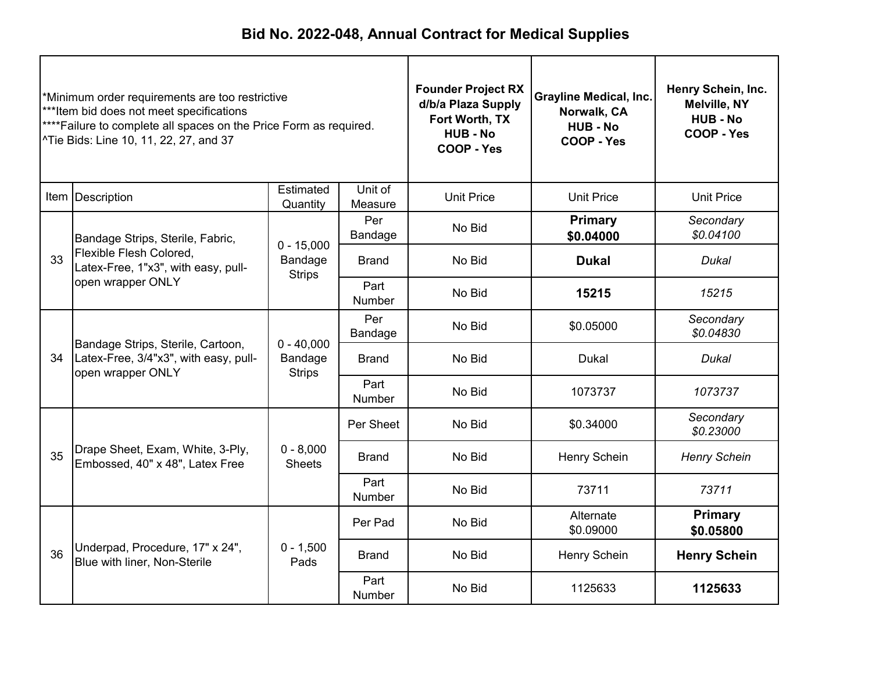| *Minimum order requirements are too restrictive<br>***Item bid does not meet specifications<br>**** Failure to complete all spaces on the Price Form as required.<br>^Tie Bids: Line 10, 11, 22, 27, and 37 |                                                                                                 |                                          | <b>Founder Project RX</b><br>d/b/a Plaza Supply<br>Fort Worth, TX<br><b>HUB - No</b><br>COOP - Yes | <b>Grayline Medical, Inc.</b><br>Norwalk, CA<br><b>HUB - No</b><br>COOP - Yes | Henry Schein, Inc.<br><b>Melville, NY</b><br><b>HUB - No</b><br>COOP - Yes |                             |
|-------------------------------------------------------------------------------------------------------------------------------------------------------------------------------------------------------------|-------------------------------------------------------------------------------------------------|------------------------------------------|----------------------------------------------------------------------------------------------------|-------------------------------------------------------------------------------|----------------------------------------------------------------------------|-----------------------------|
|                                                                                                                                                                                                             | Item Description                                                                                | Estimated<br>Quantity                    | Unit of<br>Measure                                                                                 | <b>Unit Price</b>                                                             | <b>Unit Price</b>                                                          | <b>Unit Price</b>           |
|                                                                                                                                                                                                             | Bandage Strips, Sterile, Fabric,                                                                |                                          | Per<br>Bandage                                                                                     | No Bid                                                                        | <b>Primary</b><br>\$0.04000                                                | Secondary<br>\$0.04100      |
| 33                                                                                                                                                                                                          | Flexible Flesh Colored,<br>Latex-Free, 1"x3", with easy, pull-<br>open wrapper ONLY             | $0 - 15,000$<br>Bandage<br><b>Strips</b> | <b>Brand</b>                                                                                       | No Bid                                                                        | <b>Dukal</b>                                                               | Dukal                       |
|                                                                                                                                                                                                             |                                                                                                 |                                          | Part<br><b>Number</b>                                                                              | No Bid                                                                        | 15215                                                                      | 15215                       |
|                                                                                                                                                                                                             | Bandage Strips, Sterile, Cartoon,<br>Latex-Free, 3/4"x3", with easy, pull-<br>open wrapper ONLY |                                          | Per<br>Bandage                                                                                     | No Bid                                                                        | \$0.05000                                                                  | Secondary<br>\$0.04830      |
| 34                                                                                                                                                                                                          |                                                                                                 | $0 - 40,000$<br>Bandage<br><b>Strips</b> | <b>Brand</b>                                                                                       | No Bid<br><b>Dukal</b>                                                        | <b>Dukal</b>                                                               |                             |
|                                                                                                                                                                                                             |                                                                                                 |                                          | Part<br>Number                                                                                     | No Bid                                                                        | 1073737                                                                    | 1073737                     |
|                                                                                                                                                                                                             |                                                                                                 |                                          | Per Sheet                                                                                          | No Bid                                                                        | \$0.34000                                                                  | Secondary<br>\$0.23000      |
| 35                                                                                                                                                                                                          | Drape Sheet, Exam, White, 3-Ply,<br>Embossed, 40" x 48", Latex Free                             | $0 - 8,000$<br><b>Sheets</b>             | <b>Brand</b>                                                                                       | No Bid                                                                        | Henry Schein                                                               | <b>Henry Schein</b>         |
|                                                                                                                                                                                                             |                                                                                                 |                                          | Part<br>Number                                                                                     | No Bid                                                                        | 73711                                                                      | 73711                       |
|                                                                                                                                                                                                             |                                                                                                 |                                          | Per Pad                                                                                            | No Bid                                                                        | Alternate<br>\$0.09000                                                     | <b>Primary</b><br>\$0.05800 |
| 36                                                                                                                                                                                                          | Underpad, Procedure, 17" x 24",<br>Blue with liner, Non-Sterile                                 | $0 - 1,500$<br>Pads                      | <b>Brand</b>                                                                                       | No Bid                                                                        | Henry Schein                                                               | <b>Henry Schein</b>         |
|                                                                                                                                                                                                             |                                                                                                 |                                          | Part<br><b>Number</b>                                                                              | No Bid                                                                        | 1125633                                                                    | 1125633                     |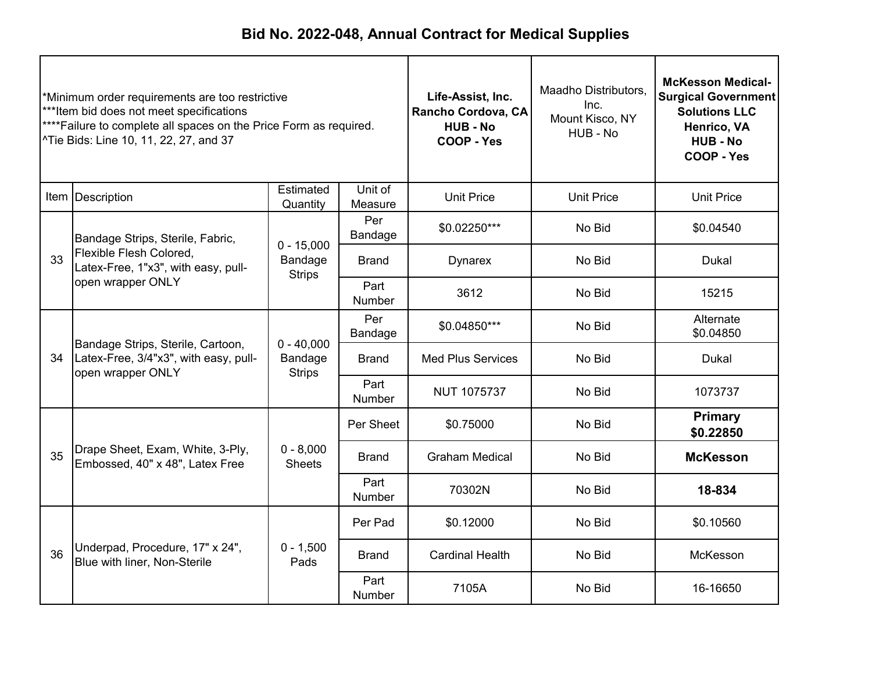| *Minimum order requirements are too restrictive<br>***Item bid does not meet specifications<br>****Failure to complete all spaces on the Price Form as required.<br>^Tie Bids: Line 10, 11, 22, 27, and 37 |                                                                                                 |                                          | Life-Assist, Inc.<br>Rancho Cordova, CA<br><b>HUB-No</b><br>COOP - Yes | Maadho Distributors,<br>Inc.<br>Mount Kisco, NY<br>HUB - No | <b>McKesson Medical-</b><br><b>Surgical Government</b><br><b>Solutions LLC</b><br>Henrico, VA<br><b>HUB - No</b><br>COOP - Yes |                             |
|------------------------------------------------------------------------------------------------------------------------------------------------------------------------------------------------------------|-------------------------------------------------------------------------------------------------|------------------------------------------|------------------------------------------------------------------------|-------------------------------------------------------------|--------------------------------------------------------------------------------------------------------------------------------|-----------------------------|
|                                                                                                                                                                                                            | Item Description                                                                                | Estimated<br>Quantity                    | Unit of<br>Measure                                                     | <b>Unit Price</b>                                           | <b>Unit Price</b>                                                                                                              | <b>Unit Price</b>           |
|                                                                                                                                                                                                            | Bandage Strips, Sterile, Fabric,                                                                |                                          | Per<br>Bandage                                                         | \$0.02250***                                                | No Bid                                                                                                                         | \$0.04540                   |
| 33                                                                                                                                                                                                         | Flexible Flesh Colored,<br>Latex-Free, 1"x3", with easy, pull-<br>open wrapper ONLY             | $0 - 15,000$<br>Bandage<br><b>Strips</b> | <b>Brand</b>                                                           | <b>Dynarex</b>                                              | No Bid                                                                                                                         | <b>Dukal</b>                |
|                                                                                                                                                                                                            |                                                                                                 |                                          | Part<br>Number                                                         | 3612                                                        | No Bid                                                                                                                         | 15215                       |
|                                                                                                                                                                                                            | Bandage Strips, Sterile, Cartoon,<br>Latex-Free, 3/4"x3", with easy, pull-<br>open wrapper ONLY |                                          | Per<br>Bandage                                                         | \$0.04850***                                                | No Bid                                                                                                                         | Alternate<br>\$0.04850      |
| 34                                                                                                                                                                                                         |                                                                                                 | $0 - 40,000$<br>Bandage<br><b>Strips</b> | Brand                                                                  | <b>Med Plus Services</b>                                    | No Bid<br><b>Dukal</b>                                                                                                         |                             |
|                                                                                                                                                                                                            |                                                                                                 |                                          | Part<br>Number                                                         | <b>NUT 1075737</b>                                          | No Bid                                                                                                                         | 1073737                     |
|                                                                                                                                                                                                            |                                                                                                 |                                          | Per Sheet                                                              | \$0.75000                                                   | No Bid                                                                                                                         | <b>Primary</b><br>\$0.22850 |
| 35                                                                                                                                                                                                         | Drape Sheet, Exam, White, 3-Ply,<br>Embossed, 40" x 48", Latex Free                             | $0 - 8,000$<br><b>Sheets</b>             | <b>Brand</b>                                                           | <b>Graham Medical</b>                                       | No Bid                                                                                                                         | <b>McKesson</b>             |
|                                                                                                                                                                                                            |                                                                                                 |                                          | Part<br><b>Number</b>                                                  | 70302N                                                      | No Bid                                                                                                                         | 18-834                      |
|                                                                                                                                                                                                            | Underpad, Procedure, 17" x 24",<br>Blue with liner, Non-Sterile                                 |                                          | Per Pad                                                                | \$0.12000                                                   | No Bid                                                                                                                         | \$0.10560                   |
| 36                                                                                                                                                                                                         |                                                                                                 | $0 - 1,500$<br>Pads                      | <b>Brand</b>                                                           | <b>Cardinal Health</b>                                      | No Bid                                                                                                                         | McKesson                    |
|                                                                                                                                                                                                            |                                                                                                 |                                          | Part<br>Number                                                         | 7105A                                                       | No Bid                                                                                                                         | 16-16650                    |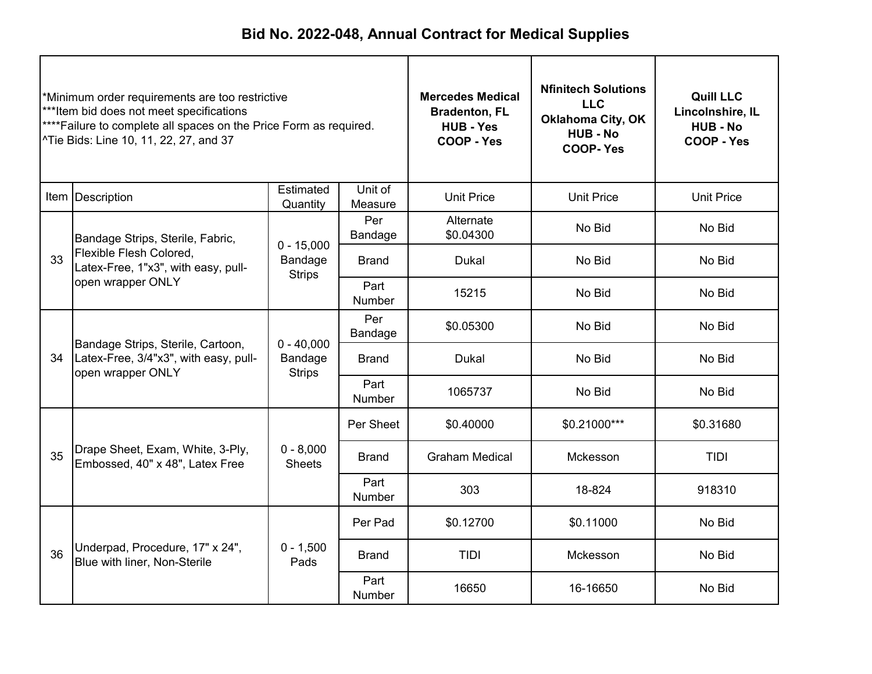| *Minimum order requirements are too restrictive<br>***Item bid does not meet specifications<br>****Failure to complete all spaces on the Price Form as required.<br>^Tie Bids: Line 10, 11, 22, 27, and 37 |                                                                                                 |                                          | <b>Mercedes Medical</b><br><b>Bradenton, FL</b><br><b>HUB - Yes</b><br>COOP - Yes | <b>Nfinitech Solutions</b><br><b>LLC</b><br><b>Oklahoma City, OK</b><br><b>HUB - No</b><br><b>COOP-Yes</b> | <b>Quill LLC</b><br>Lincolnshire, IL<br><b>HUB-No</b><br>COOP - Yes |                   |
|------------------------------------------------------------------------------------------------------------------------------------------------------------------------------------------------------------|-------------------------------------------------------------------------------------------------|------------------------------------------|-----------------------------------------------------------------------------------|------------------------------------------------------------------------------------------------------------|---------------------------------------------------------------------|-------------------|
|                                                                                                                                                                                                            | Item   Description                                                                              | Estimated<br>Quantity                    | Unit of<br>Measure                                                                | <b>Unit Price</b>                                                                                          | <b>Unit Price</b>                                                   | <b>Unit Price</b> |
|                                                                                                                                                                                                            | Bandage Strips, Sterile, Fabric,                                                                | $0 - 15,000$                             | Per<br>Bandage                                                                    | Alternate<br>\$0.04300                                                                                     | No Bid                                                              | No Bid            |
| 33                                                                                                                                                                                                         | Flexible Flesh Colored,<br>Latex-Free, 1"x3", with easy, pull-<br>open wrapper ONLY             | Bandage<br><b>Strips</b>                 | <b>Brand</b>                                                                      | <b>Dukal</b>                                                                                               | No Bid                                                              | No Bid            |
|                                                                                                                                                                                                            |                                                                                                 |                                          | Part<br><b>Number</b>                                                             | 15215                                                                                                      | No Bid                                                              | No Bid            |
|                                                                                                                                                                                                            | Bandage Strips, Sterile, Cartoon,<br>Latex-Free, 3/4"x3", with easy, pull-<br>open wrapper ONLY |                                          | Per<br>Bandage                                                                    | \$0.05300                                                                                                  | No Bid                                                              | No Bid            |
| 34                                                                                                                                                                                                         |                                                                                                 | $0 - 40,000$<br>Bandage<br><b>Strips</b> | Brand                                                                             | <b>Dukal</b><br>No Bid                                                                                     | No Bid                                                              |                   |
|                                                                                                                                                                                                            |                                                                                                 |                                          | Part<br>Number                                                                    | 1065737                                                                                                    | No Bid                                                              | No Bid            |
|                                                                                                                                                                                                            |                                                                                                 |                                          | Per Sheet                                                                         | \$0.40000                                                                                                  | \$0.21000***                                                        | \$0.31680         |
| 35                                                                                                                                                                                                         | Drape Sheet, Exam, White, 3-Ply,<br>Embossed, 40" x 48", Latex Free                             | $0 - 8,000$<br><b>Sheets</b>             | <b>Brand</b>                                                                      | <b>Graham Medical</b>                                                                                      | Mckesson                                                            | TIDI              |
|                                                                                                                                                                                                            |                                                                                                 |                                          | Part<br>Number                                                                    | 303                                                                                                        | 18-824                                                              | 918310            |
|                                                                                                                                                                                                            | Underpad, Procedure, 17" x 24",<br>Blue with liner, Non-Sterile                                 |                                          | Per Pad                                                                           | \$0.12700                                                                                                  | \$0.11000                                                           | No Bid            |
| 36                                                                                                                                                                                                         |                                                                                                 | $0 - 1,500$<br>Pads                      | <b>Brand</b>                                                                      | TIDI<br>Mckesson                                                                                           |                                                                     | No Bid            |
|                                                                                                                                                                                                            |                                                                                                 |                                          | Part<br><b>Number</b>                                                             | 16650                                                                                                      | 16-16650                                                            | No Bid            |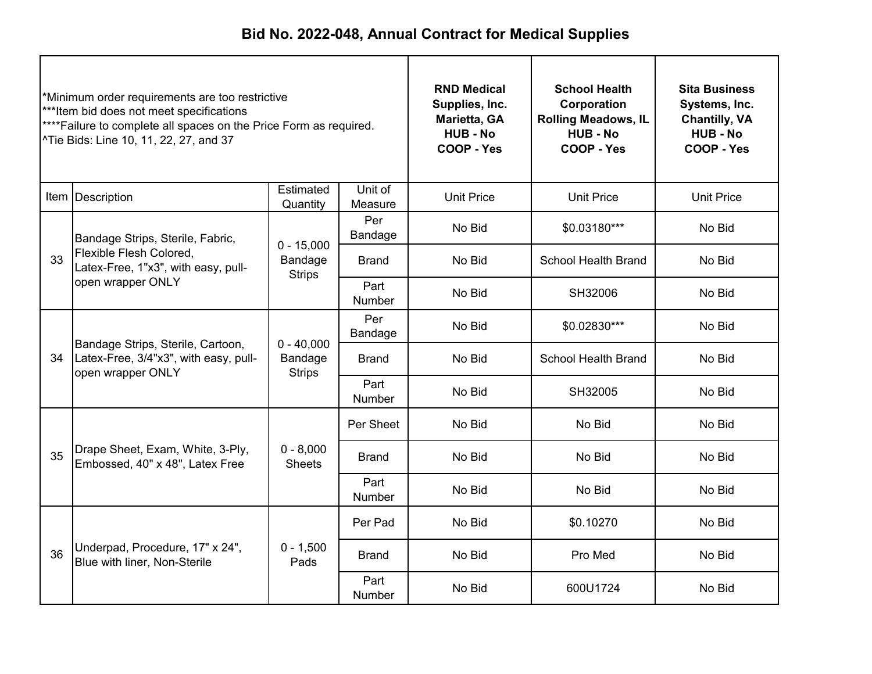| *Minimum order requirements are too restrictive<br>***Item bid does not meet specifications<br>**** Failure to complete all spaces on the Price Form as required.<br>^Tie Bids: Line 10, 11, 22, 27, and 37 |                                                                                                 | <b>RND Medical</b><br>Supplies, Inc.<br>Marietta, GA<br><b>HUB - No</b><br>COOP - Yes | <b>School Health</b><br>Corporation<br><b>Rolling Meadows, IL</b><br><b>HUB - No</b><br>COOP - Yes | <b>Sita Business</b><br>Systems, Inc.<br><b>Chantilly, VA</b><br><b>HUB - No</b><br>COOP - Yes |                            |                   |
|-------------------------------------------------------------------------------------------------------------------------------------------------------------------------------------------------------------|-------------------------------------------------------------------------------------------------|---------------------------------------------------------------------------------------|----------------------------------------------------------------------------------------------------|------------------------------------------------------------------------------------------------|----------------------------|-------------------|
|                                                                                                                                                                                                             | Item   Description                                                                              | Estimated<br>Quantity                                                                 | Unit of<br>Measure                                                                                 | <b>Unit Price</b>                                                                              | <b>Unit Price</b>          | <b>Unit Price</b> |
|                                                                                                                                                                                                             | Bandage Strips, Sterile, Fabric,                                                                | $0 - 15,000$                                                                          | Per<br>Bandage                                                                                     | No Bid                                                                                         | \$0.03180***               | No Bid            |
| 33                                                                                                                                                                                                          | Flexible Flesh Colored,<br>Latex-Free, 1"x3", with easy, pull-<br>open wrapper ONLY             | Bandage<br><b>Strips</b>                                                              | <b>Brand</b>                                                                                       | No Bid                                                                                         | <b>School Health Brand</b> | No Bid            |
|                                                                                                                                                                                                             |                                                                                                 |                                                                                       | Part<br><b>Number</b>                                                                              | No Bid                                                                                         | SH32006                    | No Bid            |
|                                                                                                                                                                                                             | Bandage Strips, Sterile, Cartoon,<br>Latex-Free, 3/4"x3", with easy, pull-<br>open wrapper ONLY |                                                                                       | Per<br>Bandage                                                                                     | No Bid                                                                                         | \$0.02830***               | No Bid            |
| 34                                                                                                                                                                                                          |                                                                                                 | $0 - 40,000$<br>Bandage<br><b>Strips</b>                                              | <b>Brand</b>                                                                                       | No Bid                                                                                         | <b>School Health Brand</b> | No Bid            |
|                                                                                                                                                                                                             |                                                                                                 |                                                                                       | Part<br>Number                                                                                     | No Bid                                                                                         | SH32005                    | No Bid            |
|                                                                                                                                                                                                             |                                                                                                 |                                                                                       | Per Sheet                                                                                          | No Bid                                                                                         | No Bid                     | No Bid            |
| 35                                                                                                                                                                                                          | Drape Sheet, Exam, White, 3-Ply,<br>Embossed, 40" x 48", Latex Free                             | $0 - 8,000$<br><b>Sheets</b>                                                          | No Bid<br>No Bid<br><b>Brand</b>                                                                   |                                                                                                | No Bid                     |                   |
|                                                                                                                                                                                                             |                                                                                                 |                                                                                       | Part<br>Number                                                                                     | No Bid                                                                                         | No Bid                     | No Bid            |
|                                                                                                                                                                                                             | Underpad, Procedure, 17" x 24",<br>Blue with liner, Non-Sterile                                 |                                                                                       | Per Pad                                                                                            | No Bid                                                                                         | \$0.10270                  | No Bid            |
| 36                                                                                                                                                                                                          |                                                                                                 | $0 - 1,500$<br>Pads                                                                   | <b>Brand</b>                                                                                       | No Bid                                                                                         | Pro Med                    | No Bid            |
|                                                                                                                                                                                                             |                                                                                                 |                                                                                       | Part<br>Number                                                                                     | No Bid                                                                                         | 600U1724                   | No Bid            |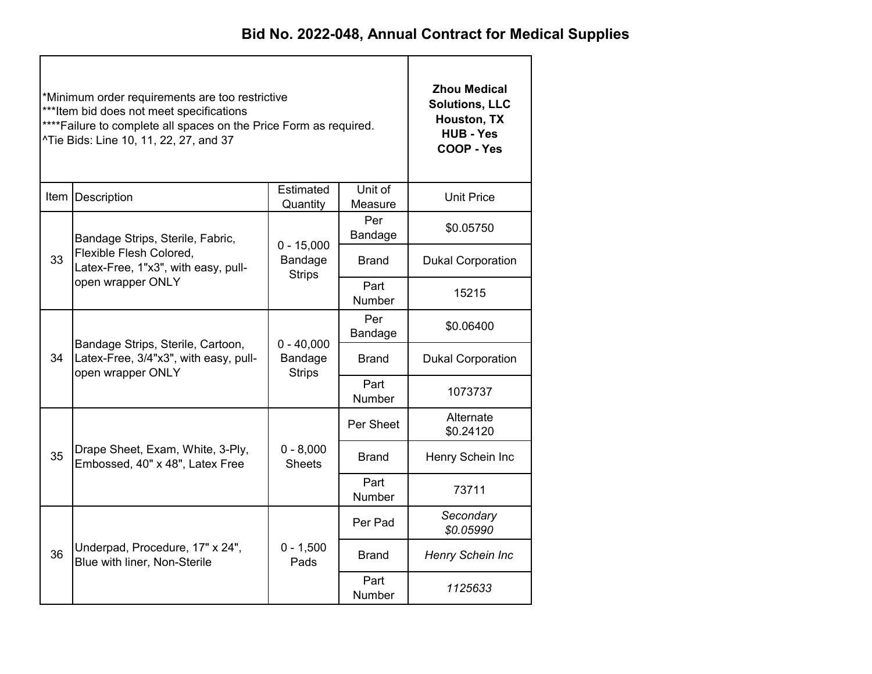|    | *Minimum order requirements are too restrictive<br>***Item bid does not meet specifications<br>**** Failure to complete all spaces on the Price Form as required.<br>^Tie Bids: Line 10, 11, 22, 27, and 37 | <b>Zhou Medical</b><br><b>Solutions, LLC</b><br>Houston, TX<br><b>HUB - Yes</b><br>COOP - Yes |                       |                          |
|----|-------------------------------------------------------------------------------------------------------------------------------------------------------------------------------------------------------------|-----------------------------------------------------------------------------------------------|-----------------------|--------------------------|
|    | Item Description                                                                                                                                                                                            | <b>Unit Price</b>                                                                             |                       |                          |
|    | Bandage Strips, Sterile, Fabric,                                                                                                                                                                            | $0 - 15,000$                                                                                  | Per<br>Bandage        | \$0.05750                |
| 33 | Flexible Flesh Colored,<br>Latex-Free, 1"x3", with easy, pull-<br>open wrapper ONLY                                                                                                                         | Bandage<br><b>Strips</b>                                                                      | <b>Brand</b>          | <b>Dukal Corporation</b> |
|    |                                                                                                                                                                                                             |                                                                                               | Part<br>Number        | 15215                    |
|    |                                                                                                                                                                                                             |                                                                                               | Per<br>Bandage        | \$0.06400                |
| 34 | Bandage Strips, Sterile, Cartoon,<br>Latex-Free, 3/4"x3", with easy, pull-<br>open wrapper ONLY                                                                                                             | $0 - 40,000$<br>Bandage<br><b>Strips</b>                                                      | Brand                 | <b>Dukal Corporation</b> |
|    |                                                                                                                                                                                                             |                                                                                               | Part<br>Number        | 1073737                  |
|    |                                                                                                                                                                                                             |                                                                                               | Per Sheet             | Alternate<br>\$0.24120   |
| 35 | Drape Sheet, Exam, White, 3-Ply,<br>Embossed, 40" x 48", Latex Free                                                                                                                                         | $0 - 8,000$<br><b>Sheets</b>                                                                  | Brand                 | Henry Schein Inc         |
|    |                                                                                                                                                                                                             |                                                                                               | Part<br>Number        | 73711                    |
|    |                                                                                                                                                                                                             |                                                                                               | Per Pad               | Secondary<br>\$0.05990   |
| 36 | Underpad, Procedure, 17" x 24",<br>Blue with liner, Non-Sterile                                                                                                                                             | $0 - 1,500$<br>Pads                                                                           | <b>Brand</b>          | Henry Schein Inc         |
|    |                                                                                                                                                                                                             |                                                                                               | Part<br><b>Number</b> | 1125633                  |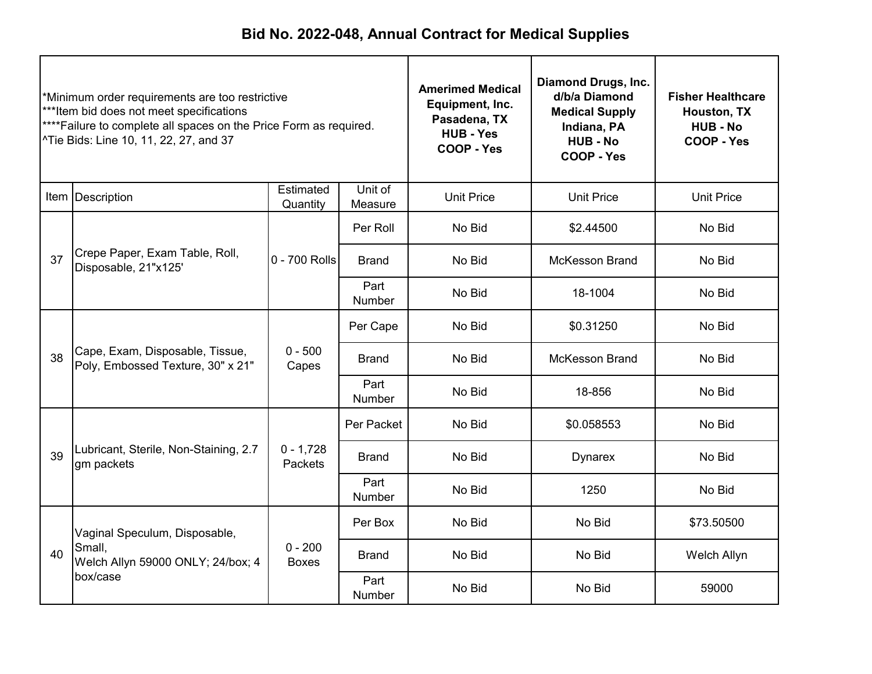| *Minimum order requirements are too restrictive<br>***Item bid does not meet specifications<br>**** Failure to complete all spaces on the Price Form as required.<br>^Tie Bids: Line 10, 11, 22, 27, and 37 |                                                                            | <b>Amerimed Medical</b><br>Equipment, Inc.<br>Pasadena, TX<br><b>HUB - Yes</b><br><b>COOP - Yes</b> | Diamond Drugs, Inc.<br>d/b/a Diamond<br><b>Medical Supply</b><br>Indiana, PA<br><b>HUB - No</b><br>COOP - Yes | <b>Fisher Healthcare</b><br>Houston, TX<br><b>HUB - No</b><br>COOP - Yes |                       |                   |
|-------------------------------------------------------------------------------------------------------------------------------------------------------------------------------------------------------------|----------------------------------------------------------------------------|-----------------------------------------------------------------------------------------------------|---------------------------------------------------------------------------------------------------------------|--------------------------------------------------------------------------|-----------------------|-------------------|
|                                                                                                                                                                                                             | Item Description                                                           | Estimated<br>Quantity                                                                               | Unit of<br>Measure                                                                                            | <b>Unit Price</b>                                                        | <b>Unit Price</b>     | <b>Unit Price</b> |
|                                                                                                                                                                                                             |                                                                            |                                                                                                     | Per Roll                                                                                                      | No Bid                                                                   | \$2.44500             | No Bid            |
| 37                                                                                                                                                                                                          | Crepe Paper, Exam Table, Roll,<br>Disposable, 21"x125'                     | 0 - 700 Rolls                                                                                       | <b>Brand</b>                                                                                                  | No Bid                                                                   | <b>McKesson Brand</b> | No Bid            |
|                                                                                                                                                                                                             |                                                                            |                                                                                                     | Part<br>Number                                                                                                | No Bid                                                                   | 18-1004               | No Bid            |
|                                                                                                                                                                                                             | Cape, Exam, Disposable, Tissue,<br>38<br>Poly, Embossed Texture, 30" x 21" |                                                                                                     | Per Cape                                                                                                      | No Bid                                                                   | \$0.31250             | No Bid            |
|                                                                                                                                                                                                             |                                                                            | $0 - 500$<br>Capes                                                                                  | <b>Brand</b>                                                                                                  | No Bid                                                                   | <b>McKesson Brand</b> | No Bid            |
|                                                                                                                                                                                                             |                                                                            |                                                                                                     | Part<br>Number                                                                                                | No Bid                                                                   | 18-856                | No Bid            |
|                                                                                                                                                                                                             |                                                                            |                                                                                                     | Per Packet                                                                                                    | No Bid                                                                   | \$0.058553            | No Bid            |
| 39                                                                                                                                                                                                          | Lubricant, Sterile, Non-Staining, 2.7<br>gm packets                        | $0 - 1,728$<br>Packets                                                                              | <b>Brand</b>                                                                                                  | No Bid                                                                   | <b>Dynarex</b>        | No Bid            |
|                                                                                                                                                                                                             |                                                                            |                                                                                                     | Part<br>Number                                                                                                | No Bid                                                                   | 1250                  | No Bid            |
|                                                                                                                                                                                                             | Vaginal Speculum, Disposable,                                              |                                                                                                     | Per Box                                                                                                       | No Bid                                                                   | No Bid                | \$73.50500        |
| 40                                                                                                                                                                                                          | Small,<br>Welch Allyn 59000 ONLY; 24/box; 4<br>box/case                    | $0 - 200$<br><b>Boxes</b>                                                                           | <b>Brand</b>                                                                                                  | No Bid                                                                   | No Bid                | Welch Allyn       |
|                                                                                                                                                                                                             |                                                                            |                                                                                                     | Part<br>Number                                                                                                | No Bid                                                                   | No Bid                | 59000             |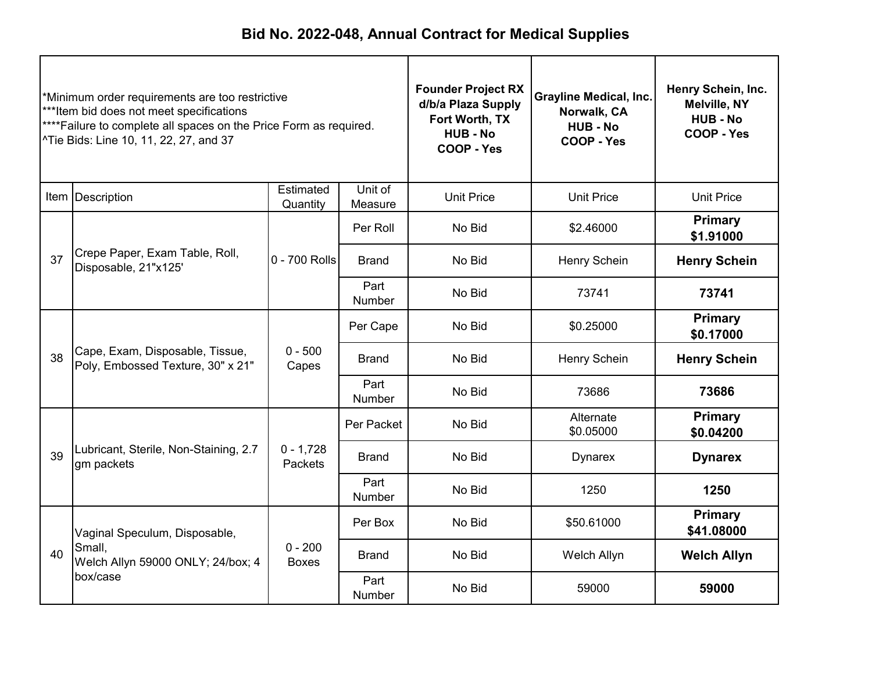| *Minimum order requirements are too restrictive<br>***Item bid does not meet specifications<br>****Failure to complete all spaces on the Price Form as required.<br>^Tie Bids: Line 10, 11, 22, 27, and 37 |                                                                            |                           | <b>Founder Project RX</b><br>d/b/a Plaza Supply<br>Fort Worth, TX<br><b>HUB-No</b><br><b>COOP - Yes</b> | <b>Grayline Medical, Inc.</b><br>Norwalk, CA<br><b>HUB - No</b><br>COOP - Yes | Henry Schein, Inc.<br><b>Melville, NY</b><br><b>HUB - No</b><br>COOP - Yes |                              |
|------------------------------------------------------------------------------------------------------------------------------------------------------------------------------------------------------------|----------------------------------------------------------------------------|---------------------------|---------------------------------------------------------------------------------------------------------|-------------------------------------------------------------------------------|----------------------------------------------------------------------------|------------------------------|
|                                                                                                                                                                                                            | Item Description                                                           | Estimated<br>Quantity     | Unit of<br>Measure                                                                                      | <b>Unit Price</b>                                                             | <b>Unit Price</b>                                                          | <b>Unit Price</b>            |
|                                                                                                                                                                                                            |                                                                            |                           | Per Roll                                                                                                | No Bid                                                                        | \$2.46000                                                                  | <b>Primary</b><br>\$1.91000  |
| 37                                                                                                                                                                                                         | Crepe Paper, Exam Table, Roll,<br>Disposable, 21"x125'                     | 0 - 700 Rolls             | <b>Brand</b>                                                                                            | No Bid                                                                        | Henry Schein                                                               | <b>Henry Schein</b>          |
|                                                                                                                                                                                                            |                                                                            |                           | Part<br>Number                                                                                          | No Bid                                                                        | 73741                                                                      | 73741                        |
|                                                                                                                                                                                                            | Cape, Exam, Disposable, Tissue,<br>38<br>Poly, Embossed Texture, 30" x 21" | $0 - 500$<br>Capes        | Per Cape                                                                                                | No Bid                                                                        | \$0.25000                                                                  | <b>Primary</b><br>\$0.17000  |
|                                                                                                                                                                                                            |                                                                            |                           | Brand                                                                                                   | No Bid                                                                        | Henry Schein                                                               | <b>Henry Schein</b>          |
|                                                                                                                                                                                                            |                                                                            |                           | Part<br>Number                                                                                          | No Bid                                                                        | 73686                                                                      | 73686                        |
|                                                                                                                                                                                                            |                                                                            |                           | Per Packet                                                                                              | No Bid                                                                        | Alternate<br>\$0.05000                                                     | <b>Primary</b><br>\$0.04200  |
| 39                                                                                                                                                                                                         | Lubricant, Sterile, Non-Staining, 2.7<br>gm packets                        | $0 - 1,728$<br>Packets    | <b>Brand</b>                                                                                            | No Bid                                                                        | <b>Dynarex</b>                                                             | <b>Dynarex</b>               |
|                                                                                                                                                                                                            |                                                                            |                           | Part<br>Number                                                                                          | No Bid                                                                        | 1250                                                                       | 1250                         |
|                                                                                                                                                                                                            | Vaginal Speculum, Disposable,                                              |                           | Per Box                                                                                                 | No Bid                                                                        | \$50.61000                                                                 | <b>Primary</b><br>\$41.08000 |
| 40                                                                                                                                                                                                         | Small,<br>Welch Allyn 59000 ONLY; 24/box; 4                                | $0 - 200$<br><b>Boxes</b> | <b>Brand</b>                                                                                            | No Bid                                                                        | Welch Allyn                                                                | <b>Welch Allyn</b>           |
|                                                                                                                                                                                                            | box/case                                                                   |                           | Part<br>Number                                                                                          | No Bid                                                                        | 59000                                                                      | 59000                        |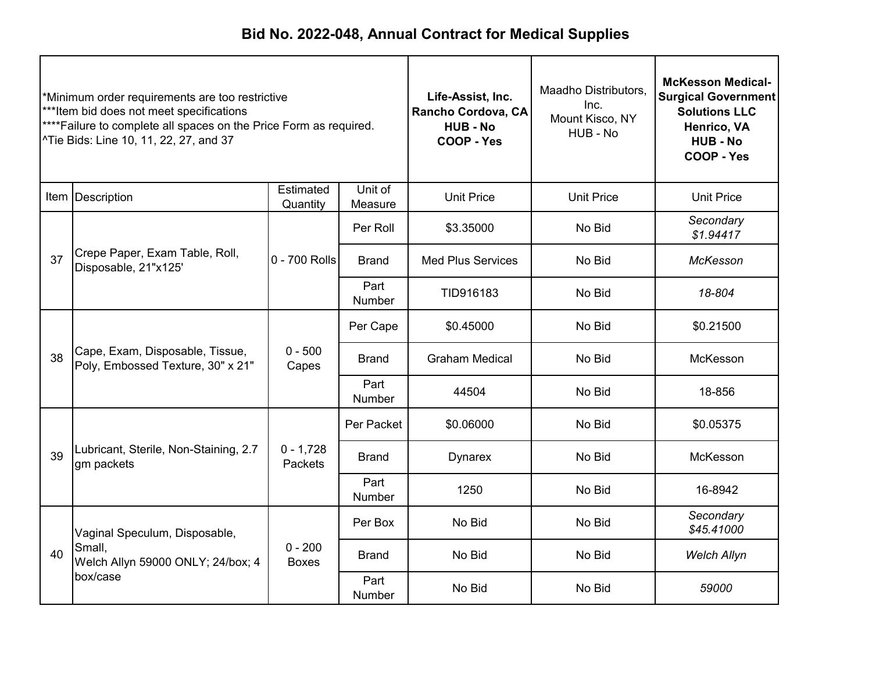| *Minimum order requirements are too restrictive<br>***Item bid does not meet specifications<br>****Failure to complete all spaces on the Price Form as required.<br>^Tie Bids: Line 10, 11, 22, 27, and 37 |                                                                      |                           | Life-Assist, Inc.<br>Rancho Cordova, CA<br><b>HUB-No</b><br>COOP - Yes | Maadho Distributors,<br>Inc.<br>Mount Kisco, NY<br>HUB - No | <b>McKesson Medical-</b><br><b>Surgical Government</b><br><b>Solutions LLC</b><br>Henrico, VA<br><b>HUB - No</b><br>COOP - Yes |                         |
|------------------------------------------------------------------------------------------------------------------------------------------------------------------------------------------------------------|----------------------------------------------------------------------|---------------------------|------------------------------------------------------------------------|-------------------------------------------------------------|--------------------------------------------------------------------------------------------------------------------------------|-------------------------|
|                                                                                                                                                                                                            | Item Description                                                     | Estimated<br>Quantity     | Unit of<br>Measure                                                     | <b>Unit Price</b>                                           | <b>Unit Price</b>                                                                                                              | <b>Unit Price</b>       |
|                                                                                                                                                                                                            |                                                                      |                           | Per Roll                                                               | \$3.35000                                                   | No Bid                                                                                                                         | Secondary<br>\$1.94417  |
| 37                                                                                                                                                                                                         | Crepe Paper, Exam Table, Roll,<br>Disposable, 21"x125'               | 0 - 700 Rolls             | <b>Brand</b>                                                           | <b>Med Plus Services</b>                                    | No Bid                                                                                                                         | McKesson                |
|                                                                                                                                                                                                            |                                                                      |                           | Part<br>Number                                                         | TID916183                                                   | No Bid                                                                                                                         | 18-804                  |
|                                                                                                                                                                                                            |                                                                      | $0 - 500$<br>Capes        | Per Cape                                                               | \$0.45000                                                   | No Bid                                                                                                                         | \$0.21500               |
| 38                                                                                                                                                                                                         | Cape, Exam, Disposable, Tissue,<br>Poly, Embossed Texture, 30" x 21" |                           | Brand                                                                  | <b>Graham Medical</b>                                       | No Bid                                                                                                                         | McKesson                |
|                                                                                                                                                                                                            |                                                                      |                           | Part<br>Number                                                         | 44504                                                       | No Bid                                                                                                                         | 18-856                  |
|                                                                                                                                                                                                            |                                                                      |                           | Per Packet                                                             | \$0.06000                                                   | No Bid                                                                                                                         | \$0.05375               |
| 39                                                                                                                                                                                                         | Lubricant, Sterile, Non-Staining, 2.7<br>gm packets                  | $0 - 1,728$<br>Packets    | Brand                                                                  | <b>Dynarex</b>                                              | No Bid                                                                                                                         | McKesson                |
|                                                                                                                                                                                                            |                                                                      |                           | Part<br>Number                                                         | 1250                                                        | No Bid                                                                                                                         | 16-8942                 |
|                                                                                                                                                                                                            | Vaginal Speculum, Disposable,                                        |                           | Per Box                                                                | No Bid                                                      | No Bid                                                                                                                         | Secondary<br>\$45.41000 |
| 40                                                                                                                                                                                                         | Small,<br>Welch Allyn 59000 ONLY; 24/box; 4<br>box/case              | $0 - 200$<br><b>Boxes</b> | <b>Brand</b>                                                           | No Bid<br>No Bid                                            | <b>Welch Allyn</b>                                                                                                             |                         |
|                                                                                                                                                                                                            |                                                                      |                           | Part<br>Number                                                         | No Bid                                                      | No Bid                                                                                                                         | 59000                   |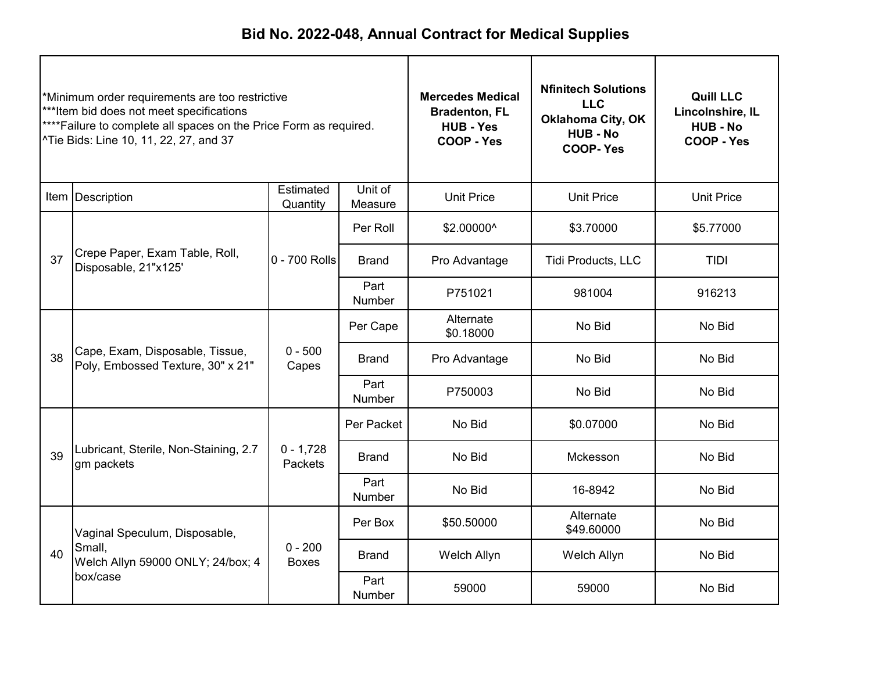| *Minimum order requirements are too restrictive<br>***Item bid does not meet specifications<br>**** Failure to complete all spaces on the Price Form as required.<br>^Tie Bids: Line 10, 11, 22, 27, and 37 |                                                                            | <b>Mercedes Medical</b><br><b>Bradenton, FL</b><br><b>HUB - Yes</b><br>COOP - Yes | <b>Nfinitech Solutions</b><br><b>LLC</b><br><b>Oklahoma City, OK</b><br><b>HUB - No</b><br><b>COOP-Yes</b> | <b>Quill LLC</b><br>Lincolnshire, IL<br><b>HUB - No</b><br>COOP - Yes |                         |                   |
|-------------------------------------------------------------------------------------------------------------------------------------------------------------------------------------------------------------|----------------------------------------------------------------------------|-----------------------------------------------------------------------------------|------------------------------------------------------------------------------------------------------------|-----------------------------------------------------------------------|-------------------------|-------------------|
|                                                                                                                                                                                                             | Item Description                                                           | Estimated<br>Quantity                                                             | Unit of<br>Measure                                                                                         | <b>Unit Price</b>                                                     | <b>Unit Price</b>       | <b>Unit Price</b> |
|                                                                                                                                                                                                             |                                                                            |                                                                                   | Per Roll                                                                                                   | \$2.00000^                                                            | \$3.70000               | \$5.77000         |
| 37                                                                                                                                                                                                          | Crepe Paper, Exam Table, Roll,<br>Disposable, 21"x125'                     | 0 - 700 Rolls                                                                     | <b>Brand</b>                                                                                               | Pro Advantage                                                         | Tidi Products, LLC      | <b>TIDI</b>       |
|                                                                                                                                                                                                             |                                                                            |                                                                                   | Part<br>Number                                                                                             | P751021                                                               | 981004                  | 916213            |
|                                                                                                                                                                                                             | Cape, Exam, Disposable, Tissue,<br>38<br>Poly, Embossed Texture, 30" x 21" |                                                                                   | Per Cape                                                                                                   | Alternate<br>\$0.18000                                                | No Bid                  | No Bid            |
|                                                                                                                                                                                                             |                                                                            | $0 - 500$<br>Capes                                                                | <b>Brand</b>                                                                                               | Pro Advantage                                                         | No Bid                  | No Bid            |
|                                                                                                                                                                                                             |                                                                            |                                                                                   | Part<br>Number                                                                                             | P750003                                                               | No Bid                  | No Bid            |
|                                                                                                                                                                                                             |                                                                            |                                                                                   | Per Packet                                                                                                 | No Bid                                                                | \$0.07000               | No Bid            |
| 39                                                                                                                                                                                                          | Lubricant, Sterile, Non-Staining, 2.7<br>gm packets                        | $0 - 1,728$<br>Packets                                                            | <b>Brand</b>                                                                                               | No Bid                                                                | Mckesson                | No Bid            |
|                                                                                                                                                                                                             |                                                                            |                                                                                   | Part<br>Number                                                                                             | No Bid                                                                | 16-8942                 | No Bid            |
|                                                                                                                                                                                                             | Vaginal Speculum, Disposable,                                              |                                                                                   | Per Box                                                                                                    | \$50.50000                                                            | Alternate<br>\$49.60000 | No Bid            |
| 40                                                                                                                                                                                                          | Small,<br>Welch Allyn 59000 ONLY; 24/box; 4                                | $0 - 200$<br><b>Boxes</b>                                                         | <b>Brand</b>                                                                                               | Welch Allyn                                                           | Welch Allyn             | No Bid            |
|                                                                                                                                                                                                             | box/case                                                                   |                                                                                   | Part<br><b>Number</b>                                                                                      | 59000                                                                 | 59000                   | No Bid            |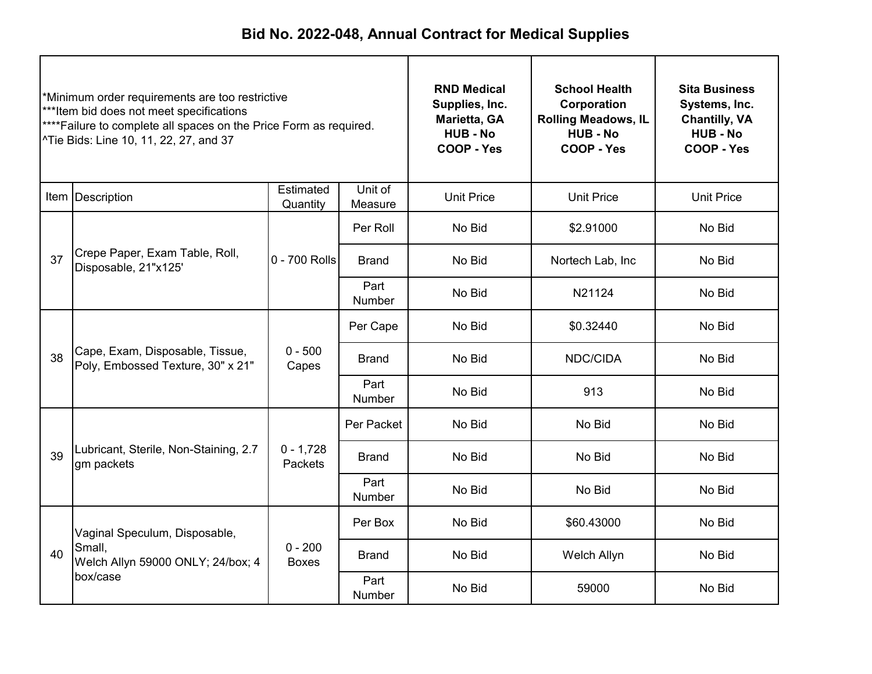| *Minimum order requirements are too restrictive<br>***Item bid does not meet specifications<br>**** Failure to complete all spaces on the Price Form as required.<br>^Tie Bids: Line 10, 11, 22, 27, and 37 |                                                                      | <b>RND Medical</b><br>Supplies, Inc.<br>Marietta, GA<br><b>HUB - No</b><br>COOP - Yes | <b>School Health</b><br>Corporation<br><b>Rolling Meadows, IL</b><br><b>HUB - No</b><br>COOP - Yes | <b>Sita Business</b><br>Systems, Inc.<br><b>Chantilly, VA</b><br><b>HUB - No</b><br>COOP - Yes |                   |                   |
|-------------------------------------------------------------------------------------------------------------------------------------------------------------------------------------------------------------|----------------------------------------------------------------------|---------------------------------------------------------------------------------------|----------------------------------------------------------------------------------------------------|------------------------------------------------------------------------------------------------|-------------------|-------------------|
|                                                                                                                                                                                                             | Item   Description                                                   | Estimated<br>Quantity                                                                 | Unit of<br>Measure                                                                                 | <b>Unit Price</b>                                                                              | <b>Unit Price</b> | <b>Unit Price</b> |
|                                                                                                                                                                                                             | Crepe Paper, Exam Table, Roll,<br>Disposable, 21"x125'               |                                                                                       | Per Roll                                                                                           | No Bid                                                                                         | \$2.91000         | No Bid            |
| 37                                                                                                                                                                                                          |                                                                      | 0 - 700 Rolls                                                                         | <b>Brand</b>                                                                                       | No Bid                                                                                         | Nortech Lab, Inc. | No Bid            |
|                                                                                                                                                                                                             |                                                                      |                                                                                       | Part<br><b>Number</b>                                                                              | No Bid                                                                                         | N21124            | No Bid            |
|                                                                                                                                                                                                             |                                                                      | $0 - 500$<br>Capes                                                                    | Per Cape                                                                                           | No Bid                                                                                         | \$0.32440         | No Bid            |
| 38                                                                                                                                                                                                          | Cape, Exam, Disposable, Tissue,<br>Poly, Embossed Texture, 30" x 21" |                                                                                       | <b>Brand</b>                                                                                       | No Bid                                                                                         | NDC/CIDA          | No Bid            |
|                                                                                                                                                                                                             |                                                                      |                                                                                       | Part<br>Number                                                                                     | No Bid                                                                                         | 913               | No Bid            |
|                                                                                                                                                                                                             |                                                                      |                                                                                       | Per Packet                                                                                         | No Bid                                                                                         | No Bid            | No Bid            |
| 39                                                                                                                                                                                                          | Lubricant, Sterile, Non-Staining, 2.7<br>gm packets                  | $0 - 1,728$<br>Packets                                                                | <b>Brand</b>                                                                                       | No Bid                                                                                         | No Bid            | No Bid            |
|                                                                                                                                                                                                             |                                                                      |                                                                                       | Part<br>Number                                                                                     | No Bid                                                                                         | No Bid            | No Bid            |
|                                                                                                                                                                                                             | Vaginal Speculum, Disposable,                                        |                                                                                       | Per Box                                                                                            | No Bid                                                                                         | \$60.43000        | No Bid            |
| 40                                                                                                                                                                                                          | Small,<br>Welch Allyn 59000 ONLY; 24/box; 4                          | $0 - 200$<br><b>Boxes</b>                                                             | <b>Brand</b>                                                                                       | No Bid                                                                                         | Welch Allyn       | No Bid            |
|                                                                                                                                                                                                             | box/case                                                             |                                                                                       | Part<br>Number                                                                                     | No Bid                                                                                         | 59000             | No Bid            |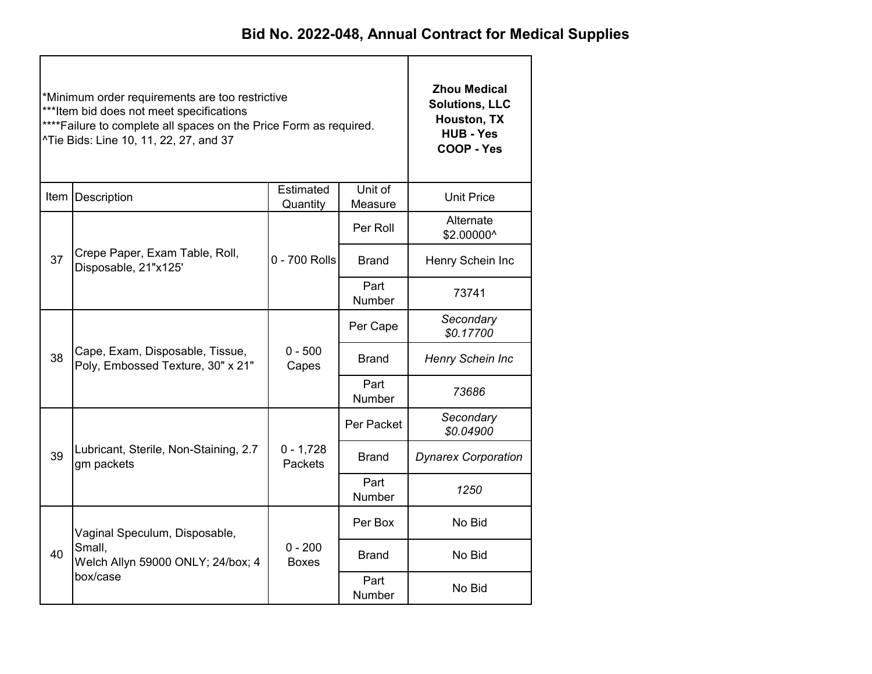|    | *Minimum order requirements are too restrictive<br>*** Item bid does not meet specifications<br>**** Failure to complete all spaces on the Price Form as required.<br>^Tie Bids: Line 10, 11, 22, 27, and 37 | <b>Zhou Medical</b><br><b>Solutions, LLC</b><br>Houston, TX<br><b>HUB - Yes</b><br>COOP - Yes |                       |                            |  |
|----|--------------------------------------------------------------------------------------------------------------------------------------------------------------------------------------------------------------|-----------------------------------------------------------------------------------------------|-----------------------|----------------------------|--|
|    | Item   Description                                                                                                                                                                                           | <b>Unit Price</b>                                                                             |                       |                            |  |
|    |                                                                                                                                                                                                              |                                                                                               | Per Roll              | Alternate<br>\$2.00000^    |  |
| 37 | Crepe Paper, Exam Table, Roll,<br>Disposable, 21"x125'                                                                                                                                                       | 0 - 700 Rolls                                                                                 | <b>Brand</b>          | Henry Schein Inc           |  |
|    |                                                                                                                                                                                                              |                                                                                               | Part<br><b>Number</b> | 73741                      |  |
|    |                                                                                                                                                                                                              |                                                                                               | Per Cape              | Secondary<br>\$0.17700     |  |
| 38 | Cape, Exam, Disposable, Tissue,<br>Poly, Embossed Texture, 30" x 21"                                                                                                                                         | $0 - 500$<br>Capes                                                                            | Brand                 | Henry Schein Inc           |  |
|    |                                                                                                                                                                                                              |                                                                                               | Part<br>Number        | 73686                      |  |
|    |                                                                                                                                                                                                              |                                                                                               | Per Packet            | Secondary<br>\$0.04900     |  |
| 39 | Lubricant, Sterile, Non-Staining, 2.7<br>gm packets                                                                                                                                                          | $0 - 1,728$<br>Packets                                                                        | Brand                 | <b>Dynarex Corporation</b> |  |
|    |                                                                                                                                                                                                              |                                                                                               | Part<br>Number        | 1250                       |  |
|    | Vaginal Speculum, Disposable,                                                                                                                                                                                |                                                                                               | Per Box               | No Bid                     |  |
| 40 | Small,<br>Welch Allyn 59000 ONLY; 24/box; 4                                                                                                                                                                  | $0 - 200$<br><b>Boxes</b>                                                                     | <b>Brand</b>          | No Bid                     |  |
|    | box/case                                                                                                                                                                                                     |                                                                                               | Part<br>Number        | No Bid                     |  |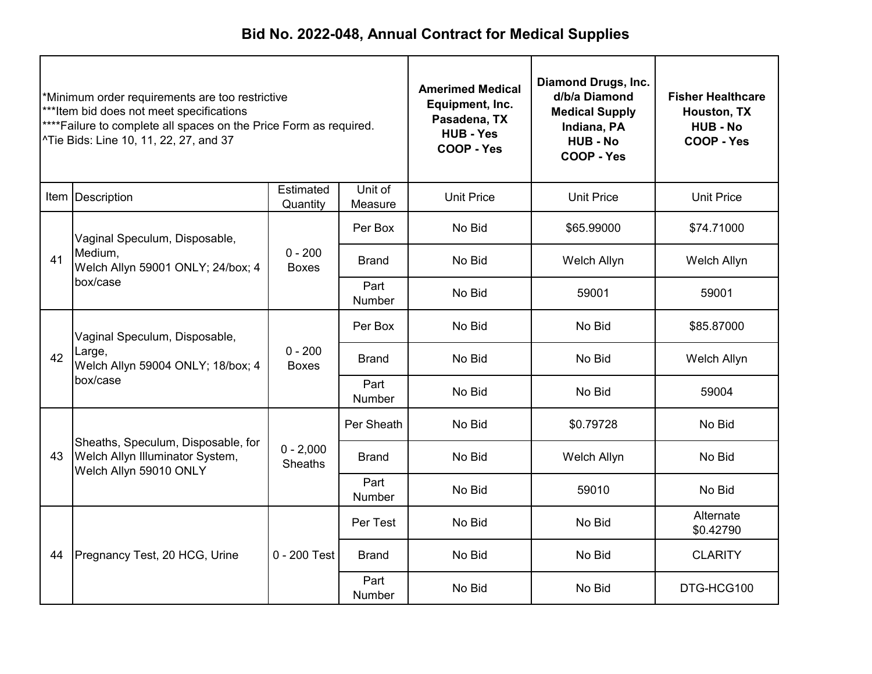| *Minimum order requirements are too restrictive<br>*** Item bid does not meet specifications<br>**** Failure to complete all spaces on the Price Form as required.<br><sup>^</sup> Tie Bids: Line 10, 11, 22, 27, and 37 |                                                                                                 |                               | <b>Amerimed Medical</b><br>Equipment, Inc.<br>Pasadena, TX<br><b>HUB - Yes</b><br>COOP - Yes | <b>Diamond Drugs, Inc.</b><br>d/b/a Diamond<br><b>Medical Supply</b><br>Indiana, PA<br><b>HUB - No</b><br><b>COOP - Yes</b> | <b>Fisher Healthcare</b><br>Houston, TX<br><b>HUB - No</b><br>COOP - Yes |                        |
|--------------------------------------------------------------------------------------------------------------------------------------------------------------------------------------------------------------------------|-------------------------------------------------------------------------------------------------|-------------------------------|----------------------------------------------------------------------------------------------|-----------------------------------------------------------------------------------------------------------------------------|--------------------------------------------------------------------------|------------------------|
|                                                                                                                                                                                                                          | Item Description                                                                                | Estimated<br>Quantity         | Unit of<br>Measure                                                                           | <b>Unit Price</b>                                                                                                           | <b>Unit Price</b>                                                        | <b>Unit Price</b>      |
|                                                                                                                                                                                                                          | Vaginal Speculum, Disposable,                                                                   |                               | Per Box                                                                                      | No Bid                                                                                                                      | \$65.99000                                                               | \$74.71000             |
| 41                                                                                                                                                                                                                       | Medium.<br>Welch Allyn 59001 ONLY; 24/box; 4<br>box/case                                        | $0 - 200$<br><b>Boxes</b>     | Brand                                                                                        | No Bid                                                                                                                      | Welch Allyn                                                              | Welch Allyn            |
|                                                                                                                                                                                                                          |                                                                                                 |                               | Part<br>Number                                                                               | No Bid                                                                                                                      | 59001                                                                    | 59001                  |
|                                                                                                                                                                                                                          | Vaginal Speculum, Disposable,<br>Large,<br>42<br>Welch Allyn 59004 ONLY; 18/box; 4<br>box/case  |                               | Per Box                                                                                      | No Bid                                                                                                                      | No Bid                                                                   | \$85.87000             |
|                                                                                                                                                                                                                          |                                                                                                 | $0 - 200$<br><b>Boxes</b>     | Brand                                                                                        | No Bid                                                                                                                      | No Bid                                                                   | Welch Allyn            |
|                                                                                                                                                                                                                          |                                                                                                 |                               | Part<br>Number                                                                               | No Bid                                                                                                                      | No Bid                                                                   | 59004                  |
|                                                                                                                                                                                                                          |                                                                                                 |                               | Per Sheath                                                                                   | No Bid                                                                                                                      | \$0.79728                                                                | No Bid                 |
| 43                                                                                                                                                                                                                       | Sheaths, Speculum, Disposable, for<br>Welch Allyn Illuminator System,<br>Welch Allyn 59010 ONLY | $0 - 2,000$<br><b>Sheaths</b> | Brand                                                                                        | No Bid                                                                                                                      | Welch Allyn                                                              | No Bid                 |
|                                                                                                                                                                                                                          |                                                                                                 |                               | Part<br>Number                                                                               | No Bid                                                                                                                      | 59010                                                                    | No Bid                 |
|                                                                                                                                                                                                                          |                                                                                                 |                               | Per Test                                                                                     | No Bid                                                                                                                      | No Bid                                                                   | Alternate<br>\$0.42790 |
| 44                                                                                                                                                                                                                       | Pregnancy Test, 20 HCG, Urine                                                                   | $0 - 200$ Test                | <b>Brand</b>                                                                                 | No Bid                                                                                                                      | No Bid                                                                   | <b>CLARITY</b>         |
|                                                                                                                                                                                                                          |                                                                                                 |                               | Part<br><b>Number</b>                                                                        | No Bid                                                                                                                      | No Bid                                                                   | DTG-HCG100             |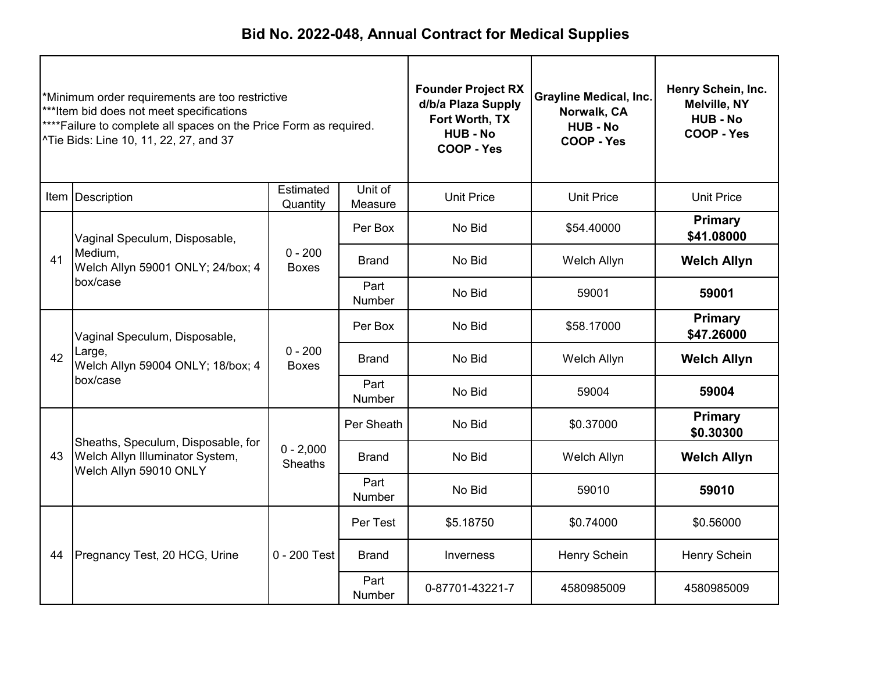| *Minimum order requirements are too restrictive<br>***Item bid does not meet specifications<br>****Failure to complete all spaces on the Price Form as required.<br>^Tie Bids: Line 10, 11, 22, 27, and 37 |                                                                                                 |                               | <b>Founder Project RX</b><br>d/b/a Plaza Supply<br>Fort Worth, TX<br><b>HUB-No</b><br><b>COOP - Yes</b> | <b>Grayline Medical, Inc.</b><br>Norwalk, CA<br><b>HUB - No</b><br>COOP - Yes | Henry Schein, Inc.<br>Melville, NY<br><b>HUB - No</b><br>COOP - Yes |                              |
|------------------------------------------------------------------------------------------------------------------------------------------------------------------------------------------------------------|-------------------------------------------------------------------------------------------------|-------------------------------|---------------------------------------------------------------------------------------------------------|-------------------------------------------------------------------------------|---------------------------------------------------------------------|------------------------------|
|                                                                                                                                                                                                            | Item Description                                                                                | Estimated<br>Quantity         | Unit of<br>Measure                                                                                      | <b>Unit Price</b>                                                             | <b>Unit Price</b>                                                   | <b>Unit Price</b>            |
|                                                                                                                                                                                                            | Vaginal Speculum, Disposable,                                                                   |                               | Per Box                                                                                                 | No Bid                                                                        | \$54.40000                                                          | <b>Primary</b><br>\$41.08000 |
| 41                                                                                                                                                                                                         | Medium.<br>Welch Allyn 59001 ONLY; 24/box; 4                                                    | $0 - 200$<br><b>Boxes</b>     | No Bid<br>Welch Allyn<br><b>Brand</b>                                                                   |                                                                               | <b>Welch Allyn</b>                                                  |                              |
|                                                                                                                                                                                                            | box/case                                                                                        |                               | Part<br>Number                                                                                          | No Bid                                                                        | 59001                                                               | 59001                        |
|                                                                                                                                                                                                            | Vaginal Speculum, Disposable,<br>Large,<br>Welch Allyn 59004 ONLY; 18/box; 4                    | $0 - 200$<br><b>Boxes</b>     | Per Box                                                                                                 | No Bid                                                                        | \$58.17000                                                          | <b>Primary</b><br>\$47.26000 |
| 42                                                                                                                                                                                                         |                                                                                                 |                               | Brand                                                                                                   | No Bid                                                                        | Welch Allyn                                                         | <b>Welch Allyn</b>           |
|                                                                                                                                                                                                            | box/case                                                                                        |                               | Part<br>Number                                                                                          | No Bid                                                                        | 59004                                                               | 59004                        |
|                                                                                                                                                                                                            |                                                                                                 |                               | Per Sheath                                                                                              | No Bid                                                                        | \$0.37000                                                           | Primary<br>\$0.30300         |
| 43                                                                                                                                                                                                         | Sheaths, Speculum, Disposable, for<br>Welch Allyn Illuminator System,<br>Welch Allyn 59010 ONLY | $0 - 2,000$<br><b>Sheaths</b> | <b>Brand</b>                                                                                            | No Bid                                                                        | Welch Allyn                                                         | <b>Welch Allyn</b>           |
|                                                                                                                                                                                                            |                                                                                                 |                               | Part<br>Number                                                                                          | No Bid                                                                        | 59010                                                               | 59010                        |
|                                                                                                                                                                                                            |                                                                                                 |                               | Per Test                                                                                                | \$5.18750                                                                     | \$0.74000                                                           | \$0.56000                    |
| 44                                                                                                                                                                                                         | Pregnancy Test, 20 HCG, Urine                                                                   | $0 - 200$ Test                | <b>Brand</b>                                                                                            | Inverness                                                                     | Henry Schein                                                        | Henry Schein                 |
|                                                                                                                                                                                                            |                                                                                                 |                               | Part<br>Number                                                                                          | 0-87701-43221-7                                                               | 4580985009                                                          | 4580985009                   |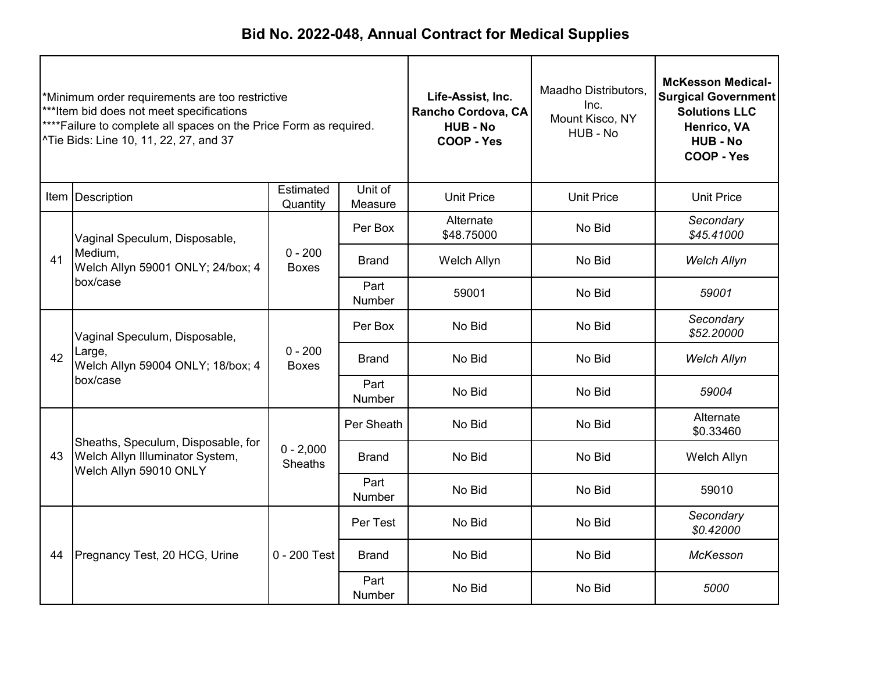| *Minimum order requirements are too restrictive<br>***Item bid does not meet specifications<br>****Failure to complete all spaces on the Price Form as required.<br>^Tie Bids: Line 10, 11, 22, 27, and 37 |                                                                                                 |                           | Life-Assist, Inc.<br>Rancho Cordova, CA<br><b>HUB-No</b><br>COOP - Yes | Maadho Distributors,<br>Inc.<br>Mount Kisco, NY<br>HUB - No | <b>McKesson Medical-</b><br><b>Surgical Government</b><br><b>Solutions LLC</b><br>Henrico, VA<br><b>HUB - No</b><br>COOP - Yes |                         |
|------------------------------------------------------------------------------------------------------------------------------------------------------------------------------------------------------------|-------------------------------------------------------------------------------------------------|---------------------------|------------------------------------------------------------------------|-------------------------------------------------------------|--------------------------------------------------------------------------------------------------------------------------------|-------------------------|
|                                                                                                                                                                                                            | Item   Description                                                                              | Estimated<br>Quantity     | Unit of<br>Measure                                                     | <b>Unit Price</b>                                           | <b>Unit Price</b>                                                                                                              | <b>Unit Price</b>       |
|                                                                                                                                                                                                            | Vaginal Speculum, Disposable,                                                                   |                           | Per Box                                                                | Alternate<br>\$48.75000                                     | No Bid                                                                                                                         | Secondary<br>\$45.41000 |
| 41                                                                                                                                                                                                         | Medium.<br>Welch Allyn 59001 ONLY; 24/box; 4<br>box/case                                        | $0 - 200$<br><b>Boxes</b> | <b>Brand</b>                                                           | Welch Allyn                                                 | No Bid                                                                                                                         | <b>Welch Allyn</b>      |
|                                                                                                                                                                                                            |                                                                                                 |                           | Part<br>Number                                                         | 59001                                                       | No Bid                                                                                                                         | 59001                   |
|                                                                                                                                                                                                            | Vaginal Speculum, Disposable,<br>Large,<br>42<br>Welch Allyn 59004 ONLY; 18/box; 4<br>box/case  |                           | Per Box                                                                | No Bid                                                      | No Bid                                                                                                                         | Secondary<br>\$52.20000 |
|                                                                                                                                                                                                            |                                                                                                 | $0 - 200$<br><b>Boxes</b> | Brand                                                                  | No Bid                                                      | No Bid                                                                                                                         | <b>Welch Allyn</b>      |
|                                                                                                                                                                                                            |                                                                                                 |                           | Part<br>Number                                                         | No Bid                                                      | No Bid                                                                                                                         | 59004                   |
|                                                                                                                                                                                                            |                                                                                                 |                           | Per Sheath                                                             | No Bid                                                      | No Bid                                                                                                                         | Alternate<br>\$0.33460  |
| 43                                                                                                                                                                                                         | Sheaths, Speculum, Disposable, for<br>Welch Allyn Illuminator System,<br>Welch Allyn 59010 ONLY | $0 - 2,000$<br>Sheaths    | Brand                                                                  | No Bid                                                      | No Bid                                                                                                                         | Welch Allyn             |
|                                                                                                                                                                                                            |                                                                                                 |                           | Part<br>Number                                                         | No Bid                                                      | No Bid                                                                                                                         | 59010                   |
|                                                                                                                                                                                                            |                                                                                                 |                           | Per Test                                                               | No Bid                                                      | No Bid                                                                                                                         | Secondary<br>\$0.42000  |
| 44                                                                                                                                                                                                         | Pregnancy Test, 20 HCG, Urine                                                                   | $0 - 200$ Test            | <b>Brand</b>                                                           | No Bid                                                      | No Bid                                                                                                                         | McKesson                |
|                                                                                                                                                                                                            |                                                                                                 |                           | Part<br>Number                                                         | No Bid                                                      | No Bid                                                                                                                         | 5000                    |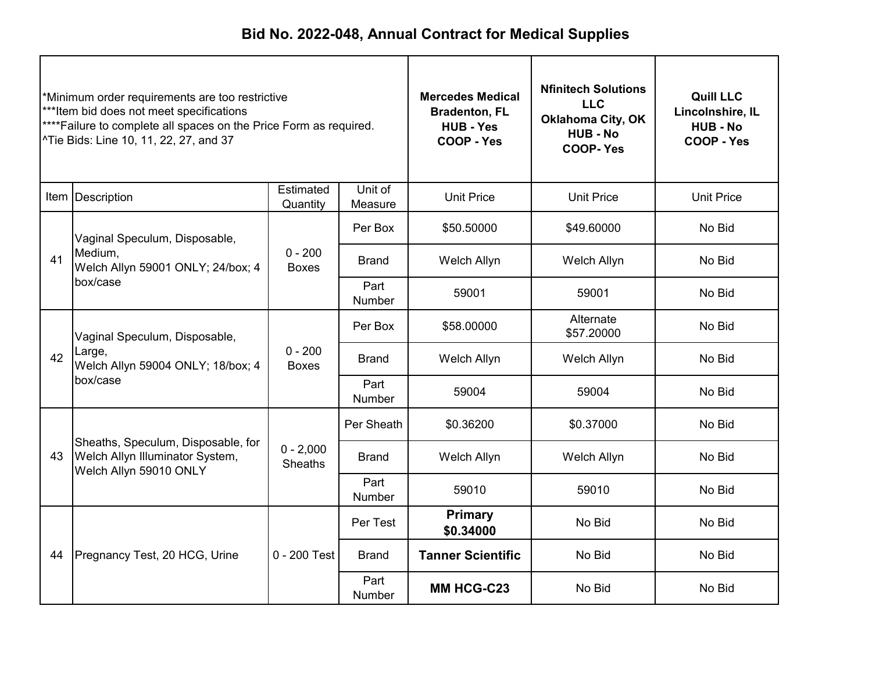| *Minimum order requirements are too restrictive<br>***Item bid does not meet specifications<br>****Failure to complete all spaces on the Price Form as required.<br>^Tie Bids: Line 10, 11, 22, 27, and 37 |                                                                                                 |                               | <b>Mercedes Medical</b><br><b>Bradenton, FL</b><br><b>HUB - Yes</b><br>COOP - Yes | <b>Nfinitech Solutions</b><br><b>LLC</b><br><b>Oklahoma City, OK</b><br><b>HUB - No</b><br><b>COOP-Yes</b> | <b>Quill LLC</b><br>Lincolnshire, IL<br><b>HUB-No</b><br>COOP - Yes |                   |
|------------------------------------------------------------------------------------------------------------------------------------------------------------------------------------------------------------|-------------------------------------------------------------------------------------------------|-------------------------------|-----------------------------------------------------------------------------------|------------------------------------------------------------------------------------------------------------|---------------------------------------------------------------------|-------------------|
|                                                                                                                                                                                                            | Item Description                                                                                | Estimated<br>Quantity         | Unit of<br>Measure                                                                | <b>Unit Price</b>                                                                                          | <b>Unit Price</b>                                                   | <b>Unit Price</b> |
|                                                                                                                                                                                                            | Vaginal Speculum, Disposable,                                                                   |                               | Per Box                                                                           | \$50.50000                                                                                                 | \$49.60000                                                          | No Bid            |
| 41                                                                                                                                                                                                         | Medium.<br>Welch Allyn 59001 ONLY; 24/box; 4                                                    | $0 - 200$<br><b>Boxes</b>     | Welch Allyn<br><b>Brand</b><br>Welch Allyn                                        |                                                                                                            | No Bid                                                              |                   |
|                                                                                                                                                                                                            | box/case                                                                                        |                               | Part<br><b>Number</b>                                                             | 59001                                                                                                      | 59001                                                               | No Bid            |
|                                                                                                                                                                                                            | Vaginal Speculum, Disposable,<br>Large,<br>Welch Allyn 59004 ONLY; 18/box; 4                    | $0 - 200$<br><b>Boxes</b>     | Per Box                                                                           | \$58.00000                                                                                                 | Alternate<br>\$57.20000                                             | No Bid            |
| 42                                                                                                                                                                                                         |                                                                                                 |                               | Brand                                                                             | Welch Allyn                                                                                                | Welch Allyn                                                         | No Bid            |
|                                                                                                                                                                                                            | box/case                                                                                        |                               | Part<br>Number                                                                    | 59004                                                                                                      | 59004                                                               | No Bid            |
|                                                                                                                                                                                                            |                                                                                                 |                               | Per Sheath                                                                        | \$0.36200                                                                                                  | \$0.37000                                                           | No Bid            |
| 43                                                                                                                                                                                                         | Sheaths, Speculum, Disposable, for<br>Welch Allyn Illuminator System,<br>Welch Allyn 59010 ONLY | $0 - 2,000$<br><b>Sheaths</b> | <b>Brand</b>                                                                      | Welch Allyn                                                                                                | Welch Allyn                                                         | No Bid            |
|                                                                                                                                                                                                            |                                                                                                 |                               | Part<br>Number                                                                    | 59010                                                                                                      | 59010                                                               | No Bid            |
|                                                                                                                                                                                                            |                                                                                                 |                               | Per Test                                                                          | <b>Primary</b><br>\$0.34000                                                                                | No Bid                                                              | No Bid            |
| 44                                                                                                                                                                                                         | Pregnancy Test, 20 HCG, Urine                                                                   | 0 - 200 Test                  | <b>Brand</b>                                                                      | <b>Tanner Scientific</b>                                                                                   | No Bid                                                              | No Bid            |
|                                                                                                                                                                                                            |                                                                                                 |                               | Part<br><b>Number</b>                                                             | <b>MM HCG-C23</b>                                                                                          | No Bid                                                              | No Bid            |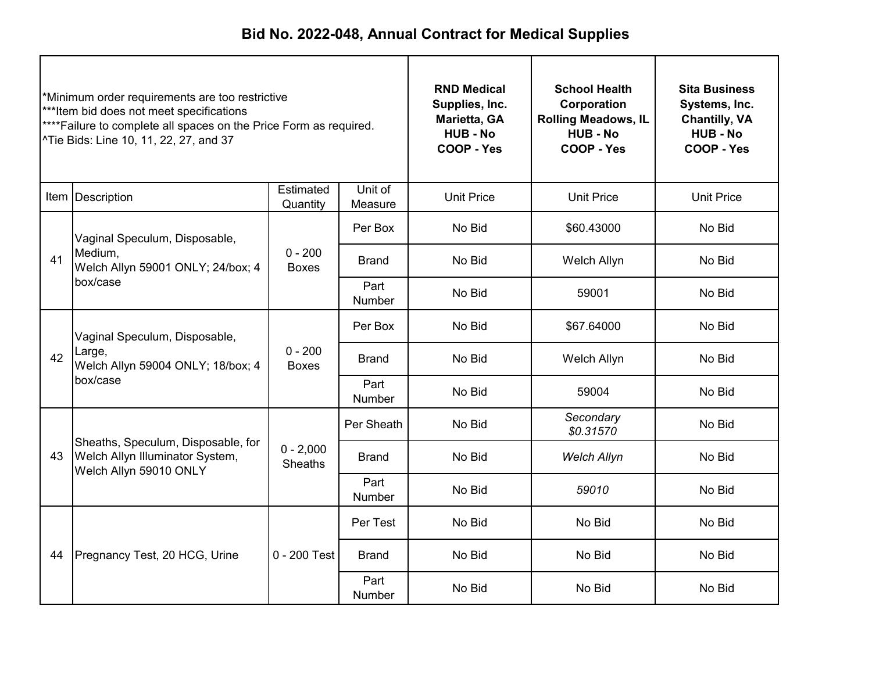| *Minimum order requirements are too restrictive<br>***Item bid does not meet specifications<br>****Failure to complete all spaces on the Price Form as required.<br>^Tie Bids: Line 10, 11, 22, 27, and 37 |                                                                                                 |                               | <b>RND Medical</b><br>Supplies, Inc.<br>Marietta, GA<br><b>HUB - No</b><br>COOP - Yes | <b>School Health</b><br>Corporation<br><b>Rolling Meadows, IL</b><br><b>HUB - No</b><br>COOP - Yes | <b>Sita Business</b><br>Systems, Inc.<br><b>Chantilly, VA</b><br><b>HUB - No</b><br>COOP - Yes |                   |
|------------------------------------------------------------------------------------------------------------------------------------------------------------------------------------------------------------|-------------------------------------------------------------------------------------------------|-------------------------------|---------------------------------------------------------------------------------------|----------------------------------------------------------------------------------------------------|------------------------------------------------------------------------------------------------|-------------------|
|                                                                                                                                                                                                            | Item Description                                                                                | Estimated<br>Quantity         | Unit of<br>Measure                                                                    | <b>Unit Price</b>                                                                                  | <b>Unit Price</b>                                                                              | <b>Unit Price</b> |
|                                                                                                                                                                                                            | Vaginal Speculum, Disposable,                                                                   |                               | Per Box                                                                               | No Bid                                                                                             | \$60.43000                                                                                     | No Bid            |
| 41                                                                                                                                                                                                         | Medium.<br>Welch Allyn 59001 ONLY; 24/box; 4<br>box/case                                        | $0 - 200$<br><b>Boxes</b>     | <b>Brand</b>                                                                          | No Bid                                                                                             | Welch Allyn                                                                                    | No Bid            |
|                                                                                                                                                                                                            |                                                                                                 |                               | Part<br><b>Number</b>                                                                 | No Bid                                                                                             | 59001                                                                                          | No Bid            |
|                                                                                                                                                                                                            | Vaginal Speculum, Disposable,                                                                   | $0 - 200$<br><b>Boxes</b>     | Per Box                                                                               | No Bid                                                                                             | \$67.64000                                                                                     | No Bid            |
| 42                                                                                                                                                                                                         | Large,<br>Welch Allyn 59004 ONLY; 18/box; 4<br>box/case                                         |                               | <b>Brand</b>                                                                          | No Bid                                                                                             | Welch Allyn                                                                                    | No Bid            |
|                                                                                                                                                                                                            |                                                                                                 |                               | Part<br>Number                                                                        | No Bid                                                                                             | 59004                                                                                          | No Bid            |
|                                                                                                                                                                                                            |                                                                                                 |                               | Per Sheath                                                                            | No Bid                                                                                             | Secondary<br>\$0.31570                                                                         | No Bid            |
| 43                                                                                                                                                                                                         | Sheaths, Speculum, Disposable, for<br>Welch Allyn Illuminator System,<br>Welch Allyn 59010 ONLY | $0 - 2,000$<br><b>Sheaths</b> | <b>Brand</b>                                                                          | No Bid                                                                                             | <b>Welch Allyn</b>                                                                             | No Bid            |
|                                                                                                                                                                                                            |                                                                                                 |                               | Part<br>Number                                                                        | No Bid                                                                                             | 59010                                                                                          | No Bid            |
|                                                                                                                                                                                                            |                                                                                                 |                               | Per Test                                                                              | No Bid                                                                                             | No Bid                                                                                         | No Bid            |
| 44                                                                                                                                                                                                         | Pregnancy Test, 20 HCG, Urine                                                                   | $0 - 200$ Test                | <b>Brand</b>                                                                          | No Bid                                                                                             | No Bid                                                                                         | No Bid            |
|                                                                                                                                                                                                            |                                                                                                 |                               | Part<br>Number                                                                        | No Bid                                                                                             | No Bid                                                                                         | No Bid            |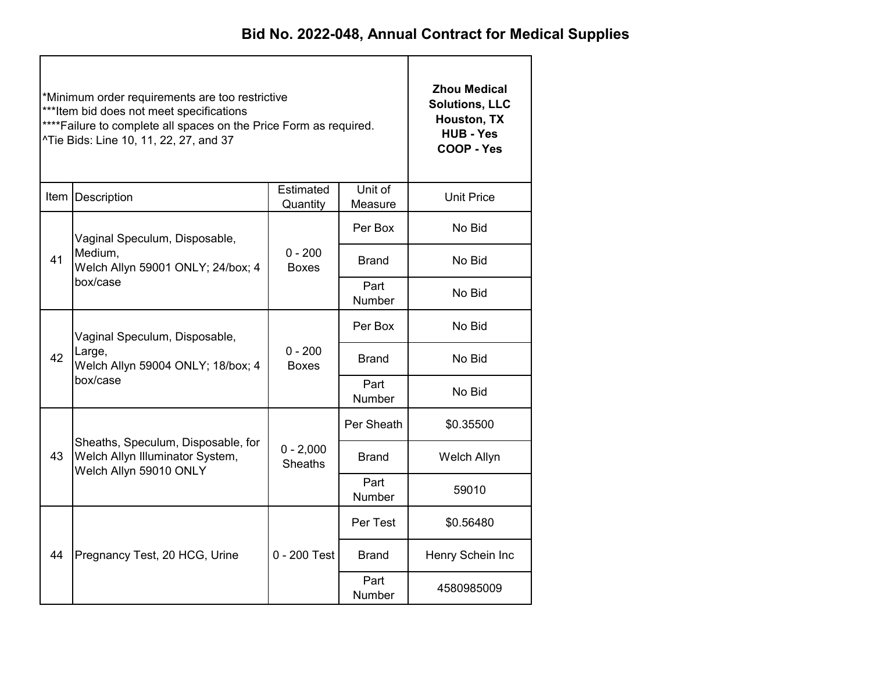|    | *Minimum order requirements are too restrictive<br>***Item bid does not meet specifications<br>**** Failure to complete all spaces on the Price Form as required.<br>^Tie Bids: Line 10, 11, 22, 27, and 37 | <b>Zhou Medical</b><br><b>Solutions, LLC</b><br>Houston, TX<br><b>HUB - Yes</b><br>COOP - Yes |                |                  |
|----|-------------------------------------------------------------------------------------------------------------------------------------------------------------------------------------------------------------|-----------------------------------------------------------------------------------------------|----------------|------------------|
|    | Item Description                                                                                                                                                                                            | <b>Unit Price</b>                                                                             |                |                  |
|    | Vaginal Speculum, Disposable,                                                                                                                                                                               |                                                                                               | Per Box        | No Bid           |
| 41 | Medium,<br>Welch Allyn 59001 ONLY; 24/box; 4<br>box/case                                                                                                                                                    | $0 - 200$<br><b>Boxes</b>                                                                     | <b>Brand</b>   | No Bid           |
|    |                                                                                                                                                                                                             |                                                                                               | Part<br>Number | No Bid           |
|    | Vaginal Speculum, Disposable,<br>Large,<br>42<br>Welch Allyn 59004 ONLY; 18/box; 4                                                                                                                          |                                                                                               | Per Box        | No Bid           |
|    |                                                                                                                                                                                                             | $0 - 200$<br><b>Boxes</b>                                                                     | Brand          | No Bid           |
|    | box/case                                                                                                                                                                                                    |                                                                                               | Part<br>Number | No Bid           |
|    |                                                                                                                                                                                                             |                                                                                               | Per Sheath     | \$0.35500        |
| 43 | Sheaths, Speculum, Disposable, for<br>Welch Allyn Illuminator System,<br>Welch Allyn 59010 ONLY                                                                                                             | $0 - 2,000$<br><b>Sheaths</b>                                                                 | <b>Brand</b>   | Welch Allyn      |
|    |                                                                                                                                                                                                             |                                                                                               | Part<br>Number | 59010            |
|    |                                                                                                                                                                                                             |                                                                                               | Per Test       | \$0.56480        |
| 44 | Pregnancy Test, 20 HCG, Urine                                                                                                                                                                               | $0 - 200$ Test<br><b>Brand</b>                                                                |                | Henry Schein Inc |
|    |                                                                                                                                                                                                             |                                                                                               | Part<br>Number | 4580985009       |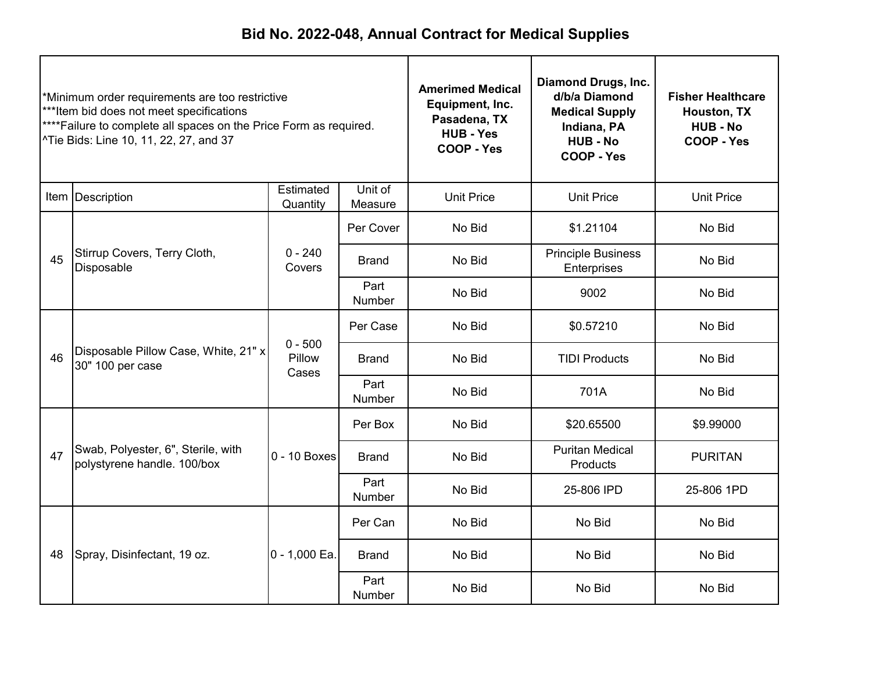| *Minimum order requirements are too restrictive<br>***Item bid does not meet specifications<br>****Failure to complete all spaces on the Price Form as required.<br>^Tie Bids: Line 10, 11, 22, 27, and 37 |                                                                   |                              | <b>Amerimed Medical</b><br>Equipment, Inc.<br>Pasadena, TX<br><b>HUB - Yes</b><br>COOP - Yes | Diamond Drugs, Inc.<br>d/b/a Diamond<br><b>Medical Supply</b><br>Indiana, PA<br><b>HUB - No</b><br>COOP - Yes | <b>Fisher Healthcare</b><br>Houston, TX<br><b>HUB - No</b><br>COOP - Yes |                   |
|------------------------------------------------------------------------------------------------------------------------------------------------------------------------------------------------------------|-------------------------------------------------------------------|------------------------------|----------------------------------------------------------------------------------------------|---------------------------------------------------------------------------------------------------------------|--------------------------------------------------------------------------|-------------------|
|                                                                                                                                                                                                            | Item   Description                                                | Estimated<br>Quantity        | Unit of<br>Measure                                                                           | <b>Unit Price</b>                                                                                             | <b>Unit Price</b>                                                        | <b>Unit Price</b> |
|                                                                                                                                                                                                            |                                                                   |                              | Per Cover                                                                                    | No Bid                                                                                                        | \$1.21104                                                                | No Bid            |
| 45                                                                                                                                                                                                         | Stirrup Covers, Terry Cloth,<br>Disposable                        | $0 - 240$<br>Covers          | <b>Brand</b>                                                                                 | No Bid                                                                                                        | <b>Principle Business</b><br>Enterprises                                 | No Bid            |
|                                                                                                                                                                                                            |                                                                   |                              | Part<br>Number                                                                               | No Bid                                                                                                        | 9002                                                                     | No Bid            |
|                                                                                                                                                                                                            |                                                                   |                              | Per Case                                                                                     | No Bid                                                                                                        | \$0.57210                                                                | No Bid            |
| 46                                                                                                                                                                                                         | Disposable Pillow Case, White, 21" x<br>30" 100 per case          | $0 - 500$<br>Pillow<br>Cases | <b>Brand</b>                                                                                 | No Bid                                                                                                        | <b>TIDI Products</b>                                                     | No Bid            |
|                                                                                                                                                                                                            |                                                                   |                              | Part<br>Number                                                                               | No Bid                                                                                                        | 701A                                                                     | No Bid            |
|                                                                                                                                                                                                            |                                                                   |                              | Per Box                                                                                      | No Bid                                                                                                        | \$20.65500                                                               | \$9.99000         |
| 47                                                                                                                                                                                                         | Swab, Polyester, 6", Sterile, with<br>polystyrene handle. 100/box | $0 - 10$ Boxes               | <b>Brand</b>                                                                                 | No Bid                                                                                                        | <b>Puritan Medical</b><br>Products                                       | <b>PURITAN</b>    |
|                                                                                                                                                                                                            |                                                                   |                              | Part<br>Number                                                                               | No Bid                                                                                                        | 25-806 IPD                                                               | 25-806 1PD        |
|                                                                                                                                                                                                            |                                                                   |                              | Per Can                                                                                      | No Bid                                                                                                        | No Bid                                                                   | No Bid            |
| 48                                                                                                                                                                                                         | Spray, Disinfectant, 19 oz.                                       | $0 - 1,000$ Ea.              | <b>Brand</b>                                                                                 | No Bid                                                                                                        | No Bid                                                                   | No Bid            |
|                                                                                                                                                                                                            |                                                                   |                              | Part<br>Number                                                                               | No Bid                                                                                                        | No Bid                                                                   | No Bid            |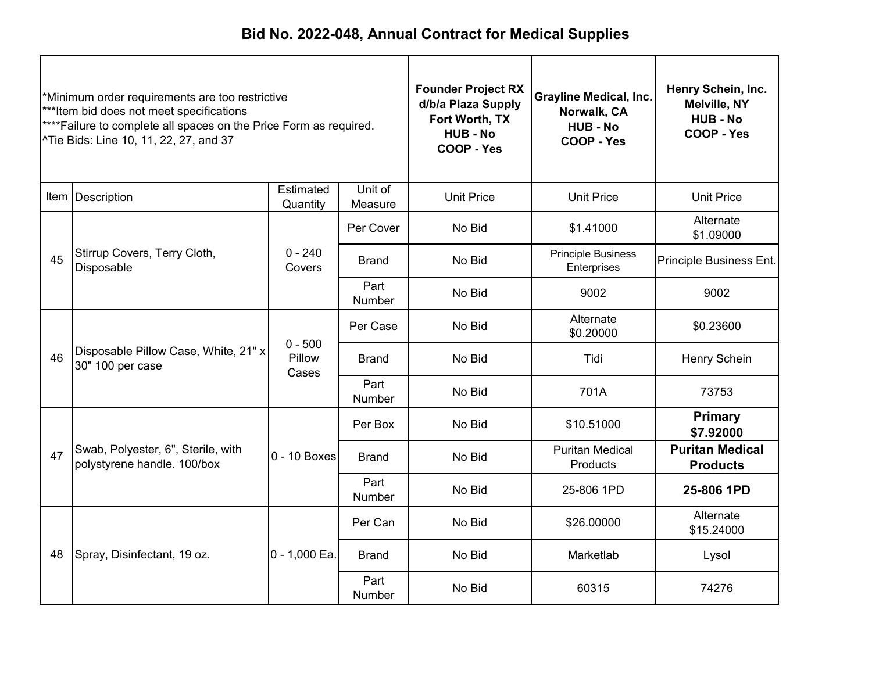| *Minimum order requirements are too restrictive<br>***Item bid does not meet specifications<br>****Failure to complete all spaces on the Price Form as required.<br>^Tie Bids: Line 10, 11, 22, 27, and 37 |                                                                   |                              | <b>Founder Project RX</b><br>d/b/a Plaza Supply<br>Fort Worth, TX<br><b>HUB-No</b><br>COOP - Yes | <b>Grayline Medical, Inc.</b><br>Norwalk, CA<br><b>HUB - No</b><br><b>COOP - Yes</b> | Henry Schein, Inc.<br><b>Melville, NY</b><br><b>HUB - No</b><br>COOP - Yes |                                           |
|------------------------------------------------------------------------------------------------------------------------------------------------------------------------------------------------------------|-------------------------------------------------------------------|------------------------------|--------------------------------------------------------------------------------------------------|--------------------------------------------------------------------------------------|----------------------------------------------------------------------------|-------------------------------------------|
|                                                                                                                                                                                                            | Item Description                                                  | Estimated<br>Quantity        | Unit of<br>Measure                                                                               | <b>Unit Price</b>                                                                    | <b>Unit Price</b>                                                          | <b>Unit Price</b>                         |
|                                                                                                                                                                                                            |                                                                   |                              | Per Cover                                                                                        | No Bid                                                                               | \$1.41000                                                                  | Alternate<br>\$1.09000                    |
| 45                                                                                                                                                                                                         | Stirrup Covers, Terry Cloth,<br>Disposable                        | $0 - 240$<br>Covers          | <b>Brand</b>                                                                                     | No Bid                                                                               | <b>Principle Business</b><br>Enterprises                                   | Principle Business Ent.                   |
|                                                                                                                                                                                                            |                                                                   |                              | Part<br>Number                                                                                   | No Bid                                                                               | 9002                                                                       | 9002                                      |
|                                                                                                                                                                                                            | Disposable Pillow Case, White, 21" x<br>30" 100 per case          | $0 - 500$<br>Pillow<br>Cases | Per Case                                                                                         | No Bid                                                                               | Alternate<br>\$0.20000                                                     | \$0.23600                                 |
| 46                                                                                                                                                                                                         |                                                                   |                              | Brand                                                                                            | No Bid                                                                               | Tidi                                                                       | Henry Schein                              |
|                                                                                                                                                                                                            |                                                                   |                              | Part<br>Number                                                                                   | No Bid                                                                               | 701A                                                                       | 73753                                     |
|                                                                                                                                                                                                            |                                                                   |                              | Per Box                                                                                          | No Bid                                                                               | \$10.51000                                                                 | <b>Primary</b><br>\$7.92000               |
| 47                                                                                                                                                                                                         | Swab, Polyester, 6", Sterile, with<br>polystyrene handle. 100/box | $0 - 10$ Boxes               | <b>Brand</b>                                                                                     | No Bid                                                                               | <b>Puritan Medical</b><br>Products                                         | <b>Puritan Medical</b><br><b>Products</b> |
|                                                                                                                                                                                                            |                                                                   |                              | Part<br>Number                                                                                   | No Bid                                                                               | 25-806 1PD                                                                 | 25-806 1PD                                |
|                                                                                                                                                                                                            |                                                                   | $0 - 1,000$ Ea.              | Per Can                                                                                          | No Bid                                                                               | \$26.00000                                                                 | Alternate<br>\$15.24000                   |
| 48                                                                                                                                                                                                         | Spray, Disinfectant, 19 oz.                                       |                              | <b>Brand</b>                                                                                     | No Bid                                                                               | Marketlab                                                                  | Lysol                                     |
|                                                                                                                                                                                                            |                                                                   |                              | Part<br>Number                                                                                   | No Bid                                                                               | 60315                                                                      | 74276                                     |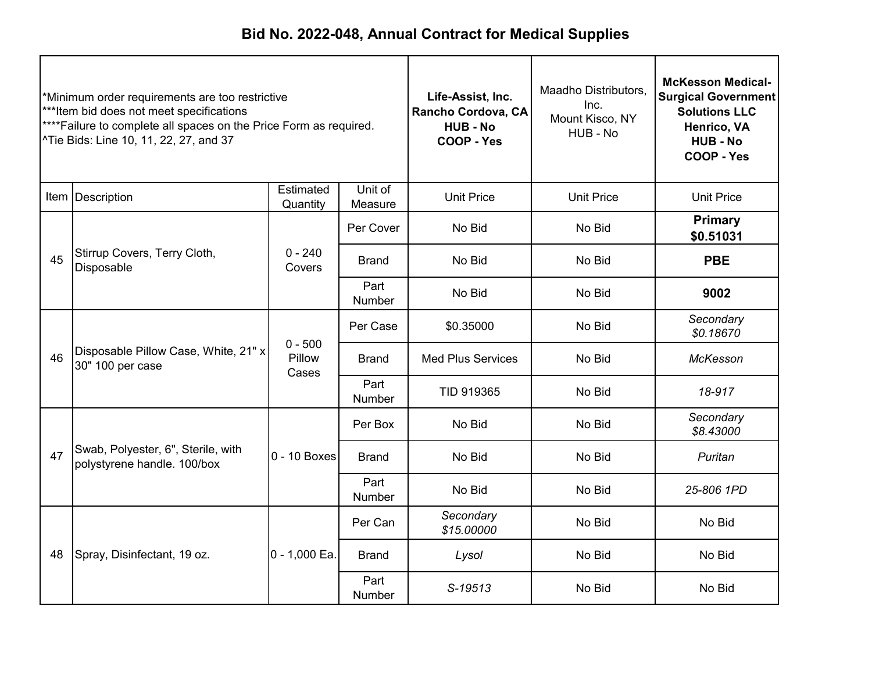| *Minimum order requirements are too restrictive<br>*** Item bid does not meet specifications<br>**** Failure to complete all spaces on the Price Form as required.<br><sup>^</sup> Tie Bids: Line 10, 11, 22, 27, and 37 |                                                                   |                              | Life-Assist, Inc.<br>Rancho Cordova, CA<br><b>HUB - No</b><br>COOP - Yes | Maadho Distributors,<br>Inc.<br>Mount Kisco, NY<br>HUB - No | <b>McKesson Medical-</b><br><b>Surgical Government</b><br><b>Solutions LLC</b><br>Henrico, VA<br><b>HUB - No</b><br>COOP - Yes |                             |
|--------------------------------------------------------------------------------------------------------------------------------------------------------------------------------------------------------------------------|-------------------------------------------------------------------|------------------------------|--------------------------------------------------------------------------|-------------------------------------------------------------|--------------------------------------------------------------------------------------------------------------------------------|-----------------------------|
|                                                                                                                                                                                                                          | Item Description                                                  | Estimated<br>Quantity        | Unit of<br>Measure                                                       | <b>Unit Price</b>                                           | <b>Unit Price</b>                                                                                                              | <b>Unit Price</b>           |
|                                                                                                                                                                                                                          |                                                                   |                              | Per Cover                                                                | No Bid                                                      | No Bid                                                                                                                         | <b>Primary</b><br>\$0.51031 |
| 45                                                                                                                                                                                                                       | Stirrup Covers, Terry Cloth,<br>Disposable                        | $0 - 240$<br>Covers          | <b>Brand</b>                                                             | No Bid                                                      | No Bid                                                                                                                         | <b>PBE</b>                  |
|                                                                                                                                                                                                                          |                                                                   |                              | Part<br>Number                                                           | No Bid                                                      | No Bid                                                                                                                         | 9002                        |
|                                                                                                                                                                                                                          |                                                                   | $0 - 500$<br>Pillow<br>Cases | Per Case                                                                 | \$0.35000                                                   | No Bid                                                                                                                         | Secondary<br>\$0.18670      |
| 46                                                                                                                                                                                                                       | Disposable Pillow Case, White, 21" x<br>30" 100 per case          |                              | <b>Brand</b>                                                             | <b>Med Plus Services</b>                                    | No Bid                                                                                                                         | McKesson                    |
|                                                                                                                                                                                                                          |                                                                   |                              | Part<br>Number                                                           | TID 919365                                                  | No Bid                                                                                                                         | 18-917                      |
|                                                                                                                                                                                                                          |                                                                   |                              | Per Box                                                                  | No Bid                                                      | No Bid                                                                                                                         | Secondary<br>\$8.43000      |
| 47                                                                                                                                                                                                                       | Swab, Polyester, 6", Sterile, with<br>polystyrene handle. 100/box | $0 - 10$ Boxes               | <b>Brand</b>                                                             | No Bid                                                      | No Bid                                                                                                                         | Puritan                     |
|                                                                                                                                                                                                                          |                                                                   |                              | Part<br>Number                                                           | No Bid                                                      | No Bid                                                                                                                         | 25-806 1PD                  |
|                                                                                                                                                                                                                          |                                                                   |                              | Per Can                                                                  | Secondary<br>\$15.00000                                     | No Bid                                                                                                                         | No Bid                      |
| 48                                                                                                                                                                                                                       | Spray, Disinfectant, 19 oz.                                       | 0 - 1,000 Ea.                | <b>Brand</b>                                                             | Lysol                                                       | No Bid                                                                                                                         | No Bid                      |
|                                                                                                                                                                                                                          |                                                                   |                              | Part<br>Number                                                           | S-19513                                                     | No Bid                                                                                                                         | No Bid                      |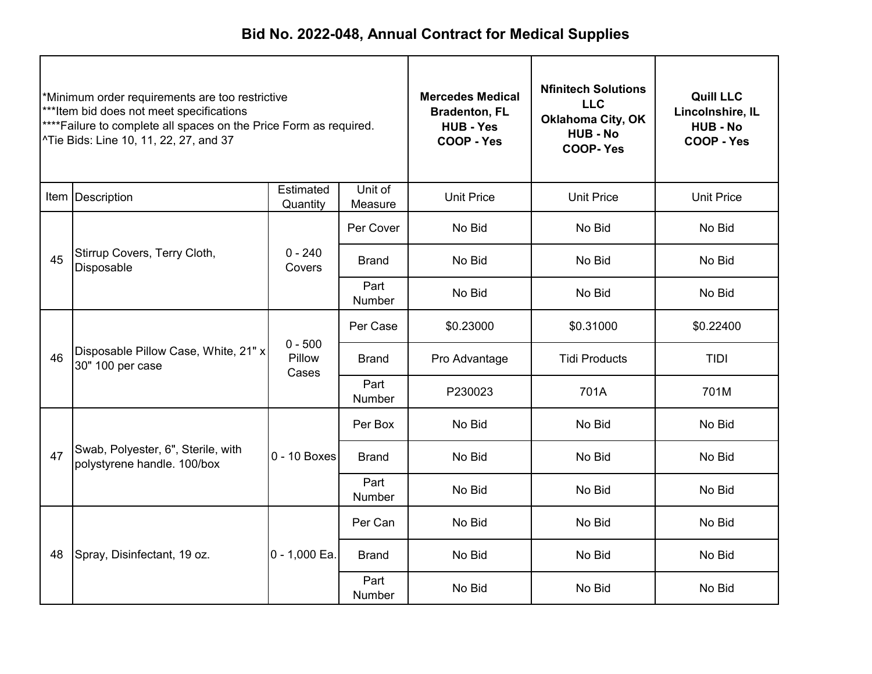| *Minimum order requirements are too restrictive<br>***Item bid does not meet specifications<br>****Failure to complete all spaces on the Price Form as required.<br>^Tie Bids: Line 10, 11, 22, 27, and 37 |                                                                   |                              | <b>Mercedes Medical</b><br><b>Bradenton, FL</b><br><b>HUB - Yes</b><br><b>COOP - Yes</b> | <b>Nfinitech Solutions</b><br><b>LLC</b><br><b>Oklahoma City, OK</b><br><b>HUB - No</b><br><b>COOP-Yes</b> | <b>Quill LLC</b><br>Lincolnshire, IL<br><b>HUB-No</b><br>COOP - Yes |                   |
|------------------------------------------------------------------------------------------------------------------------------------------------------------------------------------------------------------|-------------------------------------------------------------------|------------------------------|------------------------------------------------------------------------------------------|------------------------------------------------------------------------------------------------------------|---------------------------------------------------------------------|-------------------|
|                                                                                                                                                                                                            | Item   Description                                                | Estimated<br>Quantity        | Unit of<br>Measure                                                                       | <b>Unit Price</b>                                                                                          | <b>Unit Price</b>                                                   | <b>Unit Price</b> |
|                                                                                                                                                                                                            |                                                                   |                              | Per Cover                                                                                | No Bid                                                                                                     | No Bid                                                              | No Bid            |
| 45                                                                                                                                                                                                         | Stirrup Covers, Terry Cloth,<br>Disposable                        | $0 - 240$<br>Covers          | <b>Brand</b>                                                                             | No Bid                                                                                                     | No Bid                                                              | No Bid            |
|                                                                                                                                                                                                            |                                                                   |                              | Part<br>Number                                                                           | No Bid                                                                                                     | No Bid                                                              | No Bid            |
|                                                                                                                                                                                                            |                                                                   |                              | Per Case                                                                                 | \$0.23000                                                                                                  | \$0.31000                                                           | \$0.22400         |
| 46                                                                                                                                                                                                         | Disposable Pillow Case, White, 21" x<br>30" 100 per case          | $0 - 500$<br>Pillow<br>Cases | Brand                                                                                    | Pro Advantage                                                                                              | <b>Tidi Products</b>                                                | <b>TIDI</b>       |
|                                                                                                                                                                                                            |                                                                   |                              | Part<br>Number                                                                           | P230023                                                                                                    | 701A                                                                | 701M              |
|                                                                                                                                                                                                            |                                                                   |                              | Per Box                                                                                  | No Bid                                                                                                     | No Bid                                                              | No Bid            |
| 47                                                                                                                                                                                                         | Swab, Polyester, 6", Sterile, with<br>polystyrene handle. 100/box | $0 - 10$ Boxes               | <b>Brand</b>                                                                             | No Bid                                                                                                     | No Bid                                                              | No Bid            |
|                                                                                                                                                                                                            |                                                                   |                              | Part<br>Number                                                                           | No Bid                                                                                                     | No Bid                                                              | No Bid            |
|                                                                                                                                                                                                            |                                                                   |                              | Per Can                                                                                  | No Bid                                                                                                     | No Bid                                                              | No Bid            |
| 48                                                                                                                                                                                                         | Spray, Disinfectant, 19 oz.                                       | 0 - 1,000 Ea.                | <b>Brand</b>                                                                             | No Bid                                                                                                     | No Bid                                                              | No Bid            |
|                                                                                                                                                                                                            |                                                                   |                              | Part<br>Number                                                                           | No Bid                                                                                                     | No Bid                                                              | No Bid            |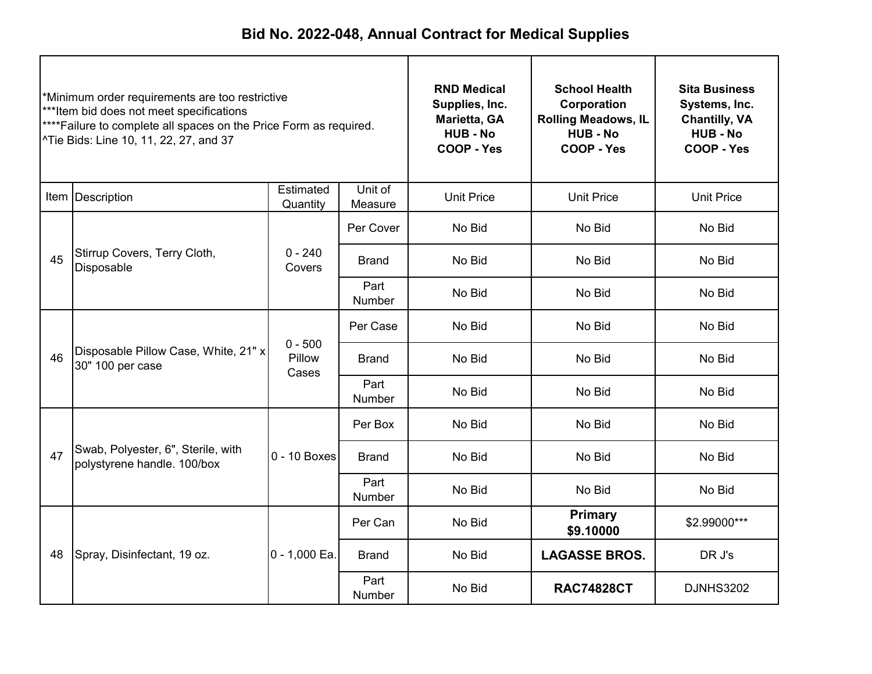| *Minimum order requirements are too restrictive<br>***Item bid does not meet specifications<br>****Failure to complete all spaces on the Price Form as required.<br>^Tie Bids: Line 10, 11, 22, 27, and 37 |                                                                   |                              | <b>RND Medical</b><br>Supplies, Inc.<br>Marietta, GA<br><b>HUB - No</b><br>COOP - Yes | <b>School Health</b><br>Corporation<br><b>Rolling Meadows, IL</b><br><b>HUB - No</b><br><b>COOP - Yes</b> | <b>Sita Business</b><br>Systems, Inc.<br><b>Chantilly, VA</b><br><b>HUB - No</b><br>COOP - Yes |                   |
|------------------------------------------------------------------------------------------------------------------------------------------------------------------------------------------------------------|-------------------------------------------------------------------|------------------------------|---------------------------------------------------------------------------------------|-----------------------------------------------------------------------------------------------------------|------------------------------------------------------------------------------------------------|-------------------|
|                                                                                                                                                                                                            | Item Description                                                  | Estimated<br>Quantity        | Unit of<br>Measure                                                                    | <b>Unit Price</b>                                                                                         | <b>Unit Price</b>                                                                              | <b>Unit Price</b> |
|                                                                                                                                                                                                            |                                                                   |                              | Per Cover                                                                             | No Bid                                                                                                    | No Bid                                                                                         | No Bid            |
| 45                                                                                                                                                                                                         | Stirrup Covers, Terry Cloth,<br>Disposable                        | $0 - 240$<br>Covers          | <b>Brand</b>                                                                          | No Bid                                                                                                    | No Bid                                                                                         | No Bid            |
|                                                                                                                                                                                                            |                                                                   |                              | Part<br>Number                                                                        | No Bid                                                                                                    | No Bid                                                                                         | No Bid            |
|                                                                                                                                                                                                            |                                                                   |                              | Per Case                                                                              | No Bid                                                                                                    | No Bid                                                                                         | No Bid            |
| 46                                                                                                                                                                                                         | Disposable Pillow Case, White, 21" x<br>30" 100 per case          | $0 - 500$<br>Pillow<br>Cases | <b>Brand</b>                                                                          | No Bid                                                                                                    | No Bid                                                                                         | No Bid            |
|                                                                                                                                                                                                            |                                                                   |                              | Part<br>Number                                                                        | No Bid                                                                                                    | No Bid                                                                                         | No Bid            |
|                                                                                                                                                                                                            |                                                                   |                              | Per Box                                                                               | No Bid                                                                                                    | No Bid                                                                                         | No Bid            |
| 47                                                                                                                                                                                                         | Swab, Polyester, 6", Sterile, with<br>polystyrene handle. 100/box | $0 - 10$ Boxes               | <b>Brand</b>                                                                          | No Bid                                                                                                    | No Bid                                                                                         | No Bid            |
|                                                                                                                                                                                                            |                                                                   |                              | Part<br>Number                                                                        | No Bid                                                                                                    | No Bid                                                                                         | No Bid            |
|                                                                                                                                                                                                            |                                                                   |                              | Per Can                                                                               | No Bid                                                                                                    | <b>Primary</b><br>\$9.10000                                                                    | \$2.99000***      |
| 48                                                                                                                                                                                                         | Spray, Disinfectant, 19 oz.                                       | 0 - 1,000 Ea.                | <b>Brand</b>                                                                          | No Bid                                                                                                    | <b>LAGASSE BROS.</b>                                                                           | DR J's            |
|                                                                                                                                                                                                            |                                                                   |                              | Part<br>Number                                                                        | No Bid                                                                                                    | <b>RAC74828CT</b>                                                                              | <b>DJNHS3202</b>  |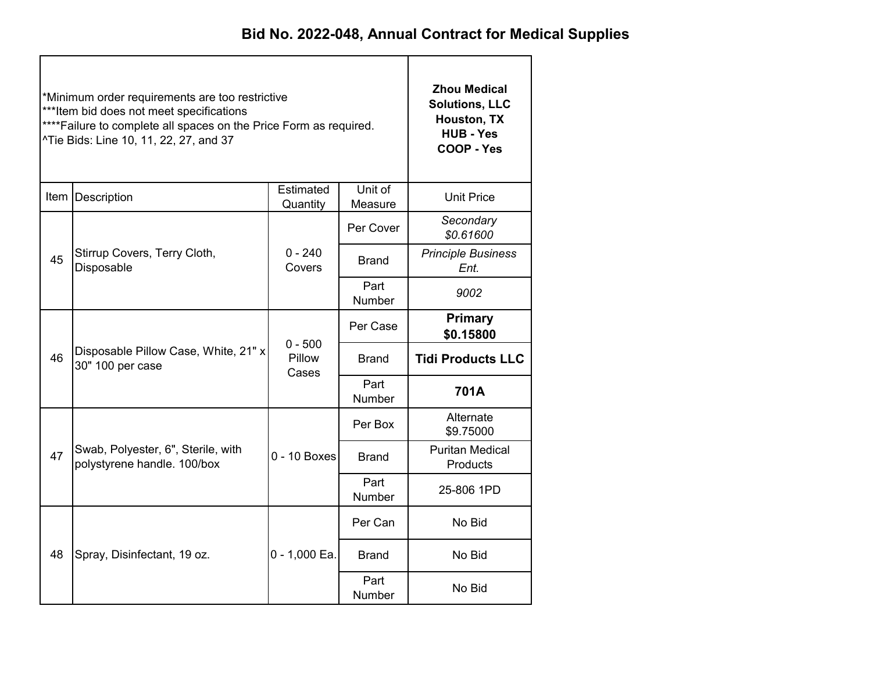|    | *Minimum order requirements are too restrictive<br>***Item bid does not meet specifications<br>**** Failure to complete all spaces on the Price Form as required.<br>^Tie Bids: Line 10, 11, 22, 27, and 37 | <b>Zhou Medical</b><br><b>Solutions, LLC</b><br>Houston, TX<br><b>HUB - Yes</b><br>COOP - Yes |                |                                    |  |
|----|-------------------------------------------------------------------------------------------------------------------------------------------------------------------------------------------------------------|-----------------------------------------------------------------------------------------------|----------------|------------------------------------|--|
|    | Item Description                                                                                                                                                                                            | <b>Unit Price</b>                                                                             |                |                                    |  |
|    |                                                                                                                                                                                                             |                                                                                               | Per Cover      | Secondary<br>\$0.61600             |  |
| 45 | Stirrup Covers, Terry Cloth,<br>Disposable                                                                                                                                                                  | $0 - 240$<br>Covers                                                                           | Brand          | <b>Principle Business</b><br>Ent.  |  |
|    |                                                                                                                                                                                                             |                                                                                               | Part<br>Number | 9002                               |  |
|    |                                                                                                                                                                                                             |                                                                                               | Per Case       | Primary<br>\$0.15800               |  |
| 46 | Disposable Pillow Case, White, 21" x<br>30" 100 per case                                                                                                                                                    | $0 - 500$<br>Pillow<br>Cases                                                                  | Brand          | <b>Tidi Products LLC</b>           |  |
|    |                                                                                                                                                                                                             |                                                                                               | Part<br>Number | 701A                               |  |
|    |                                                                                                                                                                                                             |                                                                                               | Per Box        | Alternate<br>\$9.75000             |  |
| 47 | Swab, Polyester, 6", Sterile, with<br>polystyrene handle. 100/box                                                                                                                                           | $0 - 10$ Boxes                                                                                | <b>Brand</b>   | <b>Puritan Medical</b><br>Products |  |
|    |                                                                                                                                                                                                             |                                                                                               | Part<br>Number | 25-806 1PD                         |  |
|    |                                                                                                                                                                                                             |                                                                                               | Per Can        | No Bid                             |  |
| 48 | Spray, Disinfectant, 19 oz.                                                                                                                                                                                 | 0 - 1,000 Ea.                                                                                 | <b>Brand</b>   | No Bid                             |  |
|    |                                                                                                                                                                                                             |                                                                                               | Part<br>Number | No Bid                             |  |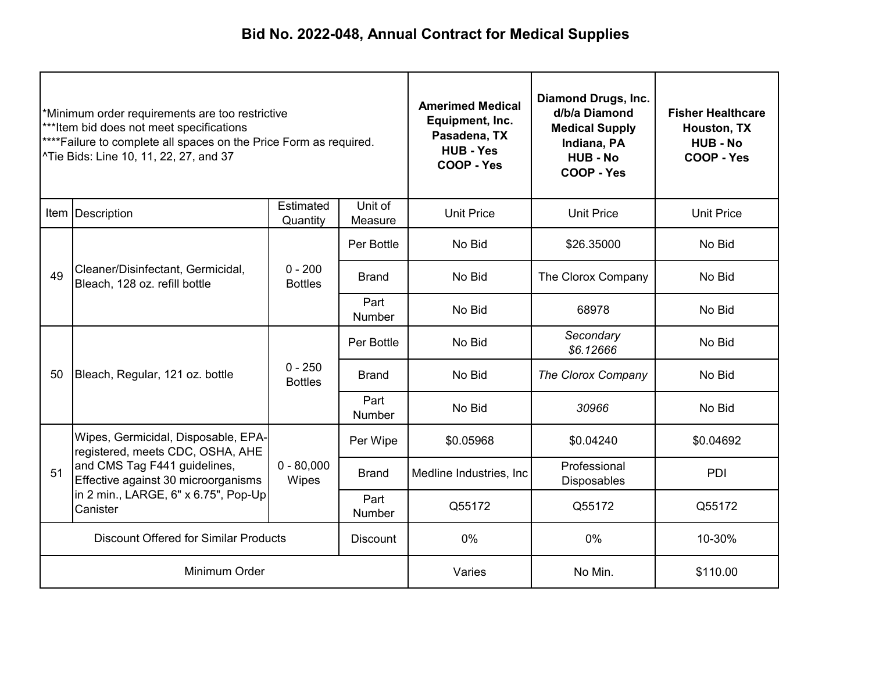| *Minimum order requirements are too restrictive<br>***Item bid does not meet specifications<br>**** Failure to complete all spaces on the Price Form as required.<br>^Tie Bids: Line 10, 11, 22, 27, and 37 |                                                                                                                                                                                                    |                             | <b>Amerimed Medical</b><br>Equipment, Inc.<br>Pasadena, TX<br><b>HUB - Yes</b><br>COOP - Yes | <b>Diamond Drugs, Inc.</b><br>d/b/a Diamond<br><b>Medical Supply</b><br>Indiana, PA<br><b>HUB - No</b><br>COOP - Yes | <b>Fisher Healthcare</b><br>Houston, TX<br><b>HUB - No</b><br>COOP - Yes |           |
|-------------------------------------------------------------------------------------------------------------------------------------------------------------------------------------------------------------|----------------------------------------------------------------------------------------------------------------------------------------------------------------------------------------------------|-----------------------------|----------------------------------------------------------------------------------------------|----------------------------------------------------------------------------------------------------------------------|--------------------------------------------------------------------------|-----------|
| Unit of<br>Estimated<br>Item   Description<br>Quantity<br>Measure                                                                                                                                           |                                                                                                                                                                                                    |                             | <b>Unit Price</b>                                                                            | <b>Unit Price</b>                                                                                                    | <b>Unit Price</b>                                                        |           |
|                                                                                                                                                                                                             | Cleaner/Disinfectant, Germicidal,<br>Bleach, 128 oz. refill bottle                                                                                                                                 | $0 - 200$<br><b>Bottles</b> | Per Bottle                                                                                   | No Bid                                                                                                               | \$26.35000                                                               | No Bid    |
| 49                                                                                                                                                                                                          |                                                                                                                                                                                                    |                             | <b>Brand</b>                                                                                 | No Bid                                                                                                               | The Clorox Company                                                       | No Bid    |
|                                                                                                                                                                                                             |                                                                                                                                                                                                    |                             | Part<br><b>Number</b>                                                                        | No Bid                                                                                                               | 68978                                                                    | No Bid    |
|                                                                                                                                                                                                             | Bleach, Regular, 121 oz. bottle                                                                                                                                                                    | $0 - 250$<br><b>Bottles</b> | Per Bottle                                                                                   | No Bid                                                                                                               | Secondary<br>\$6.12666                                                   | No Bid    |
| 50                                                                                                                                                                                                          |                                                                                                                                                                                                    |                             | <b>Brand</b>                                                                                 | No Bid                                                                                                               | The Clorox Company                                                       | No Bid    |
|                                                                                                                                                                                                             |                                                                                                                                                                                                    |                             | Part<br>Number                                                                               | No Bid                                                                                                               | 30966                                                                    | No Bid    |
|                                                                                                                                                                                                             | Wipes, Germicidal, Disposable, EPA-<br>registered, meets CDC, OSHA, AHE<br>and CMS Tag F441 guidelines,<br>Effective against 30 microorganisms<br>in 2 min., LARGE, 6" x 6.75", Pop-Up<br>Canister | $0 - 80,000$<br>Wipes       | Per Wipe                                                                                     | \$0.05968                                                                                                            | \$0.04240                                                                | \$0.04692 |
| 51                                                                                                                                                                                                          |                                                                                                                                                                                                    |                             | <b>Brand</b>                                                                                 | Medline Industries, Inc.                                                                                             | Professional<br><b>Disposables</b>                                       | PDI       |
|                                                                                                                                                                                                             |                                                                                                                                                                                                    |                             | Part<br>Number                                                                               | Q55172                                                                                                               | Q55172                                                                   | Q55172    |
| <b>Discount Offered for Similar Products</b><br><b>Discount</b>                                                                                                                                             |                                                                                                                                                                                                    |                             | 0%                                                                                           | 0%                                                                                                                   | 10-30%                                                                   |           |
| Minimum Order                                                                                                                                                                                               |                                                                                                                                                                                                    |                             | Varies                                                                                       | No Min.                                                                                                              | \$110.00                                                                 |           |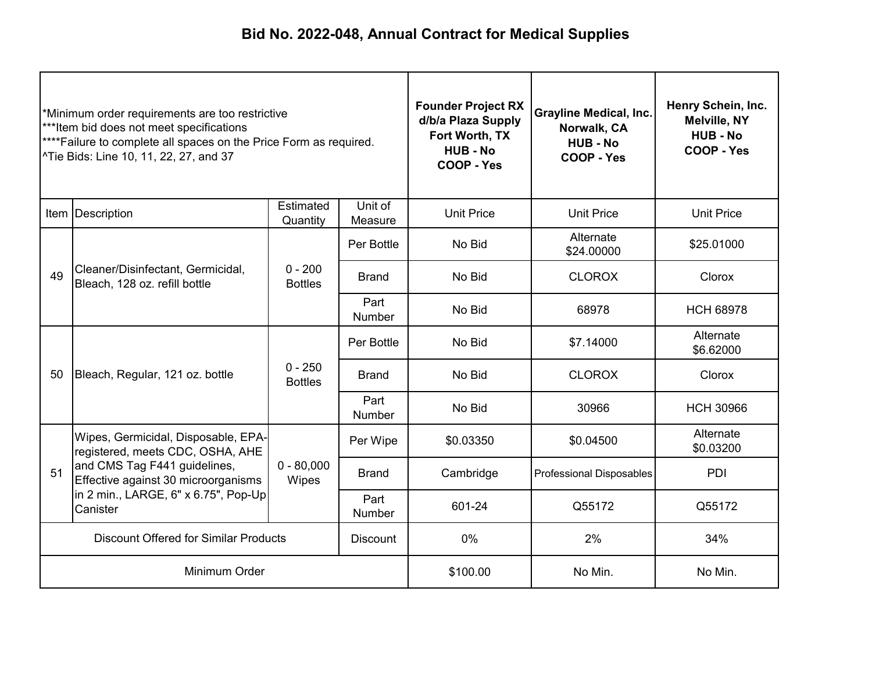| *Minimum order requirements are too restrictive<br>***Item bid does not meet specifications<br>**** Failure to complete all spaces on the Price Form as required.<br>^Tie Bids: Line 10, 11, 22, 27, and 37 |                                                                                                                                                                                                    |                             | <b>Founder Project RX</b><br>d/b/a Plaza Supply<br>Fort Worth, TX<br><b>HUB - No</b><br>COOP - Yes | <b>Grayline Medical, Inc.</b><br>Norwalk, CA<br><b>HUB - No</b><br>COOP - Yes | Henry Schein, Inc.<br><b>Melville, NY</b><br><b>HUB - No</b><br>COOP - Yes |                        |
|-------------------------------------------------------------------------------------------------------------------------------------------------------------------------------------------------------------|----------------------------------------------------------------------------------------------------------------------------------------------------------------------------------------------------|-----------------------------|----------------------------------------------------------------------------------------------------|-------------------------------------------------------------------------------|----------------------------------------------------------------------------|------------------------|
| Estimated<br>Unit of<br>Item   Description<br>Quantity<br>Measure                                                                                                                                           |                                                                                                                                                                                                    |                             | <b>Unit Price</b>                                                                                  | <b>Unit Price</b>                                                             | <b>Unit Price</b>                                                          |                        |
|                                                                                                                                                                                                             | Cleaner/Disinfectant, Germicidal,<br>Bleach, 128 oz. refill bottle                                                                                                                                 | $0 - 200$<br><b>Bottles</b> | Per Bottle                                                                                         | No Bid                                                                        | Alternate<br>\$24.00000                                                    | \$25.01000             |
| 49                                                                                                                                                                                                          |                                                                                                                                                                                                    |                             | <b>Brand</b>                                                                                       | No Bid                                                                        | <b>CLOROX</b>                                                              | <b>Clorox</b>          |
|                                                                                                                                                                                                             |                                                                                                                                                                                                    |                             | Part<br>Number                                                                                     | No Bid                                                                        | 68978                                                                      | <b>HCH 68978</b>       |
|                                                                                                                                                                                                             | Bleach, Regular, 121 oz. bottle                                                                                                                                                                    | $0 - 250$<br><b>Bottles</b> | Per Bottle                                                                                         | No Bid                                                                        | \$7.14000                                                                  | Alternate<br>\$6.62000 |
| 50                                                                                                                                                                                                          |                                                                                                                                                                                                    |                             | <b>Brand</b>                                                                                       | No Bid                                                                        | <b>CLOROX</b>                                                              | <b>Clorox</b>          |
|                                                                                                                                                                                                             |                                                                                                                                                                                                    |                             | Part<br>Number                                                                                     | No Bid                                                                        | 30966                                                                      | <b>HCH 30966</b>       |
|                                                                                                                                                                                                             | Wipes, Germicidal, Disposable, EPA-<br>registered, meets CDC, OSHA, AHE<br>and CMS Tag F441 guidelines,<br>Effective against 30 microorganisms<br>in 2 min., LARGE, 6" x 6.75", Pop-Up<br>Canister | $0 - 80,000$<br>Wipes       | Per Wipe                                                                                           | \$0.03350                                                                     | \$0.04500                                                                  | Alternate<br>\$0.03200 |
| 51                                                                                                                                                                                                          |                                                                                                                                                                                                    |                             | <b>Brand</b>                                                                                       | Cambridge                                                                     | <b>Professional Disposables</b>                                            | PDI                    |
|                                                                                                                                                                                                             |                                                                                                                                                                                                    |                             | Part<br>Number                                                                                     | 601-24                                                                        | Q55172                                                                     | Q55172                 |
| <b>Discount Offered for Similar Products</b><br><b>Discount</b>                                                                                                                                             |                                                                                                                                                                                                    |                             |                                                                                                    | 0%                                                                            | 2%                                                                         | 34%                    |
| Minimum Order                                                                                                                                                                                               |                                                                                                                                                                                                    |                             | \$100.00                                                                                           | No Min.                                                                       | No Min.                                                                    |                        |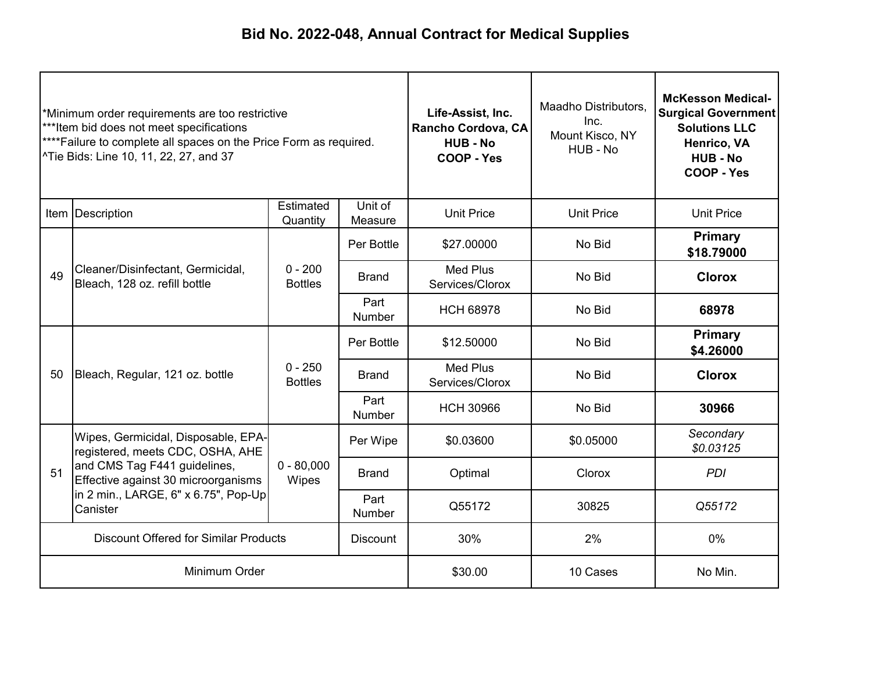| *Minimum order requirements are too restrictive<br>***Item bid does not meet specifications<br>**** Failure to complete all spaces on the Price Form as required.<br>^Tie Bids: Line 10, 11, 22, 27, and 37 |                                                                                                                                                                                                    |                             | Life-Assist, Inc.<br>Rancho Cordova, CA<br><b>HUB - No</b><br>COOP - Yes | Maadho Distributors,<br>Inc.<br>Mount Kisco, NY<br>HUB - No | <b>McKesson Medical-</b><br><b>Surgical Government</b><br><b>Solutions LLC</b><br>Henrico, VA<br><b>HUB-No</b><br>COOP - Yes |                             |
|-------------------------------------------------------------------------------------------------------------------------------------------------------------------------------------------------------------|----------------------------------------------------------------------------------------------------------------------------------------------------------------------------------------------------|-----------------------------|--------------------------------------------------------------------------|-------------------------------------------------------------|------------------------------------------------------------------------------------------------------------------------------|-----------------------------|
|                                                                                                                                                                                                             | Item   Description                                                                                                                                                                                 | Estimated<br>Quantity       | Unit of<br>Measure                                                       | <b>Unit Price</b>                                           | <b>Unit Price</b>                                                                                                            | <b>Unit Price</b>           |
|                                                                                                                                                                                                             | Cleaner/Disinfectant, Germicidal,<br>Bleach, 128 oz. refill bottle                                                                                                                                 | $0 - 200$<br><b>Bottles</b> | Per Bottle                                                               | \$27.00000                                                  | No Bid                                                                                                                       | Primary<br>\$18.79000       |
| 49                                                                                                                                                                                                          |                                                                                                                                                                                                    |                             | <b>Brand</b>                                                             | <b>Med Plus</b><br>Services/Clorox                          | No Bid                                                                                                                       | <b>Clorox</b>               |
|                                                                                                                                                                                                             |                                                                                                                                                                                                    |                             | Part<br>Number                                                           | <b>HCH 68978</b>                                            | No Bid                                                                                                                       | 68978                       |
|                                                                                                                                                                                                             | Bleach, Regular, 121 oz. bottle                                                                                                                                                                    | $0 - 250$<br><b>Bottles</b> | Per Bottle                                                               | \$12.50000                                                  | No Bid                                                                                                                       | <b>Primary</b><br>\$4.26000 |
| 50                                                                                                                                                                                                          |                                                                                                                                                                                                    |                             | <b>Brand</b>                                                             | <b>Med Plus</b><br>Services/Clorox                          | No Bid                                                                                                                       | <b>Clorox</b>               |
|                                                                                                                                                                                                             |                                                                                                                                                                                                    |                             | Part<br>Number                                                           | <b>HCH 30966</b>                                            | No Bid                                                                                                                       | 30966                       |
|                                                                                                                                                                                                             | Wipes, Germicidal, Disposable, EPA-<br>registered, meets CDC, OSHA, AHE<br>and CMS Tag F441 guidelines,<br>Effective against 30 microorganisms<br>in 2 min., LARGE, 6" x 6.75", Pop-Up<br>Canister | $0 - 80,000$<br>Wipes       | Per Wipe                                                                 | \$0.03600                                                   | \$0.05000                                                                                                                    | Secondary<br>\$0.03125      |
| 51                                                                                                                                                                                                          |                                                                                                                                                                                                    |                             | <b>Brand</b>                                                             | Optimal                                                     | Clorox                                                                                                                       | <b>PDI</b>                  |
|                                                                                                                                                                                                             |                                                                                                                                                                                                    |                             | Part<br>Number                                                           | Q55172                                                      | 30825                                                                                                                        | Q55172                      |
| <b>Discount Offered for Similar Products</b><br><b>Discount</b>                                                                                                                                             |                                                                                                                                                                                                    |                             |                                                                          | 30%                                                         | 2%                                                                                                                           | 0%                          |
|                                                                                                                                                                                                             | Minimum Order                                                                                                                                                                                      |                             | \$30.00                                                                  | 10 Cases                                                    | No Min.                                                                                                                      |                             |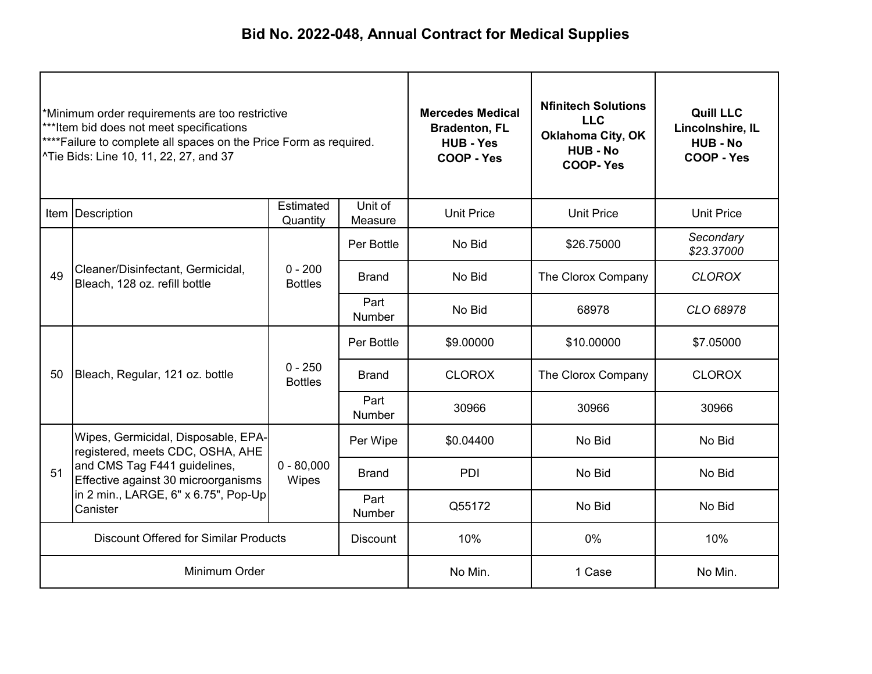| *Minimum order requirements are too restrictive<br>***Item bid does not meet specifications<br>**** Failure to complete all spaces on the Price Form as required.<br>^Tie Bids: Line 10, 11, 22, 27, and 37 |                                                                                                                                                                                                    |                             | <b>Mercedes Medical</b><br><b>Bradenton, FL</b><br><b>HUB - Yes</b><br>COOP - Yes | <b>Nfinitech Solutions</b><br><b>LLC</b><br><b>Oklahoma City, OK</b><br><b>HUB - No</b><br><b>COOP-Yes</b> | <b>Quill LLC</b><br>Lincolnshire, IL<br><b>HUB - No</b><br>COOP - Yes |                         |
|-------------------------------------------------------------------------------------------------------------------------------------------------------------------------------------------------------------|----------------------------------------------------------------------------------------------------------------------------------------------------------------------------------------------------|-----------------------------|-----------------------------------------------------------------------------------|------------------------------------------------------------------------------------------------------------|-----------------------------------------------------------------------|-------------------------|
| Estimated<br>Unit of<br>Item   Description<br>Quantity<br>Measure                                                                                                                                           |                                                                                                                                                                                                    |                             | <b>Unit Price</b>                                                                 | <b>Unit Price</b>                                                                                          | <b>Unit Price</b>                                                     |                         |
|                                                                                                                                                                                                             | Cleaner/Disinfectant, Germicidal,<br>Bleach, 128 oz. refill bottle                                                                                                                                 | $0 - 200$<br><b>Bottles</b> | Per Bottle                                                                        | No Bid                                                                                                     | \$26.75000                                                            | Secondary<br>\$23.37000 |
| 49                                                                                                                                                                                                          |                                                                                                                                                                                                    |                             | <b>Brand</b>                                                                      | No Bid                                                                                                     | The Clorox Company                                                    | <b>CLOROX</b>           |
|                                                                                                                                                                                                             |                                                                                                                                                                                                    |                             | Part<br>Number                                                                    | No Bid                                                                                                     | 68978                                                                 | CLO 68978               |
|                                                                                                                                                                                                             | Bleach, Regular, 121 oz. bottle                                                                                                                                                                    | $0 - 250$<br><b>Bottles</b> | Per Bottle                                                                        | \$9.00000                                                                                                  | \$10.00000                                                            | \$7.05000               |
| 50                                                                                                                                                                                                          |                                                                                                                                                                                                    |                             | <b>Brand</b>                                                                      | <b>CLOROX</b>                                                                                              | The Clorox Company                                                    | <b>CLOROX</b>           |
|                                                                                                                                                                                                             |                                                                                                                                                                                                    |                             | Part<br>Number                                                                    | 30966                                                                                                      | 30966                                                                 | 30966                   |
|                                                                                                                                                                                                             | Wipes, Germicidal, Disposable, EPA-<br>registered, meets CDC, OSHA, AHE<br>and CMS Tag F441 guidelines,<br>Effective against 30 microorganisms<br>in 2 min., LARGE, 6" x 6.75", Pop-Up<br>Canister | $0 - 80,000$<br>Wipes       | Per Wipe                                                                          | \$0.04400                                                                                                  | No Bid                                                                | No Bid                  |
| 51                                                                                                                                                                                                          |                                                                                                                                                                                                    |                             | <b>Brand</b>                                                                      | PDI                                                                                                        | No Bid                                                                | No Bid                  |
|                                                                                                                                                                                                             |                                                                                                                                                                                                    |                             | Part<br>Number                                                                    | Q55172                                                                                                     | No Bid                                                                | No Bid                  |
| <b>Discount Offered for Similar Products</b><br><b>Discount</b>                                                                                                                                             |                                                                                                                                                                                                    |                             |                                                                                   | 10%                                                                                                        | 0%                                                                    | 10%                     |
| Minimum Order                                                                                                                                                                                               |                                                                                                                                                                                                    |                             | No Min.                                                                           | 1 Case                                                                                                     | No Min.                                                               |                         |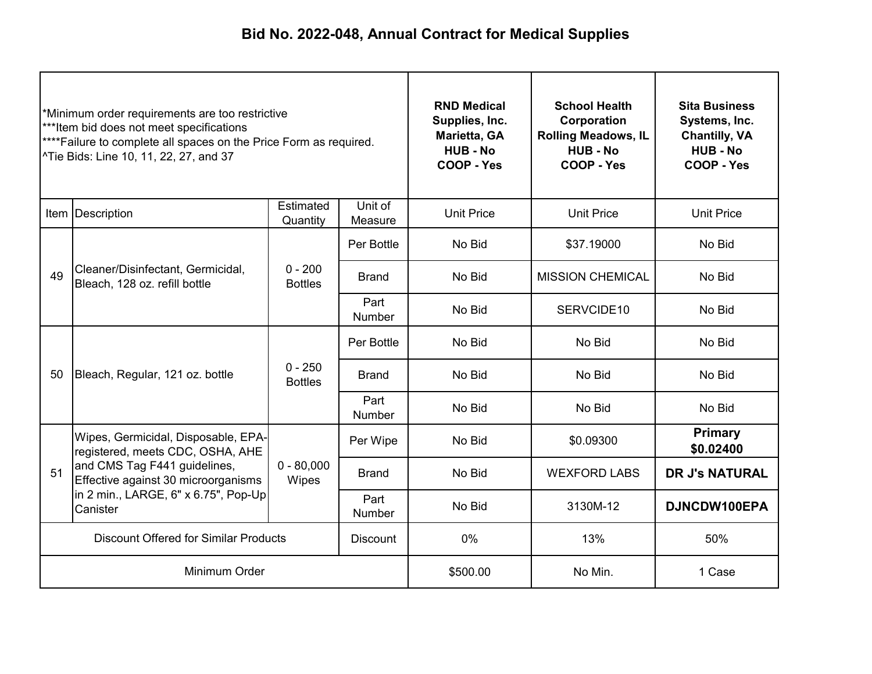| *Minimum order requirements are too restrictive<br>***Item bid does not meet specifications<br>**** Failure to complete all spaces on the Price Form as required.<br><sup>^</sup> Tie Bids: Line 10, 11, 22, 27, and 37 |                                                                                                                                                                                                    |                             | <b>RND Medical</b><br>Supplies, Inc.<br>Marietta, GA<br><b>HUB - No</b><br>COOP - Yes | <b>School Health</b><br>Corporation<br><b>Rolling Meadows, IL</b><br><b>HUB - No</b><br>COOP - Yes | <b>Sita Business</b><br>Systems, Inc.<br><b>Chantilly, VA</b><br><b>HUB - No</b><br>COOP - Yes |                             |  |
|-------------------------------------------------------------------------------------------------------------------------------------------------------------------------------------------------------------------------|----------------------------------------------------------------------------------------------------------------------------------------------------------------------------------------------------|-----------------------------|---------------------------------------------------------------------------------------|----------------------------------------------------------------------------------------------------|------------------------------------------------------------------------------------------------|-----------------------------|--|
| Estimated<br>Unit of<br>Item Description<br>Quantity<br>Measure                                                                                                                                                         |                                                                                                                                                                                                    |                             | <b>Unit Price</b>                                                                     | <b>Unit Price</b>                                                                                  | <b>Unit Price</b>                                                                              |                             |  |
|                                                                                                                                                                                                                         | Cleaner/Disinfectant, Germicidal,<br>Bleach, 128 oz. refill bottle                                                                                                                                 | $0 - 200$<br><b>Bottles</b> | Per Bottle                                                                            | No Bid                                                                                             | \$37.19000                                                                                     | No Bid                      |  |
| 49                                                                                                                                                                                                                      |                                                                                                                                                                                                    |                             | <b>Brand</b>                                                                          | No Bid                                                                                             | <b>MISSION CHEMICAL</b>                                                                        | No Bid                      |  |
|                                                                                                                                                                                                                         |                                                                                                                                                                                                    |                             | Part<br>Number                                                                        | No Bid                                                                                             | SERVCIDE10                                                                                     | No Bid                      |  |
|                                                                                                                                                                                                                         | Bleach, Regular, 121 oz. bottle                                                                                                                                                                    | $0 - 250$<br><b>Bottles</b> | Per Bottle                                                                            | No Bid                                                                                             | No Bid                                                                                         | No Bid                      |  |
| 50                                                                                                                                                                                                                      |                                                                                                                                                                                                    |                             | <b>Brand</b>                                                                          | No Bid                                                                                             | No Bid                                                                                         | No Bid                      |  |
|                                                                                                                                                                                                                         |                                                                                                                                                                                                    |                             | Part<br><b>Number</b>                                                                 | No Bid                                                                                             | No Bid                                                                                         | No Bid                      |  |
|                                                                                                                                                                                                                         | Wipes, Germicidal, Disposable, EPA-<br>registered, meets CDC, OSHA, AHE<br>and CMS Tag F441 guidelines,<br>Effective against 30 microorganisms<br>in 2 min., LARGE, 6" x 6.75", Pop-Up<br>Canister | $0 - 80,000$<br>Wipes       | Per Wipe                                                                              | No Bid                                                                                             | \$0.09300                                                                                      | <b>Primary</b><br>\$0.02400 |  |
| 51                                                                                                                                                                                                                      |                                                                                                                                                                                                    |                             | <b>Brand</b>                                                                          | No Bid                                                                                             | <b>WEXFORD LABS</b>                                                                            | <b>DR J's NATURAL</b>       |  |
|                                                                                                                                                                                                                         |                                                                                                                                                                                                    |                             | Part<br><b>Number</b>                                                                 | No Bid                                                                                             | 3130M-12                                                                                       | DJNCDW100EPA                |  |
| <b>Discount Offered for Similar Products</b><br><b>Discount</b>                                                                                                                                                         |                                                                                                                                                                                                    |                             |                                                                                       | 0%                                                                                                 | 13%                                                                                            | 50%                         |  |
|                                                                                                                                                                                                                         | Minimum Order                                                                                                                                                                                      |                             |                                                                                       | \$500.00                                                                                           | No Min.                                                                                        | 1 Case                      |  |